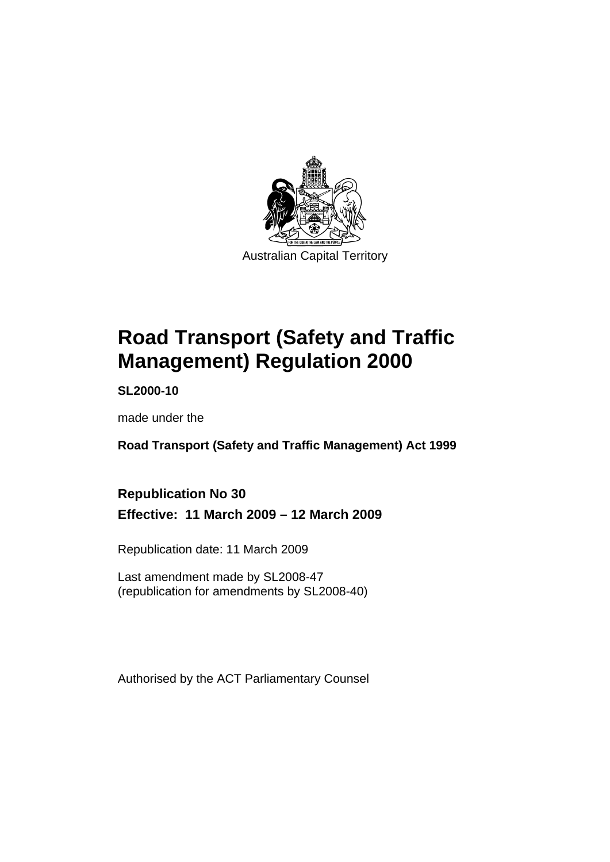

# **[Road Transport \(Safety and Traffic](#page-10-0)  [Management\) Regulation 2000](#page-10-0)**

**SL2000-10** 

made under the

**[Road Transport \(Safety and Traffic Management\) Act 1999](#page-10-0)** 

**Republication No 30 Effective: 11 March 2009 – 12 March 2009** 

Republication date: 11 March 2009

Last amendment made by SL2008-47 (republication for amendments by SL2008-40)

Authorised by the ACT Parliamentary Counsel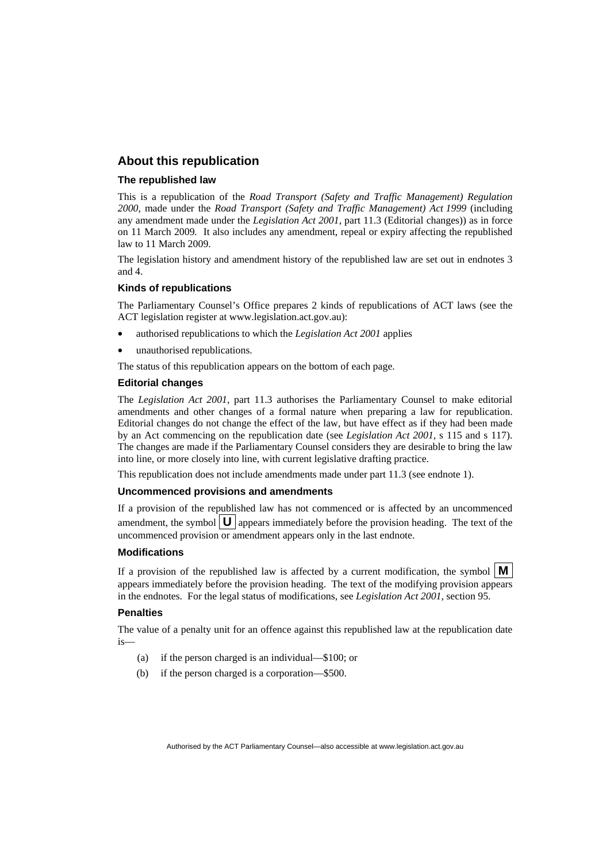#### **About this republication**

#### **The republished law**

This is a republication of the *Road Transport (Safety and Traffic Management) Regulation 2000*, made under the *[Road Transport \(Safety and Traffic Management\) Act 1999](#page-10-0)* (including any amendment made under the *Legislation Act 2001*, part 11.3 (Editorial changes)) as in force on 11 March 2009*.* It also includes any amendment, repeal or expiry affecting the republished law to 11 March 2009.

The legislation history and amendment history of the republished law are set out in endnotes 3 and 4.

#### **Kinds of republications**

The Parliamentary Counsel's Office prepares 2 kinds of republications of ACT laws (see the ACT legislation register at www.legislation.act.gov.au):

- authorised republications to which the *Legislation Act 2001* applies
- unauthorised republications.

The status of this republication appears on the bottom of each page.

#### **Editorial changes**

The *Legislation Act 2001*, part 11.3 authorises the Parliamentary Counsel to make editorial amendments and other changes of a formal nature when preparing a law for republication. Editorial changes do not change the effect of the law, but have effect as if they had been made by an Act commencing on the republication date (see *Legislation Act 2001*, s 115 and s 117). The changes are made if the Parliamentary Counsel considers they are desirable to bring the law into line, or more closely into line, with current legislative drafting practice.

This republication does not include amendments made under part 11.3 (see endnote 1).

#### **Uncommenced provisions and amendments**

If a provision of the republished law has not commenced or is affected by an uncommenced amendment, the symbol  $\mathbf{U}$  appears immediately before the provision heading. The text of the uncommenced provision or amendment appears only in the last endnote.

#### **Modifications**

If a provision of the republished law is affected by a current modification, the symbol  $\vert \mathbf{M} \vert$ appears immediately before the provision heading. The text of the modifying provision appears in the endnotes. For the legal status of modifications, see *Legislation Act 2001*, section 95.

#### **Penalties**

The value of a penalty unit for an offence against this republished law at the republication date  $i<sub>s</sub>$ 

- (a) if the person charged is an individual—\$100; or
- (b) if the person charged is a corporation—\$500.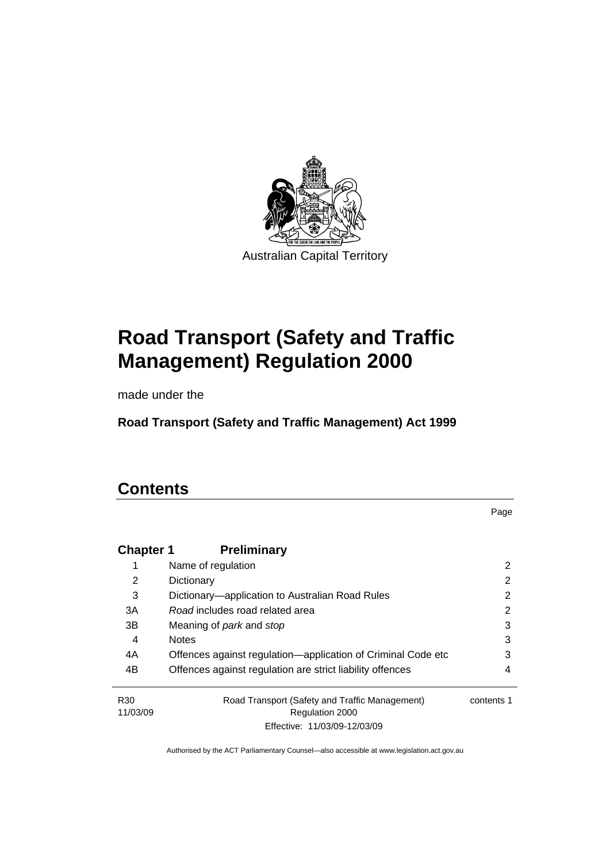

# **[Road Transport \(Safety and Traffic](#page-10-0)  [Management\) Regulation 2000](#page-10-0)**

made under the

**[Road Transport \(Safety and Traffic Management\) Act 1999](#page-10-0)** 

# **Contents**

Page

| <b>Chapter 1</b> | <b>Preliminary</b>                                           |            |
|------------------|--------------------------------------------------------------|------------|
| 1                | Name of regulation                                           | 2          |
| 2                | Dictionary                                                   | 2          |
| 3                | Dictionary—application to Australian Road Rules              | 2          |
| 3A               | Road includes road related area                              | 2          |
| 3B               | Meaning of <i>park</i> and <i>stop</i>                       | 3          |
| 4                | <b>Notes</b>                                                 | 3          |
| 4A               | Offences against regulation-application of Criminal Code etc | 3          |
| 4B               | Offences against regulation are strict liability offences    | 4          |
| R <sub>30</sub>  | Road Transport (Safety and Traffic Management)               | contents 1 |
| 11/03/09         | Regulation 2000                                              |            |
|                  | Effective: 11/03/09-12/03/09                                 |            |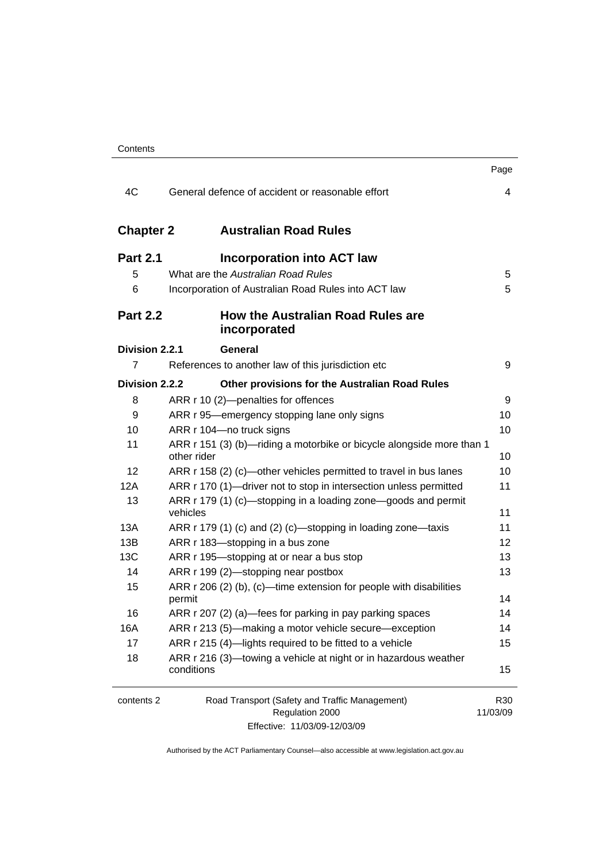|                  |                                                                                                   | Page                        |
|------------------|---------------------------------------------------------------------------------------------------|-----------------------------|
| 4C               | General defence of accident or reasonable effort                                                  | 4                           |
| <b>Chapter 2</b> | <b>Australian Road Rules</b>                                                                      |                             |
| <b>Part 2.1</b>  | Incorporation into ACT law                                                                        |                             |
| 5                | What are the Australian Road Rules                                                                | 5                           |
| 6                | Incorporation of Australian Road Rules into ACT law                                               | 5                           |
| <b>Part 2.2</b>  | How the Australian Road Rules are<br>incorporated                                                 |                             |
| Division 2.2.1   | General                                                                                           |                             |
| $\overline{7}$   | References to another law of this jurisdiction etc                                                | 9                           |
| Division 2.2.2   | Other provisions for the Australian Road Rules                                                    |                             |
| 8                | ARR r 10 (2)-penalties for offences                                                               | 9                           |
| 9                | ARR r 95—emergency stopping lane only signs                                                       | 10                          |
| 10               | ARR r 104-no truck signs                                                                          | 10                          |
| 11               | ARR r 151 (3) (b)—riding a motorbike or bicycle alongside more than 1<br>other rider              | 10                          |
| 12               | ARR r 158 (2) (c)—other vehicles permitted to travel in bus lanes                                 | 10                          |
| 12A              | ARR r 170 (1)-driver not to stop in intersection unless permitted                                 | 11                          |
| 13               | ARR r 179 (1) (c)—stopping in a loading zone—goods and permit<br>vehicles                         | 11                          |
| 13A              | ARR r 179 (1) (c) and (2) (c)-stopping in loading zone-taxis                                      | 11                          |
| 13B              | ARR r 183-stopping in a bus zone                                                                  | 12                          |
| 13C              | ARR r 195-stopping at or near a bus stop                                                          | 13                          |
| 14               | ARR r 199 (2)-stopping near postbox                                                               | 13                          |
| 15               | ARR $r$ 206 (2) (b), (c)—time extension for people with disabilities                              |                             |
|                  | permit                                                                                            | 14                          |
| 16               | ARR r 207 (2) (a)—fees for parking in pay parking spaces                                          | 14                          |
| 16A              | ARR r 213 (5)—making a motor vehicle secure—exception                                             | 14                          |
| 17               | ARR r 215 (4)-lights required to be fitted to a vehicle                                           | 15                          |
| 18               | ARR r 216 (3)—towing a vehicle at night or in hazardous weather<br>conditions                     | 15                          |
| contents 2       | Road Transport (Safety and Traffic Management)<br>Regulation 2000<br>Effective: 11/03/09-12/03/09 | R <sub>30</sub><br>11/03/09 |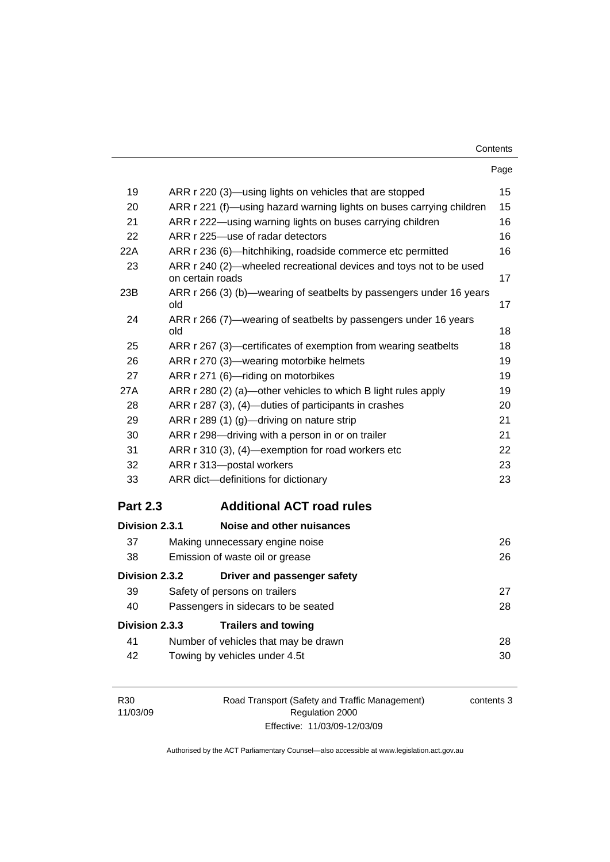| Contents |
|----------|
|----------|

|                 | Page                                                                                   |    |
|-----------------|----------------------------------------------------------------------------------------|----|
| 19              | ARR r 220 (3)—using lights on vehicles that are stopped                                | 15 |
| 20              | ARR r 221 (f)—using hazard warning lights on buses carrying children                   | 15 |
| 21              | ARR r 222-using warning lights on buses carrying children                              | 16 |
| 22              | ARR r 225-use of radar detectors                                                       | 16 |
| 22A             | ARR r 236 (6)—hitchhiking, roadside commerce etc permitted                             | 16 |
| 23              | ARR r 240 (2)-wheeled recreational devices and toys not to be used<br>on certain roads | 17 |
| 23B             | ARR r 266 (3) (b)—wearing of seatbelts by passengers under 16 years<br>old             | 17 |
| 24              | ARR r 266 (7)—wearing of seatbelts by passengers under 16 years<br>old                 | 18 |
| 25              | ARR r 267 (3)—certificates of exemption from wearing seatbelts                         | 18 |
| 26              | ARR r 270 (3)-wearing motorbike helmets                                                | 19 |
| 27              | ARR r 271 (6)-riding on motorbikes                                                     | 19 |
| 27A             | ARR r 280 (2) (a)—other vehicles to which B light rules apply                          | 19 |
| 28              | ARR r 287 (3), (4)-duties of participants in crashes                                   | 20 |
| 29              | ARR r 289 (1) (g)—driving on nature strip                                              | 21 |
| 30              | ARR r 298-driving with a person in or on trailer                                       | 21 |
| 31              | ARR r 310 (3), (4)-exemption for road workers etc                                      | 22 |
| 32              | ARR r 313-postal workers                                                               | 23 |
| 33              | ARR dict-definitions for dictionary                                                    | 23 |
| <b>Part 2.3</b> | <b>Additional ACT road rules</b>                                                       |    |
| Division 2.3.1  | Noise and other nuisances                                                              |    |
| 37              | Making unnecessary engine noise                                                        | 26 |
| 38              | Emission of waste oil or grease                                                        | 26 |
| Division 2.3.2  | Driver and passenger safety                                                            |    |
| 39              | Safety of persons on trailers                                                          | 27 |
| 40              | Passengers in sidecars to be seated                                                    | 28 |
| Division 2.3.3  | <b>Trailers and towing</b>                                                             |    |
| 41              | Number of vehicles that may be drawn                                                   | 28 |
| 42              | Towing by vehicles under 4.5t                                                          | 30 |
|                 |                                                                                        |    |

| R30      | Road Transport (Safety and Traffic Management) | contents 3 |
|----------|------------------------------------------------|------------|
| 11/03/09 | Regulation 2000                                |            |
|          | Effective: 11/03/09-12/03/09                   |            |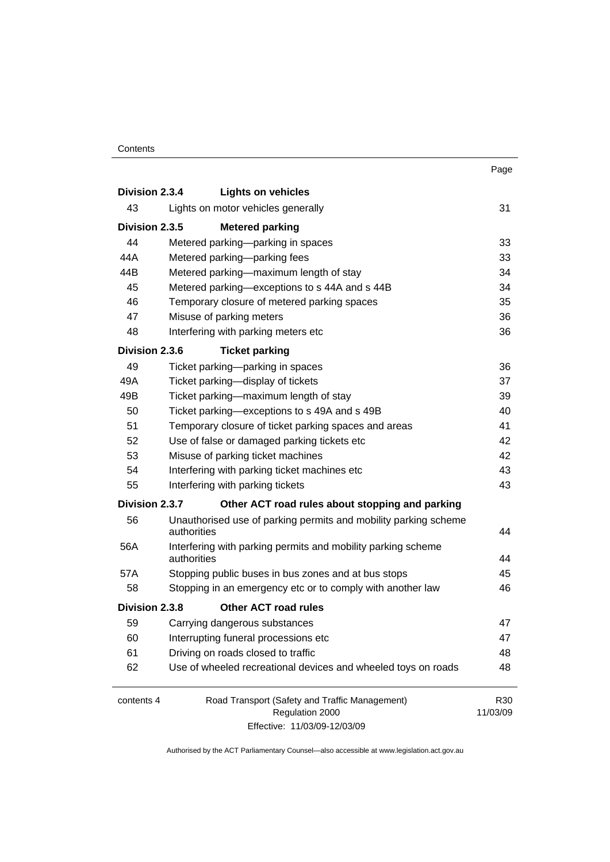#### **Contents**

|                |                                                                             | Page            |
|----------------|-----------------------------------------------------------------------------|-----------------|
| Division 2.3.4 | <b>Lights on vehicles</b>                                                   |                 |
| 43             | Lights on motor vehicles generally                                          | 31              |
| Division 2.3.5 | <b>Metered parking</b>                                                      |                 |
| 44             | Metered parking—parking in spaces                                           | 33              |
| 44A            | Metered parking-parking fees                                                | 33              |
| 44B            | Metered parking-maximum length of stay                                      | 34              |
| 45             | Metered parking-exceptions to s 44A and s 44B                               | 34              |
| 46             | Temporary closure of metered parking spaces                                 | 35              |
| 47             | Misuse of parking meters                                                    | 36              |
| 48             | Interfering with parking meters etc                                         | 36              |
| Division 2.3.6 | <b>Ticket parking</b>                                                       |                 |
| 49             | Ticket parking-parking in spaces                                            | 36              |
| 49A            | Ticket parking-display of tickets                                           | 37              |
| 49B            | Ticket parking-maximum length of stay                                       | 39              |
| 50             | Ticket parking-exceptions to s 49A and s 49B                                | 40              |
| 51             | Temporary closure of ticket parking spaces and areas                        | 41              |
| 52             | Use of false or damaged parking tickets etc                                 | 42              |
| 53             | Misuse of parking ticket machines                                           | 42              |
| 54             | Interfering with parking ticket machines etc                                | 43              |
| 55             | Interfering with parking tickets                                            | 43              |
| Division 2.3.7 | Other ACT road rules about stopping and parking                             |                 |
| 56             | Unauthorised use of parking permits and mobility parking scheme             |                 |
|                | authorities                                                                 | 44              |
| 56A            | Interfering with parking permits and mobility parking scheme<br>authorities | 44              |
| 57A            | Stopping public buses in bus zones and at bus stops                         | 45              |
| 58             | Stopping in an emergency etc or to comply with another law                  | 46              |
| Division 2.3.8 | <b>Other ACT road rules</b>                                                 |                 |
| 59             | Carrying dangerous substances                                               | 47              |
| 60             | Interrupting funeral processions etc                                        | 47              |
| 61             | Driving on roads closed to traffic                                          | 48              |
| 62             | Use of wheeled recreational devices and wheeled toys on roads               | 48              |
|                |                                                                             |                 |
| contents 4     | Road Transport (Safety and Traffic Management)                              | R <sub>30</sub> |
|                | Regulation 2000                                                             | 11/03/09        |
|                | Effective: 11/03/09-12/03/09                                                |                 |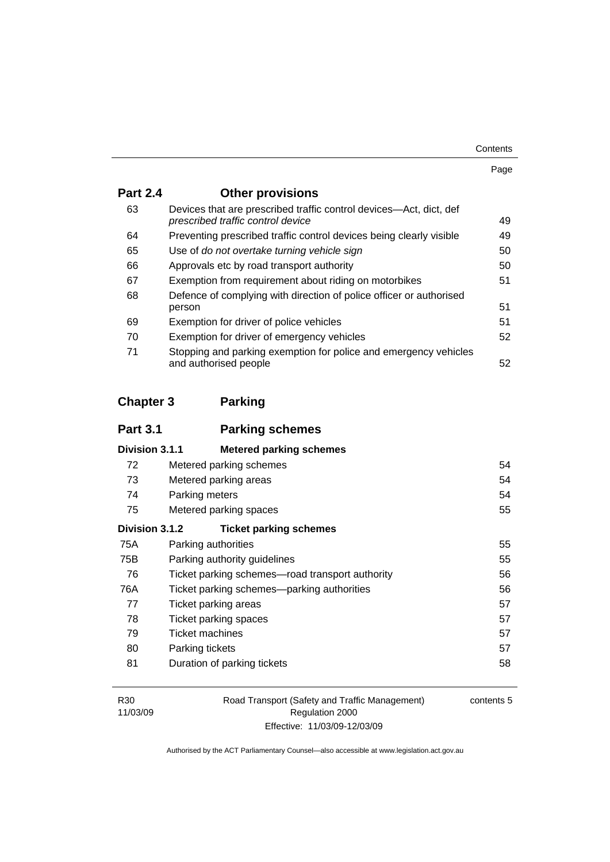| Contents |
|----------|
|----------|

| . . | ٧ |
|-----|---|

| <b>Part 2.4</b> | <b>Other provisions</b>                                                                                 |    |
|-----------------|---------------------------------------------------------------------------------------------------------|----|
| 63              | Devices that are prescribed traffic control devices—Act, dict, def<br>prescribed traffic control device | 49 |
| 64              | Preventing prescribed traffic control devices being clearly visible                                     | 49 |
| 65              | Use of do not overtake turning vehicle sign                                                             | 50 |
| 66              | Approvals etc by road transport authority                                                               | 50 |
| 67              | Exemption from requirement about riding on motorbikes                                                   | 51 |
| 68              | Defence of complying with direction of police officer or authorised<br>person                           | 51 |
| 69              | Exemption for driver of police vehicles                                                                 | 51 |
| 70              | Exemption for driver of emergency vehicles                                                              | 52 |
| 71              | Stopping and parking exemption for police and emergency vehicles<br>and authorised people               | 52 |

# **Chapter 3 Parking**

| <b>Part 3.1</b> | <b>Parking schemes</b>                          |    |
|-----------------|-------------------------------------------------|----|
| Division 3.1.1  | <b>Metered parking schemes</b>                  |    |
| 72              | Metered parking schemes                         | 54 |
| 73              | Metered parking areas                           | 54 |
| 74              | Parking meters                                  | 54 |
| 75              | Metered parking spaces                          | 55 |
| Division 3.1.2  | <b>Ticket parking schemes</b>                   |    |
| 75A             | Parking authorities                             | 55 |
| 75B             | Parking authority guidelines                    | 55 |
| 76              | Ticket parking schemes-road transport authority | 56 |
| 76A             | Ticket parking schemes—parking authorities      | 56 |
| 77              | Ticket parking areas                            | 57 |
| 78              | Ticket parking spaces                           | 57 |
| 79              | Ticket machines                                 | 57 |
| 80              | Parking tickets                                 | 57 |
| 81              | Duration of parking tickets                     | 58 |

| R30      | Road Transport (Safety and Traffic Management) |
|----------|------------------------------------------------|
| 11/03/09 | Regulation 2000                                |
|          | Effective: 11/03/09-12/03/09                   |

contents 5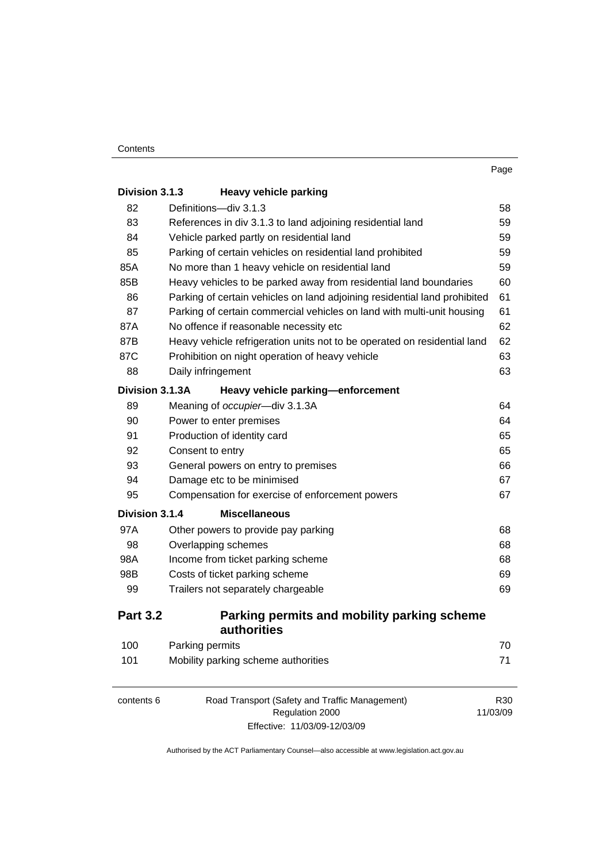| Division 3.1.3  | <b>Heavy vehicle parking</b>                                              |                 |
|-----------------|---------------------------------------------------------------------------|-----------------|
| 82              | Definitions-div 3.1.3                                                     | 58              |
| 83              | References in div 3.1.3 to land adjoining residential land                | 59              |
| 84              | Vehicle parked partly on residential land                                 | 59              |
| 85              | Parking of certain vehicles on residential land prohibited                | 59              |
| 85A             | No more than 1 heavy vehicle on residential land                          | 59              |
| 85B             | Heavy vehicles to be parked away from residential land boundaries         | 60              |
| 86              | Parking of certain vehicles on land adjoining residential land prohibited | 61              |
| 87              | Parking of certain commercial vehicles on land with multi-unit housing    | 61              |
| 87A             | No offence if reasonable necessity etc                                    | 62              |
| 87B             | Heavy vehicle refrigeration units not to be operated on residential land  | 62              |
| 87C             | Prohibition on night operation of heavy vehicle                           | 63              |
| 88              | Daily infringement                                                        | 63              |
| Division 3.1.3A | Heavy vehicle parking-enforcement                                         |                 |
| 89              | Meaning of occupier-div 3.1.3A                                            | 64              |
| 90              | Power to enter premises                                                   | 64              |
| 91              | Production of identity card                                               | 65              |
| 92              | Consent to entry                                                          | 65              |
| 93              | General powers on entry to premises                                       | 66              |
| 94              | Damage etc to be minimised                                                | 67              |
| 95              | Compensation for exercise of enforcement powers                           | 67              |
| Division 3.1.4  | <b>Miscellaneous</b>                                                      |                 |
| 97A             | Other powers to provide pay parking                                       | 68              |
| 98              | Overlapping schemes                                                       | 68              |
| 98A             | Income from ticket parking scheme                                         | 68              |
| 98B             | Costs of ticket parking scheme                                            | 69              |
| 99              | Trailers not separately chargeable                                        | 69              |
| <b>Part 3.2</b> | Parking permits and mobility parking scheme<br>authorities                |                 |
| 100             | Parking permits                                                           | 70              |
| 101             | Mobility parking scheme authorities                                       | 71              |
| contents 6      | Road Transport (Safety and Traffic Management)                            | R <sub>30</sub> |
|                 | Regulation 2000                                                           | 11/03/09        |

Effective: 11/03/09-12/03/09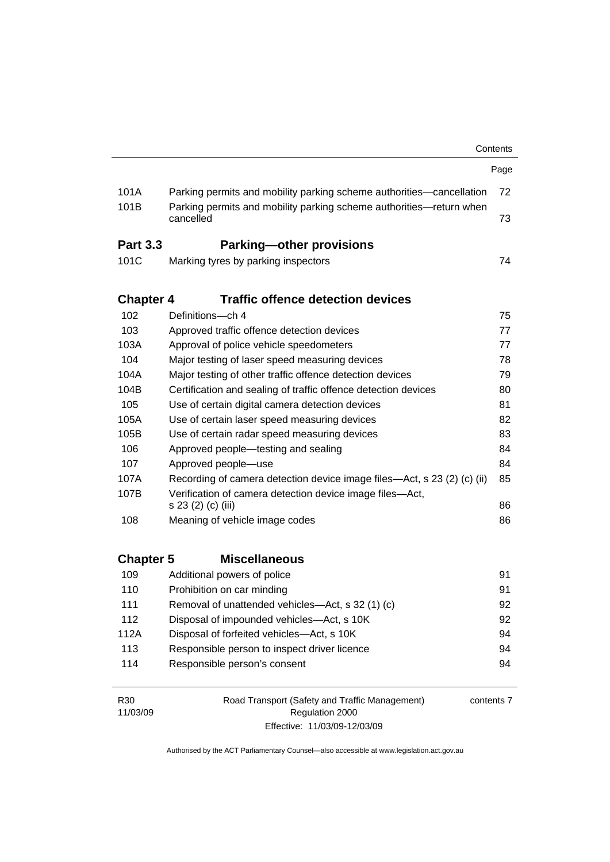|                                          |                  |                                                                                  | Contents |
|------------------------------------------|------------------|----------------------------------------------------------------------------------|----------|
|                                          |                  |                                                                                  | Page     |
|                                          | 101A             | Parking permits and mobility parking scheme authorities—cancellation             | 72       |
|                                          | 101B             | Parking permits and mobility parking scheme authorities—return when<br>cancelled | 73       |
|                                          | <b>Part 3.3</b>  | <b>Parking-other provisions</b>                                                  |          |
|                                          | 101C             | Marking tyres by parking inspectors                                              | 74       |
|                                          | <b>Chapter 4</b> | <b>Traffic offence detection devices</b>                                         |          |
|                                          | 102              | Definitions-ch 4                                                                 | 75       |
|                                          | 103              | Approved traffic offence detection devices                                       | 77       |
|                                          | 103A             | Approval of police vehicle speedometers                                          | 77       |
|                                          | 104              | Major testing of laser speed measuring devices                                   | 78       |
|                                          | 104A             | Major testing of other traffic offence detection devices                         | 79       |
|                                          | 104B             | Certification and sealing of traffic offence detection devices                   | 80       |
|                                          | 105              | Use of certain digital camera detection devices                                  | 81       |
|                                          | 105A             | Use of certain laser speed measuring devices                                     | 82       |
|                                          | 105B             | Use of certain radar speed measuring devices                                     | 83       |
|                                          | 106              | Approved people—testing and sealing                                              | 84       |
|                                          | 107              | Approved people-use                                                              | 84       |
|                                          | 107A             | Recording of camera detection device image files—Act, s 23 (2) (c) (ii)          | 85       |
|                                          | 107B             | Verification of camera detection device image files-Act,                         |          |
|                                          |                  | s 23 (2) (c) (iii)                                                               | 86       |
|                                          | 108              | Meaning of vehicle image codes                                                   | 86       |
| <b>Chapter 5</b><br><b>Miscellaneous</b> |                  |                                                                                  |          |
|                                          | 109              | Additional powers of police                                                      | 91       |
|                                          | 110              | Prohibition on car minding                                                       | 91       |
|                                          | 111              | Removal of unattended vehicles-Act, s 32 (1) (c)                                 | 92       |
|                                          | 112              | Disposal of impounded vehicles-Act, s 10K                                        | 92       |
|                                          | 112A             | Disposal of forfeited vehicles-Act, s 10K                                        | 94       |
|                                          | 113              | Responsible person to inspect driver licence                                     | 94       |
|                                          | 114              | Responsible person's consent                                                     | 94       |
|                                          |                  | $\mathbf{f}$ and a set of $\mathbf{f}$ and $\mathbf{f}(\mathbf{f})$              |          |

| R30      |
|----------|
| 11/03/09 |

Road Transport (Safety and Traffic Management) Regulation 2000 Effective: 11/03/09-12/03/09

contents 7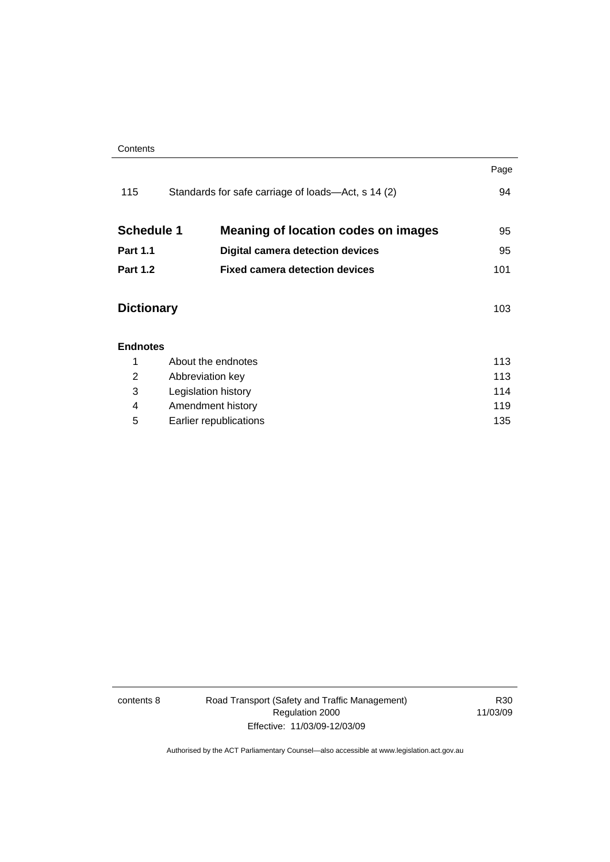| Contents |
|----------|
|----------|

|                                                                 | Page |
|-----------------------------------------------------------------|------|
| Standards for safe carriage of loads—Act, s 14 (2)              | 94   |
| <b>Schedule 1</b><br><b>Meaning of location codes on images</b> | 95   |
| <b>Digital camera detection devices</b>                         | 95   |
| <b>Fixed camera detection devices</b>                           | 101  |
| <b>Dictionary</b>                                               | 103  |
|                                                                 |      |
| About the endnotes<br>1                                         |      |
| Abbreviation key                                                |      |
| 114<br>Legislation history                                      |      |
| Amendment history                                               | 119  |
| Earlier republications                                          | 135  |
|                                                                 |      |

contents 8 Road Transport (Safety and Traffic Management) Regulation 2000 Effective: 11/03/09-12/03/09

R30 11/03/09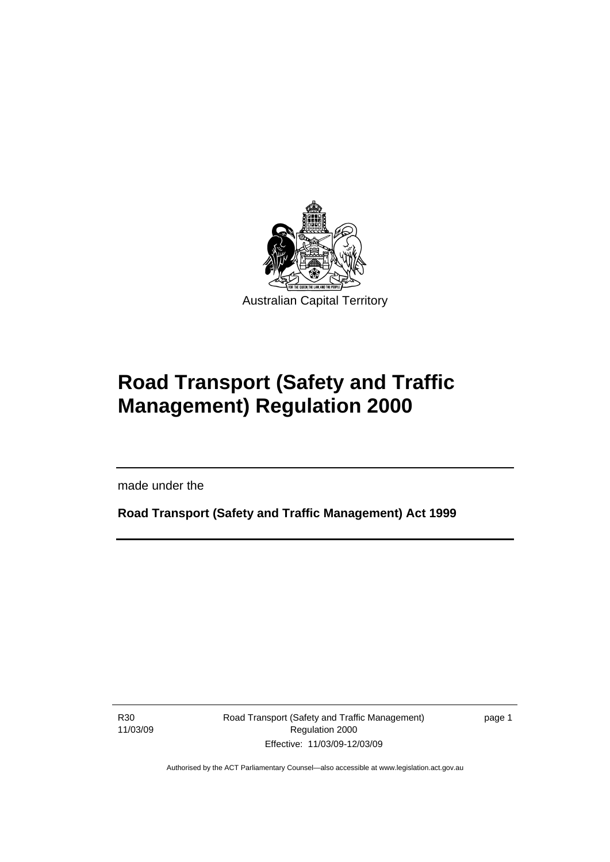<span id="page-10-0"></span>

# **Road Transport (Safety and Traffic Management) Regulation 2000**

made under the

**Road Transport (Safety and Traffic Management) Act 1999** 

R30 11/03/09

l

Road Transport (Safety and Traffic Management) Regulation 2000 Effective: 11/03/09-12/03/09

page 1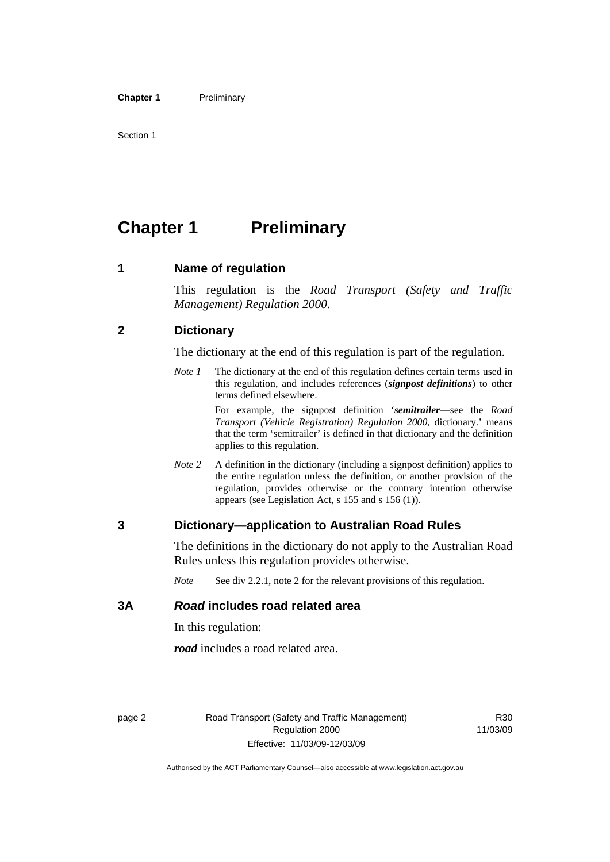<span id="page-11-0"></span>Section 1

# **Chapter 1** Preliminary

#### **1 Name of regulation**

This regulation is the *Road Transport (Safety and Traffic Management) Regulation 2000*.

#### **2 Dictionary**

The dictionary at the end of this regulation is part of the regulation.

*Note 1* The dictionary at the end of this regulation defines certain terms used in this regulation, and includes references (*signpost definitions*) to other terms defined elsewhere.

> For example, the signpost definition '*semitrailer*—see the *Road Transport (Vehicle Registration) Regulation 2000*, dictionary.' means that the term 'semitrailer' is defined in that dictionary and the definition applies to this regulation.

*Note 2* A definition in the dictionary (including a signpost definition) applies to the entire regulation unless the definition, or another provision of the regulation, provides otherwise or the contrary intention otherwise appears (see Legislation Act, s 155 and s 156 (1)).

#### **3 Dictionary—application to Australian Road Rules**

The definitions in the dictionary do not apply to the Australian Road Rules unless this regulation provides otherwise.

*Note* See div 2.2.1, note 2 for the relevant provisions of this regulation.

#### **3A** *Road* **includes road related area**

In this regulation:

*road* includes a road related area.

R30 11/03/09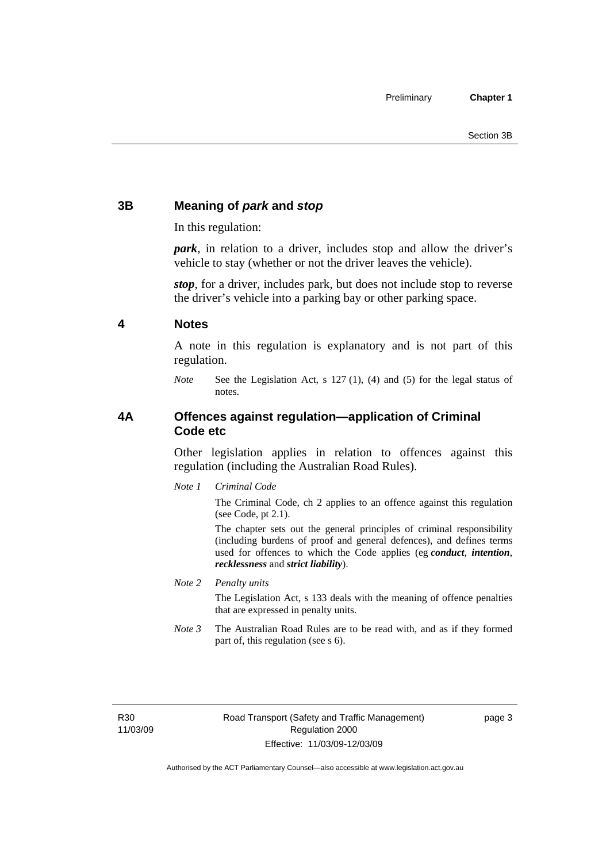#### <span id="page-12-0"></span>**3B Meaning of** *park* **and** *stop*

In this regulation:

*park*, in relation to a driver, includes stop and allow the driver's vehicle to stay (whether or not the driver leaves the vehicle).

*stop*, for a driver, includes park, but does not include stop to reverse the driver's vehicle into a parking bay or other parking space.

#### **4 Notes**

A note in this regulation is explanatory and is not part of this regulation.

*Note* See the Legislation Act, s 127 (1), (4) and (5) for the legal status of notes.

#### **4A Offences against regulation—application of Criminal Code etc**

Other legislation applies in relation to offences against this regulation (including the Australian Road Rules).

*Note 1 Criminal Code*

The Criminal Code, ch 2 applies to an offence against this regulation (see Code, pt 2.1).

The chapter sets out the general principles of criminal responsibility (including burdens of proof and general defences), and defines terms used for offences to which the Code applies (eg *conduct*, *intention*, *recklessness* and *strict liability*).

*Note 2 Penalty units* 

The Legislation Act, s 133 deals with the meaning of offence penalties that are expressed in penalty units.

*Note 3* The Australian Road Rules are to be read with, and as if they formed part of, this regulation (see s 6).

R30 11/03/09 page 3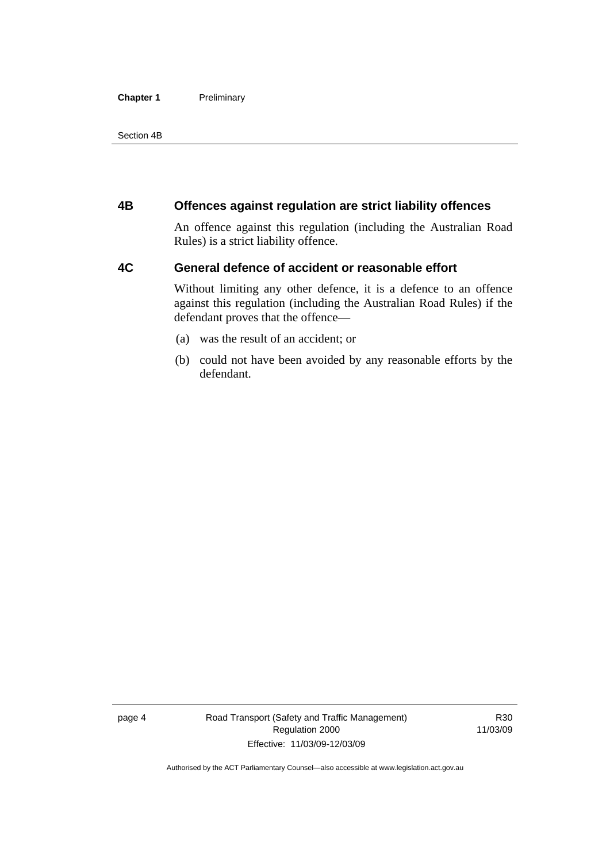#### <span id="page-13-0"></span>**Chapter 1** Preliminary

Section 4B

#### **4B Offences against regulation are strict liability offences**

An offence against this regulation (including the Australian Road Rules) is a strict liability offence.

#### **4C General defence of accident or reasonable effort**

Without limiting any other defence, it is a defence to an offence against this regulation (including the Australian Road Rules) if the defendant proves that the offence—

- (a) was the result of an accident; or
- (b) could not have been avoided by any reasonable efforts by the defendant.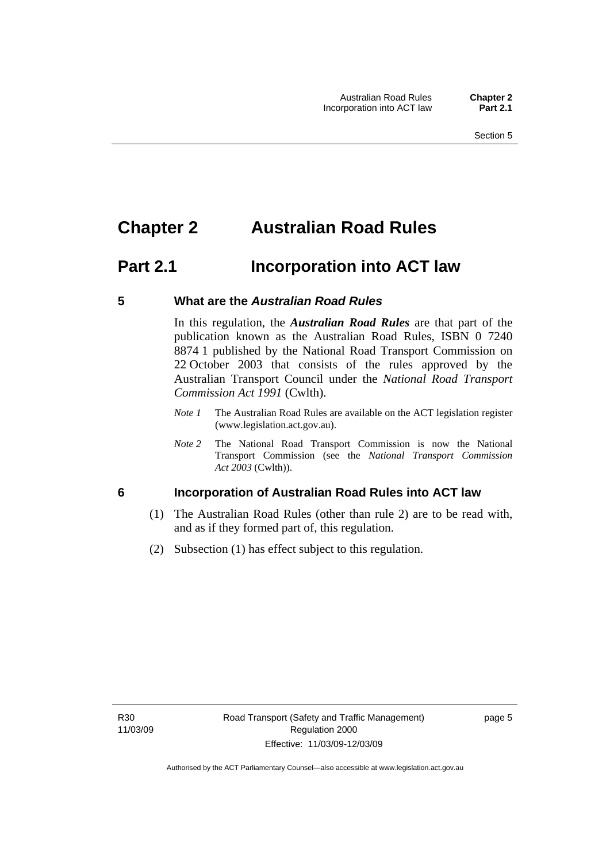## <span id="page-14-0"></span>**Chapter 2 Australian Road Rules**

## **Part 2.1 Incorporation into ACT law**

#### **5 What are the** *Australian Road Rules*

In this regulation, the *Australian Road Rules* are that part of the publication known as the Australian Road Rules, ISBN 0 7240 8874 1 published by the National Road Transport Commission on 22 October 2003 that consists of the rules approved by the Australian Transport Council under the *National Road Transport Commission Act 1991* (Cwlth).

- *Note 1* The Australian Road Rules are available on the ACT legislation register (www.legislation.act.gov.au).
- *Note 2* The National Road Transport Commission is now the National Transport Commission (see the *National Transport Commission Act 2003* (Cwlth)).

#### **6 Incorporation of Australian Road Rules into ACT law**

- (1) The Australian Road Rules (other than rule 2) are to be read with, and as if they formed part of, this regulation.
- (2) Subsection (1) has effect subject to this regulation.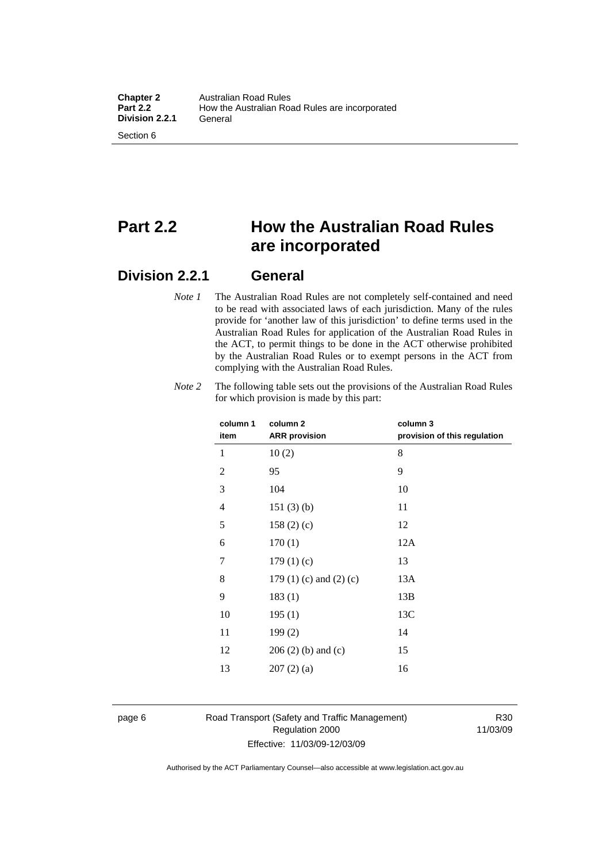# **Part 2.2 How the Australian Road Rules are incorporated**

#### **Division 2.2.1 General**

*Note 1* The Australian Road Rules are not completely self-contained and need to be read with associated laws of each jurisdiction. Many of the rules provide for 'another law of this jurisdiction' to define terms used in the Australian Road Rules for application of the Australian Road Rules in the ACT, to permit things to be done in the ACT otherwise prohibited by the Australian Road Rules or to exempt persons in the ACT from complying with the Australian Road Rules.

| column 1 |                | column <sub>2</sub>             | column 3                     |
|----------|----------------|---------------------------------|------------------------------|
|          | item           | <b>ARR</b> provision            | provision of this regulation |
|          | 1              | 10(2)                           | 8                            |
|          | $\overline{2}$ | 95                              | 9                            |
|          | 3              | 104                             | 10                           |
|          | 4              | 151(3)(b)                       | 11                           |
|          | 5              | 158(2)(c)                       | 12                           |
|          | 6              | 170(1)                          | 12A                          |
|          | 7              | 179(1)(c)                       | 13                           |
|          | 8              | 179 $(1)$ $(c)$ and $(2)$ $(c)$ | 13A                          |
|          | 9              | 183(1)                          | 13B                          |
|          | 10             | 195(1)                          | 13C                          |
|          | 11             | 199(2)                          | 14                           |
|          | 12             | $206(2)$ (b) and (c)            | 15                           |
|          | 13             | 207(2)(a)                       | 16                           |
|          |                |                                 |                              |

*Note 2* The following table sets out the provisions of the Australian Road Rules for which provision is made by this part:

#### page 6 Road Transport (Safety and Traffic Management) Regulation 2000 Effective: 11/03/09-12/03/09

R30 11/03/09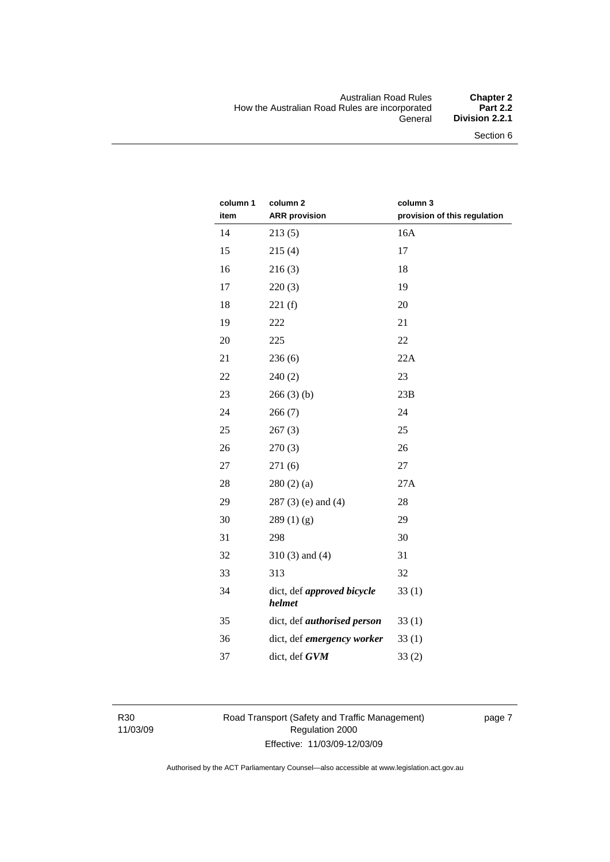#### Australian Road Rules **Chapter 2**  How the Australian Road Rules are incorporated<br>General **Division 2.2.1**

| column 1<br>item | column <sub>2</sub><br><b>ARR provision</b> | column 3<br>provision of this regulation |
|------------------|---------------------------------------------|------------------------------------------|
|                  |                                             |                                          |
| 14               | 213(5)                                      | 16A                                      |
| 15               | 215(4)                                      | 17                                       |
| 16               | 216(3)                                      | 18                                       |
| 17               | 220(3)                                      | 19                                       |
| 18               | 221(f)                                      | 20                                       |
| 19               | 222                                         | 21                                       |
| 20               | 225                                         | 22                                       |
| 21               | 236(6)                                      | 22A                                      |
| 22               | 240(2)                                      | 23                                       |
| 23               | 266(3)(b)                                   | 23B                                      |
| 24               | 266(7)                                      | 24                                       |
| 25               | 267(3)                                      | 25                                       |
| 26               | 270(3)                                      | 26                                       |
| 27               | 271(6)                                      | 27                                       |
| 28               | 280(2)(a)                                   | 27A                                      |
| 29               | $287(3)$ (e) and (4)                        | 28                                       |
| 30               | 289(1)(g)                                   | 29                                       |
| 31               | 298                                         | 30                                       |
| 32               | $310(3)$ and $(4)$                          | 31                                       |
| 33               | 313                                         | 32                                       |
| 34               | dict, def approved bicycle<br>helmet        | 33(1)                                    |
| 35               | dict, def <i>authorised</i> person          | 33(1)                                    |
| 36               | dict, def emergency worker                  | 33(1)                                    |
| 37               | dict, def GVM                               | 33(2)                                    |

R30 11/03/09 Road Transport (Safety and Traffic Management) Regulation 2000 Effective: 11/03/09-12/03/09

page 7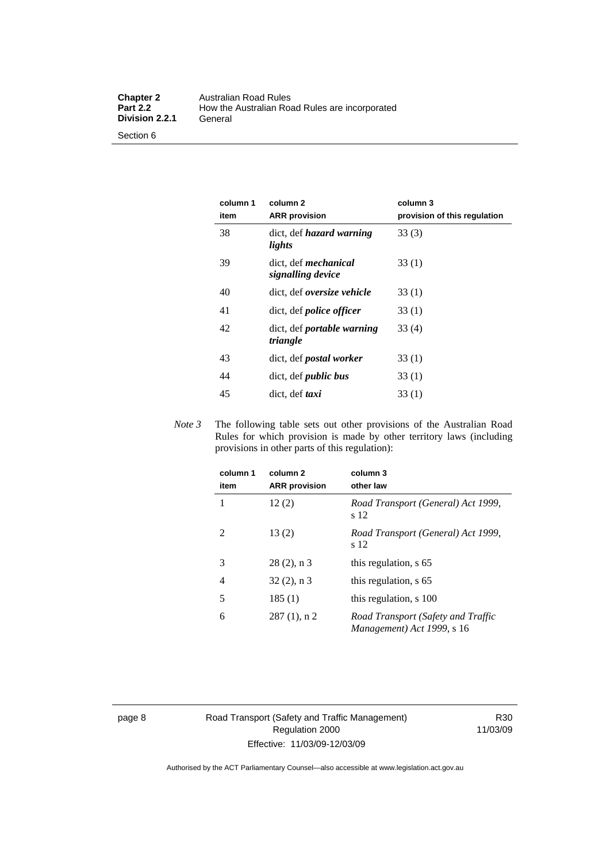Section 6

| column 1<br>item | column 2<br><b>ARR</b> provision                 | column 3<br>provision of this regulation |
|------------------|--------------------------------------------------|------------------------------------------|
| 38               | dict, def hazard warning<br>lights               | 33(3)                                    |
| 39               | dict. def <i>mechanical</i><br>signalling device | 33(1)                                    |
| 40               | dict, def <i>oversize</i> vehicle                | 33 (1)                                   |
| 41               | dict, def <i>police</i> officer                  | 33(1)                                    |
| 42               | dict, def <i>portable</i> warning<br>triangle    | 33(4)                                    |
| 43               | dict, def postal worker                          | 33(1)                                    |
| 44               | dict, def <i>public</i> bus                      | 33(1)                                    |
| 45               | dict, def <i>taxi</i>                            | 33(1)                                    |

*Note 3* The following table sets out other provisions of the Australian Road Rules for which provision is made by other territory laws (including provisions in other parts of this regulation):

| column 1<br>item | column <sub>2</sub><br><b>ARR</b> provision | column 3<br>other law                                            |
|------------------|---------------------------------------------|------------------------------------------------------------------|
| 1                | 12(2)                                       | Road Transport (General) Act 1999,<br>s 12                       |
| 2                | 13(2)                                       | Road Transport (General) Act 1999,<br>s 12                       |
| 3                | $28(2)$ , n 3                               | this regulation, s 65                                            |
| 4                | $32(2)$ , n 3                               | this regulation, s 65                                            |
| 5                | 185(1)                                      | this regulation, s 100                                           |
| 6                | $287(1)$ , n 2                              | Road Transport (Safety and Traffic<br>Management) Act 1999, s 16 |

page 8 Road Transport (Safety and Traffic Management) Regulation 2000 Effective: 11/03/09-12/03/09

R30 11/03/09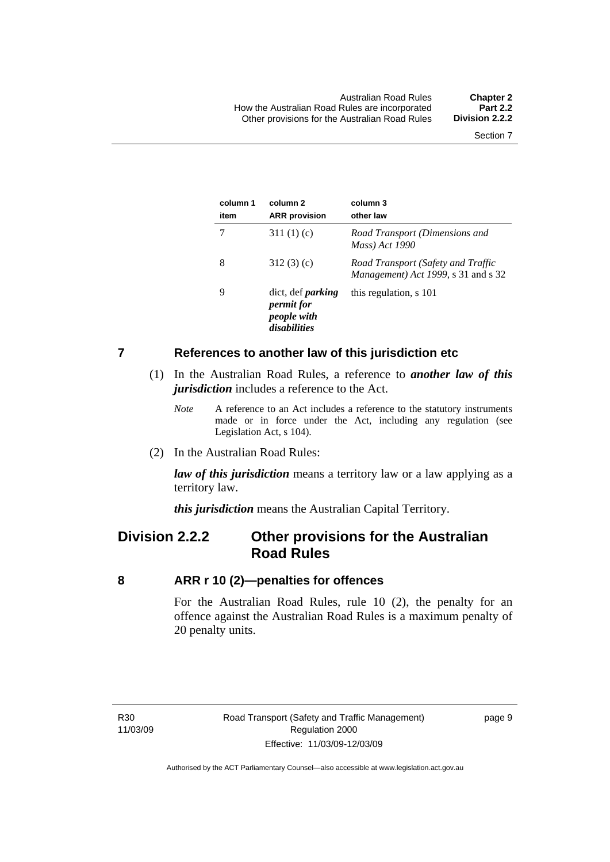#### <span id="page-18-0"></span>**7 References to another law of this jurisdiction etc**

- (1) In the Australian Road Rules, a reference to *another law of this jurisdiction* includes a reference to the Act.
	- *Note* A reference to an Act includes a reference to the statutory instruments made or in force under the Act, including any regulation (see Legislation Act, s 104).
- (2) In the Australian Road Rules:

*law of this jurisdiction* means a territory law or a law applying as a territory law.

*this jurisdiction* means the Australian Capital Territory.

### **Division 2.2.2 Other provisions for the Australian Road Rules**

#### **8 ARR r 10 (2)—penalties for offences**

For the Australian Road Rules, rule 10 (2), the penalty for an offence against the Australian Road Rules is a maximum penalty of 20 penalty units.

page 9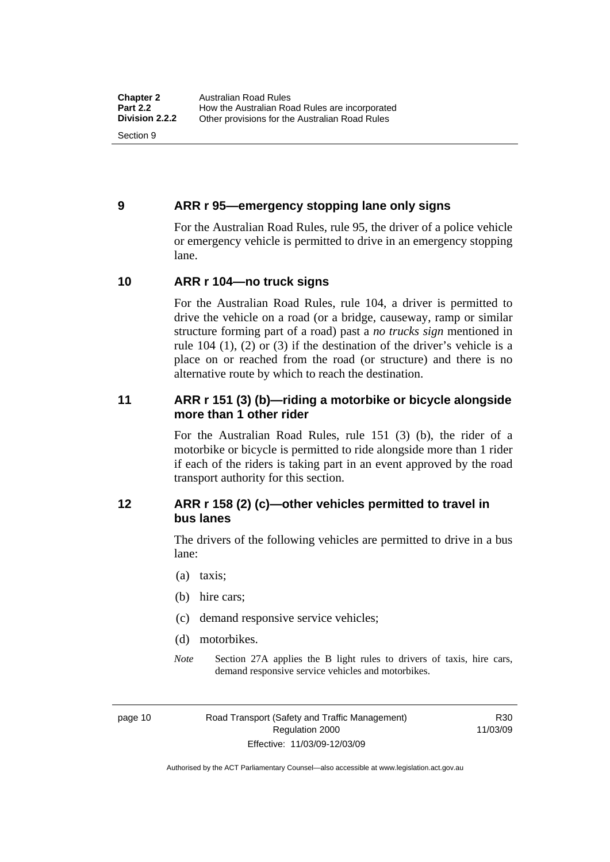#### <span id="page-19-0"></span>**9 ARR r 95—emergency stopping lane only signs**

For the Australian Road Rules, rule 95, the driver of a police vehicle or emergency vehicle is permitted to drive in an emergency stopping lane.

#### **10 ARR r 104—no truck signs**

For the Australian Road Rules, rule 104, a driver is permitted to drive the vehicle on a road (or a bridge, causeway, ramp or similar structure forming part of a road) past a *no trucks sign* mentioned in rule 104 (1), (2) or (3) if the destination of the driver's vehicle is a place on or reached from the road (or structure) and there is no alternative route by which to reach the destination.

#### **11 ARR r 151 (3) (b)—riding a motorbike or bicycle alongside more than 1 other rider**

For the Australian Road Rules, rule 151 (3) (b), the rider of a motorbike or bicycle is permitted to ride alongside more than 1 rider if each of the riders is taking part in an event approved by the road transport authority for this section.

#### **12 ARR r 158 (2) (c)—other vehicles permitted to travel in bus lanes**

The drivers of the following vehicles are permitted to drive in a bus lane:

- (a) taxis;
- (b) hire cars;
- (c) demand responsive service vehicles;
- (d) motorbikes.
- *Note* Section 27A applies the B light rules to drivers of taxis, hire cars, demand responsive service vehicles and motorbikes.

page 10 Road Transport (Safety and Traffic Management) Regulation 2000 Effective: 11/03/09-12/03/09

R30 11/03/09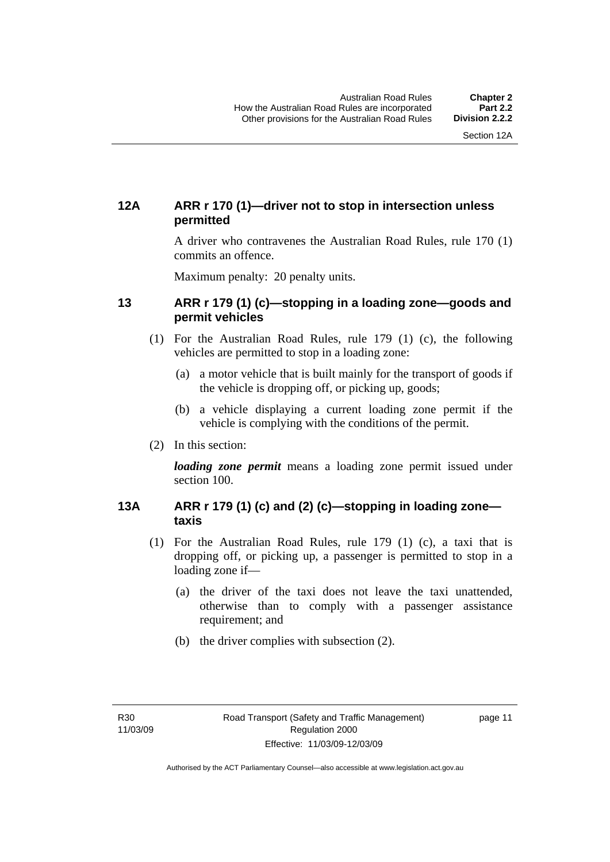#### <span id="page-20-0"></span>**12A ARR r 170 (1)—driver not to stop in intersection unless permitted**

A driver who contravenes the Australian Road Rules, rule 170 (1) commits an offence.

Maximum penalty: 20 penalty units.

#### **13 ARR r 179 (1) (c)—stopping in a loading zone—goods and permit vehicles**

- (1) For the Australian Road Rules, rule 179 (1) (c), the following vehicles are permitted to stop in a loading zone:
	- (a) a motor vehicle that is built mainly for the transport of goods if the vehicle is dropping off, or picking up, goods;
	- (b) a vehicle displaying a current loading zone permit if the vehicle is complying with the conditions of the permit.
- (2) In this section:

*loading zone permit* means a loading zone permit issued under section 100.

#### **13A ARR r 179 (1) (c) and (2) (c)—stopping in loading zone taxis**

- (1) For the Australian Road Rules, rule 179 (1) (c), a taxi that is dropping off, or picking up, a passenger is permitted to stop in a loading zone if—
	- (a) the driver of the taxi does not leave the taxi unattended, otherwise than to comply with a passenger assistance requirement; and
	- (b) the driver complies with subsection (2).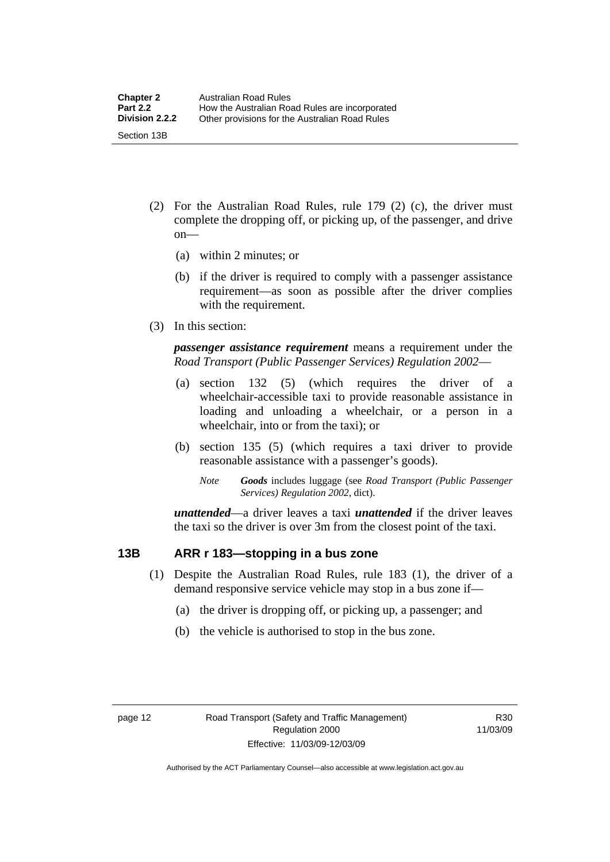- <span id="page-21-0"></span> (2) For the Australian Road Rules, rule 179 (2) (c), the driver must complete the dropping off, or picking up, of the passenger, and drive on—
	- (a) within 2 minutes; or
	- (b) if the driver is required to comply with a passenger assistance requirement—as soon as possible after the driver complies with the requirement.
- (3) In this section:

*passenger assistance requirement* means a requirement under the *Road Transport (Public Passenger Services) Regulation 2002*—

- (a) section 132 (5) (which requires the driver of a wheelchair-accessible taxi to provide reasonable assistance in loading and unloading a wheelchair, or a person in a wheelchair, into or from the taxi); or
- (b) section 135 (5) (which requires a taxi driver to provide reasonable assistance with a passenger's goods).
	- *Note Goods* includes luggage (see *Road Transport (Public Passenger Services) Regulation 2002*, dict).

*unattended*—a driver leaves a taxi *unattended* if the driver leaves the taxi so the driver is over 3m from the closest point of the taxi.

#### **13B ARR r 183—stopping in a bus zone**

- (1) Despite the Australian Road Rules, rule 183 (1), the driver of a demand responsive service vehicle may stop in a bus zone if—
	- (a) the driver is dropping off, or picking up, a passenger; and
	- (b) the vehicle is authorised to stop in the bus zone.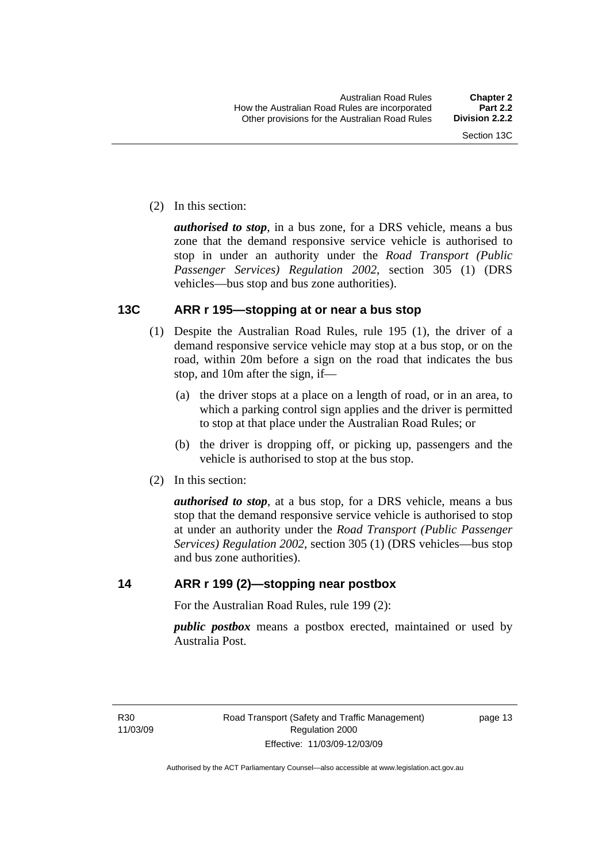<span id="page-22-0"></span>(2) In this section:

*authorised to stop*, in a bus zone, for a DRS vehicle, means a bus zone that the demand responsive service vehicle is authorised to stop in under an authority under the *Road Transport (Public Passenger Services) Regulation 2002*, section 305 (1) (DRS vehicles—bus stop and bus zone authorities).

#### **13C ARR r 195—stopping at or near a bus stop**

- (1) Despite the Australian Road Rules, rule 195 (1), the driver of a demand responsive service vehicle may stop at a bus stop, or on the road, within 20m before a sign on the road that indicates the bus stop, and 10m after the sign, if—
	- (a) the driver stops at a place on a length of road, or in an area, to which a parking control sign applies and the driver is permitted to stop at that place under the Australian Road Rules; or
	- (b) the driver is dropping off, or picking up, passengers and the vehicle is authorised to stop at the bus stop.
- (2) In this section:

*authorised to stop*, at a bus stop, for a DRS vehicle, means a bus stop that the demand responsive service vehicle is authorised to stop at under an authority under the *Road Transport (Public Passenger Services) Regulation 2002*, section 305 (1) (DRS vehicles—bus stop and bus zone authorities).

#### **14 ARR r 199 (2)—stopping near postbox**

For the Australian Road Rules, rule 199 (2):

*public postbox* means a postbox erected, maintained or used by Australia Post.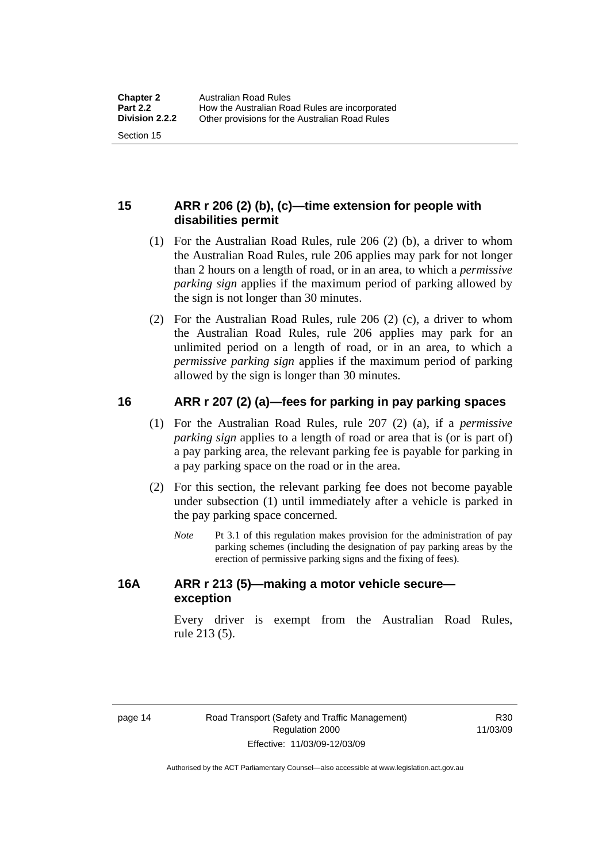#### <span id="page-23-0"></span>**15 ARR r 206 (2) (b), (c)—time extension for people with disabilities permit**

- (1) For the Australian Road Rules, rule 206 (2) (b), a driver to whom the Australian Road Rules, rule 206 applies may park for not longer than 2 hours on a length of road, or in an area, to which a *permissive parking sign* applies if the maximum period of parking allowed by the sign is not longer than 30 minutes.
- (2) For the Australian Road Rules, rule 206 (2) (c), a driver to whom the Australian Road Rules, rule 206 applies may park for an unlimited period on a length of road, or in an area, to which a *permissive parking sign* applies if the maximum period of parking allowed by the sign is longer than 30 minutes.

#### **16 ARR r 207 (2) (a)—fees for parking in pay parking spaces**

- (1) For the Australian Road Rules, rule 207 (2) (a), if a *permissive parking sign* applies to a length of road or area that is (or is part of) a pay parking area, the relevant parking fee is payable for parking in a pay parking space on the road or in the area.
- (2) For this section, the relevant parking fee does not become payable under subsection (1) until immediately after a vehicle is parked in the pay parking space concerned.
	- *Note* Pt 3.1 of this regulation makes provision for the administration of pay parking schemes (including the designation of pay parking areas by the erection of permissive parking signs and the fixing of fees).

#### **16A ARR r 213 (5)—making a motor vehicle secure exception**

Every driver is exempt from the Australian Road Rules, rule 213 (5).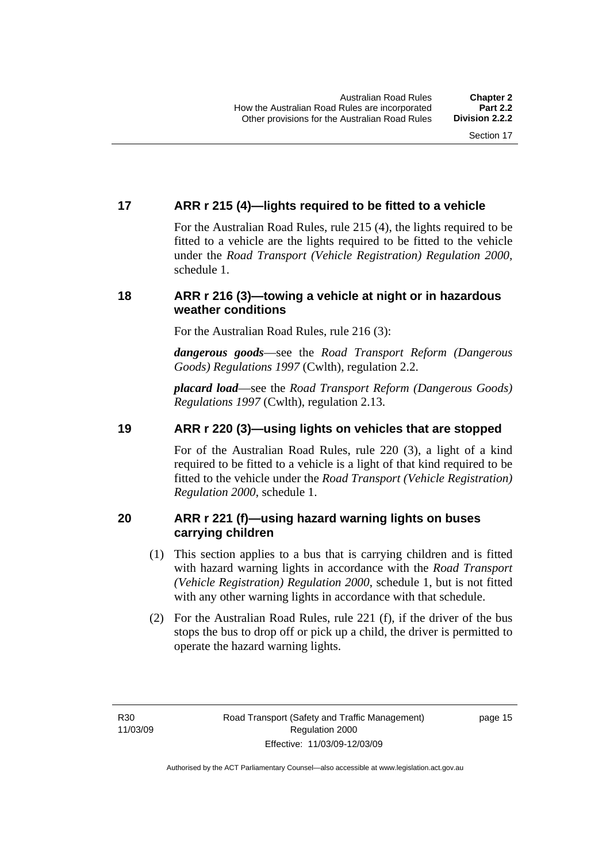#### <span id="page-24-0"></span>**17 ARR r 215 (4)—lights required to be fitted to a vehicle**

For the Australian Road Rules, rule 215 (4), the lights required to be fitted to a vehicle are the lights required to be fitted to the vehicle under the *Road Transport (Vehicle Registration) Regulation 2000,*  schedule 1.

#### **18 ARR r 216 (3)—towing a vehicle at night or in hazardous weather conditions**

For the Australian Road Rules, rule 216 (3):

*dangerous goods*—see the *Road Transport Reform (Dangerous Goods) Regulations 1997* (Cwlth), regulation 2.2.

*placard load*—see the *Road Transport Reform (Dangerous Goods) Regulations 1997* (Cwlth), regulation 2.13.

#### **19 ARR r 220 (3)—using lights on vehicles that are stopped**

For of the Australian Road Rules, rule 220 (3), a light of a kind required to be fitted to a vehicle is a light of that kind required to be fitted to the vehicle under the *Road Transport (Vehicle Registration) Regulation 2000*, schedule 1.

#### **20 ARR r 221 (f)—using hazard warning lights on buses carrying children**

- (1) This section applies to a bus that is carrying children and is fitted with hazard warning lights in accordance with the *Road Transport (Vehicle Registration) Regulation 2000*, schedule 1, but is not fitted with any other warning lights in accordance with that schedule.
- (2) For the Australian Road Rules, rule 221 (f), if the driver of the bus stops the bus to drop off or pick up a child, the driver is permitted to operate the hazard warning lights.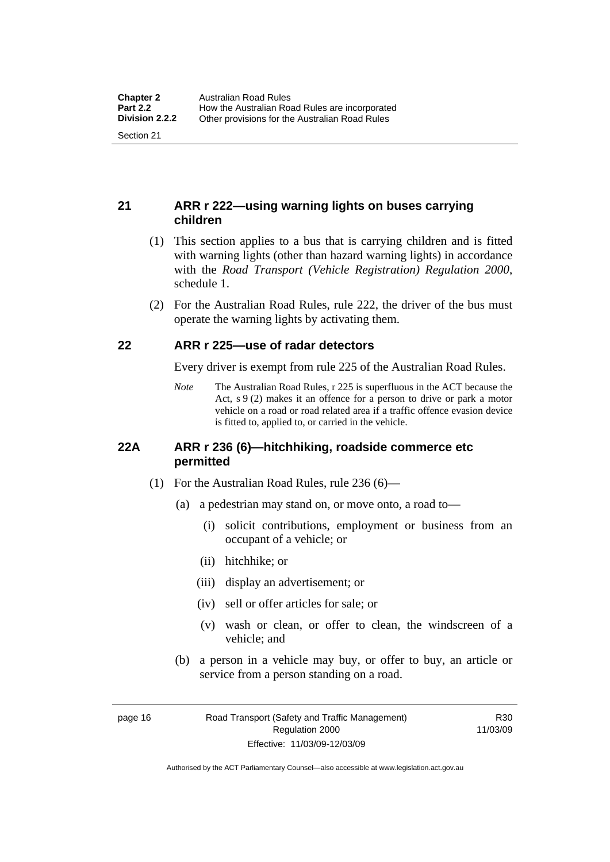#### <span id="page-25-0"></span>**21 ARR r 222—using warning lights on buses carrying children**

- (1) This section applies to a bus that is carrying children and is fitted with warning lights (other than hazard warning lights) in accordance with the *Road Transport (Vehicle Registration) Regulation 2000*, schedule 1.
- (2) For the Australian Road Rules, rule 222, the driver of the bus must operate the warning lights by activating them.

#### **22 ARR r 225—use of radar detectors**

Every driver is exempt from rule 225 of the Australian Road Rules.

*Note* The Australian Road Rules, r 225 is superfluous in the ACT because the Act, s 9 (2) makes it an offence for a person to drive or park a motor vehicle on a road or road related area if a traffic offence evasion device is fitted to, applied to, or carried in the vehicle.

#### **22A ARR r 236 (6)—hitchhiking, roadside commerce etc permitted**

- (1) For the Australian Road Rules, rule 236 (6)—
	- (a) a pedestrian may stand on, or move onto, a road to—
		- (i) solicit contributions, employment or business from an occupant of a vehicle; or
		- (ii) hitchhike; or
		- (iii) display an advertisement; or
		- (iv) sell or offer articles for sale; or
		- (v) wash or clean, or offer to clean, the windscreen of a vehicle; and
	- (b) a person in a vehicle may buy, or offer to buy, an article or service from a person standing on a road.

page 16 Road Transport (Safety and Traffic Management) Regulation 2000 Effective: 11/03/09-12/03/09

R30 11/03/09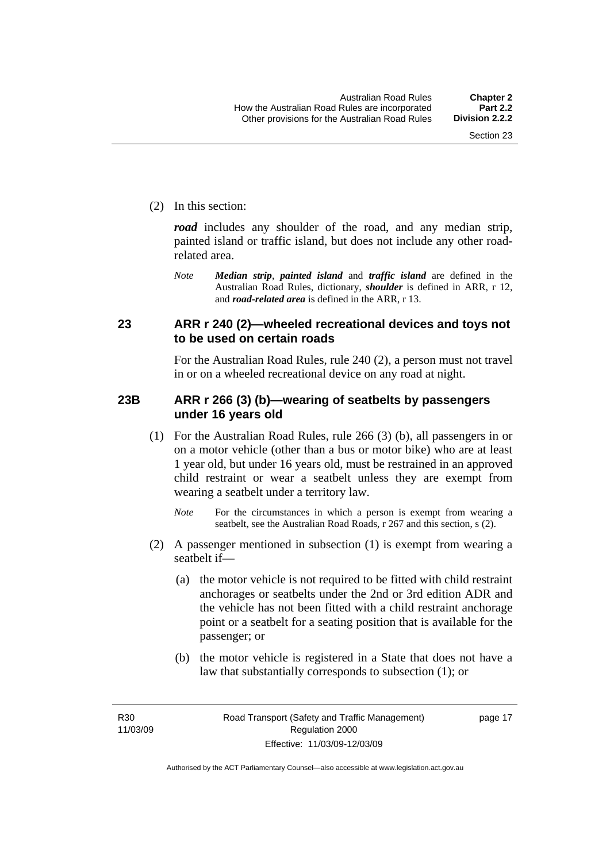<span id="page-26-0"></span>(2) In this section:

*road* includes any shoulder of the road, and any median strip, painted island or traffic island, but does not include any other roadrelated area.

*Note Median strip*, *painted island* and *traffic island* are defined in the Australian Road Rules, dictionary, *shoulder* is defined in ARR, r 12, and *road-related area* is defined in the ARR, r 13.

#### **23 ARR r 240 (2)—wheeled recreational devices and toys not to be used on certain roads**

For the Australian Road Rules, rule 240 (2), a person must not travel in or on a wheeled recreational device on any road at night.

#### **23B ARR r 266 (3) (b)—wearing of seatbelts by passengers under 16 years old**

- (1) For the Australian Road Rules, rule 266 (3) (b), all passengers in or on a motor vehicle (other than a bus or motor bike) who are at least 1 year old, but under 16 years old, must be restrained in an approved child restraint or wear a seatbelt unless they are exempt from wearing a seatbelt under a territory law.
	- *Note* For the circumstances in which a person is exempt from wearing a seatbelt, see the Australian Road Roads, r 267 and this section, s (2).
- (2) A passenger mentioned in subsection (1) is exempt from wearing a seatbelt if—
	- (a) the motor vehicle is not required to be fitted with child restraint anchorages or seatbelts under the 2nd or 3rd edition ADR and the vehicle has not been fitted with a child restraint anchorage point or a seatbelt for a seating position that is available for the passenger; or
	- (b) the motor vehicle is registered in a State that does not have a law that substantially corresponds to subsection (1); or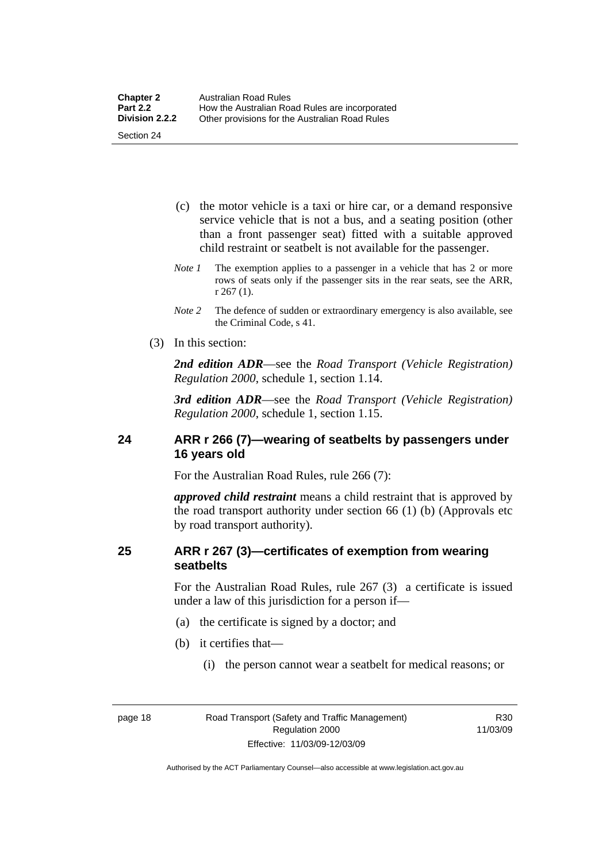- <span id="page-27-0"></span> (c) the motor vehicle is a taxi or hire car, or a demand responsive service vehicle that is not a bus, and a seating position (other than a front passenger seat) fitted with a suitable approved child restraint or seatbelt is not available for the passenger.
- *Note 1* The exemption applies to a passenger in a vehicle that has 2 or more rows of seats only if the passenger sits in the rear seats, see the ARR, r 267 (1).
- *Note 2* The defence of sudden or extraordinary emergency is also available, see the Criminal Code, s 41.
- (3) In this section:

*2nd edition ADR*—see the *Road Transport (Vehicle Registration) Regulation 2000*, schedule 1, section 1.14.

*3rd edition ADR*—see the *Road Transport (Vehicle Registration) Regulation 2000*, schedule 1, section 1.15.

#### **24 ARR r 266 (7)—wearing of seatbelts by passengers under 16 years old**

For the Australian Road Rules, rule 266 (7):

*approved child restraint* means a child restraint that is approved by the road transport authority under section 66 (1) (b) (Approvals etc by road transport authority).

#### **25 ARR r 267 (3)—certificates of exemption from wearing seatbelts**

For the Australian Road Rules, rule 267 (3) a certificate is issued under a law of this jurisdiction for a person if—

- (a) the certificate is signed by a doctor; and
- (b) it certifies that—
	- (i) the person cannot wear a seatbelt for medical reasons; or

R30 11/03/09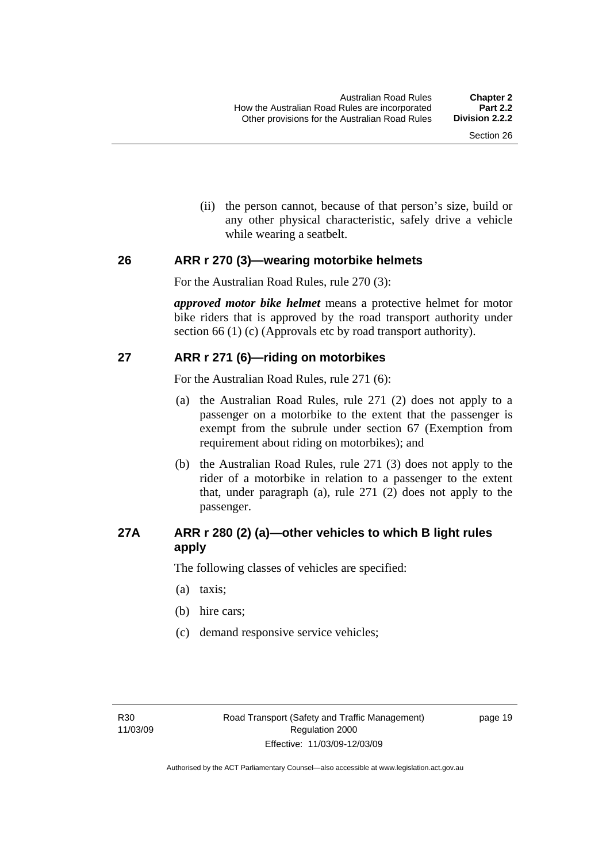(ii) the person cannot, because of that person's size, build or any other physical characteristic, safely drive a vehicle while wearing a seatbelt.

#### <span id="page-28-0"></span>**26 ARR r 270 (3)—wearing motorbike helmets**

For the Australian Road Rules, rule 270 (3):

*approved motor bike helmet* means a protective helmet for motor bike riders that is approved by the road transport authority under section 66 (1) (c) (Approvals etc by road transport authority).

#### **27 ARR r 271 (6)—riding on motorbikes**

For the Australian Road Rules, rule 271 (6):

- (a) the Australian Road Rules, rule 271 (2) does not apply to a passenger on a motorbike to the extent that the passenger is exempt from the subrule under section 67 (Exemption from requirement about riding on motorbikes); and
- (b) the Australian Road Rules, rule 271 (3) does not apply to the rider of a motorbike in relation to a passenger to the extent that, under paragraph (a), rule 271 (2) does not apply to the passenger.

#### **27A ARR r 280 (2) (a)—other vehicles to which B light rules apply**

The following classes of vehicles are specified:

- (a) taxis;
- (b) hire cars;
- (c) demand responsive service vehicles;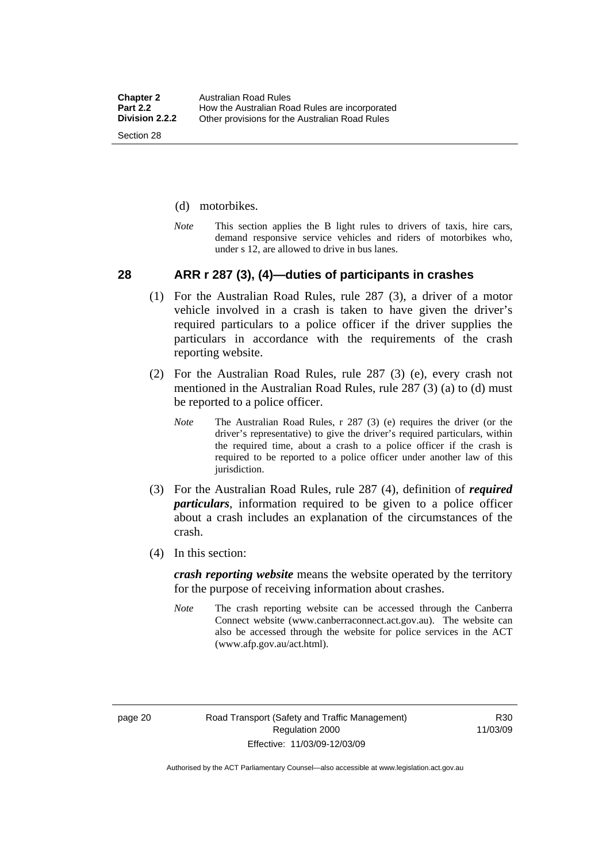- <span id="page-29-0"></span>(d) motorbikes.
- *Note* This section applies the B light rules to drivers of taxis, hire cars, demand responsive service vehicles and riders of motorbikes who, under s 12, are allowed to drive in bus lanes.

#### **28 ARR r 287 (3), (4)—duties of participants in crashes**

- (1) For the Australian Road Rules, rule 287 (3), a driver of a motor vehicle involved in a crash is taken to have given the driver's required particulars to a police officer if the driver supplies the particulars in accordance with the requirements of the crash reporting website.
- (2) For the Australian Road Rules, rule 287 (3) (e), every crash not mentioned in the Australian Road Rules, rule 287 (3) (a) to (d) must be reported to a police officer.
	- *Note* The Australian Road Rules, r 287 (3) (e) requires the driver (or the driver's representative) to give the driver's required particulars, within the required time, about a crash to a police officer if the crash is required to be reported to a police officer under another law of this jurisdiction.
- (3) For the Australian Road Rules, rule 287 (4), definition of *required particulars*, information required to be given to a police officer about a crash includes an explanation of the circumstances of the crash.
- (4) In this section:

*crash reporting website* means the website operated by the territory for the purpose of receiving information about crashes.

*Note* The crash reporting website can be accessed through the Canberra Connect website (www.canberraconnect.act.gov.au). The website can also be accessed through the website for police services in the ACT (www.afp.gov.au/act.html).

R30 11/03/09

Authorised by the ACT Parliamentary Counsel—also accessible at www.legislation.act.gov.au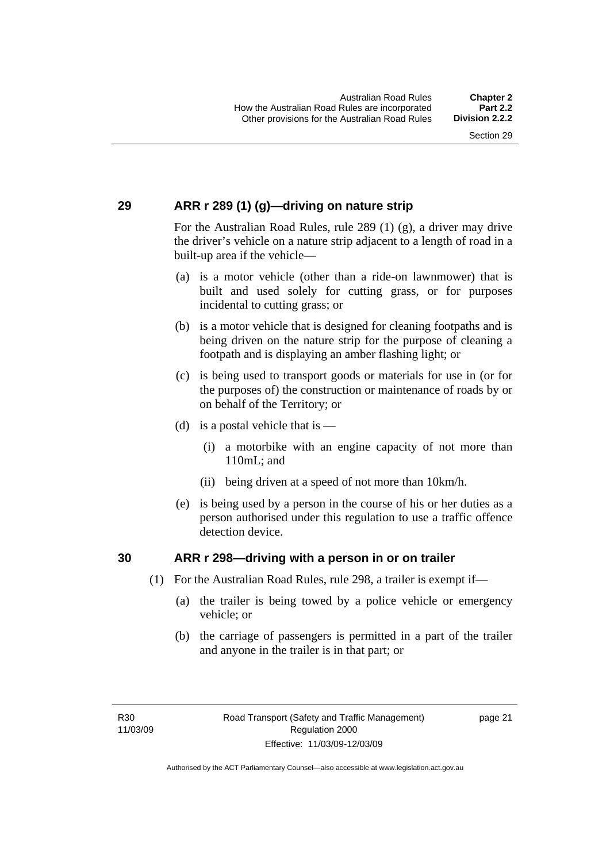#### <span id="page-30-0"></span>**29 ARR r 289 (1) (g)—driving on nature strip**

For the Australian Road Rules, rule 289 (1) (g), a driver may drive the driver's vehicle on a nature strip adjacent to a length of road in a built-up area if the vehicle—

- (a) is a motor vehicle (other than a ride-on lawnmower) that is built and used solely for cutting grass, or for purposes incidental to cutting grass; or
- (b) is a motor vehicle that is designed for cleaning footpaths and is being driven on the nature strip for the purpose of cleaning a footpath and is displaying an amber flashing light; or
- (c) is being used to transport goods or materials for use in (or for the purposes of) the construction or maintenance of roads by or on behalf of the Territory; or
- (d) is a postal vehicle that is  $-$ 
	- (i) a motorbike with an engine capacity of not more than 110mL; and
	- (ii) being driven at a speed of not more than 10km/h.
- (e) is being used by a person in the course of his or her duties as a person authorised under this regulation to use a traffic offence detection device.

#### **30 ARR r 298—driving with a person in or on trailer**

- (1) For the Australian Road Rules, rule 298, a trailer is exempt if—
	- (a) the trailer is being towed by a police vehicle or emergency vehicle; or
	- (b) the carriage of passengers is permitted in a part of the trailer and anyone in the trailer is in that part; or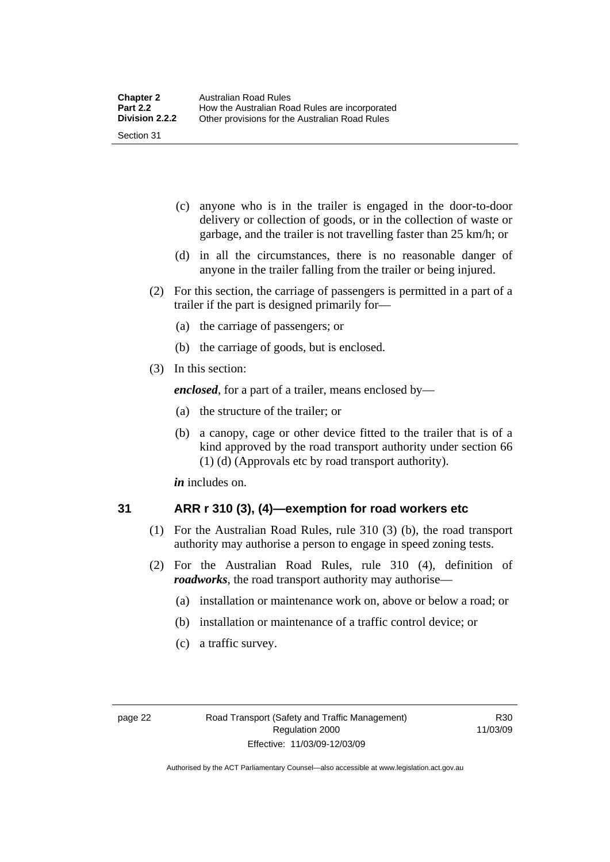- <span id="page-31-0"></span> (c) anyone who is in the trailer is engaged in the door-to-door delivery or collection of goods, or in the collection of waste or garbage, and the trailer is not travelling faster than 25 km/h; or
- (d) in all the circumstances, there is no reasonable danger of anyone in the trailer falling from the trailer or being injured.
- (2) For this section, the carriage of passengers is permitted in a part of a trailer if the part is designed primarily for—
	- (a) the carriage of passengers; or
	- (b) the carriage of goods, but is enclosed.
- (3) In this section:

*enclosed*, for a part of a trailer, means enclosed by—

- (a) the structure of the trailer; or
- (b) a canopy, cage or other device fitted to the trailer that is of a kind approved by the road transport authority under section 66 (1) (d) (Approvals etc by road transport authority).

*in* includes on.

#### **31 ARR r 310 (3), (4)—exemption for road workers etc**

- (1) For the Australian Road Rules, rule 310 (3) (b), the road transport authority may authorise a person to engage in speed zoning tests.
- (2) For the Australian Road Rules, rule 310 (4), definition of *roadworks*, the road transport authority may authorise—
	- (a) installation or maintenance work on, above or below a road; or
	- (b) installation or maintenance of a traffic control device; or
	- (c) a traffic survey.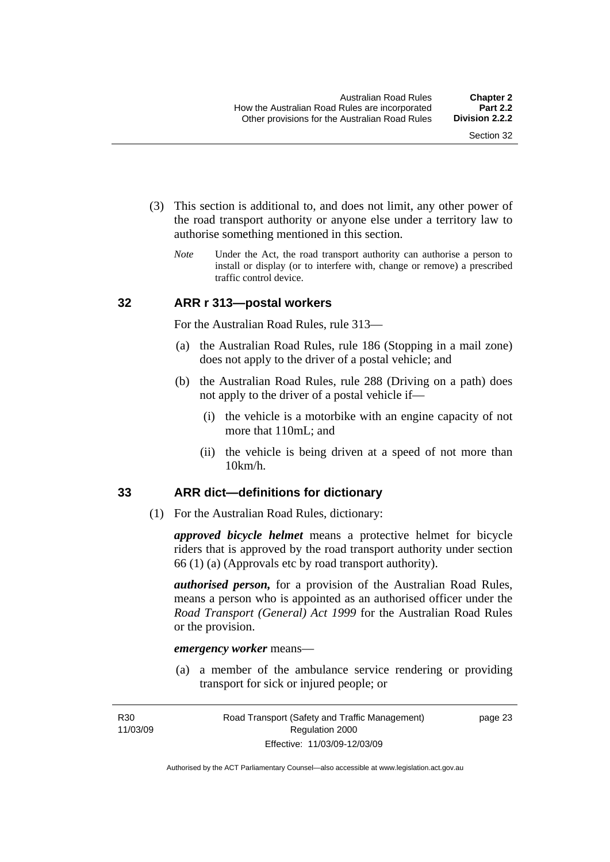- <span id="page-32-0"></span> (3) This section is additional to, and does not limit, any other power of the road transport authority or anyone else under a territory law to authorise something mentioned in this section.
	- *Note* Under the Act, the road transport authority can authorise a person to install or display (or to interfere with, change or remove) a prescribed traffic control device.

#### **32 ARR r 313—postal workers**

For the Australian Road Rules, rule 313—

- (a) the Australian Road Rules, rule 186 (Stopping in a mail zone) does not apply to the driver of a postal vehicle; and
- (b) the Australian Road Rules, rule 288 (Driving on a path) does not apply to the driver of a postal vehicle if—
	- (i) the vehicle is a motorbike with an engine capacity of not more that 110mL; and
	- (ii) the vehicle is being driven at a speed of not more than 10km/h.

#### **33 ARR dict—definitions for dictionary**

(1) For the Australian Road Rules, dictionary:

*approved bicycle helmet* means a protective helmet for bicycle riders that is approved by the road transport authority under section 66 (1) (a) (Approvals etc by road transport authority).

*authorised person,* for a provision of the Australian Road Rules, means a person who is appointed as an authorised officer under the *Road Transport (General) Act 1999* for the Australian Road Rules or the provision.

#### *emergency worker* means—

 (a) a member of the ambulance service rendering or providing transport for sick or injured people; or

page 23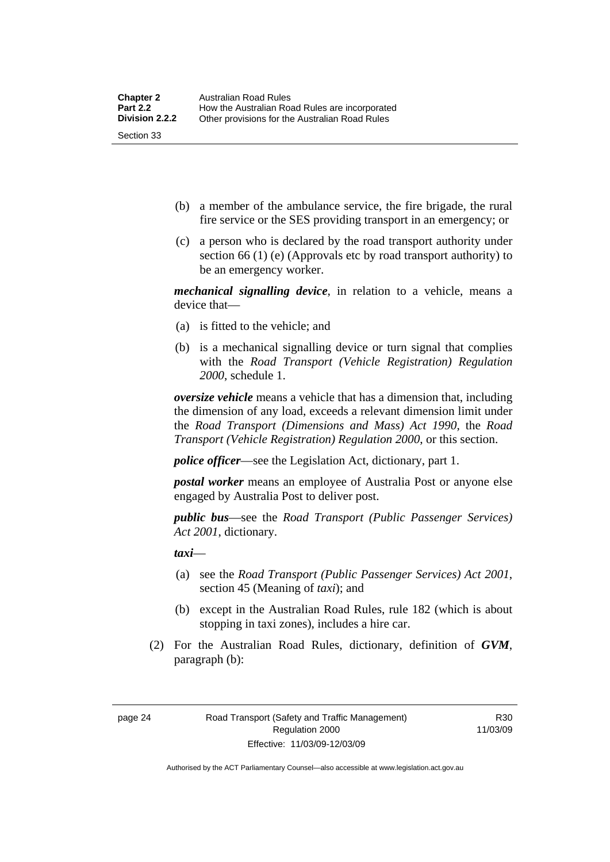- (b) a member of the ambulance service, the fire brigade, the rural fire service or the SES providing transport in an emergency; or
- (c) a person who is declared by the road transport authority under section 66 (1) (e) (Approvals etc by road transport authority) to be an emergency worker.

*mechanical signalling device*, in relation to a vehicle, means a device that—

- (a) is fitted to the vehicle; and
- (b) is a mechanical signalling device or turn signal that complies with the *Road Transport (Vehicle Registration) Regulation 2000*, schedule 1.

*oversize vehicle* means a vehicle that has a dimension that, including the dimension of any load, exceeds a relevant dimension limit under the *Road Transport (Dimensions and Mass) Act 1990*, the *Road Transport (Vehicle Registration) Regulation 2000*, or this section.

*police officer*—see the Legislation Act, dictionary, part 1.

*postal worker* means an employee of Australia Post or anyone else engaged by Australia Post to deliver post.

*public bus*—see the *Road Transport (Public Passenger Services) Act 2001*, dictionary.

*taxi*—

- (a) see the *Road Transport (Public Passenger Services) Act 2001*, section 45 (Meaning of *taxi*); and
- (b) except in the Australian Road Rules, rule 182 (which is about stopping in taxi zones), includes a hire car.
- (2) For the Australian Road Rules, dictionary, definition of *GVM*, paragraph (b):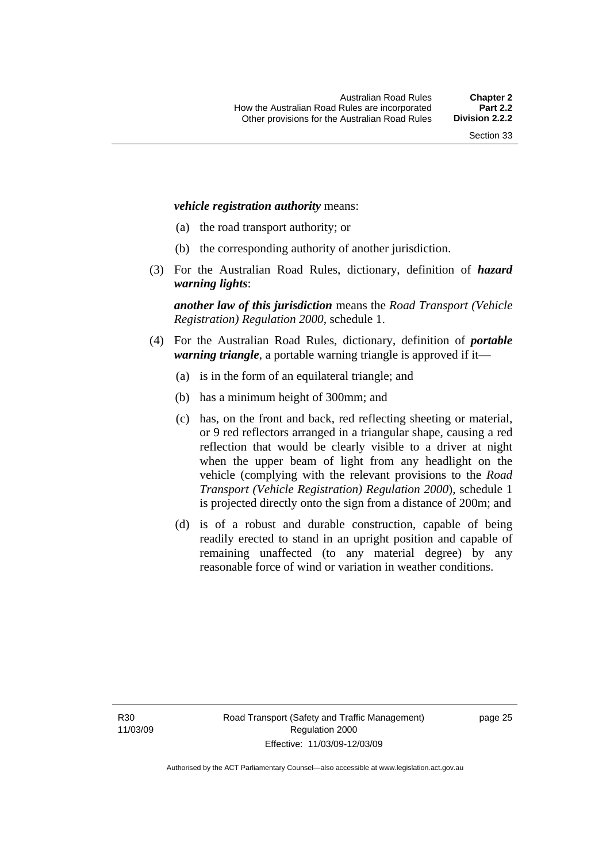#### *vehicle registration authority* means:

- (a) the road transport authority; or
- (b) the corresponding authority of another jurisdiction.
- (3) For the Australian Road Rules, dictionary, definition of *hazard warning lights*:

*another law of this jurisdiction* means the *Road Transport (Vehicle Registration) Regulation 2000*, schedule 1.

- (4) For the Australian Road Rules, dictionary, definition of *portable warning triangle*, a portable warning triangle is approved if it—
	- (a) is in the form of an equilateral triangle; and
	- (b) has a minimum height of 300mm; and
	- (c) has, on the front and back, red reflecting sheeting or material, or 9 red reflectors arranged in a triangular shape, causing a red reflection that would be clearly visible to a driver at night when the upper beam of light from any headlight on the vehicle (complying with the relevant provisions to the *Road Transport (Vehicle Registration) Regulation 2000*), schedule 1 is projected directly onto the sign from a distance of 200m; and
	- (d) is of a robust and durable construction, capable of being readily erected to stand in an upright position and capable of remaining unaffected (to any material degree) by any reasonable force of wind or variation in weather conditions.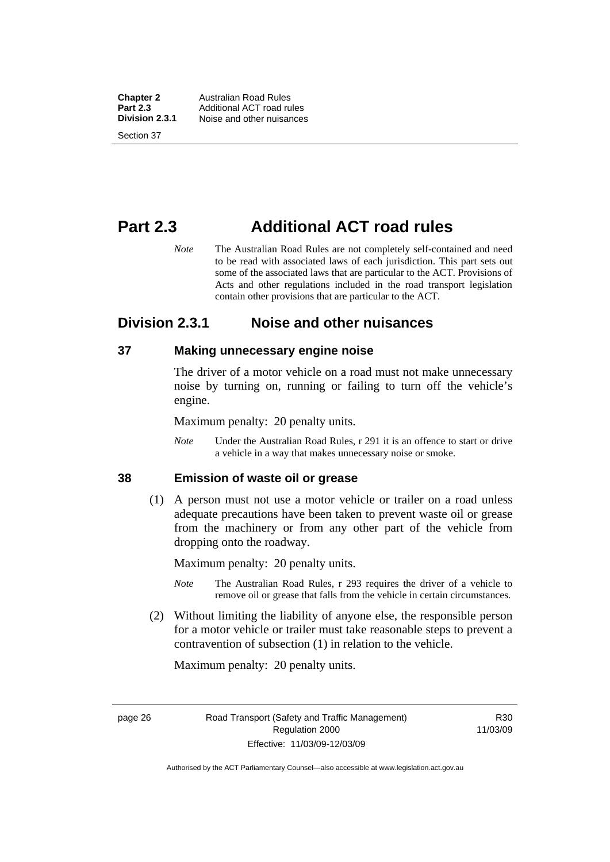<span id="page-35-0"></span>**Chapter 2** Australian Road Rules<br>**Part 2.3** Additional ACT road ru **Part 2.3** Additional ACT road rules<br>**Division 2.3.1** Noise and other nuisances **Division 2.3.1** Noise and other nuisances Section 37

## **Part 2.3 Additional ACT road rules**

*Note* The Australian Road Rules are not completely self-contained and need to be read with associated laws of each jurisdiction. This part sets out some of the associated laws that are particular to the ACT. Provisions of Acts and other regulations included in the road transport legislation contain other provisions that are particular to the ACT.

### **Division 2.3.1 Noise and other nuisances**

#### **37 Making unnecessary engine noise**

The driver of a motor vehicle on a road must not make unnecessary noise by turning on, running or failing to turn off the vehicle's engine.

Maximum penalty: 20 penalty units.

*Note* Under the Australian Road Rules, r 291 it is an offence to start or drive a vehicle in a way that makes unnecessary noise or smoke.

#### **38 Emission of waste oil or grease**

 (1) A person must not use a motor vehicle or trailer on a road unless adequate precautions have been taken to prevent waste oil or grease from the machinery or from any other part of the vehicle from dropping onto the roadway.

Maximum penalty: 20 penalty units.

- *Note* The Australian Road Rules, r 293 requires the driver of a vehicle to remove oil or grease that falls from the vehicle in certain circumstances.
- (2) Without limiting the liability of anyone else, the responsible person for a motor vehicle or trailer must take reasonable steps to prevent a contravention of subsection (1) in relation to the vehicle.

Maximum penalty: 20 penalty units.

R30 11/03/09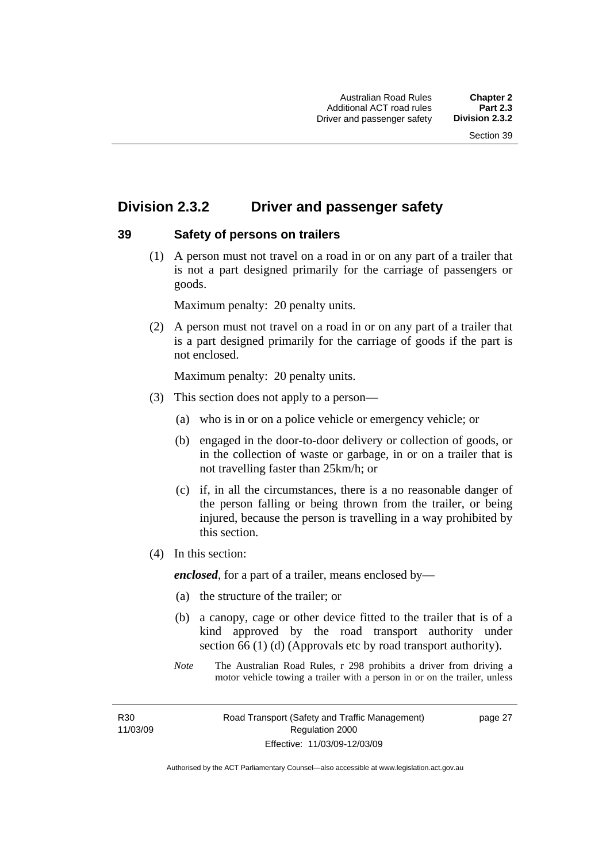# **Division 2.3.2 Driver and passenger safety**

### **39 Safety of persons on trailers**

 (1) A person must not travel on a road in or on any part of a trailer that is not a part designed primarily for the carriage of passengers or goods.

Maximum penalty: 20 penalty units.

 (2) A person must not travel on a road in or on any part of a trailer that is a part designed primarily for the carriage of goods if the part is not enclosed.

Maximum penalty: 20 penalty units.

- (3) This section does not apply to a person—
	- (a) who is in or on a police vehicle or emergency vehicle; or
	- (b) engaged in the door-to-door delivery or collection of goods, or in the collection of waste or garbage, in or on a trailer that is not travelling faster than 25km/h; or
	- (c) if, in all the circumstances, there is a no reasonable danger of the person falling or being thrown from the trailer, or being injured, because the person is travelling in a way prohibited by this section.
- (4) In this section:

*enclosed*, for a part of a trailer, means enclosed by—

- (a) the structure of the trailer; or
- (b) a canopy, cage or other device fitted to the trailer that is of a kind approved by the road transport authority under section 66 (1) (d) (Approvals etc by road transport authority).
- *Note* The Australian Road Rules, r 298 prohibits a driver from driving a motor vehicle towing a trailer with a person in or on the trailer, unless

R30 11/03/09 page 27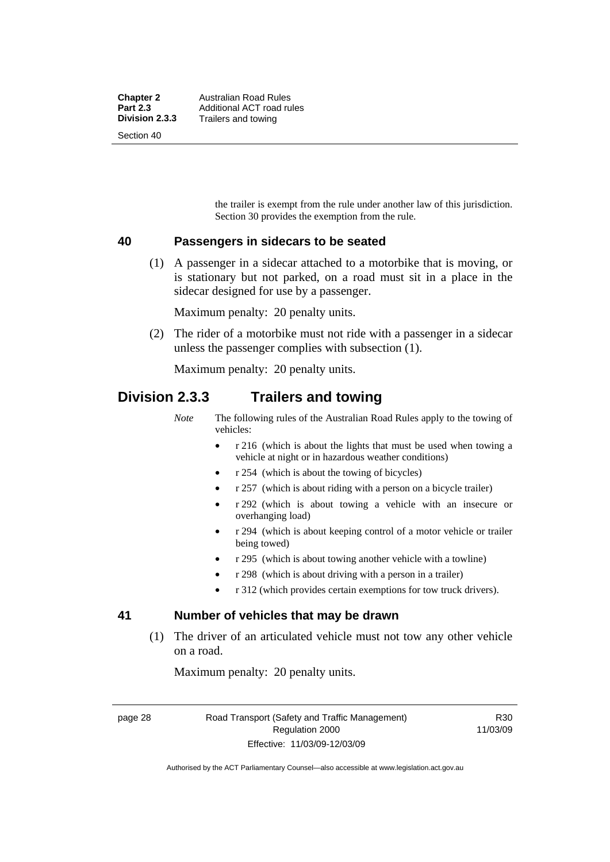the trailer is exempt from the rule under another law of this jurisdiction. Section 30 provides the exemption from the rule.

### **40 Passengers in sidecars to be seated**

 (1) A passenger in a sidecar attached to a motorbike that is moving, or is stationary but not parked, on a road must sit in a place in the sidecar designed for use by a passenger.

Maximum penalty: 20 penalty units.

 (2) The rider of a motorbike must not ride with a passenger in a sidecar unless the passenger complies with subsection (1).

Maximum penalty: 20 penalty units.

# **Division 2.3.3 Trailers and towing**

*Note* The following rules of the Australian Road Rules apply to the towing of vehicles:

- r 216 (which is about the lights that must be used when towing a vehicle at night or in hazardous weather conditions)
- r 254 (which is about the towing of bicycles)
- r 257 (which is about riding with a person on a bicycle trailer)
- r 292 (which is about towing a vehicle with an insecure or overhanging load)
- r 294 (which is about keeping control of a motor vehicle or trailer being towed)
- r 295 (which is about towing another vehicle with a towline)
- r 298 (which is about driving with a person in a trailer)
- r 312 (which provides certain exemptions for tow truck drivers).

### **41 Number of vehicles that may be drawn**

 (1) The driver of an articulated vehicle must not tow any other vehicle on a road.

Maximum penalty: 20 penalty units.

page 28 Road Transport (Safety and Traffic Management) Regulation 2000 Effective: 11/03/09-12/03/09

R30 11/03/09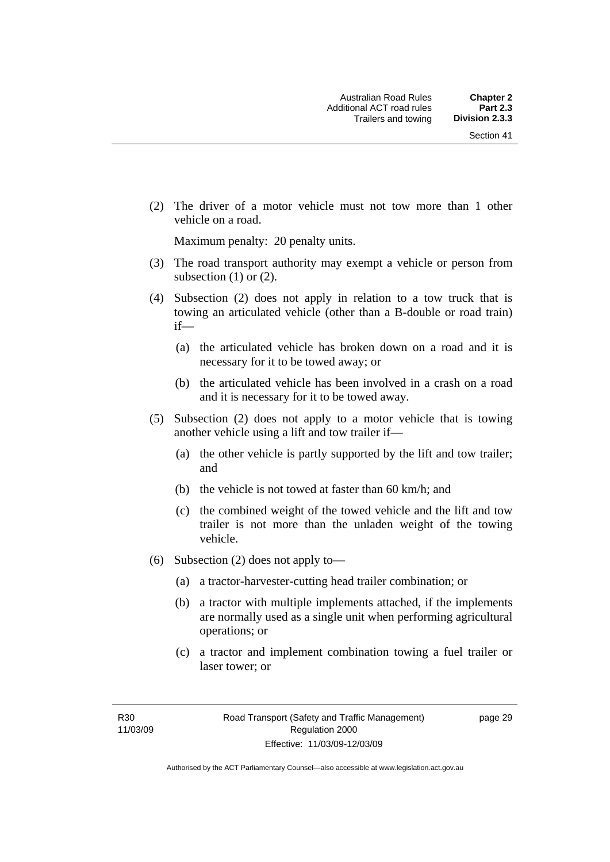(2) The driver of a motor vehicle must not tow more than 1 other vehicle on a road.

Maximum penalty: 20 penalty units.

- (3) The road transport authority may exempt a vehicle or person from subsection  $(1)$  or  $(2)$ .
- (4) Subsection (2) does not apply in relation to a tow truck that is towing an articulated vehicle (other than a B-double or road train) if—
	- (a) the articulated vehicle has broken down on a road and it is necessary for it to be towed away; or
	- (b) the articulated vehicle has been involved in a crash on a road and it is necessary for it to be towed away.
- (5) Subsection (2) does not apply to a motor vehicle that is towing another vehicle using a lift and tow trailer if—
	- (a) the other vehicle is partly supported by the lift and tow trailer; and
	- (b) the vehicle is not towed at faster than 60 km/h; and
	- (c) the combined weight of the towed vehicle and the lift and tow trailer is not more than the unladen weight of the towing vehicle.
- (6) Subsection (2) does not apply to—
	- (a) a tractor-harvester-cutting head trailer combination; or
	- (b) a tractor with multiple implements attached, if the implements are normally used as a single unit when performing agricultural operations; or
	- (c) a tractor and implement combination towing a fuel trailer or laser tower; or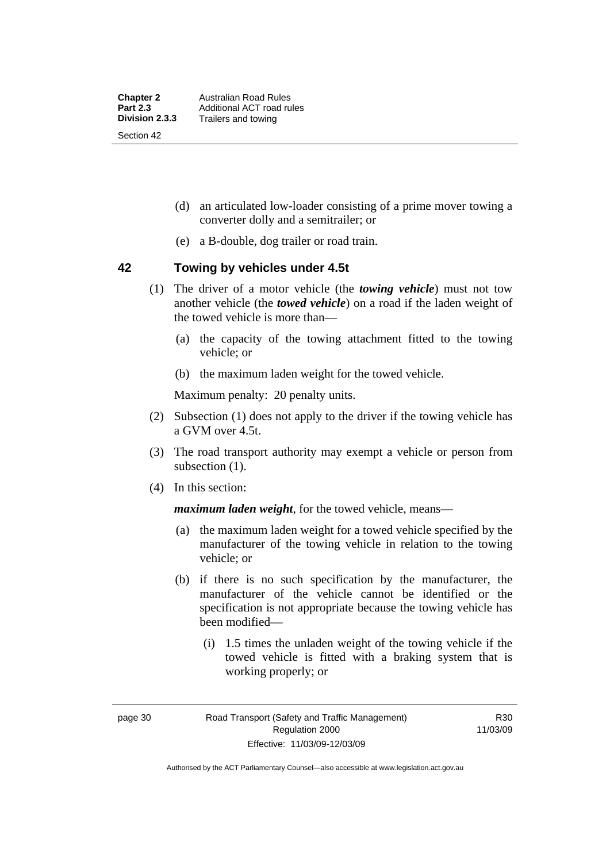- (d) an articulated low-loader consisting of a prime mover towing a converter dolly and a semitrailer; or
- (e) a B-double, dog trailer or road train.

### **42 Towing by vehicles under 4.5t**

- (1) The driver of a motor vehicle (the *towing vehicle*) must not tow another vehicle (the *towed vehicle*) on a road if the laden weight of the towed vehicle is more than—
	- (a) the capacity of the towing attachment fitted to the towing vehicle; or
	- (b) the maximum laden weight for the towed vehicle.

Maximum penalty: 20 penalty units.

- (2) Subsection (1) does not apply to the driver if the towing vehicle has a GVM over 4.5t.
- (3) The road transport authority may exempt a vehicle or person from subsection  $(1)$ .
- (4) In this section:

*maximum laden weight*, for the towed vehicle, means—

- (a) the maximum laden weight for a towed vehicle specified by the manufacturer of the towing vehicle in relation to the towing vehicle; or
- (b) if there is no such specification by the manufacturer, the manufacturer of the vehicle cannot be identified or the specification is not appropriate because the towing vehicle has been modified—
	- (i) 1.5 times the unladen weight of the towing vehicle if the towed vehicle is fitted with a braking system that is working properly; or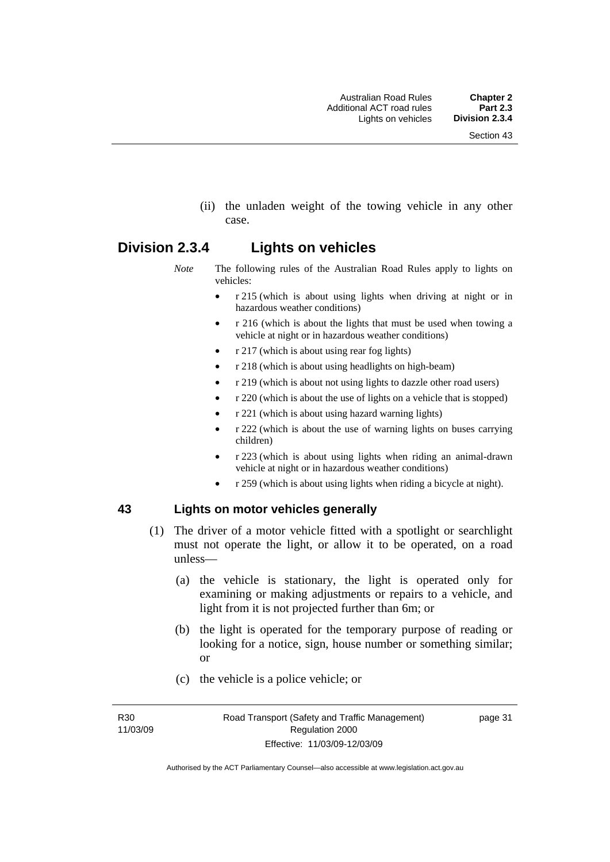(ii) the unladen weight of the towing vehicle in any other case.

# **Division 2.3.4 Lights on vehicles**

- *Note* The following rules of the Australian Road Rules apply to lights on vehicles:
	- r 215 (which is about using lights when driving at night or in hazardous weather conditions)
	- r 216 (which is about the lights that must be used when towing a vehicle at night or in hazardous weather conditions)
	- r 217 (which is about using rear fog lights)
	- r 218 (which is about using headlights on high-beam)
	- r 219 (which is about not using lights to dazzle other road users)
	- r 220 (which is about the use of lights on a vehicle that is stopped)
	- r 221 (which is about using hazard warning lights)
	- r 222 (which is about the use of warning lights on buses carrying children)
	- r 223 (which is about using lights when riding an animal-drawn vehicle at night or in hazardous weather conditions)
	- r 259 (which is about using lights when riding a bicycle at night).

### **43 Lights on motor vehicles generally**

- (1) The driver of a motor vehicle fitted with a spotlight or searchlight must not operate the light, or allow it to be operated, on a road unless—
	- (a) the vehicle is stationary, the light is operated only for examining or making adjustments or repairs to a vehicle, and light from it is not projected further than 6m; or
	- (b) the light is operated for the temporary purpose of reading or looking for a notice, sign, house number or something similar; or
	- (c) the vehicle is a police vehicle; or

R30 11/03/09 page 31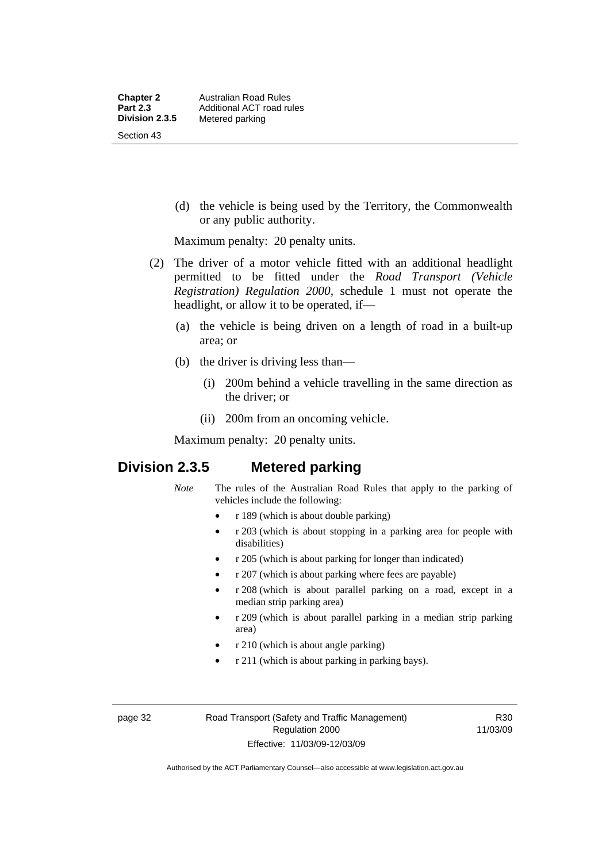(d) the vehicle is being used by the Territory, the Commonwealth or any public authority.

Maximum penalty: 20 penalty units.

- (2) The driver of a motor vehicle fitted with an additional headlight permitted to be fitted under the *Road Transport (Vehicle Registration) Regulation 2000*, schedule 1 must not operate the headlight, or allow it to be operated, if—
	- (a) the vehicle is being driven on a length of road in a built-up area; or
	- (b) the driver is driving less than—
		- (i) 200m behind a vehicle travelling in the same direction as the driver; or
		- (ii) 200m from an oncoming vehicle.

Maximum penalty: 20 penalty units.

# **Division 2.3.5 Metered parking**

- *Note* The rules of the Australian Road Rules that apply to the parking of vehicles include the following:
	- r 189 (which is about double parking)
	- r 203 (which is about stopping in a parking area for people with disabilities)
	- r 205 (which is about parking for longer than indicated)
	- r 207 (which is about parking where fees are payable)
	- r 208 (which is about parallel parking on a road, except in a median strip parking area)
	- r 209 (which is about parallel parking in a median strip parking area)
	- r 210 (which is about angle parking)
	- r 211 (which is about parking in parking bays).

R30 11/03/09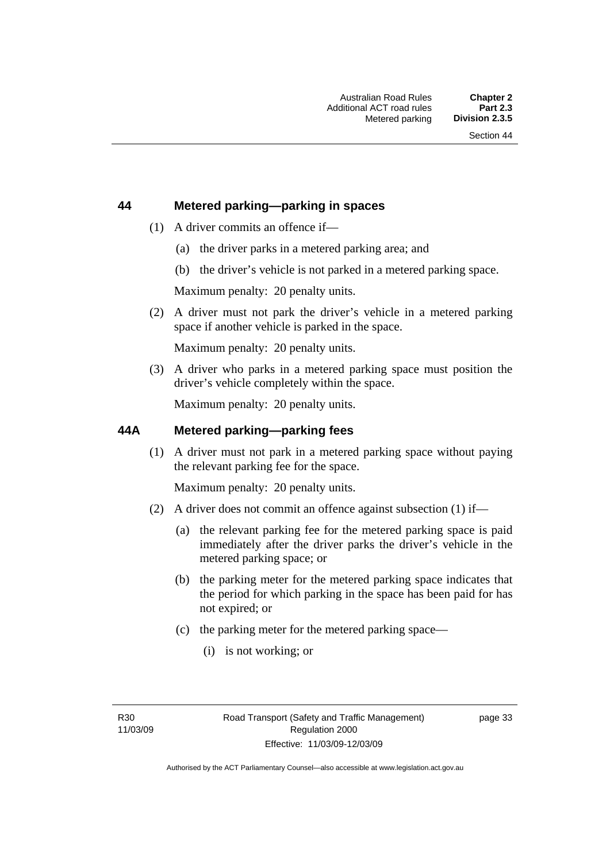### **44 Metered parking—parking in spaces**

- (1) A driver commits an offence if—
	- (a) the driver parks in a metered parking area; and
	- (b) the driver's vehicle is not parked in a metered parking space.

Maximum penalty: 20 penalty units.

 (2) A driver must not park the driver's vehicle in a metered parking space if another vehicle is parked in the space.

Maximum penalty: 20 penalty units.

 (3) A driver who parks in a metered parking space must position the driver's vehicle completely within the space.

Maximum penalty: 20 penalty units.

### **44A Metered parking—parking fees**

 (1) A driver must not park in a metered parking space without paying the relevant parking fee for the space.

Maximum penalty: 20 penalty units.

- (2) A driver does not commit an offence against subsection (1) if—
	- (a) the relevant parking fee for the metered parking space is paid immediately after the driver parks the driver's vehicle in the metered parking space; or
	- (b) the parking meter for the metered parking space indicates that the period for which parking in the space has been paid for has not expired; or
	- (c) the parking meter for the metered parking space—
		- (i) is not working; or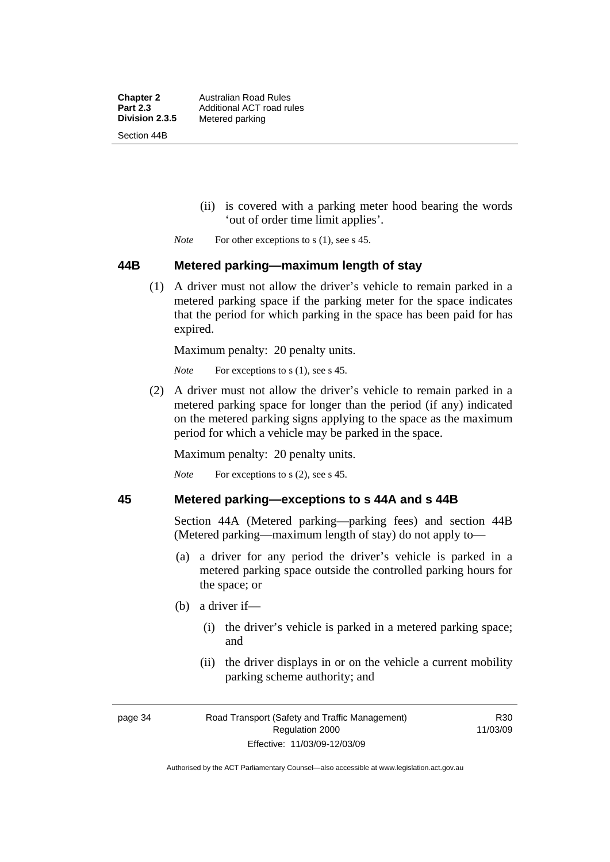**Chapter 2** Australian Road Rules<br>**Part 2.3** Additional ACT road ru **Part 2.3 Additional ACT road rules**<br>**Division 2.3.5** Metered parking **Metered parking** Section 44B

- (ii) is covered with a parking meter hood bearing the words 'out of order time limit applies'.
- *Note* For other exceptions to s (1), see s 45.

### **44B Metered parking—maximum length of stay**

 (1) A driver must not allow the driver's vehicle to remain parked in a metered parking space if the parking meter for the space indicates that the period for which parking in the space has been paid for has expired.

Maximum penalty: 20 penalty units.

*Note* For exceptions to s (1), see s 45.

 (2) A driver must not allow the driver's vehicle to remain parked in a metered parking space for longer than the period (if any) indicated on the metered parking signs applying to the space as the maximum period for which a vehicle may be parked in the space.

Maximum penalty: 20 penalty units.

*Note* For exceptions to s (2), see s 45.

### **45 Metered parking—exceptions to s 44A and s 44B**

Section 44A (Metered parking—parking fees) and section 44B (Metered parking—maximum length of stay) do not apply to—

- (a) a driver for any period the driver's vehicle is parked in a metered parking space outside the controlled parking hours for the space; or
- (b) a driver if—
	- (i) the driver's vehicle is parked in a metered parking space; and
	- (ii) the driver displays in or on the vehicle a current mobility parking scheme authority; and

R30 11/03/09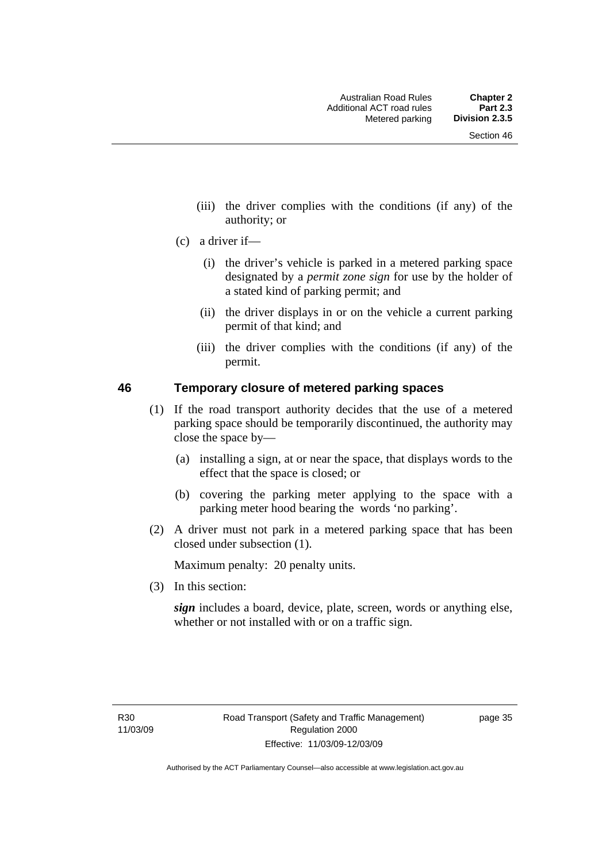- (iii) the driver complies with the conditions (if any) of the authority; or
- (c) a driver if—
	- (i) the driver's vehicle is parked in a metered parking space designated by a *permit zone sign* for use by the holder of a stated kind of parking permit; and
	- (ii) the driver displays in or on the vehicle a current parking permit of that kind; and
	- (iii) the driver complies with the conditions (if any) of the permit.

### **46 Temporary closure of metered parking spaces**

- (1) If the road transport authority decides that the use of a metered parking space should be temporarily discontinued, the authority may close the space by—
	- (a) installing a sign, at or near the space, that displays words to the effect that the space is closed; or
	- (b) covering the parking meter applying to the space with a parking meter hood bearing the words 'no parking'.
- (2) A driver must not park in a metered parking space that has been closed under subsection (1).

Maximum penalty: 20 penalty units.

(3) In this section:

*sign* includes a board, device, plate, screen, words or anything else, whether or not installed with or on a traffic sign.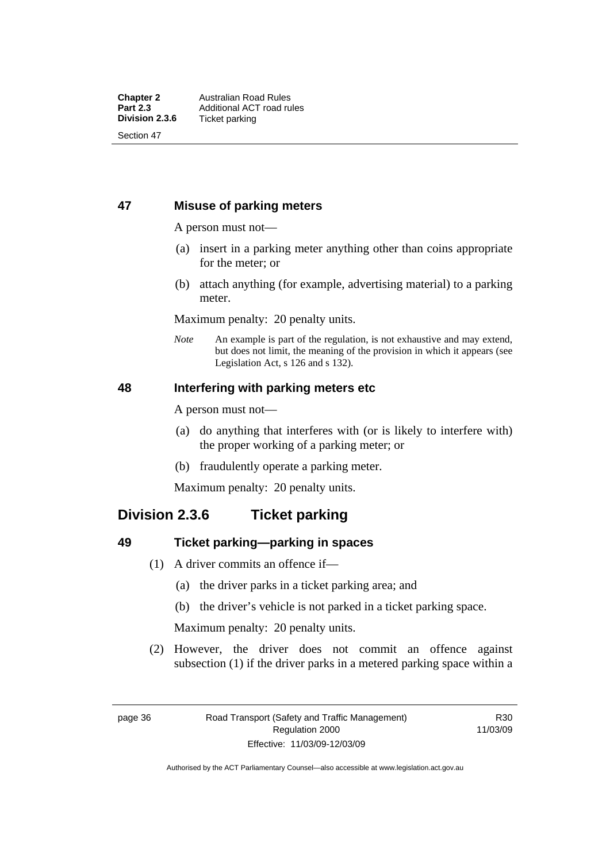### **47 Misuse of parking meters**

A person must not—

- (a) insert in a parking meter anything other than coins appropriate for the meter; or
- (b) attach anything (for example, advertising material) to a parking meter.

Maximum penalty: 20 penalty units.

*Note* An example is part of the regulation, is not exhaustive and may extend, but does not limit, the meaning of the provision in which it appears (see Legislation Act, s 126 and s 132).

### **48 Interfering with parking meters etc**

A person must not—

- (a) do anything that interferes with (or is likely to interfere with) the proper working of a parking meter; or
- (b) fraudulently operate a parking meter.

Maximum penalty: 20 penalty units.

# **Division 2.3.6 Ticket parking**

### **49 Ticket parking—parking in spaces**

- (1) A driver commits an offence if—
	- (a) the driver parks in a ticket parking area; and
	- (b) the driver's vehicle is not parked in a ticket parking space.

Maximum penalty: 20 penalty units.

 (2) However, the driver does not commit an offence against subsection (1) if the driver parks in a metered parking space within a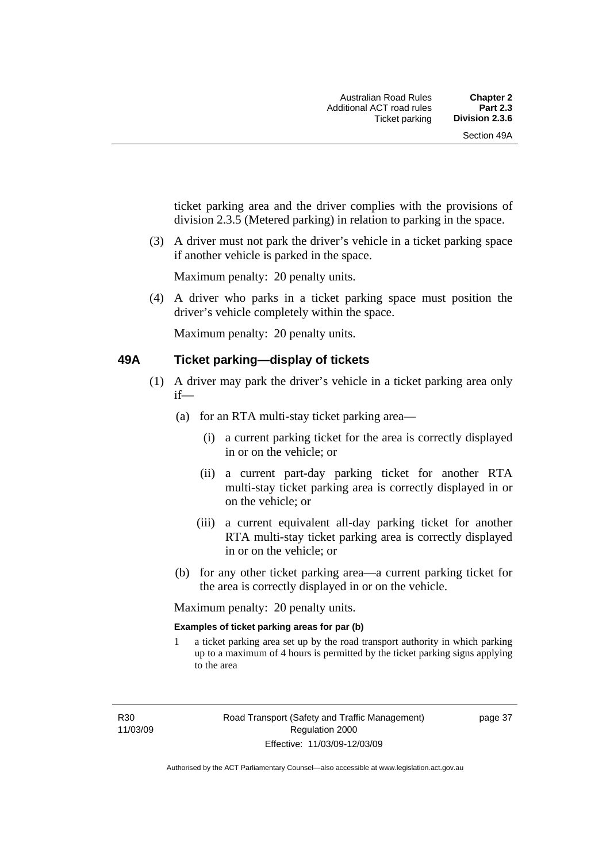ticket parking area and the driver complies with the provisions of division 2.3.5 (Metered parking) in relation to parking in the space.

 (3) A driver must not park the driver's vehicle in a ticket parking space if another vehicle is parked in the space.

Maximum penalty: 20 penalty units.

 (4) A driver who parks in a ticket parking space must position the driver's vehicle completely within the space.

Maximum penalty: 20 penalty units.

### **49A Ticket parking—display of tickets**

- (1) A driver may park the driver's vehicle in a ticket parking area only if—
	- (a) for an RTA multi-stay ticket parking area—
		- (i) a current parking ticket for the area is correctly displayed in or on the vehicle; or
		- (ii) a current part-day parking ticket for another RTA multi-stay ticket parking area is correctly displayed in or on the vehicle; or
		- (iii) a current equivalent all-day parking ticket for another RTA multi-stay ticket parking area is correctly displayed in or on the vehicle; or
	- (b) for any other ticket parking area—a current parking ticket for the area is correctly displayed in or on the vehicle.

Maximum penalty: 20 penalty units.

### **Examples of ticket parking areas for par (b)**

1 a ticket parking area set up by the road transport authority in which parking up to a maximum of 4 hours is permitted by the ticket parking signs applying to the area

R30 11/03/09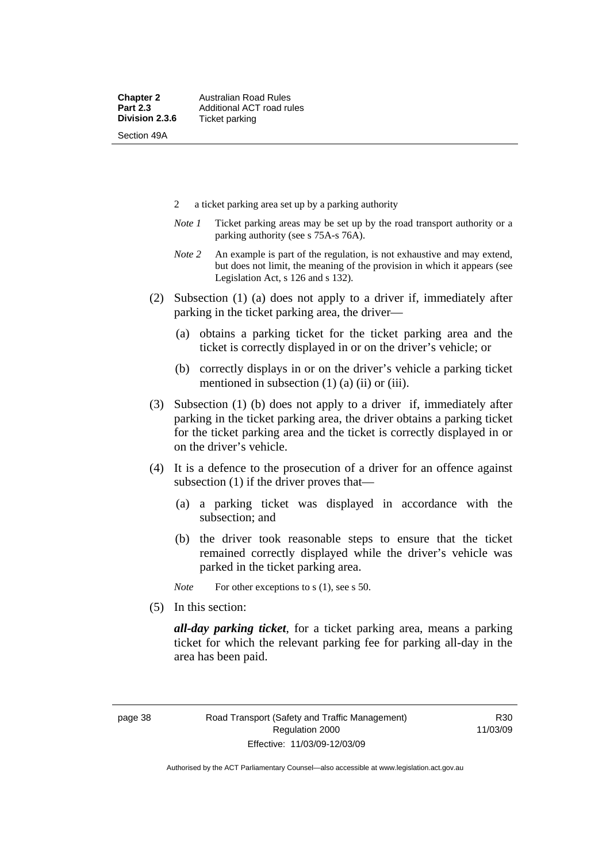- 2 a ticket parking area set up by a parking authority
- *Note 1* Ticket parking areas may be set up by the road transport authority or a parking authority (see s 75A-s 76A).
- *Note 2* An example is part of the regulation, is not exhaustive and may extend, but does not limit, the meaning of the provision in which it appears (see Legislation Act, s 126 and s 132).
- (2) Subsection (1) (a) does not apply to a driver if, immediately after parking in the ticket parking area, the driver—
	- (a) obtains a parking ticket for the ticket parking area and the ticket is correctly displayed in or on the driver's vehicle; or
	- (b) correctly displays in or on the driver's vehicle a parking ticket mentioned in subsection  $(1)$   $(a)$   $(ii)$  or  $(iii)$ .
- (3) Subsection (1) (b) does not apply to a driver if, immediately after parking in the ticket parking area, the driver obtains a parking ticket for the ticket parking area and the ticket is correctly displayed in or on the driver's vehicle.
- (4) It is a defence to the prosecution of a driver for an offence against subsection (1) if the driver proves that—
	- (a) a parking ticket was displayed in accordance with the subsection; and
	- (b) the driver took reasonable steps to ensure that the ticket remained correctly displayed while the driver's vehicle was parked in the ticket parking area.

*Note* For other exceptions to s (1), see s 50.

(5) In this section:

*all-day parking ticket*, for a ticket parking area, means a parking ticket for which the relevant parking fee for parking all-day in the area has been paid.

R30 11/03/09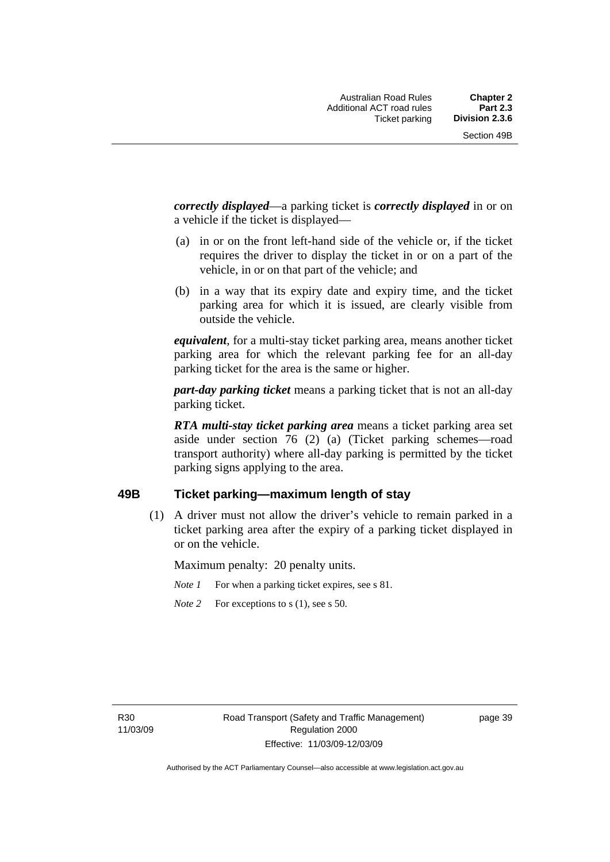*correctly displayed*—a parking ticket is *correctly displayed* in or on a vehicle if the ticket is displayed—

- (a) in or on the front left-hand side of the vehicle or, if the ticket requires the driver to display the ticket in or on a part of the vehicle, in or on that part of the vehicle; and
- (b) in a way that its expiry date and expiry time, and the ticket parking area for which it is issued, are clearly visible from outside the vehicle.

*equivalent*, for a multi-stay ticket parking area, means another ticket parking area for which the relevant parking fee for an all-day parking ticket for the area is the same or higher.

*part-day parking ticket* means a parking ticket that is not an all-day parking ticket.

*RTA multi-stay ticket parking area* means a ticket parking area set aside under section 76 (2) (a) (Ticket parking schemes—road transport authority) where all-day parking is permitted by the ticket parking signs applying to the area.

### **49B Ticket parking—maximum length of stay**

 (1) A driver must not allow the driver's vehicle to remain parked in a ticket parking area after the expiry of a parking ticket displayed in or on the vehicle.

Maximum penalty: 20 penalty units.

- *Note 1* For when a parking ticket expires, see s 81.
- *Note* 2 For exceptions to s (1), see s 50.

R30 11/03/09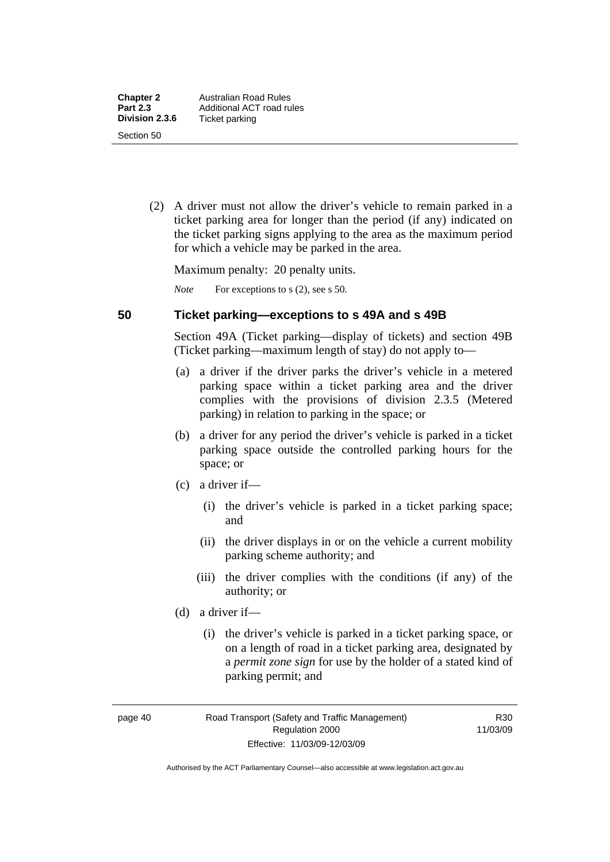(2) A driver must not allow the driver's vehicle to remain parked in a ticket parking area for longer than the period (if any) indicated on the ticket parking signs applying to the area as the maximum period for which a vehicle may be parked in the area.

Maximum penalty: 20 penalty units.

*Note* For exceptions to s (2), see s 50.

### **50 Ticket parking—exceptions to s 49A and s 49B**

Section 49A (Ticket parking—display of tickets) and section 49B (Ticket parking—maximum length of stay) do not apply to—

- (a) a driver if the driver parks the driver's vehicle in a metered parking space within a ticket parking area and the driver complies with the provisions of division 2.3.5 (Metered parking) in relation to parking in the space; or
- (b) a driver for any period the driver's vehicle is parked in a ticket parking space outside the controlled parking hours for the space; or
- (c) a driver if—
	- (i) the driver's vehicle is parked in a ticket parking space; and
	- (ii) the driver displays in or on the vehicle a current mobility parking scheme authority; and
	- (iii) the driver complies with the conditions (if any) of the authority; or
- (d) a driver if—
	- (i) the driver's vehicle is parked in a ticket parking space, or on a length of road in a ticket parking area, designated by a *permit zone sign* for use by the holder of a stated kind of parking permit; and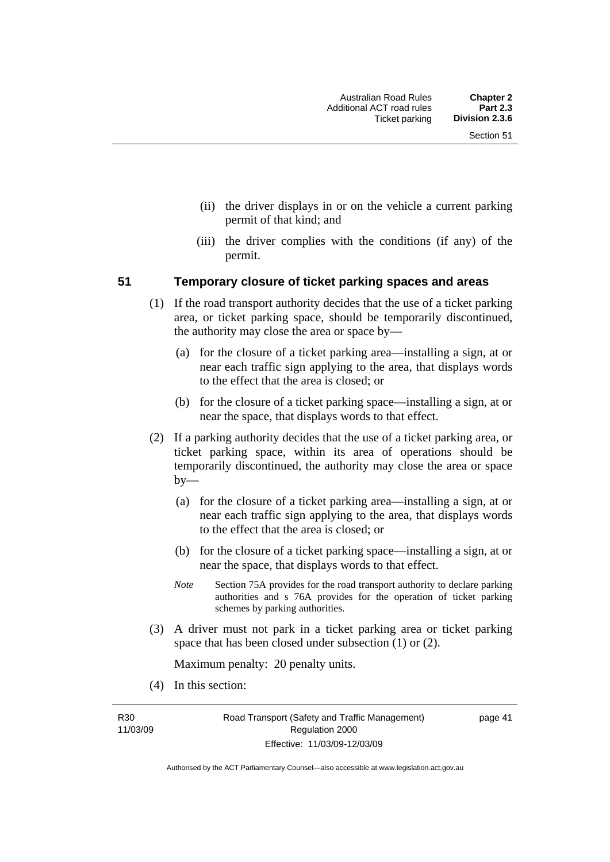- (ii) the driver displays in or on the vehicle a current parking permit of that kind; and
- (iii) the driver complies with the conditions (if any) of the permit.

### **51 Temporary closure of ticket parking spaces and areas**

- (1) If the road transport authority decides that the use of a ticket parking area, or ticket parking space, should be temporarily discontinued, the authority may close the area or space by—
	- (a) for the closure of a ticket parking area—installing a sign, at or near each traffic sign applying to the area, that displays words to the effect that the area is closed; or
	- (b) for the closure of a ticket parking space—installing a sign, at or near the space, that displays words to that effect.
- (2) If a parking authority decides that the use of a ticket parking area, or ticket parking space, within its area of operations should be temporarily discontinued, the authority may close the area or space by—
	- (a) for the closure of a ticket parking area—installing a sign, at or near each traffic sign applying to the area, that displays words to the effect that the area is closed; or
	- (b) for the closure of a ticket parking space—installing a sign, at or near the space, that displays words to that effect.
	- *Note* Section 75A provides for the road transport authority to declare parking authorities and s 76A provides for the operation of ticket parking schemes by parking authorities.
- (3) A driver must not park in a ticket parking area or ticket parking space that has been closed under subsection (1) or (2).

Maximum penalty: 20 penalty units.

(4) In this section:

R30 11/03/09 page 41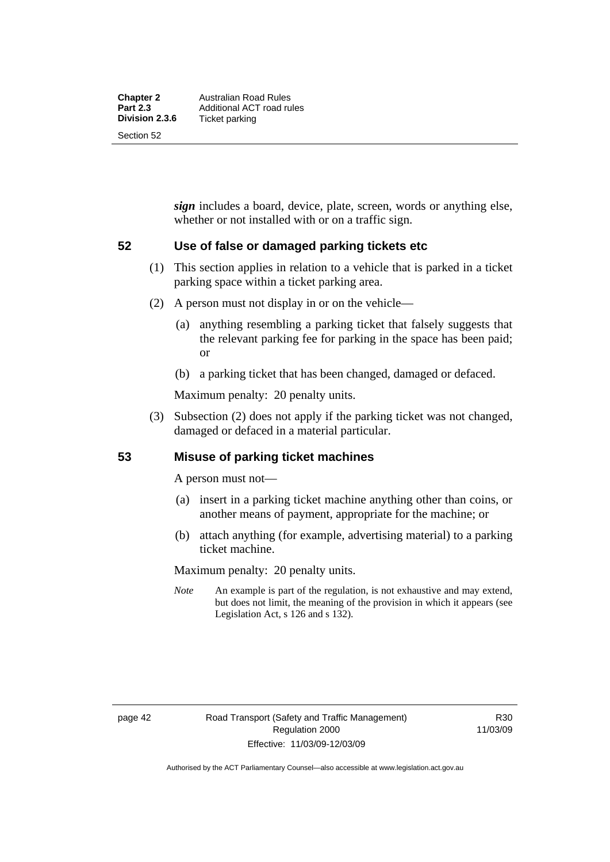*sign* includes a board, device, plate, screen, words or anything else, whether or not installed with or on a traffic sign.

### **52 Use of false or damaged parking tickets etc**

- (1) This section applies in relation to a vehicle that is parked in a ticket parking space within a ticket parking area.
- (2) A person must not display in or on the vehicle—
	- (a) anything resembling a parking ticket that falsely suggests that the relevant parking fee for parking in the space has been paid; or
	- (b) a parking ticket that has been changed, damaged or defaced.

Maximum penalty: 20 penalty units.

 (3) Subsection (2) does not apply if the parking ticket was not changed, damaged or defaced in a material particular.

### **53 Misuse of parking ticket machines**

A person must not—

- (a) insert in a parking ticket machine anything other than coins, or another means of payment, appropriate for the machine; or
- (b) attach anything (for example, advertising material) to a parking ticket machine.

Maximum penalty: 20 penalty units.

*Note* An example is part of the regulation, is not exhaustive and may extend, but does not limit, the meaning of the provision in which it appears (see Legislation Act, s 126 and s 132).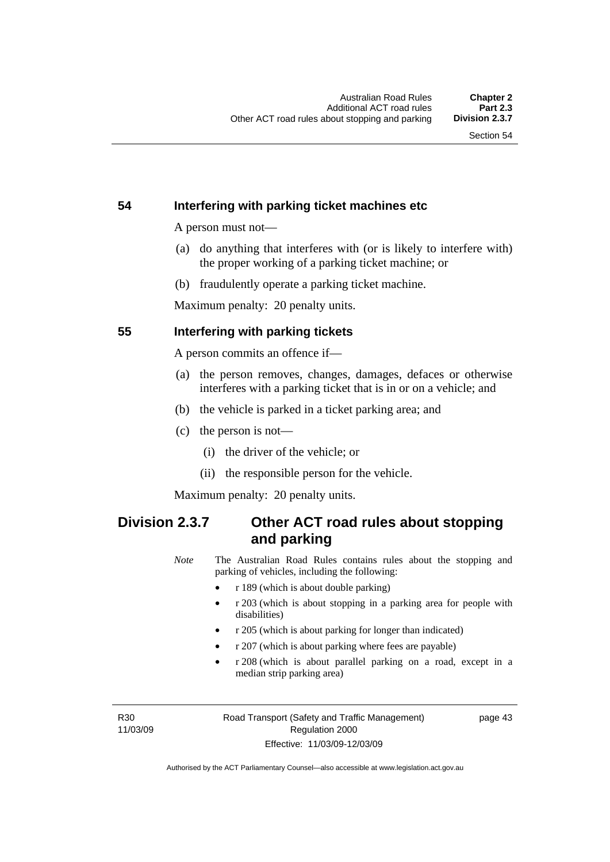### **54 Interfering with parking ticket machines etc**

A person must not—

- (a) do anything that interferes with (or is likely to interfere with) the proper working of a parking ticket machine; or
- (b) fraudulently operate a parking ticket machine.

Maximum penalty: 20 penalty units.

### **55 Interfering with parking tickets**

A person commits an offence if—

- (a) the person removes, changes, damages, defaces or otherwise interferes with a parking ticket that is in or on a vehicle; and
- (b) the vehicle is parked in a ticket parking area; and
- (c) the person is not—
	- (i) the driver of the vehicle; or
	- (ii) the responsible person for the vehicle.

Maximum penalty: 20 penalty units.

# **Division 2.3.7 Other ACT road rules about stopping and parking**

*Note* The Australian Road Rules contains rules about the stopping and parking of vehicles, including the following:

- r 189 (which is about double parking)
- r 203 (which is about stopping in a parking area for people with disabilities)
- r 205 (which is about parking for longer than indicated)
- r 207 (which is about parking where fees are payable)
- r 208 (which is about parallel parking on a road, except in a median strip parking area)

R30 11/03/09 page 43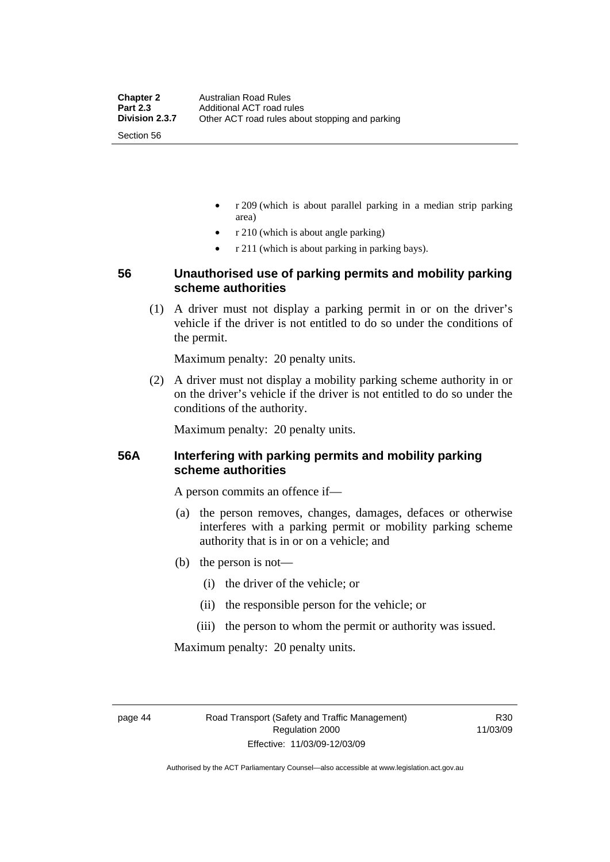- r 209 (which is about parallel parking in a median strip parking area)
- r 210 (which is about angle parking)
- r 211 (which is about parking in parking bays).

### **56 Unauthorised use of parking permits and mobility parking scheme authorities**

 (1) A driver must not display a parking permit in or on the driver's vehicle if the driver is not entitled to do so under the conditions of the permit.

Maximum penalty: 20 penalty units.

 (2) A driver must not display a mobility parking scheme authority in or on the driver's vehicle if the driver is not entitled to do so under the conditions of the authority.

Maximum penalty: 20 penalty units.

### **56A Interfering with parking permits and mobility parking scheme authorities**

A person commits an offence if—

- (a) the person removes, changes, damages, defaces or otherwise interferes with a parking permit or mobility parking scheme authority that is in or on a vehicle; and
- (b) the person is not—
	- (i) the driver of the vehicle; or
	- (ii) the responsible person for the vehicle; or
	- (iii) the person to whom the permit or authority was issued.

Maximum penalty: 20 penalty units.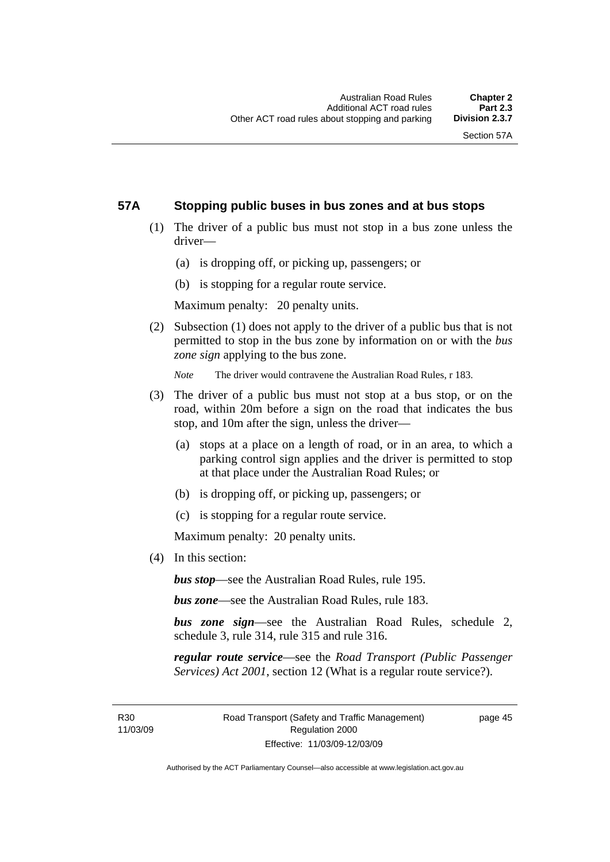### **57A Stopping public buses in bus zones and at bus stops**

- (1) The driver of a public bus must not stop in a bus zone unless the driver—
	- (a) is dropping off, or picking up, passengers; or
	- (b) is stopping for a regular route service.

Maximum penalty: 20 penalty units.

 (2) Subsection (1) does not apply to the driver of a public bus that is not permitted to stop in the bus zone by information on or with the *bus zone sign* applying to the bus zone.

*Note* The driver would contravene the Australian Road Rules, r 183.

- (3) The driver of a public bus must not stop at a bus stop, or on the road, within 20m before a sign on the road that indicates the bus stop, and 10m after the sign, unless the driver—
	- (a) stops at a place on a length of road, or in an area, to which a parking control sign applies and the driver is permitted to stop at that place under the Australian Road Rules; or
	- (b) is dropping off, or picking up, passengers; or
	- (c) is stopping for a regular route service.

Maximum penalty: 20 penalty units.

(4) In this section:

*bus stop*—see the Australian Road Rules, rule 195.

*bus zone*—see the Australian Road Rules, rule 183.

*bus zone sign*—see the Australian Road Rules, schedule 2, schedule 3, rule 314, rule 315 and rule 316.

*regular route service*—see the *Road Transport (Public Passenger Services) Act 2001*, section 12 (What is a regular route service?).

page 45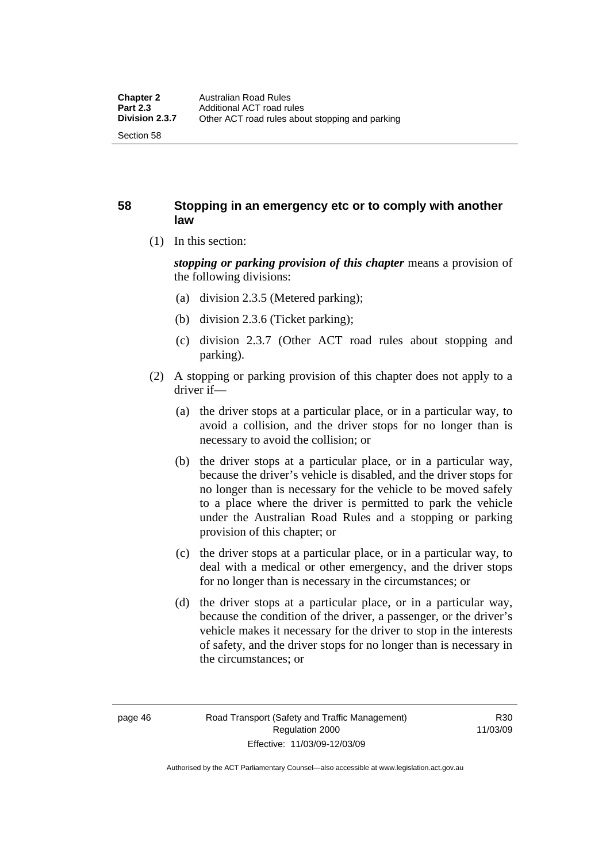### **58 Stopping in an emergency etc or to comply with another law**

(1) In this section:

*stopping or parking provision of this chapter* means a provision of the following divisions:

- (a) division 2.3.5 (Metered parking);
- (b) division 2.3.6 (Ticket parking);
- (c) division 2.3.7 (Other ACT road rules about stopping and parking).
- (2) A stopping or parking provision of this chapter does not apply to a driver if—
	- (a) the driver stops at a particular place, or in a particular way, to avoid a collision, and the driver stops for no longer than is necessary to avoid the collision; or
	- (b) the driver stops at a particular place, or in a particular way, because the driver's vehicle is disabled, and the driver stops for no longer than is necessary for the vehicle to be moved safely to a place where the driver is permitted to park the vehicle under the Australian Road Rules and a stopping or parking provision of this chapter; or
	- (c) the driver stops at a particular place, or in a particular way, to deal with a medical or other emergency, and the driver stops for no longer than is necessary in the circumstances; or
	- (d) the driver stops at a particular place, or in a particular way, because the condition of the driver, a passenger, or the driver's vehicle makes it necessary for the driver to stop in the interests of safety, and the driver stops for no longer than is necessary in the circumstances; or

Authorised by the ACT Parliamentary Counsel—also accessible at www.legislation.act.gov.au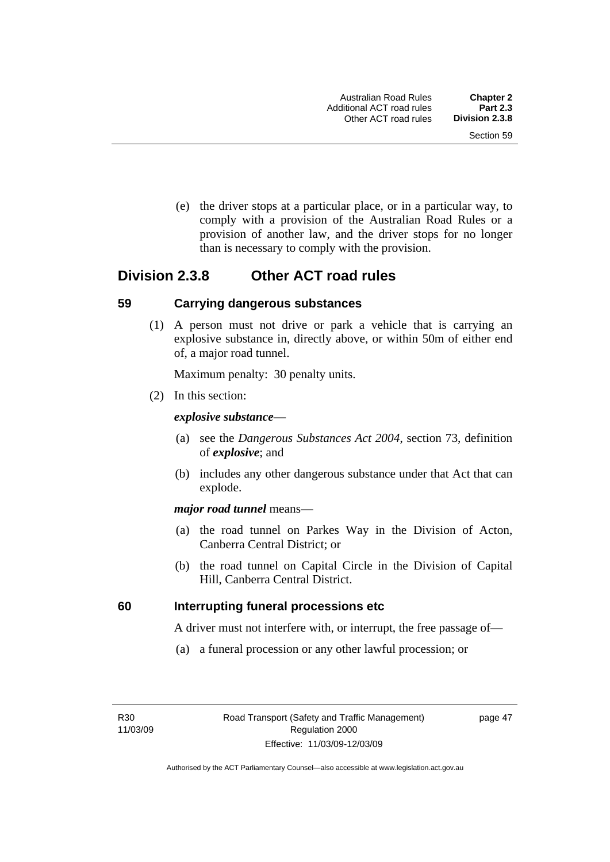(e) the driver stops at a particular place, or in a particular way, to comply with a provision of the Australian Road Rules or a provision of another law, and the driver stops for no longer than is necessary to comply with the provision.

# **Division 2.3.8 Other ACT road rules**

### **59 Carrying dangerous substances**

 (1) A person must not drive or park a vehicle that is carrying an explosive substance in, directly above, or within 50m of either end of, a major road tunnel.

Maximum penalty: 30 penalty units.

(2) In this section:

### *explosive substance*—

- (a) see the *Dangerous Substances Act 2004*, section 73, definition of *explosive*; and
- (b) includes any other dangerous substance under that Act that can explode.

### *major road tunnel* means—

- (a) the road tunnel on Parkes Way in the Division of Acton, Canberra Central District; or
- (b) the road tunnel on Capital Circle in the Division of Capital Hill, Canberra Central District.

### **60 Interrupting funeral processions etc**

A driver must not interfere with, or interrupt, the free passage of—

(a) a funeral procession or any other lawful procession; or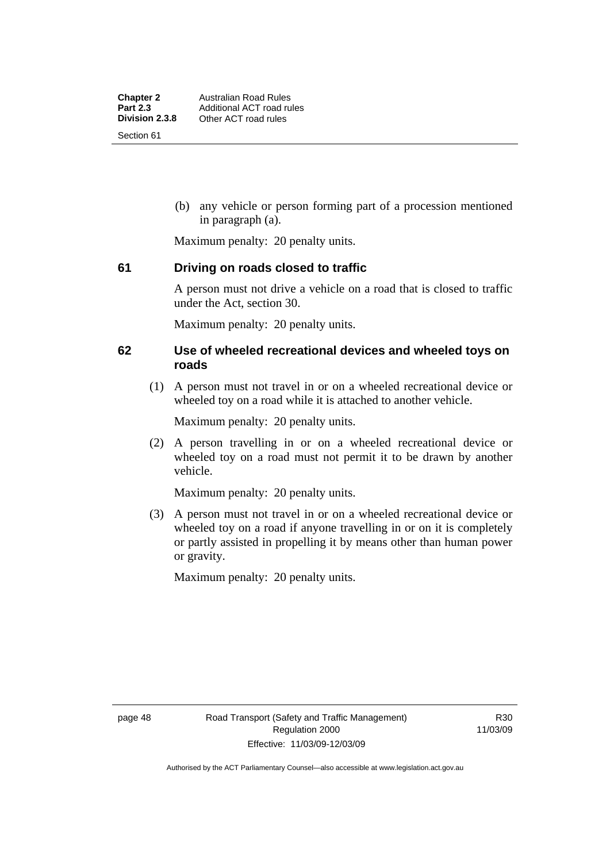(b) any vehicle or person forming part of a procession mentioned in paragraph (a).

Maximum penalty: 20 penalty units.

### **61 Driving on roads closed to traffic**

A person must not drive a vehicle on a road that is closed to traffic under the Act, section 30.

Maximum penalty: 20 penalty units.

### **62 Use of wheeled recreational devices and wheeled toys on roads**

 (1) A person must not travel in or on a wheeled recreational device or wheeled toy on a road while it is attached to another vehicle.

Maximum penalty: 20 penalty units.

 (2) A person travelling in or on a wheeled recreational device or wheeled toy on a road must not permit it to be drawn by another vehicle.

Maximum penalty: 20 penalty units.

 (3) A person must not travel in or on a wheeled recreational device or wheeled toy on a road if anyone travelling in or on it is completely or partly assisted in propelling it by means other than human power or gravity.

Maximum penalty: 20 penalty units.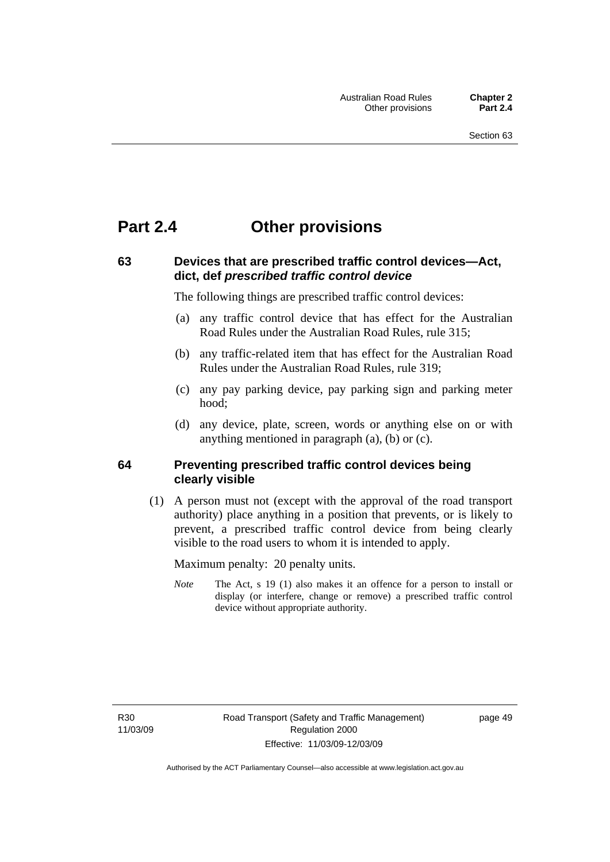# **Part 2.4 Other provisions**

### **63 Devices that are prescribed traffic control devices—Act, dict, def** *prescribed traffic control device*

The following things are prescribed traffic control devices:

- (a) any traffic control device that has effect for the Australian Road Rules under the Australian Road Rules, rule 315;
- (b) any traffic-related item that has effect for the Australian Road Rules under the Australian Road Rules, rule 319;
- (c) any pay parking device, pay parking sign and parking meter hood;
- (d) any device, plate, screen, words or anything else on or with anything mentioned in paragraph (a), (b) or (c).

### **64 Preventing prescribed traffic control devices being clearly visible**

 (1) A person must not (except with the approval of the road transport authority) place anything in a position that prevents, or is likely to prevent, a prescribed traffic control device from being clearly visible to the road users to whom it is intended to apply.

Maximum penalty: 20 penalty units.

*Note* The Act, s 19 (1) also makes it an offence for a person to install or display (or interfere, change or remove) a prescribed traffic control device without appropriate authority.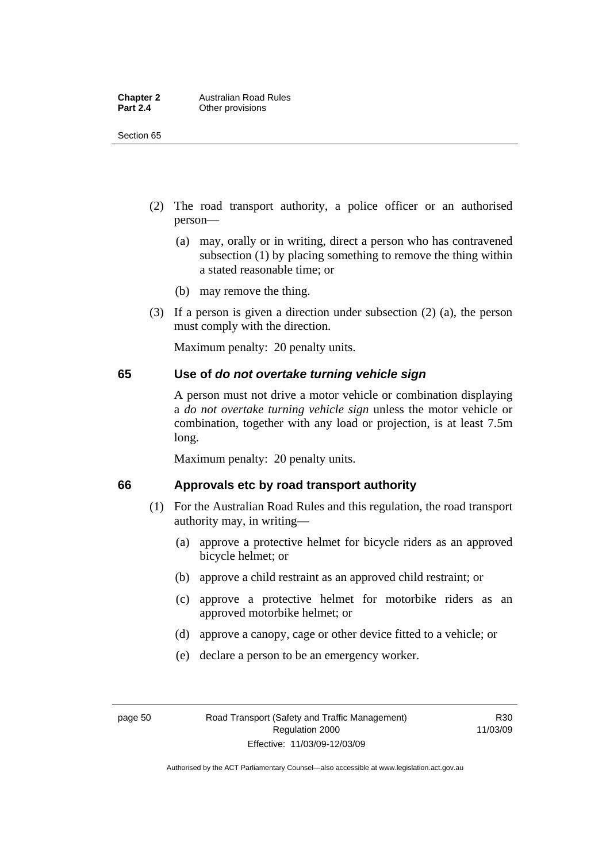| <b>Chapter 2</b> | <b>Australian Road Rules</b> |
|------------------|------------------------------|
| <b>Part 2.4</b>  | Other provisions             |

Section 65

- (2) The road transport authority, a police officer or an authorised person—
	- (a) may, orally or in writing, direct a person who has contravened subsection (1) by placing something to remove the thing within a stated reasonable time; or
	- (b) may remove the thing.
- (3) If a person is given a direction under subsection (2) (a), the person must comply with the direction.

Maximum penalty: 20 penalty units.

### **65 Use of** *do not overtake turning vehicle sign*

A person must not drive a motor vehicle or combination displaying a *do not overtake turning vehicle sign* unless the motor vehicle or combination, together with any load or projection, is at least 7.5m long.

Maximum penalty: 20 penalty units.

### **66 Approvals etc by road transport authority**

- (1) For the Australian Road Rules and this regulation, the road transport authority may, in writing—
	- (a) approve a protective helmet for bicycle riders as an approved bicycle helmet; or
	- (b) approve a child restraint as an approved child restraint; or
	- (c) approve a protective helmet for motorbike riders as an approved motorbike helmet; or
	- (d) approve a canopy, cage or other device fitted to a vehicle; or
	- (e) declare a person to be an emergency worker.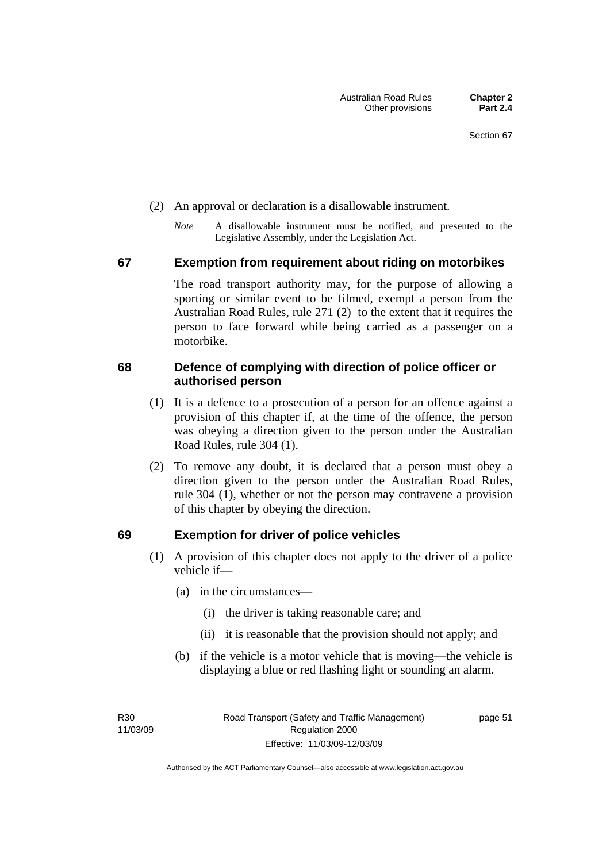- (2) An approval or declaration is a disallowable instrument.
	- *Note* A disallowable instrument must be notified, and presented to the Legislative Assembly, under the Legislation Act.

### **67 Exemption from requirement about riding on motorbikes**

The road transport authority may, for the purpose of allowing a sporting or similar event to be filmed, exempt a person from the Australian Road Rules, rule 271 (2) to the extent that it requires the person to face forward while being carried as a passenger on a motorbike.

### **68 Defence of complying with direction of police officer or authorised person**

- (1) It is a defence to a prosecution of a person for an offence against a provision of this chapter if, at the time of the offence, the person was obeying a direction given to the person under the Australian Road Rules, rule 304 (1).
- (2) To remove any doubt, it is declared that a person must obey a direction given to the person under the Australian Road Rules, rule 304 (1), whether or not the person may contravene a provision of this chapter by obeying the direction.

### **69 Exemption for driver of police vehicles**

- (1) A provision of this chapter does not apply to the driver of a police vehicle if—
	- (a) in the circumstances—
		- (i) the driver is taking reasonable care; and
		- (ii) it is reasonable that the provision should not apply; and
	- (b) if the vehicle is a motor vehicle that is moving—the vehicle is displaying a blue or red flashing light or sounding an alarm.

R30 11/03/09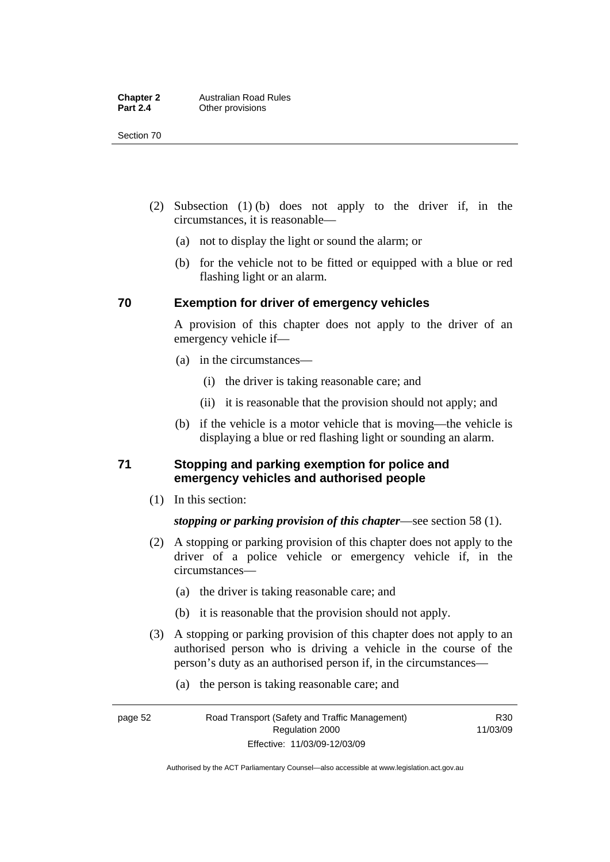Section 70

- (2) Subsection (1) (b) does not apply to the driver if, in the circumstances, it is reasonable—
	- (a) not to display the light or sound the alarm; or
	- (b) for the vehicle not to be fitted or equipped with a blue or red flashing light or an alarm.

# **70 Exemption for driver of emergency vehicles**

A provision of this chapter does not apply to the driver of an emergency vehicle if—

- (a) in the circumstances—
	- (i) the driver is taking reasonable care; and
	- (ii) it is reasonable that the provision should not apply; and
- (b) if the vehicle is a motor vehicle that is moving—the vehicle is displaying a blue or red flashing light or sounding an alarm.

### **71 Stopping and parking exemption for police and emergency vehicles and authorised people**

(1) In this section:

### *stopping or parking provision of this chapter*—see section 58 (1).

- (2) A stopping or parking provision of this chapter does not apply to the driver of a police vehicle or emergency vehicle if, in the circumstances—
	- (a) the driver is taking reasonable care; and
	- (b) it is reasonable that the provision should not apply.
- (3) A stopping or parking provision of this chapter does not apply to an authorised person who is driving a vehicle in the course of the person's duty as an authorised person if, in the circumstances—
	- (a) the person is taking reasonable care; and

R30 11/03/09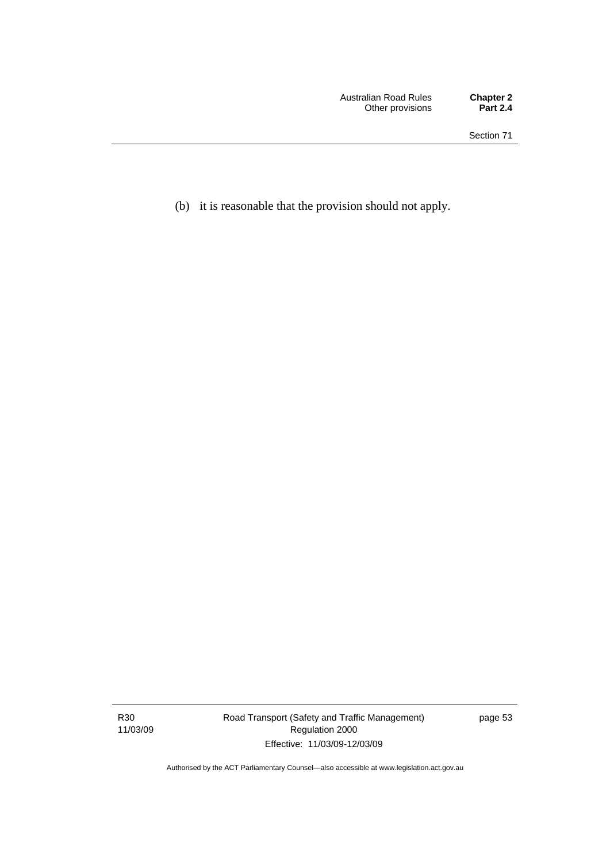(b) it is reasonable that the provision should not apply.

R30 11/03/09 Road Transport (Safety and Traffic Management) Regulation 2000 Effective: 11/03/09-12/03/09

page 53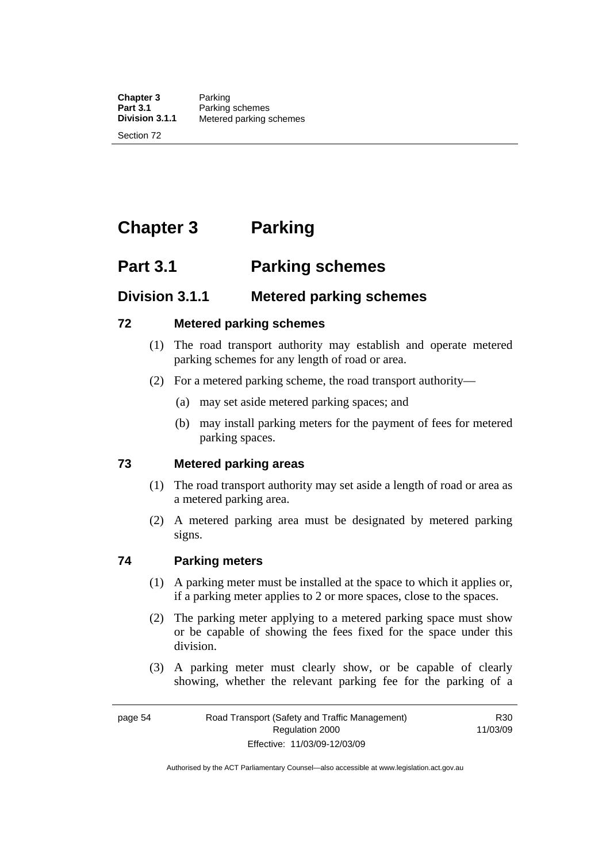**Chapter 3** Parking<br>**Part 3.1** Parking **Part 3.1 Parking schemes**<br>**Division 3.1.1** Metered parking s **Division 3.1.1** Metered parking schemes

Section 72

# **Chapter 3 Parking**

# **Part 3.1 Parking schemes**

# **Division 3.1.1 Metered parking schemes**

### **72 Metered parking schemes**

- (1) The road transport authority may establish and operate metered parking schemes for any length of road or area.
- (2) For a metered parking scheme, the road transport authority—
	- (a) may set aside metered parking spaces; and
	- (b) may install parking meters for the payment of fees for metered parking spaces.

### **73 Metered parking areas**

- (1) The road transport authority may set aside a length of road or area as a metered parking area.
- (2) A metered parking area must be designated by metered parking signs.

### **74 Parking meters**

- (1) A parking meter must be installed at the space to which it applies or, if a parking meter applies to 2 or more spaces, close to the spaces.
- (2) The parking meter applying to a metered parking space must show or be capable of showing the fees fixed for the space under this division.
- (3) A parking meter must clearly show, or be capable of clearly showing, whether the relevant parking fee for the parking of a

R30 11/03/09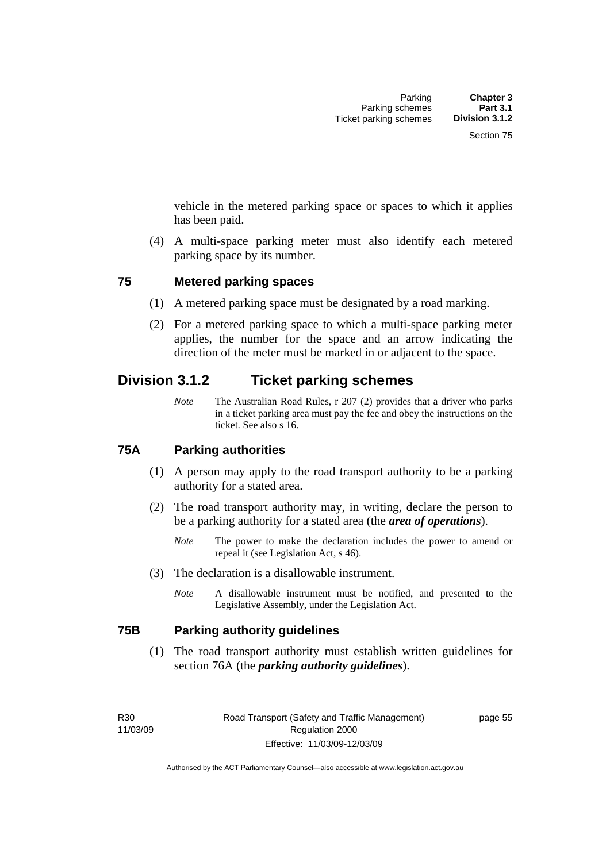vehicle in the metered parking space or spaces to which it applies has been paid.

 (4) A multi-space parking meter must also identify each metered parking space by its number.

### **75 Metered parking spaces**

- (1) A metered parking space must be designated by a road marking.
- (2) For a metered parking space to which a multi-space parking meter applies, the number for the space and an arrow indicating the direction of the meter must be marked in or adjacent to the space.

# **Division 3.1.2 Ticket parking schemes**

*Note* The Australian Road Rules, r 207 (2) provides that a driver who parks in a ticket parking area must pay the fee and obey the instructions on the ticket. See also s 16.

### **75A Parking authorities**

- (1) A person may apply to the road transport authority to be a parking authority for a stated area.
- (2) The road transport authority may, in writing, declare the person to be a parking authority for a stated area (the *area of operations*).
	- *Note* The power to make the declaration includes the power to amend or repeal it (see Legislation Act, s 46).
- (3) The declaration is a disallowable instrument.
	- *Note* A disallowable instrument must be notified, and presented to the Legislative Assembly, under the Legislation Act.

### **75B Parking authority guidelines**

 (1) The road transport authority must establish written guidelines for section 76A (the *parking authority guidelines*).

Authorised by the ACT Parliamentary Counsel—also accessible at www.legislation.act.gov.au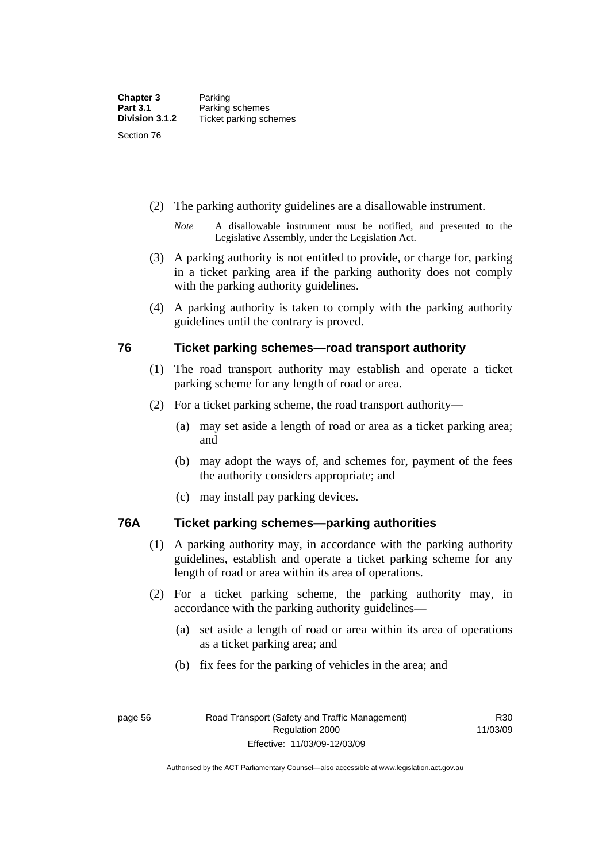- (2) The parking authority guidelines are a disallowable instrument.
	- *Note* A disallowable instrument must be notified, and presented to the Legislative Assembly, under the Legislation Act.
- (3) A parking authority is not entitled to provide, or charge for, parking in a ticket parking area if the parking authority does not comply with the parking authority guidelines.
- (4) A parking authority is taken to comply with the parking authority guidelines until the contrary is proved.

### **76 Ticket parking schemes—road transport authority**

- (1) The road transport authority may establish and operate a ticket parking scheme for any length of road or area.
- (2) For a ticket parking scheme, the road transport authority—
	- (a) may set aside a length of road or area as a ticket parking area; and
	- (b) may adopt the ways of, and schemes for, payment of the fees the authority considers appropriate; and
	- (c) may install pay parking devices.

### **76A Ticket parking schemes—parking authorities**

- (1) A parking authority may, in accordance with the parking authority guidelines, establish and operate a ticket parking scheme for any length of road or area within its area of operations.
- (2) For a ticket parking scheme, the parking authority may, in accordance with the parking authority guidelines—
	- (a) set aside a length of road or area within its area of operations as a ticket parking area; and
	- (b) fix fees for the parking of vehicles in the area; and

Authorised by the ACT Parliamentary Counsel—also accessible at www.legislation.act.gov.au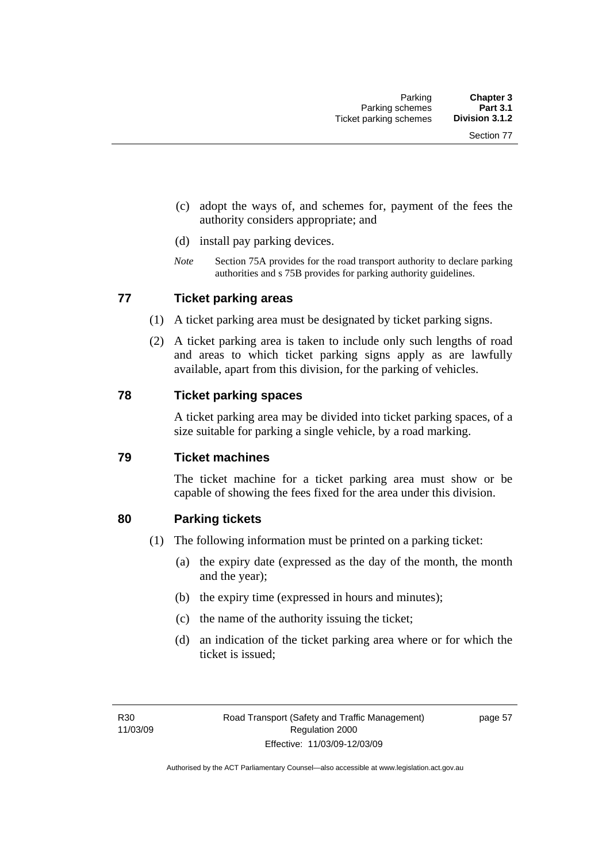- (c) adopt the ways of, and schemes for, payment of the fees the authority considers appropriate; and
- (d) install pay parking devices.
- *Note* Section 75A provides for the road transport authority to declare parking authorities and s 75B provides for parking authority guidelines.

### **77 Ticket parking areas**

- (1) A ticket parking area must be designated by ticket parking signs.
- (2) A ticket parking area is taken to include only such lengths of road and areas to which ticket parking signs apply as are lawfully available, apart from this division, for the parking of vehicles.

### **78 Ticket parking spaces**

A ticket parking area may be divided into ticket parking spaces, of a size suitable for parking a single vehicle, by a road marking.

### **79 Ticket machines**

The ticket machine for a ticket parking area must show or be capable of showing the fees fixed for the area under this division.

### **80 Parking tickets**

- (1) The following information must be printed on a parking ticket:
	- (a) the expiry date (expressed as the day of the month, the month and the year);
	- (b) the expiry time (expressed in hours and minutes);
	- (c) the name of the authority issuing the ticket;
	- (d) an indication of the ticket parking area where or for which the ticket is issued;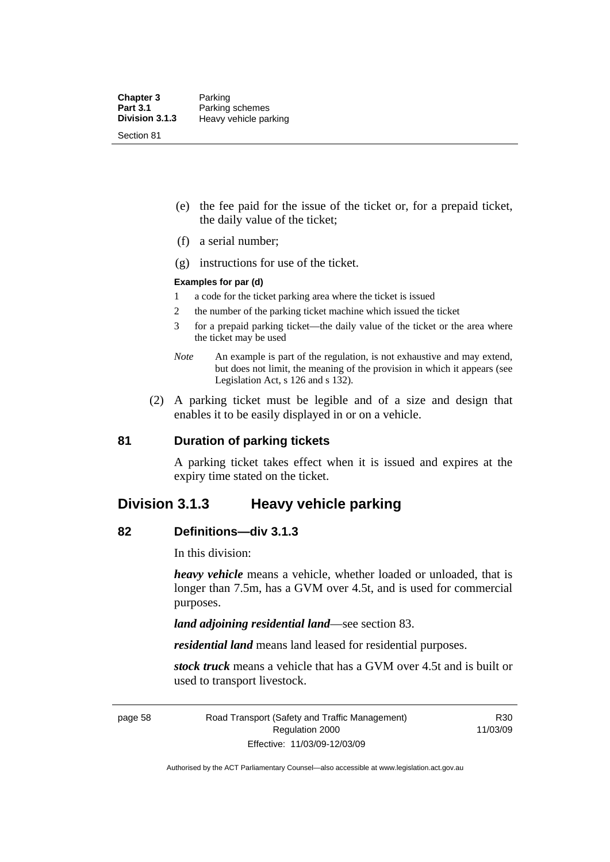- (e) the fee paid for the issue of the ticket or, for a prepaid ticket, the daily value of the ticket;
- (f) a serial number;
- (g) instructions for use of the ticket.

### **Examples for par (d)**

- 1 a code for the ticket parking area where the ticket is issued
- 2 the number of the parking ticket machine which issued the ticket
- 3 for a prepaid parking ticket—the daily value of the ticket or the area where the ticket may be used
- *Note* An example is part of the regulation, is not exhaustive and may extend, but does not limit, the meaning of the provision in which it appears (see Legislation Act, s 126 and s 132).
- (2) A parking ticket must be legible and of a size and design that enables it to be easily displayed in or on a vehicle.

### **81 Duration of parking tickets**

A parking ticket takes effect when it is issued and expires at the expiry time stated on the ticket.

### **Division 3.1.3 Heavy vehicle parking**

### **82 Definitions—div 3.1.3**

In this division:

*heavy vehicle* means a vehicle, whether loaded or unloaded, that is longer than 7.5m, has a GVM over 4.5t, and is used for commercial purposes.

*land adjoining residential land*—see section 83.

*residential land* means land leased for residential purposes.

*stock truck* means a vehicle that has a GVM over 4.5t and is built or used to transport livestock.

page 58 Road Transport (Safety and Traffic Management) Regulation 2000 Effective: 11/03/09-12/03/09

R30 11/03/09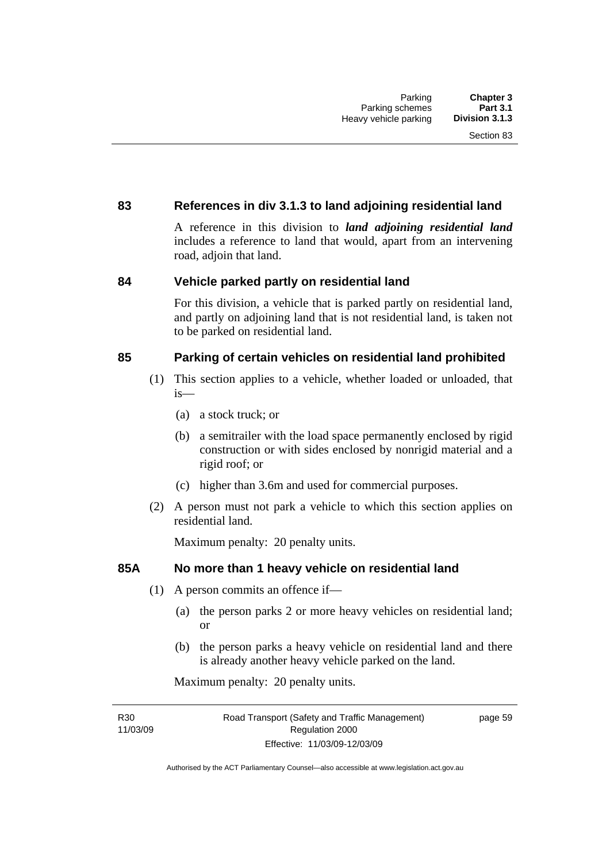### **83 References in div 3.1.3 to land adjoining residential land**

A reference in this division to *land adjoining residential land* includes a reference to land that would, apart from an intervening road, adjoin that land.

### **84 Vehicle parked partly on residential land**

For this division, a vehicle that is parked partly on residential land, and partly on adjoining land that is not residential land, is taken not to be parked on residential land.

### **85 Parking of certain vehicles on residential land prohibited**

- (1) This section applies to a vehicle, whether loaded or unloaded, that is—
	- (a) a stock truck; or
	- (b) a semitrailer with the load space permanently enclosed by rigid construction or with sides enclosed by nonrigid material and a rigid roof; or
	- (c) higher than 3.6m and used for commercial purposes.
- (2) A person must not park a vehicle to which this section applies on residential land.

Maximum penalty: 20 penalty units.

### **85A No more than 1 heavy vehicle on residential land**

- (1) A person commits an offence if—
	- (a) the person parks 2 or more heavy vehicles on residential land; or
	- (b) the person parks a heavy vehicle on residential land and there is already another heavy vehicle parked on the land.

Maximum penalty: 20 penalty units.

R30 11/03/09 page 59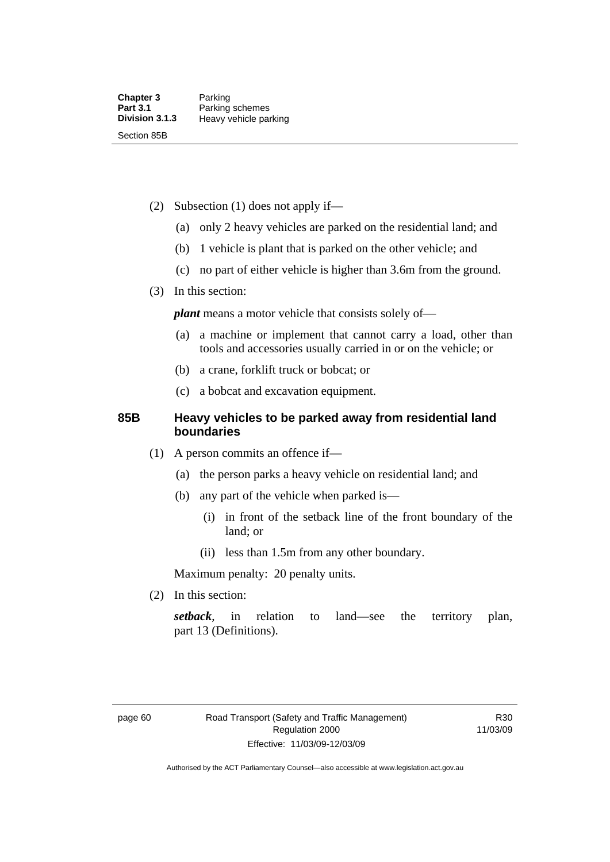- (2) Subsection (1) does not apply if—
	- (a) only 2 heavy vehicles are parked on the residential land; and
	- (b) 1 vehicle is plant that is parked on the other vehicle; and
	- (c) no part of either vehicle is higher than 3.6m from the ground.
- (3) In this section:

*plant* means a motor vehicle that consists solely of-

- (a) a machine or implement that cannot carry a load, other than tools and accessories usually carried in or on the vehicle; or
- (b) a crane, forklift truck or bobcat; or
- (c) a bobcat and excavation equipment.

### **85B Heavy vehicles to be parked away from residential land boundaries**

- (1) A person commits an offence if—
	- (a) the person parks a heavy vehicle on residential land; and
	- (b) any part of the vehicle when parked is—
		- (i) in front of the setback line of the front boundary of the land; or
		- (ii) less than 1.5m from any other boundary.

Maximum penalty: 20 penalty units.

(2) In this section:

*setback*, in relation to land—see the territory plan, part 13 (Definitions).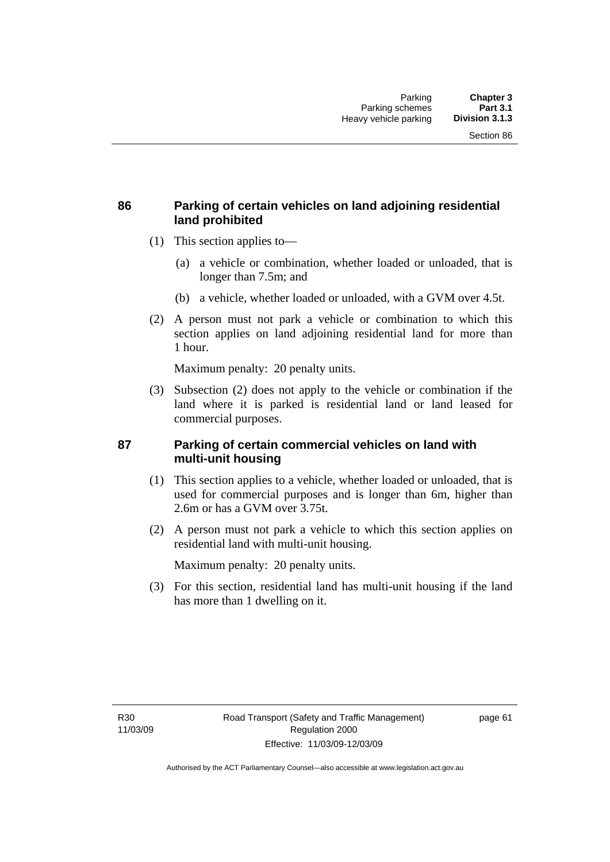### **86 Parking of certain vehicles on land adjoining residential land prohibited**

- (1) This section applies to—
	- (a) a vehicle or combination, whether loaded or unloaded, that is longer than 7.5m; and
	- (b) a vehicle, whether loaded or unloaded, with a GVM over 4.5t.
- (2) A person must not park a vehicle or combination to which this section applies on land adjoining residential land for more than 1 hour.

Maximum penalty: 20 penalty units.

 (3) Subsection (2) does not apply to the vehicle or combination if the land where it is parked is residential land or land leased for commercial purposes.

### **87 Parking of certain commercial vehicles on land with multi-unit housing**

- (1) This section applies to a vehicle, whether loaded or unloaded, that is used for commercial purposes and is longer than 6m, higher than 2.6m or has a GVM over 3.75t.
- (2) A person must not park a vehicle to which this section applies on residential land with multi-unit housing.

Maximum penalty: 20 penalty units.

 (3) For this section, residential land has multi-unit housing if the land has more than 1 dwelling on it.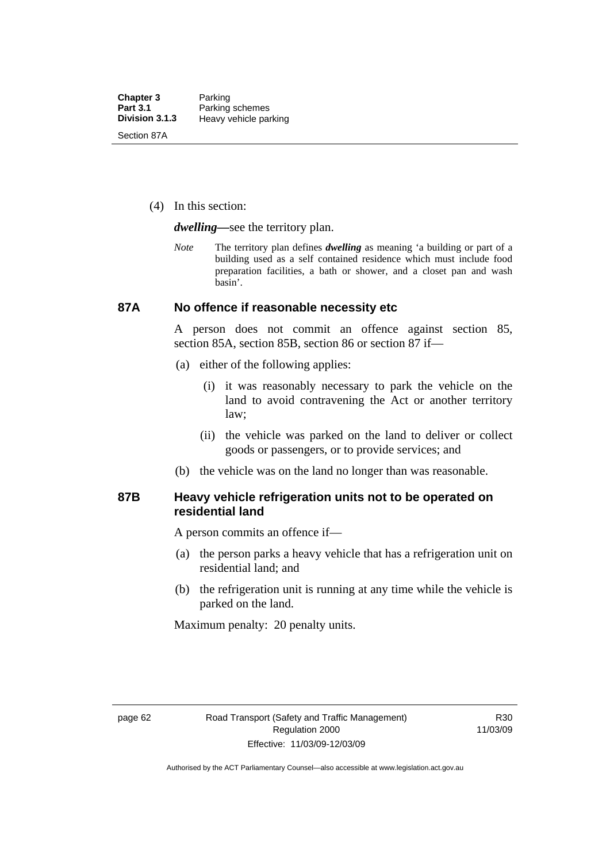(4) In this section:

*dwelling—*see the territory plan.

*Note* The territory plan defines *dwelling* as meaning 'a building or part of a building used as a self contained residence which must include food preparation facilities, a bath or shower, and a closet pan and wash basin'.

### **87A No offence if reasonable necessity etc**

A person does not commit an offence against section 85, section 85A, section 85B, section 86 or section 87 if—

- (a) either of the following applies:
	- (i) it was reasonably necessary to park the vehicle on the land to avoid contravening the Act or another territory law;
	- (ii) the vehicle was parked on the land to deliver or collect goods or passengers, or to provide services; and
- (b) the vehicle was on the land no longer than was reasonable.

### **87B Heavy vehicle refrigeration units not to be operated on residential land**

A person commits an offence if—

- (a) the person parks a heavy vehicle that has a refrigeration unit on residential land; and
- (b) the refrigeration unit is running at any time while the vehicle is parked on the land.

Maximum penalty: 20 penalty units.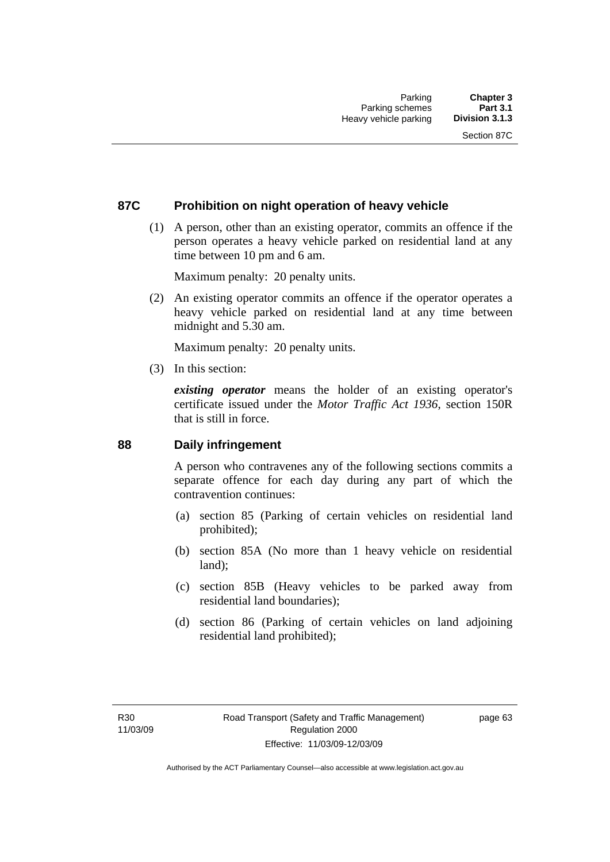### **87C Prohibition on night operation of heavy vehicle**

 (1) A person, other than an existing operator, commits an offence if the person operates a heavy vehicle parked on residential land at any time between 10 pm and 6 am.

Maximum penalty: 20 penalty units.

 (2) An existing operator commits an offence if the operator operates a heavy vehicle parked on residential land at any time between midnight and 5.30 am.

Maximum penalty: 20 penalty units.

(3) In this section:

*existing operator* means the holder of an existing operator's certificate issued under the *Motor Traffic Act 1936*, section 150R that is still in force.

### **88 Daily infringement**

A person who contravenes any of the following sections commits a separate offence for each day during any part of which the contravention continues:

- (a) section 85 (Parking of certain vehicles on residential land prohibited);
- (b) section 85A (No more than 1 heavy vehicle on residential land);
- (c) section 85B (Heavy vehicles to be parked away from residential land boundaries);
- (d) section 86 (Parking of certain vehicles on land adjoining residential land prohibited);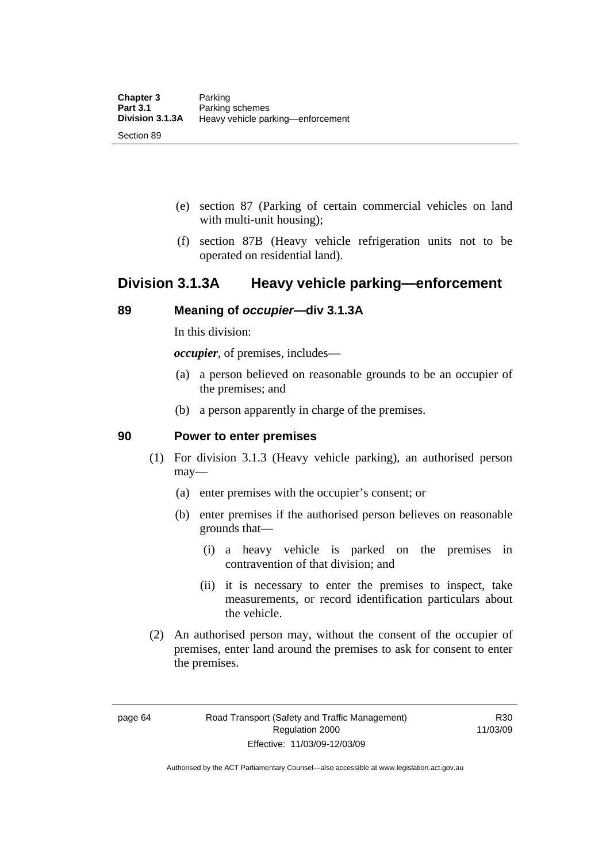- (e) section 87 (Parking of certain commercial vehicles on land with multi-unit housing);
- (f) section 87B (Heavy vehicle refrigeration units not to be operated on residential land).

## **Division 3.1.3A Heavy vehicle parking—enforcement**

### **89 Meaning of** *occupier***—div 3.1.3A**

In this division:

*occupier*, of premises, includes—

- (a) a person believed on reasonable grounds to be an occupier of the premises; and
- (b) a person apparently in charge of the premises.

### **90 Power to enter premises**

- (1) For division 3.1.3 (Heavy vehicle parking), an authorised person may—
	- (a) enter premises with the occupier's consent; or
	- (b) enter premises if the authorised person believes on reasonable grounds that—
		- (i) a heavy vehicle is parked on the premises in contravention of that division; and
		- (ii) it is necessary to enter the premises to inspect, take measurements, or record identification particulars about the vehicle.
- (2) An authorised person may, without the consent of the occupier of premises, enter land around the premises to ask for consent to enter the premises.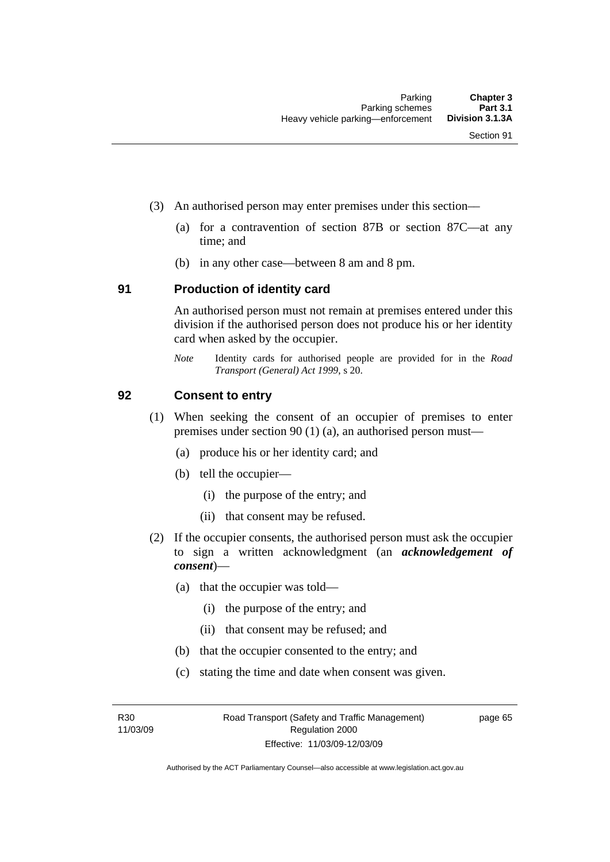- (3) An authorised person may enter premises under this section––
	- (a) for a contravention of section 87B or section 87C––at any time; and
	- (b) in any other case––between 8 am and 8 pm.

### **91 Production of identity card**

An authorised person must not remain at premises entered under this division if the authorised person does not produce his or her identity card when asked by the occupier.

*Note* Identity cards for authorised people are provided for in the *Road Transport (General) Act 1999*, s 20.

### **92 Consent to entry**

- (1) When seeking the consent of an occupier of premises to enter premises under section 90 (1) (a), an authorised person must—
	- (a) produce his or her identity card; and
	- (b) tell the occupier—
		- (i) the purpose of the entry; and
		- (ii) that consent may be refused.
- (2) If the occupier consents, the authorised person must ask the occupier to sign a written acknowledgment (an *acknowledgement of consent*)—
	- (a) that the occupier was told—
		- (i) the purpose of the entry; and
		- (ii) that consent may be refused; and
	- (b) that the occupier consented to the entry; and
	- (c) stating the time and date when consent was given.

R30 11/03/09 page 65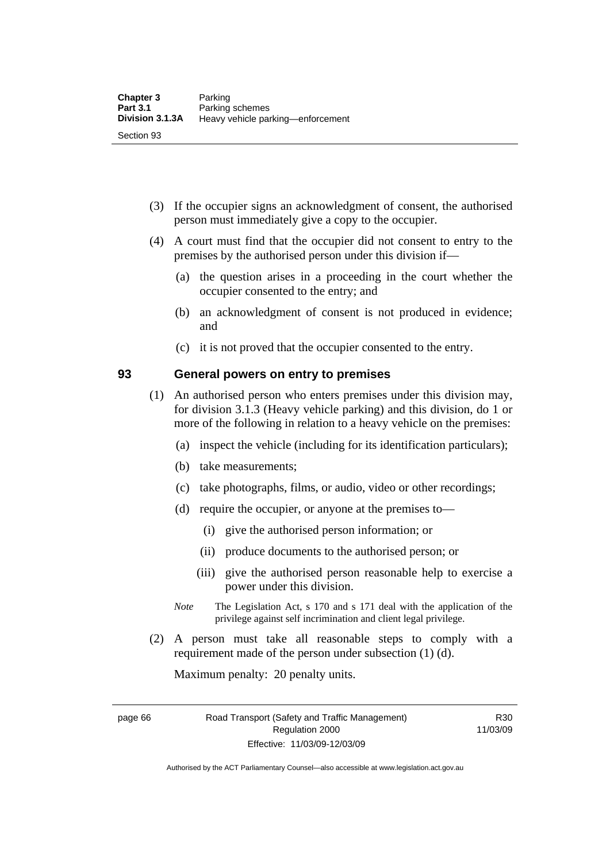- (3) If the occupier signs an acknowledgment of consent, the authorised person must immediately give a copy to the occupier.
- (4) A court must find that the occupier did not consent to entry to the premises by the authorised person under this division if—
	- (a) the question arises in a proceeding in the court whether the occupier consented to the entry; and
	- (b) an acknowledgment of consent is not produced in evidence; and
	- (c) it is not proved that the occupier consented to the entry.

### **93 General powers on entry to premises**

- (1) An authorised person who enters premises under this division may, for division 3.1.3 (Heavy vehicle parking) and this division, do 1 or more of the following in relation to a heavy vehicle on the premises:
	- (a) inspect the vehicle (including for its identification particulars);
	- (b) take measurements;
	- (c) take photographs, films, or audio, video or other recordings;
	- (d) require the occupier, or anyone at the premises to—
		- (i) give the authorised person information; or
		- (ii) produce documents to the authorised person; or
		- (iii) give the authorised person reasonable help to exercise a power under this division.
	- *Note* The Legislation Act, s 170 and s 171 deal with the application of the privilege against self incrimination and client legal privilege.
- (2) A person must take all reasonable steps to comply with a requirement made of the person under subsection (1) (d).

Maximum penalty: 20 penalty units.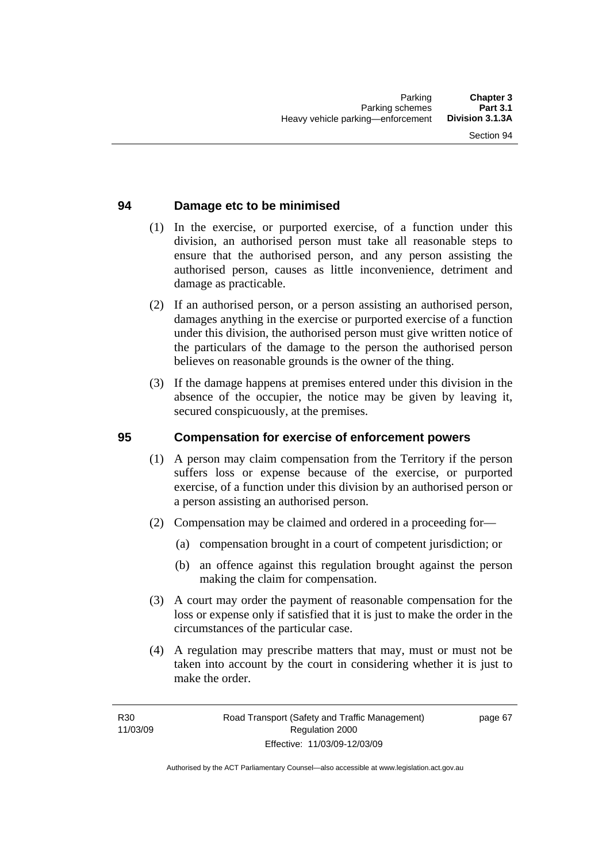### **94 Damage etc to be minimised**

- (1) In the exercise, or purported exercise, of a function under this division, an authorised person must take all reasonable steps to ensure that the authorised person, and any person assisting the authorised person, causes as little inconvenience, detriment and damage as practicable.
- (2) If an authorised person, or a person assisting an authorised person, damages anything in the exercise or purported exercise of a function under this division, the authorised person must give written notice of the particulars of the damage to the person the authorised person believes on reasonable grounds is the owner of the thing.
- (3) If the damage happens at premises entered under this division in the absence of the occupier, the notice may be given by leaving it, secured conspicuously, at the premises.

### **95 Compensation for exercise of enforcement powers**

- (1) A person may claim compensation from the Territory if the person suffers loss or expense because of the exercise, or purported exercise, of a function under this division by an authorised person or a person assisting an authorised person.
- (2) Compensation may be claimed and ordered in a proceeding for—
	- (a) compensation brought in a court of competent jurisdiction; or
	- (b) an offence against this regulation brought against the person making the claim for compensation.
- (3) A court may order the payment of reasonable compensation for the loss or expense only if satisfied that it is just to make the order in the circumstances of the particular case.
- (4) A regulation may prescribe matters that may, must or must not be taken into account by the court in considering whether it is just to make the order.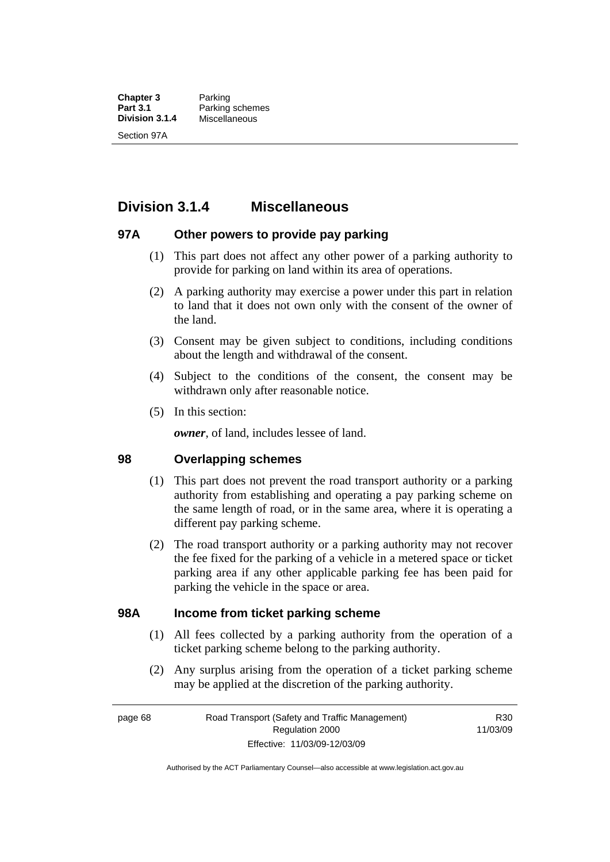**Chapter 3** Parking<br> **Part 3.1** Parking **Part 3.1** Parking schemes<br>**Division 3.1.4** Miscellaneous **Division 3.1.4** Miscellaneous Section 97A

## **Division 3.1.4 Miscellaneous**

### **97A Other powers to provide pay parking**

- (1) This part does not affect any other power of a parking authority to provide for parking on land within its area of operations.
- (2) A parking authority may exercise a power under this part in relation to land that it does not own only with the consent of the owner of the land.
- (3) Consent may be given subject to conditions, including conditions about the length and withdrawal of the consent.
- (4) Subject to the conditions of the consent, the consent may be withdrawn only after reasonable notice.
- (5) In this section:

*owner*, of land, includes lessee of land.

### **98 Overlapping schemes**

- (1) This part does not prevent the road transport authority or a parking authority from establishing and operating a pay parking scheme on the same length of road, or in the same area, where it is operating a different pay parking scheme.
- (2) The road transport authority or a parking authority may not recover the fee fixed for the parking of a vehicle in a metered space or ticket parking area if any other applicable parking fee has been paid for parking the vehicle in the space or area.

### **98A Income from ticket parking scheme**

- (1) All fees collected by a parking authority from the operation of a ticket parking scheme belong to the parking authority.
- (2) Any surplus arising from the operation of a ticket parking scheme may be applied at the discretion of the parking authority.

R30 11/03/09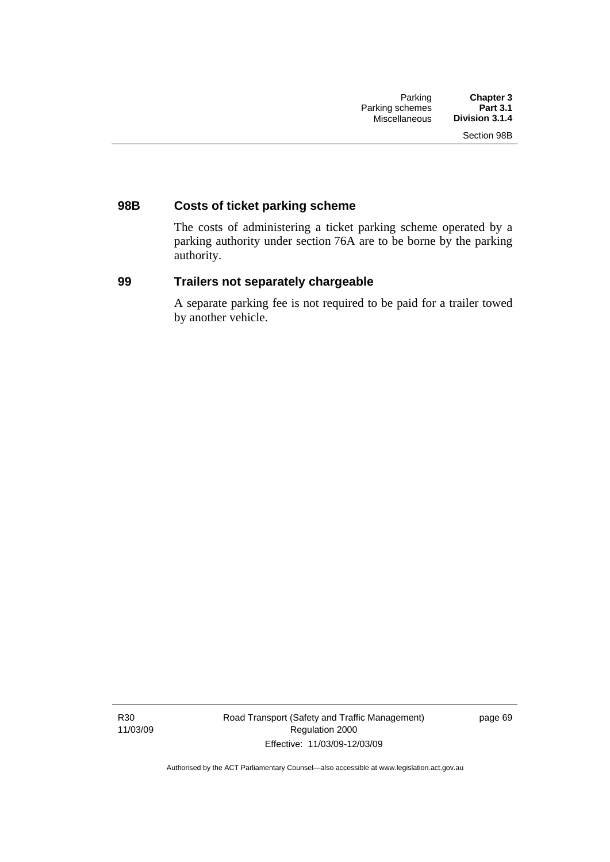### **98B Costs of ticket parking scheme**

The costs of administering a ticket parking scheme operated by a parking authority under section 76A are to be borne by the parking authority.

### **99 Trailers not separately chargeable**

A separate parking fee is not required to be paid for a trailer towed by another vehicle.

R30 11/03/09 page 69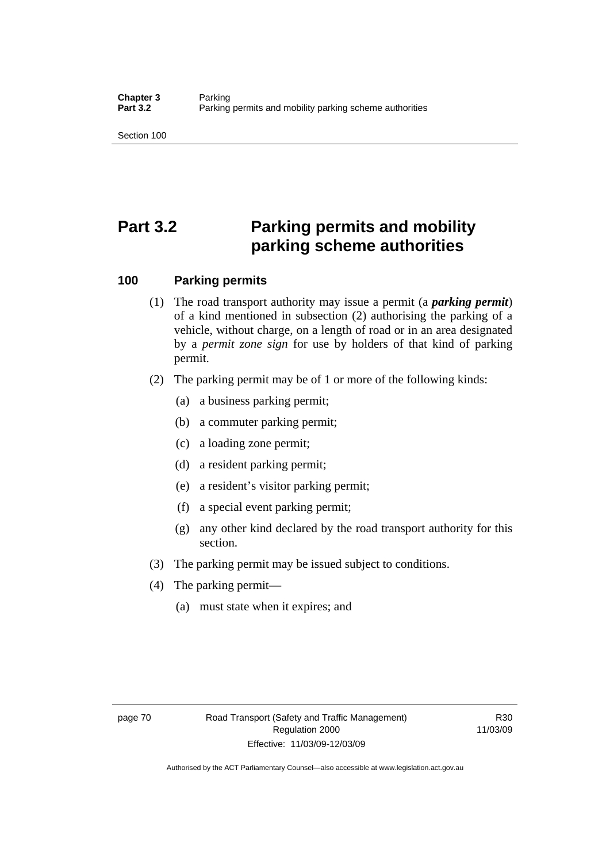Section 100

# **Part 3.2 Parking permits and mobility parking scheme authorities**

### **100 Parking permits**

- (1) The road transport authority may issue a permit (a *parking permit*) of a kind mentioned in subsection (2) authorising the parking of a vehicle, without charge, on a length of road or in an area designated by a *permit zone sign* for use by holders of that kind of parking permit.
- (2) The parking permit may be of 1 or more of the following kinds:
	- (a) a business parking permit;
	- (b) a commuter parking permit;
	- (c) a loading zone permit;
	- (d) a resident parking permit;
	- (e) a resident's visitor parking permit;
	- (f) a special event parking permit;
	- (g) any other kind declared by the road transport authority for this section.
- (3) The parking permit may be issued subject to conditions.
- (4) The parking permit—
	- (a) must state when it expires; and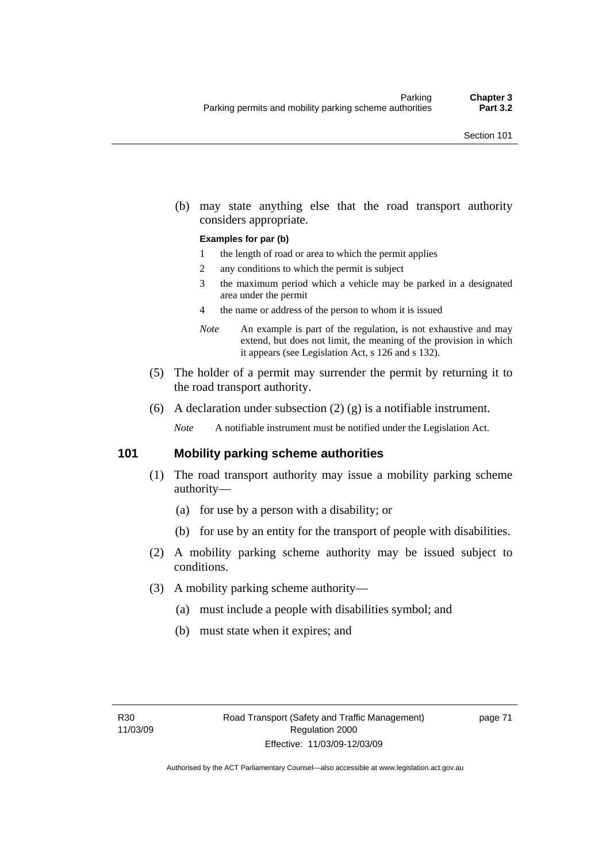(b) may state anything else that the road transport authority considers appropriate.

#### **Examples for par (b)**

- 1 the length of road or area to which the permit applies
- 2 any conditions to which the permit is subject
- 3 the maximum period which a vehicle may be parked in a designated area under the permit
- 4 the name or address of the person to whom it is issued
- *Note* An example is part of the regulation, is not exhaustive and may extend, but does not limit, the meaning of the provision in which it appears (see Legislation Act, s 126 and s 132).
- (5) The holder of a permit may surrender the permit by returning it to the road transport authority.
- (6) A declaration under subsection  $(2)$   $(g)$  is a notifiable instrument.

*Note* A notifiable instrument must be notified under the Legislation Act.

### **101 Mobility parking scheme authorities**

- (1) The road transport authority may issue a mobility parking scheme authority—
	- (a) for use by a person with a disability; or
	- (b) for use by an entity for the transport of people with disabilities.
- (2) A mobility parking scheme authority may be issued subject to conditions.
- (3) A mobility parking scheme authority—
	- (a) must include a people with disabilities symbol; and
	- (b) must state when it expires; and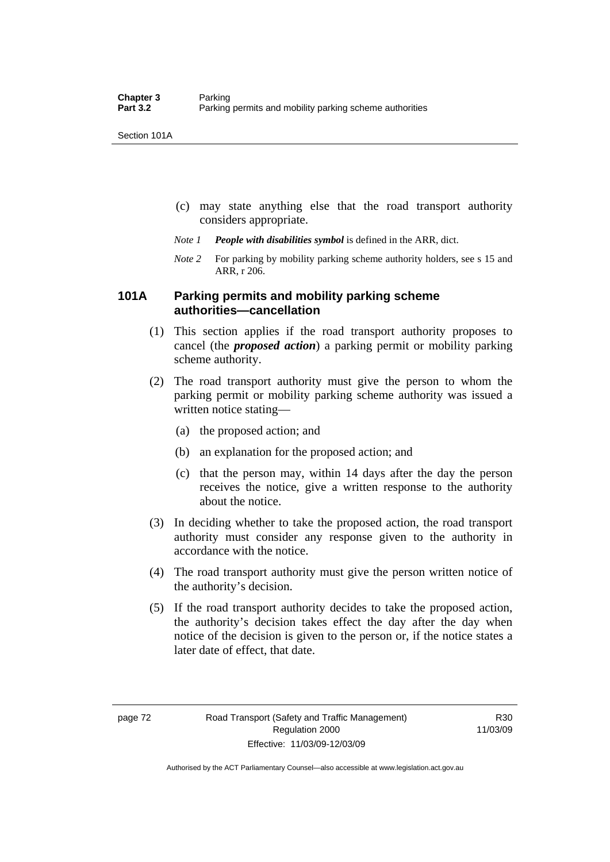Section 101A

- (c) may state anything else that the road transport authority considers appropriate.
- *Note 1 People with disabilities symbol* is defined in the ARR, dict.
- *Note 2* For parking by mobility parking scheme authority holders, see s 15 and ARR, r 206.

### **101A Parking permits and mobility parking scheme authorities—cancellation**

- (1) This section applies if the road transport authority proposes to cancel (the *proposed action*) a parking permit or mobility parking scheme authority.
- (2) The road transport authority must give the person to whom the parking permit or mobility parking scheme authority was issued a written notice stating—
	- (a) the proposed action; and
	- (b) an explanation for the proposed action; and
	- (c) that the person may, within 14 days after the day the person receives the notice, give a written response to the authority about the notice.
- (3) In deciding whether to take the proposed action, the road transport authority must consider any response given to the authority in accordance with the notice.
- (4) The road transport authority must give the person written notice of the authority's decision.
- (5) If the road transport authority decides to take the proposed action, the authority's decision takes effect the day after the day when notice of the decision is given to the person or, if the notice states a later date of effect, that date.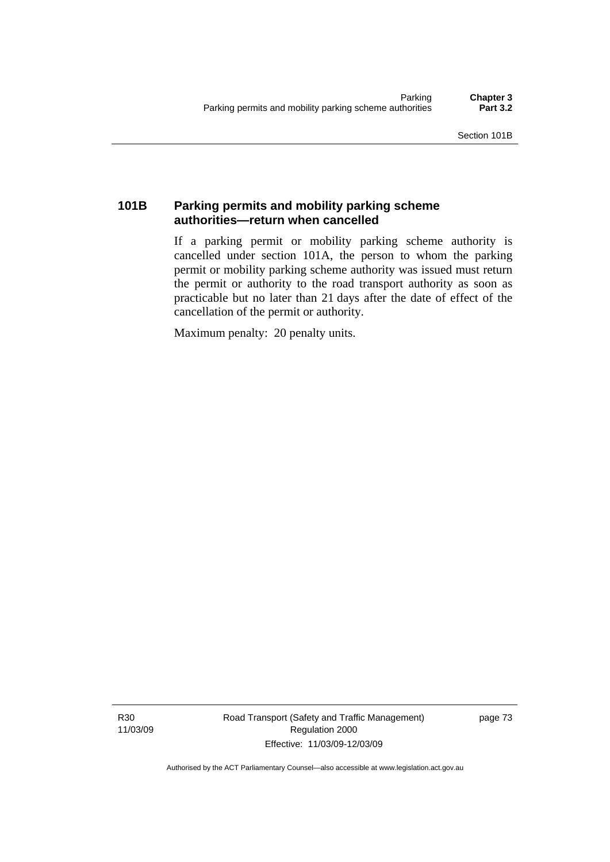### **101B Parking permits and mobility parking scheme authorities—return when cancelled**

If a parking permit or mobility parking scheme authority is cancelled under section 101A, the person to whom the parking permit or mobility parking scheme authority was issued must return the permit or authority to the road transport authority as soon as practicable but no later than 21 days after the date of effect of the cancellation of the permit or authority.

Maximum penalty: 20 penalty units.

R30 11/03/09 Road Transport (Safety and Traffic Management) Regulation 2000 Effective: 11/03/09-12/03/09

page 73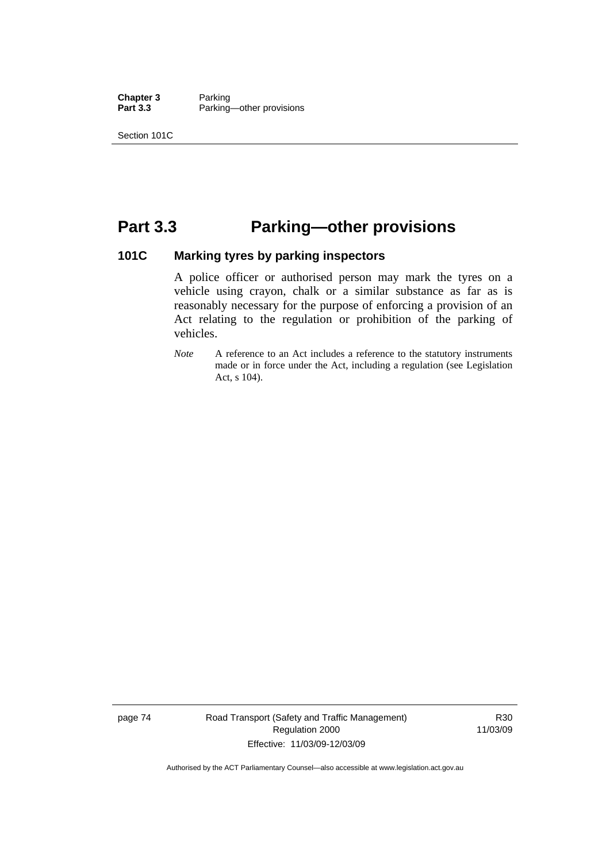**Chapter 3** Parking<br> **Part 3.3** Parking Parking—other provisions

Section 101C

## **Part 3.3 Parking—other provisions**

### **101C Marking tyres by parking inspectors**

A police officer or authorised person may mark the tyres on a vehicle using crayon, chalk or a similar substance as far as is reasonably necessary for the purpose of enforcing a provision of an Act relating to the regulation or prohibition of the parking of vehicles.

*Note* A reference to an Act includes a reference to the statutory instruments made or in force under the Act, including a regulation (see Legislation Act, s 104).

page 74 Road Transport (Safety and Traffic Management) Regulation 2000 Effective: 11/03/09-12/03/09

R30 11/03/09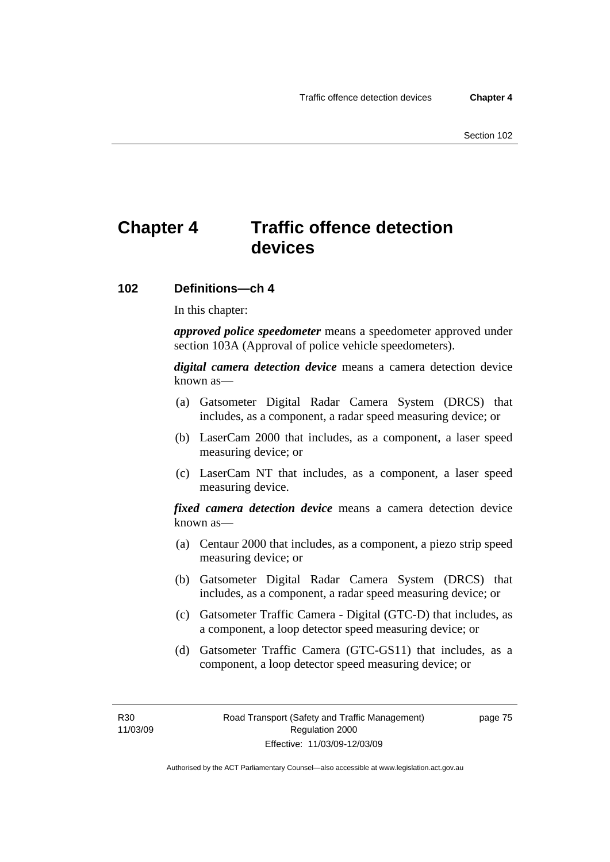## **Chapter 4 Traffic offence detection devices**

### **102 Definitions—ch 4**

In this chapter:

*approved police speedometer* means a speedometer approved under section 103A (Approval of police vehicle speedometers).

*digital camera detection device* means a camera detection device known as—

- (a) Gatsometer Digital Radar Camera System (DRCS) that includes, as a component, a radar speed measuring device; or
- (b) LaserCam 2000 that includes, as a component, a laser speed measuring device; or
- (c) LaserCam NT that includes, as a component, a laser speed measuring device.

*fixed camera detection device* means a camera detection device known as—

- (a) Centaur 2000 that includes, as a component, a piezo strip speed measuring device; or
- (b) Gatsometer Digital Radar Camera System (DRCS) that includes, as a component, a radar speed measuring device; or
- (c) Gatsometer Traffic Camera Digital (GTC-D) that includes, as a component, a loop detector speed measuring device; or
- (d) Gatsometer Traffic Camera (GTC-GS11) that includes, as a component, a loop detector speed measuring device; or

page 75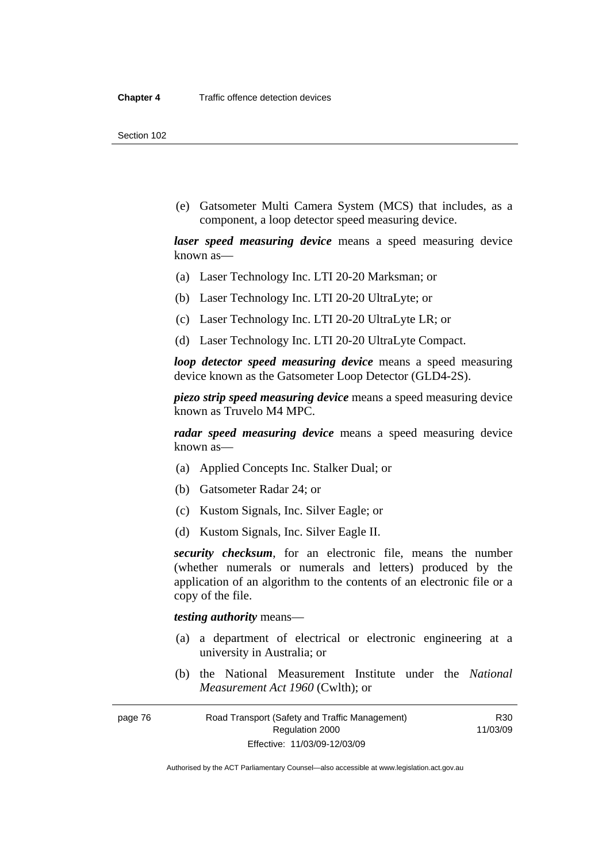Section 102

 (e) Gatsometer Multi Camera System (MCS) that includes, as a component, a loop detector speed measuring device.

*laser speed measuring device* means a speed measuring device known as—

- (a) Laser Technology Inc. LTI 20-20 Marksman; or
- (b) Laser Technology Inc. LTI 20-20 UltraLyte; or
- (c) Laser Technology Inc. LTI 20-20 UltraLyte LR; or
- (d) Laser Technology Inc. LTI 20-20 UltraLyte Compact.

*loop detector speed measuring device* means a speed measuring device known as the Gatsometer Loop Detector (GLD4-2S).

*piezo strip speed measuring device* means a speed measuring device known as Truvelo M4 MPC.

*radar speed measuring device* means a speed measuring device known as—

- (a) Applied Concepts Inc. Stalker Dual; or
- (b) Gatsometer Radar 24; or
- (c) Kustom Signals, Inc. Silver Eagle; or
- (d) Kustom Signals, Inc. Silver Eagle II.

*security checksum*, for an electronic file, means the number (whether numerals or numerals and letters) produced by the application of an algorithm to the contents of an electronic file or a copy of the file.

*testing authority* means—

- (a) a department of electrical or electronic engineering at a university in Australia; or
- (b) the National Measurement Institute under the *National Measurement Act 1960* (Cwlth); or

R30 11/03/09

page 76 Road Transport (Safety and Traffic Management) Regulation 2000 Effective: 11/03/09-12/03/09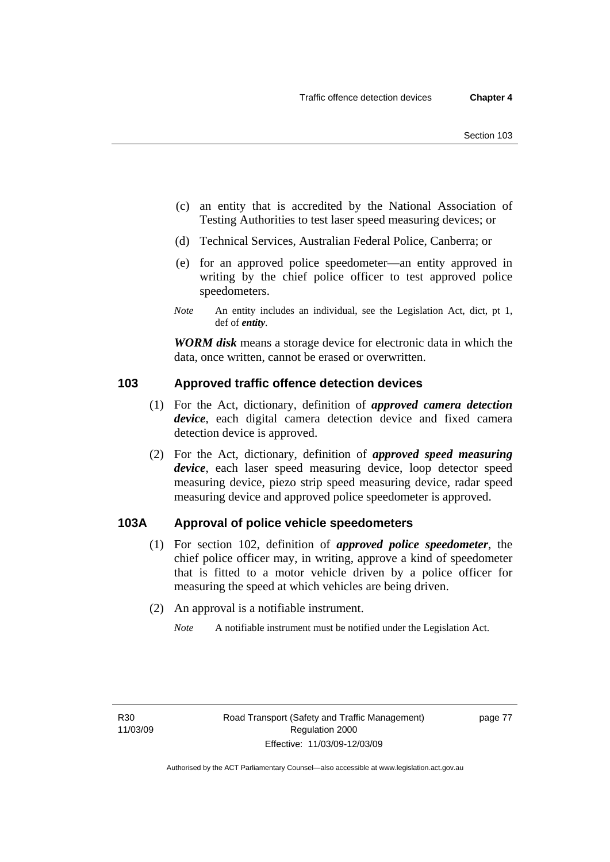- (c) an entity that is accredited by the National Association of Testing Authorities to test laser speed measuring devices; or
- (d) Technical Services, Australian Federal Police, Canberra; or
- (e) for an approved police speedometer—an entity approved in writing by the chief police officer to test approved police speedometers.
- *Note* An entity includes an individual, see the Legislation Act, dict, pt 1, def of *entity*.

*WORM disk* means a storage device for electronic data in which the data, once written, cannot be erased or overwritten.

### **103 Approved traffic offence detection devices**

- (1) For the Act, dictionary, definition of *approved camera detection device*, each digital camera detection device and fixed camera detection device is approved.
- (2) For the Act, dictionary, definition of *approved speed measuring device*, each laser speed measuring device, loop detector speed measuring device, piezo strip speed measuring device, radar speed measuring device and approved police speedometer is approved.

### **103A Approval of police vehicle speedometers**

- (1) For section 102, definition of *approved police speedometer*, the chief police officer may, in writing, approve a kind of speedometer that is fitted to a motor vehicle driven by a police officer for measuring the speed at which vehicles are being driven.
- (2) An approval is a notifiable instrument.
	- *Note* A notifiable instrument must be notified under the Legislation Act.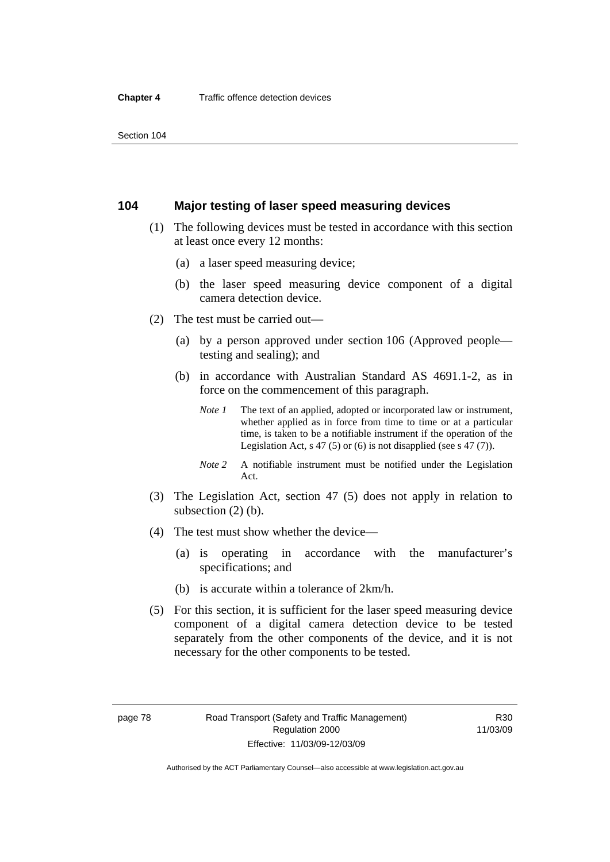### **104 Major testing of laser speed measuring devices**

- (1) The following devices must be tested in accordance with this section at least once every 12 months:
	- (a) a laser speed measuring device;
	- (b) the laser speed measuring device component of a digital camera detection device.
- (2) The test must be carried out—
	- (a) by a person approved under section 106 (Approved people testing and sealing); and
	- (b) in accordance with Australian Standard AS 4691.1-2, as in force on the commencement of this paragraph.
		- *Note 1* The text of an applied, adopted or incorporated law or instrument, whether applied as in force from time to time or at a particular time, is taken to be a notifiable instrument if the operation of the Legislation Act, s 47 (5) or (6) is not disapplied (see s 47 (7)).
		- *Note 2* A notifiable instrument must be notified under the Legislation Act.
- (3) The Legislation Act, section 47 (5) does not apply in relation to subsection (2) (b).
- (4) The test must show whether the device—
	- (a) is operating in accordance with the manufacturer's specifications; and
	- (b) is accurate within a tolerance of 2km/h.
- (5) For this section, it is sufficient for the laser speed measuring device component of a digital camera detection device to be tested separately from the other components of the device, and it is not necessary for the other components to be tested.

Authorised by the ACT Parliamentary Counsel—also accessible at www.legislation.act.gov.au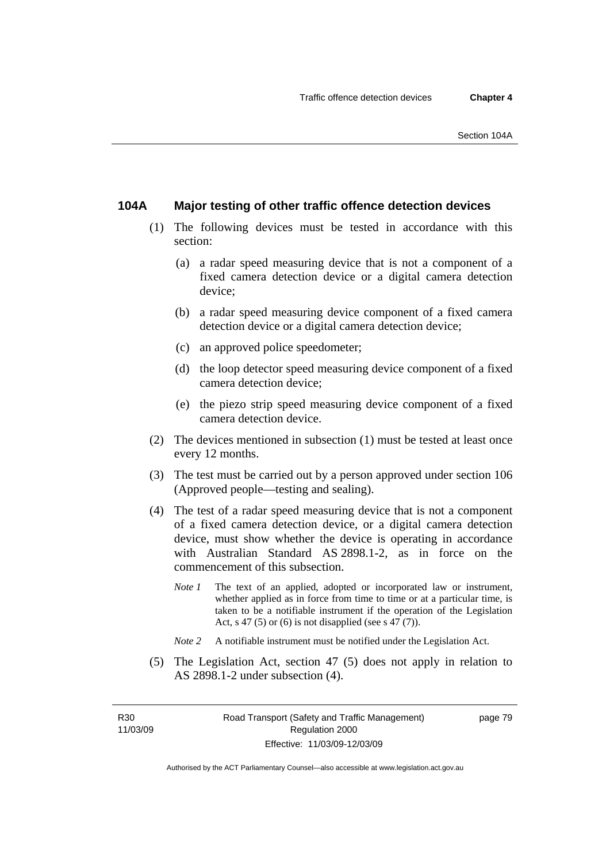### **104A Major testing of other traffic offence detection devices**

- (1) The following devices must be tested in accordance with this section:
	- (a) a radar speed measuring device that is not a component of a fixed camera detection device or a digital camera detection device;
	- (b) a radar speed measuring device component of a fixed camera detection device or a digital camera detection device;
	- (c) an approved police speedometer;
	- (d) the loop detector speed measuring device component of a fixed camera detection device;
	- (e) the piezo strip speed measuring device component of a fixed camera detection device.
- (2) The devices mentioned in subsection (1) must be tested at least once every 12 months.
- (3) The test must be carried out by a person approved under section 106 (Approved people—testing and sealing).
- (4) The test of a radar speed measuring device that is not a component of a fixed camera detection device, or a digital camera detection device, must show whether the device is operating in accordance with Australian Standard AS 2898.1-2, as in force on the commencement of this subsection.
	- *Note 1* The text of an applied, adopted or incorporated law or instrument, whether applied as in force from time to time or at a particular time, is taken to be a notifiable instrument if the operation of the Legislation Act, s 47 (5) or (6) is not disapplied (see s 47 (7)).
	- *Note 2* A notifiable instrument must be notified under the Legislation Act.
- (5) The Legislation Act, section 47 (5) does not apply in relation to AS 2898.1-2 under subsection (4).

R30 11/03/09 page 79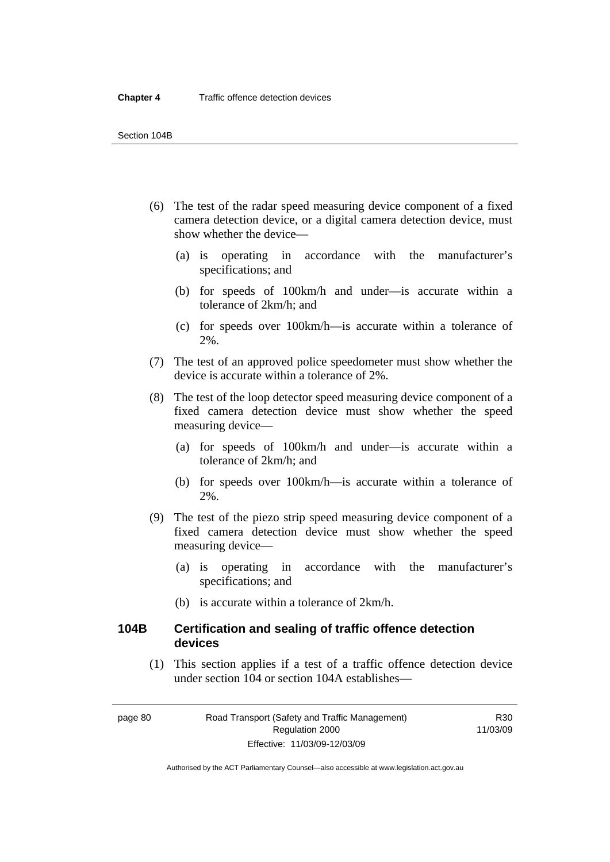- (6) The test of the radar speed measuring device component of a fixed camera detection device, or a digital camera detection device, must show whether the device—
	- (a) is operating in accordance with the manufacturer's specifications; and
	- (b) for speeds of 100km/h and under—is accurate within a tolerance of 2km/h; and
	- (c) for speeds over 100km/h—is accurate within a tolerance of 2%.
- (7) The test of an approved police speedometer must show whether the device is accurate within a tolerance of 2%.
- (8) The test of the loop detector speed measuring device component of a fixed camera detection device must show whether the speed measuring device—
	- (a) for speeds of 100km/h and under—is accurate within a tolerance of 2km/h; and
	- (b) for speeds over 100km/h—is accurate within a tolerance of 2%.
- (9) The test of the piezo strip speed measuring device component of a fixed camera detection device must show whether the speed measuring device—
	- (a) is operating in accordance with the manufacturer's specifications; and
	- (b) is accurate within a tolerance of 2km/h.

### **104B Certification and sealing of traffic offence detection devices**

 (1) This section applies if a test of a traffic offence detection device under section 104 or section 104A establishes—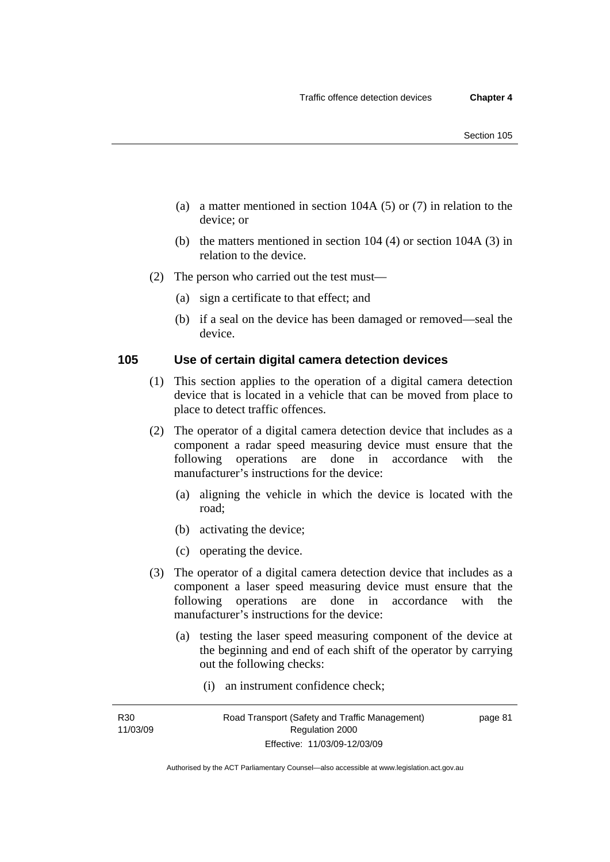- (a) a matter mentioned in section 104A (5) or (7) in relation to the device; or
- (b) the matters mentioned in section 104 (4) or section 104A (3) in relation to the device.
- (2) The person who carried out the test must—
	- (a) sign a certificate to that effect; and
	- (b) if a seal on the device has been damaged or removed—seal the device.

### **105 Use of certain digital camera detection devices**

- (1) This section applies to the operation of a digital camera detection device that is located in a vehicle that can be moved from place to place to detect traffic offences.
- (2) The operator of a digital camera detection device that includes as a component a radar speed measuring device must ensure that the following operations are done in accordance with the manufacturer's instructions for the device:
	- (a) aligning the vehicle in which the device is located with the road;
	- (b) activating the device;
	- (c) operating the device.
- (3) The operator of a digital camera detection device that includes as a component a laser speed measuring device must ensure that the following operations are done in accordance with the manufacturer's instructions for the device:
	- (a) testing the laser speed measuring component of the device at the beginning and end of each shift of the operator by carrying out the following checks:
		- (i) an instrument confidence check;

R30 11/03/09 page 81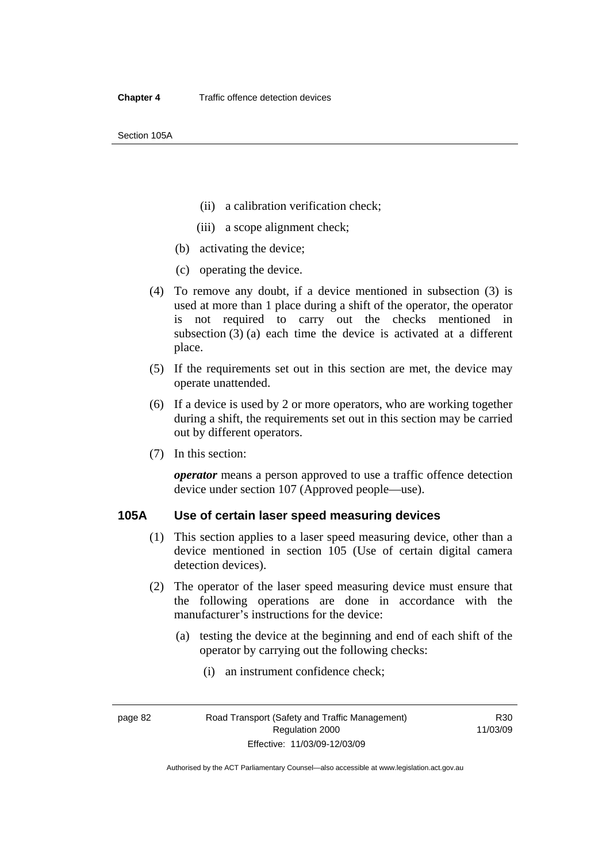Section 105A

- (ii) a calibration verification check;
- (iii) a scope alignment check;
- (b) activating the device;
- (c) operating the device.
- (4) To remove any doubt, if a device mentioned in subsection (3) is used at more than 1 place during a shift of the operator, the operator is not required to carry out the checks mentioned in subsection (3) (a) each time the device is activated at a different place.
- (5) If the requirements set out in this section are met, the device may operate unattended.
- (6) If a device is used by 2 or more operators, who are working together during a shift, the requirements set out in this section may be carried out by different operators.
- (7) In this section:

*operator* means a person approved to use a traffic offence detection device under section 107 (Approved people—use).

### **105A Use of certain laser speed measuring devices**

- (1) This section applies to a laser speed measuring device, other than a device mentioned in section 105 (Use of certain digital camera detection devices).
- (2) The operator of the laser speed measuring device must ensure that the following operations are done in accordance with the manufacturer's instructions for the device:
	- (a) testing the device at the beginning and end of each shift of the operator by carrying out the following checks:
		- (i) an instrument confidence check;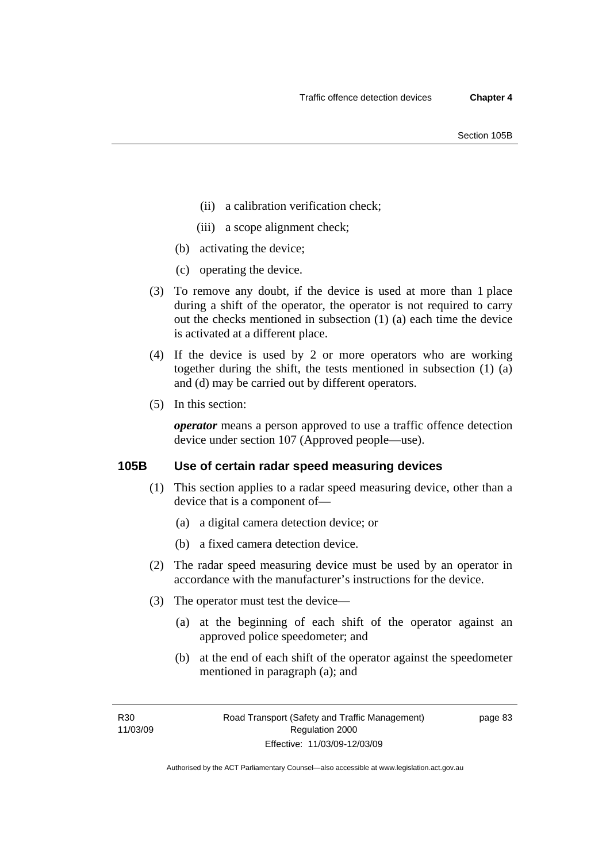- (ii) a calibration verification check;
- (iii) a scope alignment check;
- (b) activating the device;
- (c) operating the device.
- (3) To remove any doubt, if the device is used at more than 1 place during a shift of the operator, the operator is not required to carry out the checks mentioned in subsection (1) (a) each time the device is activated at a different place.
- (4) If the device is used by 2 or more operators who are working together during the shift, the tests mentioned in subsection (1) (a) and (d) may be carried out by different operators.
- (5) In this section:

*operator* means a person approved to use a traffic offence detection device under section 107 (Approved people—use).

### **105B Use of certain radar speed measuring devices**

- (1) This section applies to a radar speed measuring device, other than a device that is a component of—
	- (a) a digital camera detection device; or
	- (b) a fixed camera detection device.
- (2) The radar speed measuring device must be used by an operator in accordance with the manufacturer's instructions for the device.
- (3) The operator must test the device—
	- (a) at the beginning of each shift of the operator against an approved police speedometer; and
	- (b) at the end of each shift of the operator against the speedometer mentioned in paragraph (a); and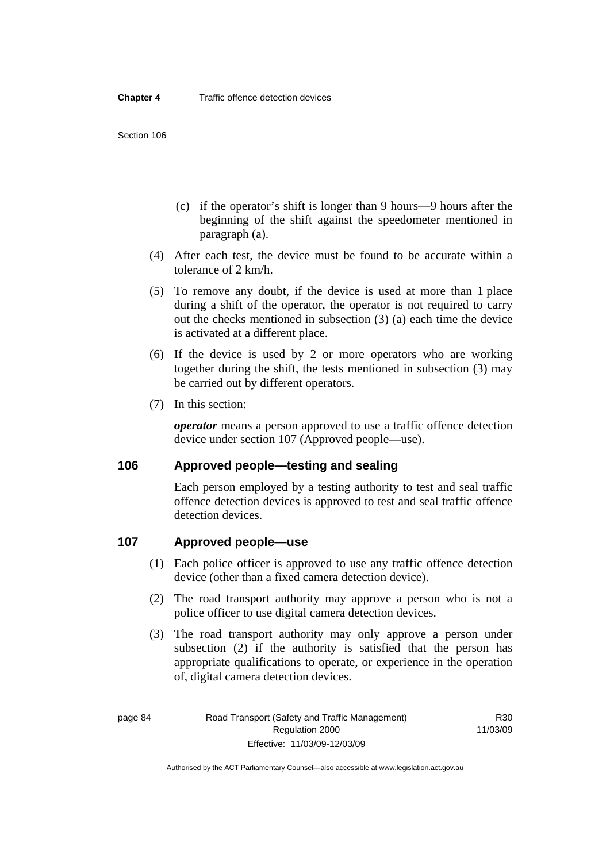- (c) if the operator's shift is longer than 9 hours—9 hours after the beginning of the shift against the speedometer mentioned in paragraph (a).
- (4) After each test, the device must be found to be accurate within a tolerance of 2 km/h.
- (5) To remove any doubt, if the device is used at more than 1 place during a shift of the operator, the operator is not required to carry out the checks mentioned in subsection (3) (a) each time the device is activated at a different place.
- (6) If the device is used by 2 or more operators who are working together during the shift, the tests mentioned in subsection (3) may be carried out by different operators.
- (7) In this section:

*operator* means a person approved to use a traffic offence detection device under section 107 (Approved people—use).

### **106 Approved people—testing and sealing**

Each person employed by a testing authority to test and seal traffic offence detection devices is approved to test and seal traffic offence detection devices.

### **107 Approved people—use**

- (1) Each police officer is approved to use any traffic offence detection device (other than a fixed camera detection device).
- (2) The road transport authority may approve a person who is not a police officer to use digital camera detection devices.
- (3) The road transport authority may only approve a person under subsection (2) if the authority is satisfied that the person has appropriate qualifications to operate, or experience in the operation of, digital camera detection devices.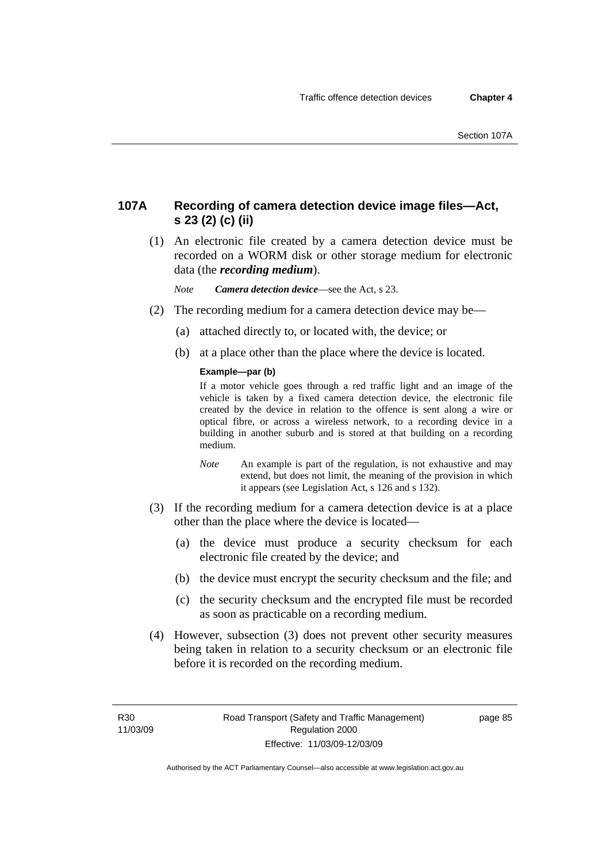### **107A Recording of camera detection device image files—Act, s 23 (2) (c) (ii)**

 (1) An electronic file created by a camera detection device must be recorded on a WORM disk or other storage medium for electronic data (the *recording medium*).

*Note Camera detection device*—see the Act, s 23.

- (2) The recording medium for a camera detection device may be—
	- (a) attached directly to, or located with, the device; or
	- (b) at a place other than the place where the device is located.

#### **Example—par (b)**

If a motor vehicle goes through a red traffic light and an image of the vehicle is taken by a fixed camera detection device, the electronic file created by the device in relation to the offence is sent along a wire or optical fibre, or across a wireless network, to a recording device in a building in another suburb and is stored at that building on a recording medium.

- *Note* An example is part of the regulation, is not exhaustive and may extend, but does not limit, the meaning of the provision in which it appears (see Legislation Act, s 126 and s 132).
- (3) If the recording medium for a camera detection device is at a place other than the place where the device is located—
	- (a) the device must produce a security checksum for each electronic file created by the device; and
	- (b) the device must encrypt the security checksum and the file; and
	- (c) the security checksum and the encrypted file must be recorded as soon as practicable on a recording medium.
- (4) However, subsection (3) does not prevent other security measures being taken in relation to a security checksum or an electronic file before it is recorded on the recording medium.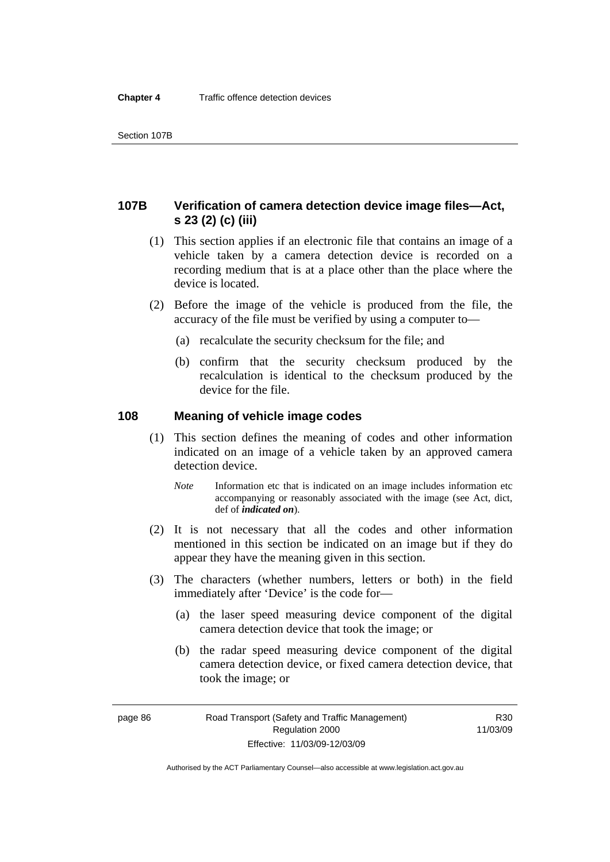### **107B Verification of camera detection device image files—Act, s 23 (2) (c) (iii)**

- (1) This section applies if an electronic file that contains an image of a vehicle taken by a camera detection device is recorded on a recording medium that is at a place other than the place where the device is located.
- (2) Before the image of the vehicle is produced from the file, the accuracy of the file must be verified by using a computer to—
	- (a) recalculate the security checksum for the file; and
	- (b) confirm that the security checksum produced by the recalculation is identical to the checksum produced by the device for the file.

### **108 Meaning of vehicle image codes**

- (1) This section defines the meaning of codes and other information indicated on an image of a vehicle taken by an approved camera detection device.
	- *Note* Information etc that is indicated on an image includes information etc accompanying or reasonably associated with the image (see Act, dict, def of *indicated on*).
- (2) It is not necessary that all the codes and other information mentioned in this section be indicated on an image but if they do appear they have the meaning given in this section.
- (3) The characters (whether numbers, letters or both) in the field immediately after 'Device' is the code for—
	- (a) the laser speed measuring device component of the digital camera detection device that took the image; or
	- (b) the radar speed measuring device component of the digital camera detection device, or fixed camera detection device, that took the image; or

R30 11/03/09

Authorised by the ACT Parliamentary Counsel—also accessible at www.legislation.act.gov.au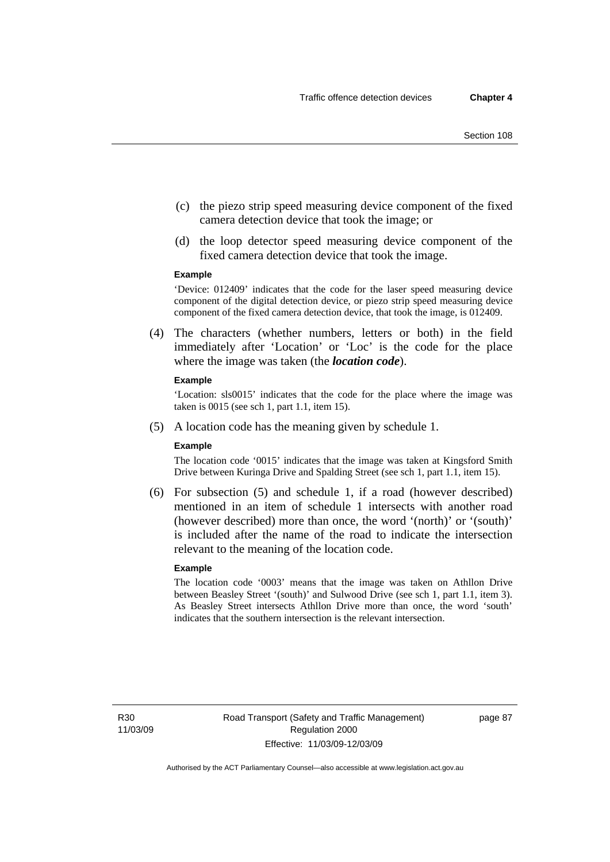- (c) the piezo strip speed measuring device component of the fixed camera detection device that took the image; or
- (d) the loop detector speed measuring device component of the fixed camera detection device that took the image.

#### **Example**

'Device: 012409' indicates that the code for the laser speed measuring device component of the digital detection device, or piezo strip speed measuring device component of the fixed camera detection device, that took the image, is 012409.

 (4) The characters (whether numbers, letters or both) in the field immediately after 'Location' or 'Loc' is the code for the place where the image was taken (the *location code*).

#### **Example**

'Location: sls0015' indicates that the code for the place where the image was taken is 0015 (see sch 1, part 1.1, item 15).

(5) A location code has the meaning given by schedule 1.

#### **Example**

The location code '0015' indicates that the image was taken at Kingsford Smith Drive between Kuringa Drive and Spalding Street (see sch 1, part 1.1, item 15).

 (6) For subsection (5) and schedule 1, if a road (however described) mentioned in an item of schedule 1 intersects with another road (however described) more than once, the word '(north)' or '(south)' is included after the name of the road to indicate the intersection relevant to the meaning of the location code.

#### **Example**

The location code '0003' means that the image was taken on Athllon Drive between Beasley Street '(south)' and Sulwood Drive (see sch 1, part 1.1, item 3). As Beasley Street intersects Athllon Drive more than once, the word 'south' indicates that the southern intersection is the relevant intersection.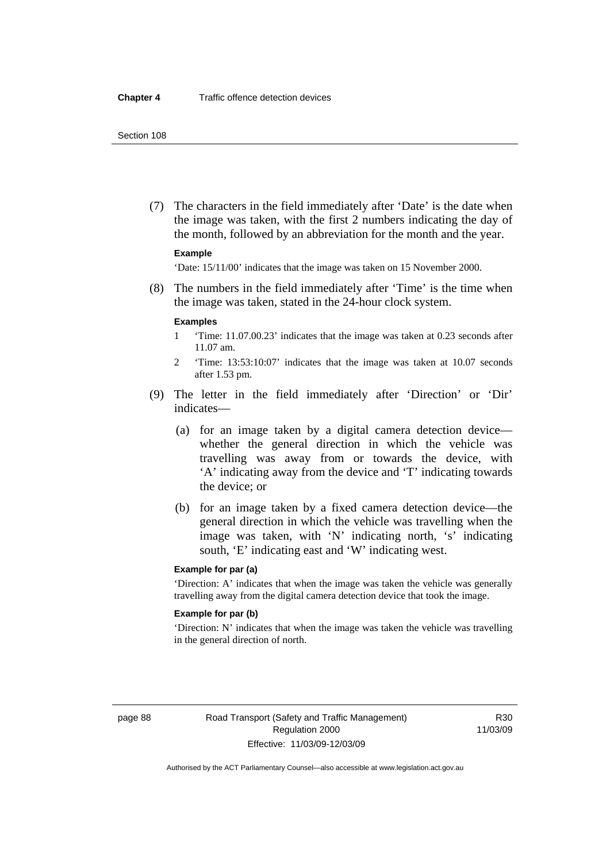(7) The characters in the field immediately after 'Date' is the date when the image was taken, with the first 2 numbers indicating the day of the month, followed by an abbreviation for the month and the year.

#### **Example**

'Date: 15/11/00' indicates that the image was taken on 15 November 2000.

 (8) The numbers in the field immediately after 'Time' is the time when the image was taken, stated in the 24-hour clock system.

#### **Examples**

- 1 'Time: 11.07.00.23' indicates that the image was taken at 0.23 seconds after 11.07 am.
- 2 'Time: 13:53:10:07' indicates that the image was taken at 10.07 seconds after 1.53 pm.
- (9) The letter in the field immediately after 'Direction' or 'Dir' indicates—
	- (a) for an image taken by a digital camera detection device whether the general direction in which the vehicle was travelling was away from or towards the device, with 'A' indicating away from the device and 'T' indicating towards the device; or
	- (b) for an image taken by a fixed camera detection device—the general direction in which the vehicle was travelling when the image was taken, with 'N' indicating north, 's' indicating south, 'E' indicating east and 'W' indicating west.

#### **Example for par (a)**

'Direction: A' indicates that when the image was taken the vehicle was generally travelling away from the digital camera detection device that took the image.

#### **Example for par (b)**

'Direction: N' indicates that when the image was taken the vehicle was travelling in the general direction of north.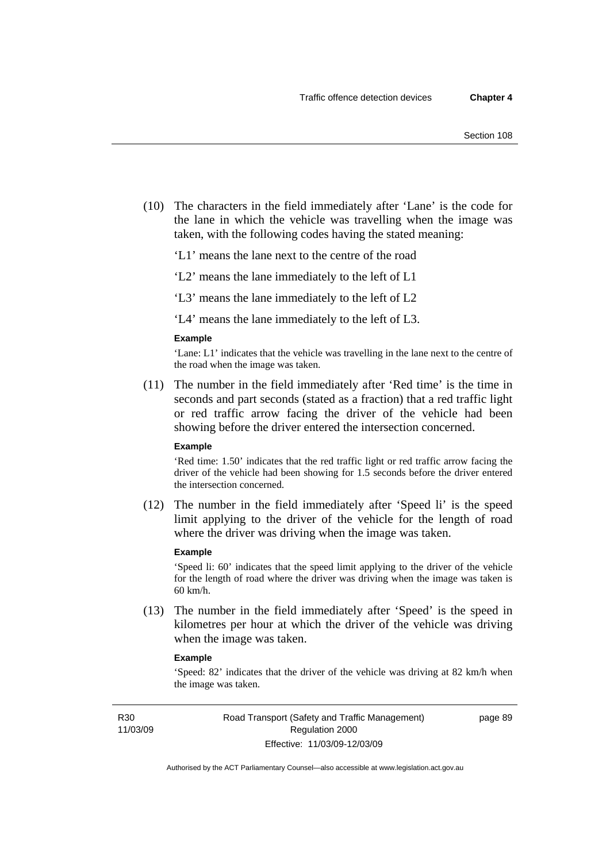(10) The characters in the field immediately after 'Lane' is the code for the lane in which the vehicle was travelling when the image was taken, with the following codes having the stated meaning:

'L1' means the lane next to the centre of the road

'L2' means the lane immediately to the left of L1

'L3' means the lane immediately to the left of L2

'L4' means the lane immediately to the left of L3.

#### **Example**

'Lane: L1' indicates that the vehicle was travelling in the lane next to the centre of the road when the image was taken.

 (11) The number in the field immediately after 'Red time' is the time in seconds and part seconds (stated as a fraction) that a red traffic light or red traffic arrow facing the driver of the vehicle had been showing before the driver entered the intersection concerned.

### **Example**

'Red time: 1.50' indicates that the red traffic light or red traffic arrow facing the driver of the vehicle had been showing for 1.5 seconds before the driver entered the intersection concerned.

 (12) The number in the field immediately after 'Speed li' is the speed limit applying to the driver of the vehicle for the length of road where the driver was driving when the image was taken.

#### **Example**

'Speed li: 60' indicates that the speed limit applying to the driver of the vehicle for the length of road where the driver was driving when the image was taken is 60 km/h.

 (13) The number in the field immediately after 'Speed' is the speed in kilometres per hour at which the driver of the vehicle was driving when the image was taken.

#### **Example**

'Speed: 82' indicates that the driver of the vehicle was driving at 82 km/h when the image was taken.

R30 11/03/09 page 89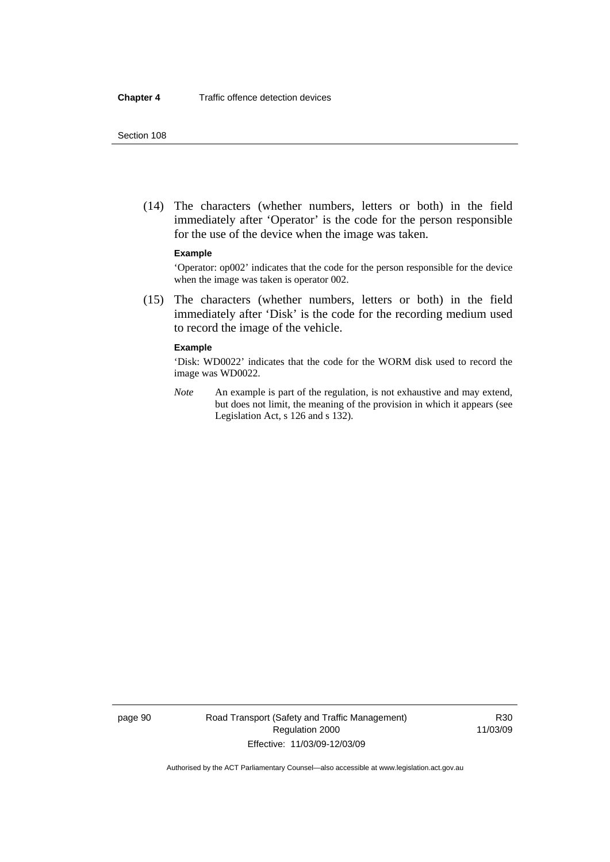(14) The characters (whether numbers, letters or both) in the field immediately after 'Operator' is the code for the person responsible for the use of the device when the image was taken.

#### **Example**

'Operator: op002' indicates that the code for the person responsible for the device when the image was taken is operator 002.

 (15) The characters (whether numbers, letters or both) in the field immediately after 'Disk' is the code for the recording medium used to record the image of the vehicle.

#### **Example**

'Disk: WD0022' indicates that the code for the WORM disk used to record the image was WD0022.

*Note* An example is part of the regulation, is not exhaustive and may extend, but does not limit, the meaning of the provision in which it appears (see Legislation Act, s 126 and s 132).

page 90 Road Transport (Safety and Traffic Management) Regulation 2000 Effective: 11/03/09-12/03/09

R30 11/03/09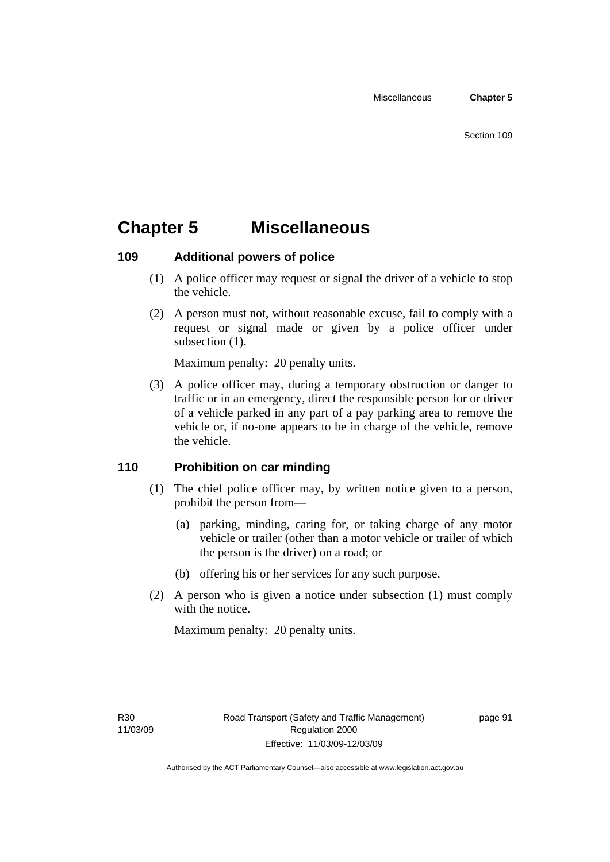# **Chapter 5 Miscellaneous**

### **109 Additional powers of police**

- (1) A police officer may request or signal the driver of a vehicle to stop the vehicle.
- (2) A person must not, without reasonable excuse, fail to comply with a request or signal made or given by a police officer under subsection  $(1)$ .

Maximum penalty: 20 penalty units.

 (3) A police officer may, during a temporary obstruction or danger to traffic or in an emergency, direct the responsible person for or driver of a vehicle parked in any part of a pay parking area to remove the vehicle or, if no-one appears to be in charge of the vehicle, remove the vehicle.

### **110 Prohibition on car minding**

- (1) The chief police officer may, by written notice given to a person, prohibit the person from—
	- (a) parking, minding, caring for, or taking charge of any motor vehicle or trailer (other than a motor vehicle or trailer of which the person is the driver) on a road; or
	- (b) offering his or her services for any such purpose.
- (2) A person who is given a notice under subsection (1) must comply with the notice.

Maximum penalty: 20 penalty units.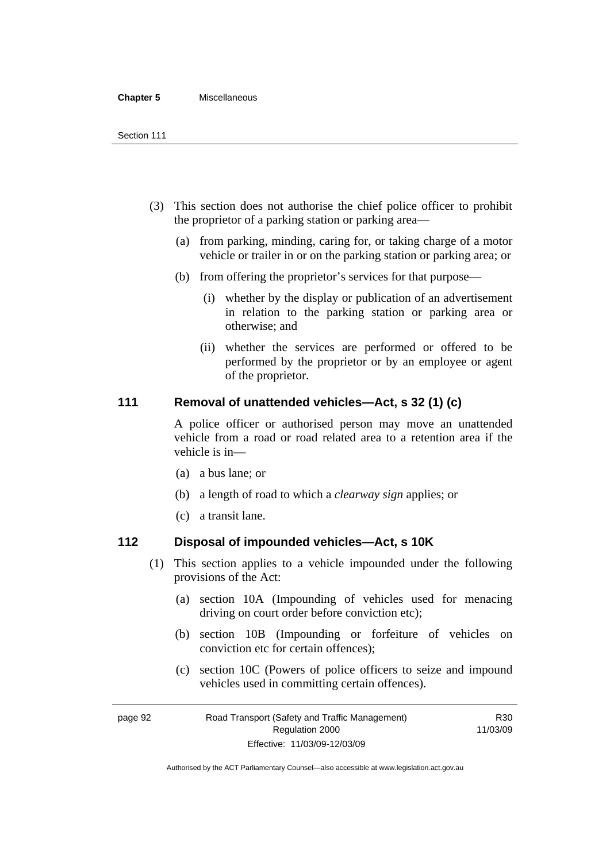#### **Chapter 5** Miscellaneous

- (3) This section does not authorise the chief police officer to prohibit the proprietor of a parking station or parking area—
	- (a) from parking, minding, caring for, or taking charge of a motor vehicle or trailer in or on the parking station or parking area; or
	- (b) from offering the proprietor's services for that purpose—
		- (i) whether by the display or publication of an advertisement in relation to the parking station or parking area or otherwise; and
		- (ii) whether the services are performed or offered to be performed by the proprietor or by an employee or agent of the proprietor.

### **111 Removal of unattended vehicles—Act, s 32 (1) (c)**

A police officer or authorised person may move an unattended vehicle from a road or road related area to a retention area if the vehicle is in—

- (a) a bus lane; or
- (b) a length of road to which a *clearway sign* applies; or
- (c) a transit lane.

### **112 Disposal of impounded vehicles—Act, s 10K**

- (1) This section applies to a vehicle impounded under the following provisions of the Act:
	- (a) section 10A (Impounding of vehicles used for menacing driving on court order before conviction etc);
	- (b) section 10B (Impounding or forfeiture of vehicles on conviction etc for certain offences);
	- (c) section 10C (Powers of police officers to seize and impound vehicles used in committing certain offences).

R30

page 92 Road Transport (Safety and Traffic Management) Regulation 2000 Effective: 11/03/09-12/03/09 11/03/09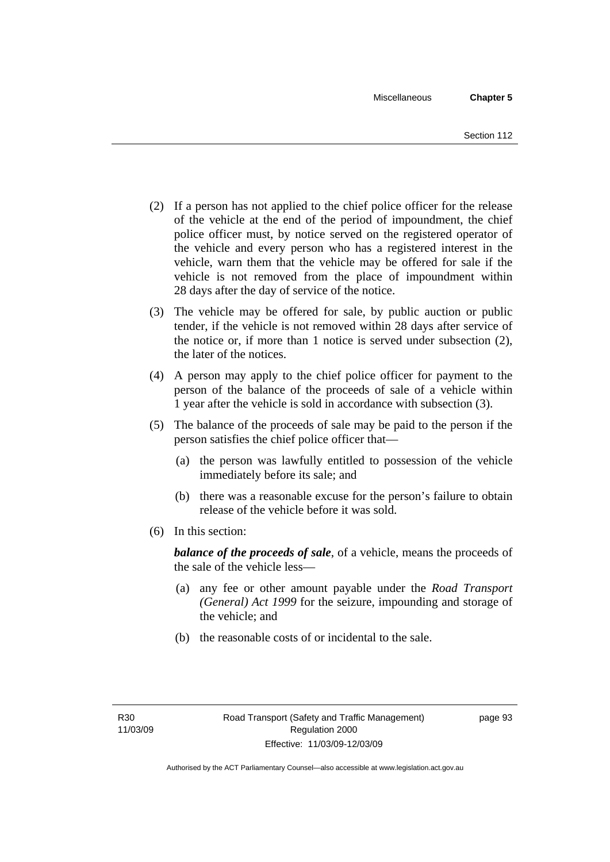- (2) If a person has not applied to the chief police officer for the release of the vehicle at the end of the period of impoundment, the chief police officer must, by notice served on the registered operator of the vehicle and every person who has a registered interest in the vehicle, warn them that the vehicle may be offered for sale if the vehicle is not removed from the place of impoundment within 28 days after the day of service of the notice.
- (3) The vehicle may be offered for sale, by public auction or public tender, if the vehicle is not removed within 28 days after service of the notice or, if more than 1 notice is served under subsection (2), the later of the notices.
- (4) A person may apply to the chief police officer for payment to the person of the balance of the proceeds of sale of a vehicle within 1 year after the vehicle is sold in accordance with subsection (3).
- (5) The balance of the proceeds of sale may be paid to the person if the person satisfies the chief police officer that—
	- (a) the person was lawfully entitled to possession of the vehicle immediately before its sale; and
	- (b) there was a reasonable excuse for the person's failure to obtain release of the vehicle before it was sold.
- (6) In this section:

*balance of the proceeds of sale*, of a vehicle, means the proceeds of the sale of the vehicle less—

- (a) any fee or other amount payable under the *Road Transport (General) Act 1999* for the seizure, impounding and storage of the vehicle; and
- (b) the reasonable costs of or incidental to the sale.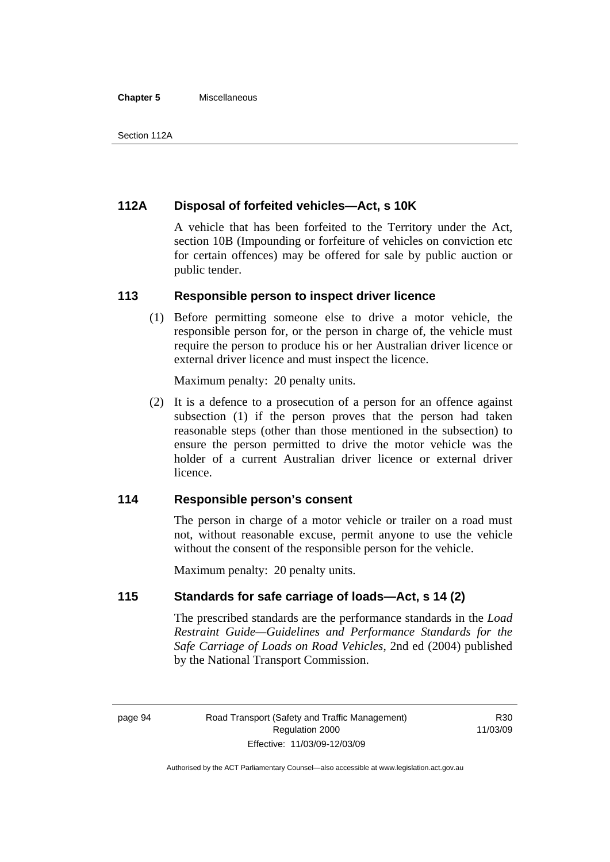#### **Chapter 5** Miscellaneous

### **112A Disposal of forfeited vehicles—Act, s 10K**

A vehicle that has been forfeited to the Territory under the Act, section 10B (Impounding or forfeiture of vehicles on conviction etc for certain offences) may be offered for sale by public auction or public tender.

### **113 Responsible person to inspect driver licence**

 (1) Before permitting someone else to drive a motor vehicle, the responsible person for, or the person in charge of, the vehicle must require the person to produce his or her Australian driver licence or external driver licence and must inspect the licence.

Maximum penalty: 20 penalty units.

 (2) It is a defence to a prosecution of a person for an offence against subsection (1) if the person proves that the person had taken reasonable steps (other than those mentioned in the subsection) to ensure the person permitted to drive the motor vehicle was the holder of a current Australian driver licence or external driver licence.

### **114 Responsible person's consent**

The person in charge of a motor vehicle or trailer on a road must not, without reasonable excuse, permit anyone to use the vehicle without the consent of the responsible person for the vehicle.

Maximum penalty: 20 penalty units.

### **115 Standards for safe carriage of loads—Act, s 14 (2)**

The prescribed standards are the performance standards in the *Load Restraint Guide—Guidelines and Performance Standards for the Safe Carriage of Loads on Road Vehicles*, 2nd ed (2004) published by the National Transport Commission.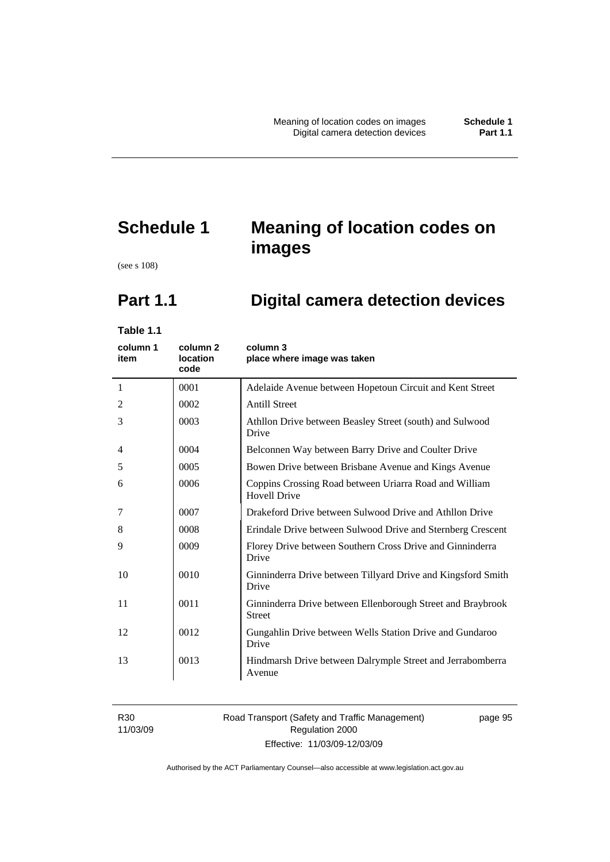# **Schedule 1 Meaning of location codes on images**

(see s 108)

# **Part 1.1 Digital camera detection devices**

**Table 1.1** 

| column 1<br>item | column <sub>2</sub><br><b>location</b><br>code | column 3<br>place where image was taken                                       |
|------------------|------------------------------------------------|-------------------------------------------------------------------------------|
| 1                | 0001                                           | Adelaide Avenue between Hopetoun Circuit and Kent Street                      |
| 2                | 0002                                           | <b>Antill Street</b>                                                          |
| 3                | 0003                                           | Athllon Drive between Beasley Street (south) and Sulwood<br>Drive             |
| $\overline{4}$   | 0004                                           | Belconnen Way between Barry Drive and Coulter Drive                           |
| 5                | 0005                                           | Bowen Drive between Brisbane Avenue and Kings Avenue                          |
| 6                | 0006                                           | Coppins Crossing Road between Uriarra Road and William<br><b>Hovell Drive</b> |
| 7                | 0007                                           | Drakeford Drive between Sulwood Drive and Athllon Drive                       |
| 8                | 0008                                           | Erindale Drive between Sulwood Drive and Sternberg Crescent                   |
| 9                | 0009                                           | Florey Drive between Southern Cross Drive and Ginninderra<br>Drive            |
| 10               | 0010                                           | Ginninderra Drive between Tillyard Drive and Kingsford Smith<br>Drive         |
| 11               | 0011                                           | Ginninderra Drive between Ellenborough Street and Braybrook<br><b>Street</b>  |
| 12               | 0012                                           | Gungahlin Drive between Wells Station Drive and Gundaroo<br>Drive             |
| 13               | 0013                                           | Hindmarsh Drive between Dalrymple Street and Jerrabomberra<br>Avenue          |

R30 11/03/09

### Road Transport (Safety and Traffic Management) Regulation 2000 Effective: 11/03/09-12/03/09

page 95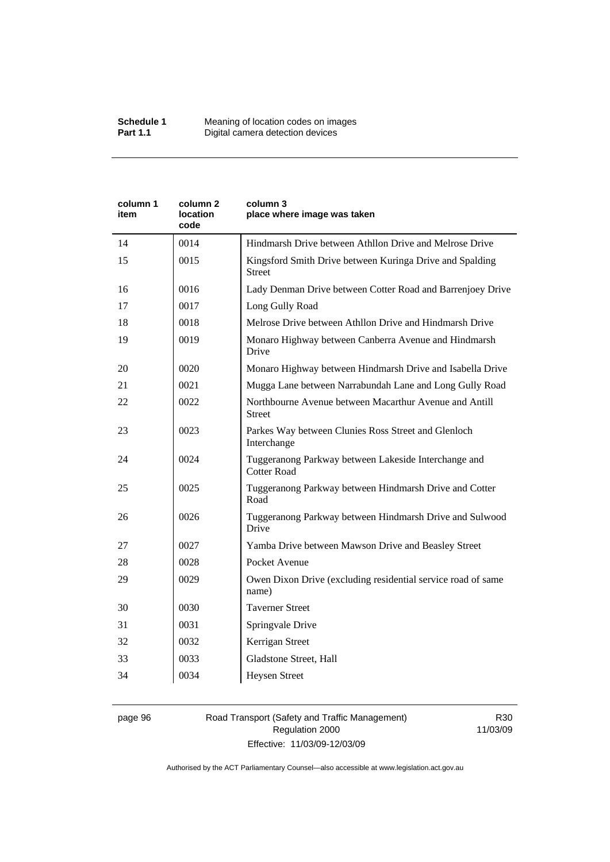| column 2<br>location<br>code | column 3<br>place where image was taken                                    |
|------------------------------|----------------------------------------------------------------------------|
| 0014                         | Hindmarsh Drive between Athllon Drive and Melrose Drive                    |
| 0015                         | Kingsford Smith Drive between Kuringa Drive and Spalding<br>Street         |
| 0016                         | Lady Denman Drive between Cotter Road and Barrenjoey Drive                 |
| 0017                         | Long Gully Road                                                            |
| 0018                         | Melrose Drive between Athllon Drive and Hindmarsh Drive                    |
| 0019                         | Monaro Highway between Canberra Avenue and Hindmarsh<br>Drive              |
| 0020                         | Monaro Highway between Hindmarsh Drive and Isabella Drive                  |
| 0021                         | Mugga Lane between Narrabundah Lane and Long Gully Road                    |
| 0022                         | Northbourne Avenue between Macarthur Avenue and Antill<br><b>Street</b>    |
| 0023                         | Parkes Way between Clunies Ross Street and Glenloch<br>Interchange         |
| 0024                         | Tuggeranong Parkway between Lakeside Interchange and<br><b>Cotter Road</b> |
| 0025                         | Tuggeranong Parkway between Hindmarsh Drive and Cotter<br>Road             |
| 0026                         | Tuggeranong Parkway between Hindmarsh Drive and Sulwood<br>Drive           |
| 0027                         | Yamba Drive between Mawson Drive and Beasley Street                        |
| 0028                         | Pocket Avenue                                                              |
| 0029                         | Owen Dixon Drive (excluding residential service road of same<br>name)      |
| 0030                         | <b>Taverner Street</b>                                                     |
| 0031                         | Springvale Drive                                                           |
| 0032                         | Kerrigan Street                                                            |
| 0033                         | Gladstone Street, Hall                                                     |
| 0034                         | <b>Heysen Street</b>                                                       |
|                              |                                                                            |

### page 96 Road Transport (Safety and Traffic Management) Regulation 2000 Effective: 11/03/09-12/03/09

R30 11/03/09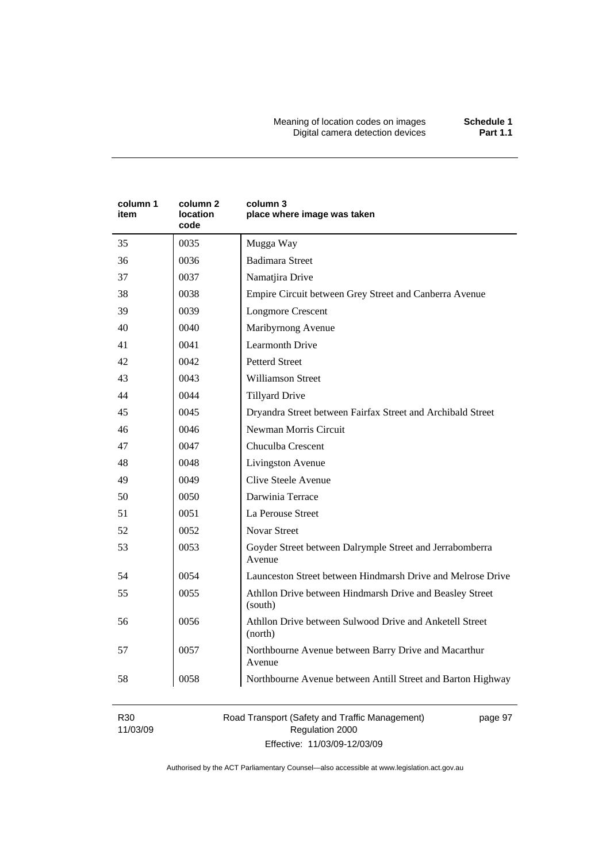Meaning of location codes on images **Schedule 1**  Digital camera detection devices **Part 1.1** 

| column 1<br>item | column 2<br>location<br>code | column 3<br>place where image was taken                             |
|------------------|------------------------------|---------------------------------------------------------------------|
| 35               | 0035                         | Mugga Way                                                           |
| 36               | 0036                         | <b>Badimara Street</b>                                              |
| 37               | 0037                         | Namatjira Drive                                                     |
| 38               | 0038                         | Empire Circuit between Grey Street and Canberra Avenue              |
| 39               | 0039                         | <b>Longmore Crescent</b>                                            |
| 40               | 0040                         | Maribyrnong Avenue                                                  |
| 41               | 0041                         | <b>Learmonth Drive</b>                                              |
| 42               | 0042                         | <b>Petterd Street</b>                                               |
| 43               | 0043                         | <b>Williamson Street</b>                                            |
| 44               | 0044                         | <b>Tillyard Drive</b>                                               |
| 45               | 0045                         | Dryandra Street between Fairfax Street and Archibald Street         |
| 46               | 0046                         | Newman Morris Circuit                                               |
| 47               | 0047                         | Chuculba Crescent                                                   |
| 48               | 0048                         | Livingston Avenue                                                   |
| 49               | 0049                         | Clive Steele Avenue                                                 |
| 50               | 0050                         | Darwinia Terrace                                                    |
| 51               | 0051                         | La Perouse Street                                                   |
| 52               | 0052                         | <b>Novar Street</b>                                                 |
| 53               | 0053                         | Goyder Street between Dalrymple Street and Jerrabomberra<br>Avenue  |
| 54               | 0054                         | Launceston Street between Hindmarsh Drive and Melrose Drive         |
| 55               | 0055                         | Athllon Drive between Hindmarsh Drive and Beasley Street<br>(south) |
| 56               | 0056                         | Athllon Drive between Sulwood Drive and Anketell Street<br>(north)  |
| 57               | 0057                         | Northbourne Avenue between Barry Drive and Macarthur<br>Avenue      |
| 58               | 0058                         | Northbourne Avenue between Antill Street and Barton Highway         |

R30 11/03/09 Road Transport (Safety and Traffic Management) Regulation 2000 Effective: 11/03/09-12/03/09

page 97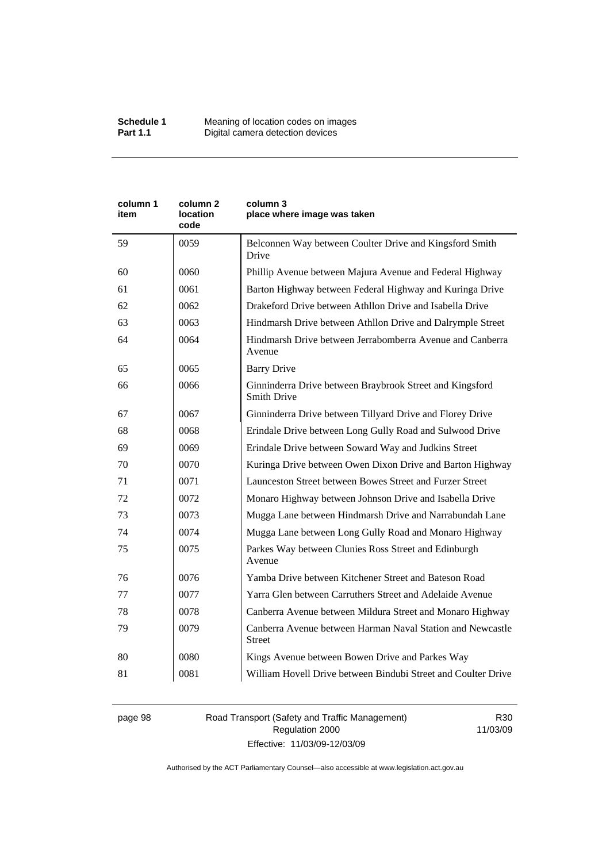| column 1<br>item | column 2<br>location<br>code | column 3<br>place where image was taken                                        |
|------------------|------------------------------|--------------------------------------------------------------------------------|
| 59               | 0059                         | Belconnen Way between Coulter Drive and Kingsford Smith<br>Drive               |
| 60               | 0060                         | Phillip Avenue between Majura Avenue and Federal Highway                       |
| 61               | 0061                         | Barton Highway between Federal Highway and Kuringa Drive                       |
| 62               | 0062                         | Drakeford Drive between Athllon Drive and Isabella Drive                       |
| 63               | 0063                         | Hindmarsh Drive between Athllon Drive and Dalrymple Street                     |
| 64               | 0064                         | Hindmarsh Drive between Jerrabomberra Avenue and Canberra<br>Avenue            |
| 65               | 0065                         | <b>Barry Drive</b>                                                             |
| 66               | 0066                         | Ginninderra Drive between Braybrook Street and Kingsford<br><b>Smith Drive</b> |
| 67               | 0067                         | Ginninderra Drive between Tillyard Drive and Florey Drive                      |
| 68               | 0068                         | Erindale Drive between Long Gully Road and Sulwood Drive                       |
| 69               | 0069                         | Erindale Drive between Soward Way and Judkins Street                           |
| 70               | 0070                         | Kuringa Drive between Owen Dixon Drive and Barton Highway                      |
| 71               | 0071                         | Launceston Street between Bowes Street and Furzer Street                       |
| 72               | 0072                         | Monaro Highway between Johnson Drive and Isabella Drive                        |
| 73               | 0073                         | Mugga Lane between Hindmarsh Drive and Narrabundah Lane                        |
| 74               | 0074                         | Mugga Lane between Long Gully Road and Monaro Highway                          |
| 75               | 0075                         | Parkes Way between Clunies Ross Street and Edinburgh<br>Avenue                 |
| 76               | 0076                         | Yamba Drive between Kitchener Street and Bateson Road                          |
| 77               | 0077                         | Yarra Glen between Carruthers Street and Adelaide Avenue                       |
| 78               | 0078                         | Canberra Avenue between Mildura Street and Monaro Highway                      |
| 79               | 0079                         | Canberra Avenue between Harman Naval Station and Newcastle<br><b>Street</b>    |
| 80               | 0080                         | Kings Avenue between Bowen Drive and Parkes Way                                |
| 81               | 0081                         | William Hovell Drive between Bindubi Street and Coulter Drive                  |

page 98 Road Transport (Safety and Traffic Management) Regulation 2000 Effective: 11/03/09-12/03/09

R30 11/03/09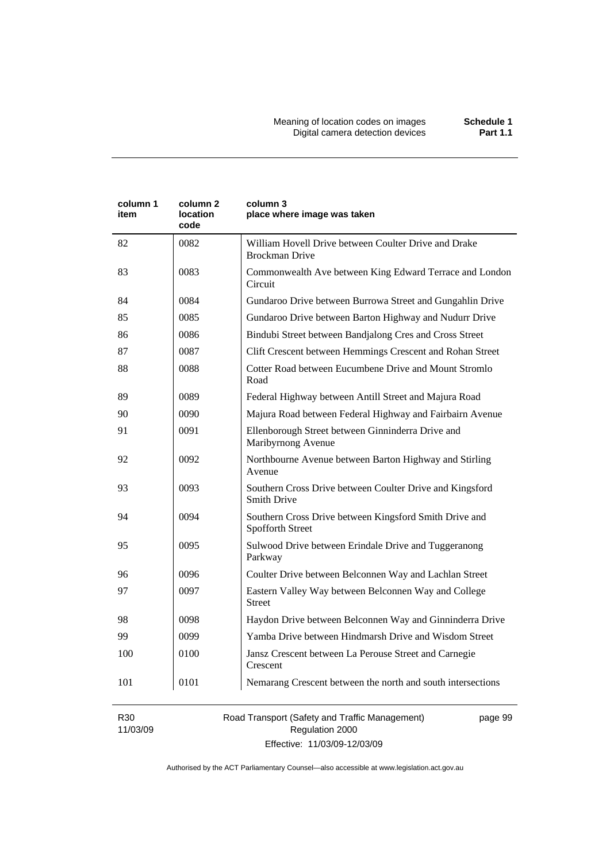| column 1<br>item | column <sub>2</sub><br>location<br>code | column 3<br>place where image was taken                                        |
|------------------|-----------------------------------------|--------------------------------------------------------------------------------|
| 82               | 0082                                    | William Hovell Drive between Coulter Drive and Drake<br><b>Brockman Drive</b>  |
| 83               | 0083                                    | Commonwealth Ave between King Edward Terrace and London<br>Circuit             |
| 84               | 0084                                    | Gundaroo Drive between Burrowa Street and Gungahlin Drive                      |
| 85               | 0085                                    | Gundaroo Drive between Barton Highway and Nudurr Drive                         |
| 86               | 0086                                    | Bindubi Street between Bandjalong Cres and Cross Street                        |
| 87               | 0087                                    | Clift Crescent between Hemmings Crescent and Rohan Street                      |
| 88               | 0088                                    | Cotter Road between Eucumbene Drive and Mount Stromlo<br>Road                  |
| 89               | 0089                                    | Federal Highway between Antill Street and Majura Road                          |
| 90               | 0090                                    | Majura Road between Federal Highway and Fairbairn Avenue                       |
| 91               | 0091                                    | Ellenborough Street between Ginninderra Drive and<br>Maribyrnong Avenue        |
| 92               | 0092                                    | Northbourne Avenue between Barton Highway and Stirling<br>Avenue               |
| 93               | 0093                                    | Southern Cross Drive between Coulter Drive and Kingsford<br><b>Smith Drive</b> |
| 94               | 0094                                    | Southern Cross Drive between Kingsford Smith Drive and<br>Spofforth Street     |
| 95               | 0095                                    | Sulwood Drive between Erindale Drive and Tuggeranong<br>Parkway                |
| 96               | 0096                                    | Coulter Drive between Belconnen Way and Lachlan Street                         |
| 97               | 0097                                    | Eastern Valley Way between Belconnen Way and College<br><b>Street</b>          |
| 98               | 0098                                    | Haydon Drive between Belconnen Way and Ginninderra Drive                       |
| 99               | 0099                                    | Yamba Drive between Hindmarsh Drive and Wisdom Street                          |
| 100              | 0100                                    | Jansz Crescent between La Perouse Street and Carnegie<br>Crescent              |
| 101              | 0101                                    | Nemarang Crescent between the north and south intersections                    |

R30 11/03/09 Road Transport (Safety and Traffic Management) Regulation 2000 Effective: 11/03/09-12/03/09

page 99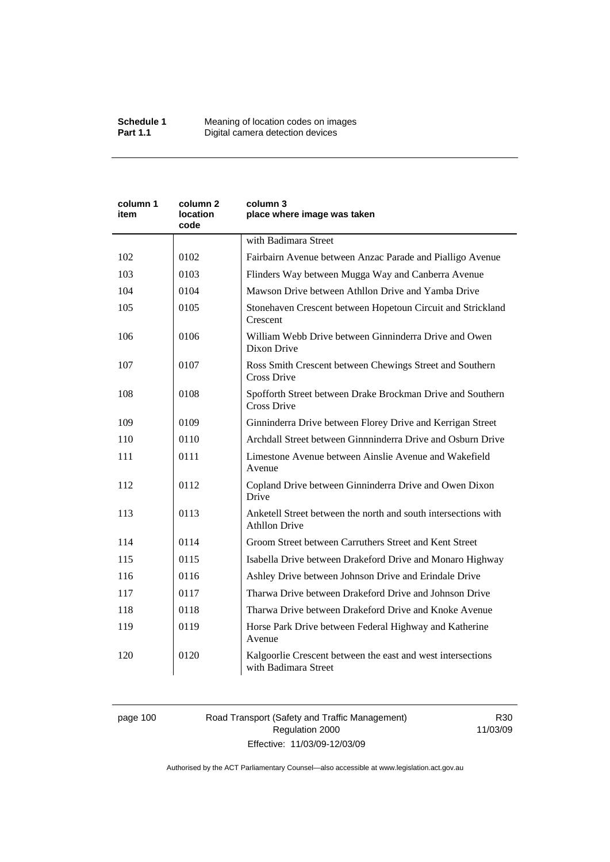| column 1<br>item | column 2<br>location<br>code | column 3<br>place where image was taken                                                |
|------------------|------------------------------|----------------------------------------------------------------------------------------|
|                  |                              | with Badimara Street                                                                   |
| 102              | 0102                         | Fairbairn Avenue between Anzac Parade and Pialligo Avenue                              |
| 103              | 0103                         | Flinders Way between Mugga Way and Canberra Avenue                                     |
| 104              | 0104                         | Mawson Drive between Athllon Drive and Yamba Drive                                     |
| 105              | 0105                         | Stonehaven Crescent between Hopetoun Circuit and Strickland<br>Crescent                |
| 106              | 0106                         | William Webb Drive between Ginninderra Drive and Owen<br>Dixon Drive                   |
| 107              | 0107                         | Ross Smith Crescent between Chewings Street and Southern<br>Cross Drive                |
| 108              | 0108                         | Spofforth Street between Drake Brockman Drive and Southern<br><b>Cross Drive</b>       |
| 109              | 0109                         | Ginninderra Drive between Florey Drive and Kerrigan Street                             |
| 110              | 0110                         | Archdall Street between Ginnninderra Drive and Osburn Drive                            |
| 111              | 0111                         | Limestone Avenue between Ainslie Avenue and Wakefield<br>Avenue                        |
| 112              | 0112                         | Copland Drive between Ginninderra Drive and Owen Dixon<br>Drive                        |
| 113              | 0113                         | Anketell Street between the north and south intersections with<br><b>Athllon Drive</b> |
| 114              | 0114                         | Groom Street between Carruthers Street and Kent Street                                 |
| 115              | 0115                         | Isabella Drive between Drakeford Drive and Monaro Highway                              |
| 116              | 0116                         | Ashley Drive between Johnson Drive and Erindale Drive                                  |
| 117              | 0117                         | Tharwa Drive between Drakeford Drive and Johnson Drive                                 |
| 118              | 0118                         | Tharwa Drive between Drakeford Drive and Knoke Avenue                                  |
| 119              | 0119                         | Horse Park Drive between Federal Highway and Katherine<br>Avenue                       |
| 120              | 0120                         | Kalgoorlie Crescent between the east and west intersections<br>with Badimara Street    |

# page 100 Road Transport (Safety and Traffic Management) Regulation 2000 Effective: 11/03/09-12/03/09

R30 11/03/09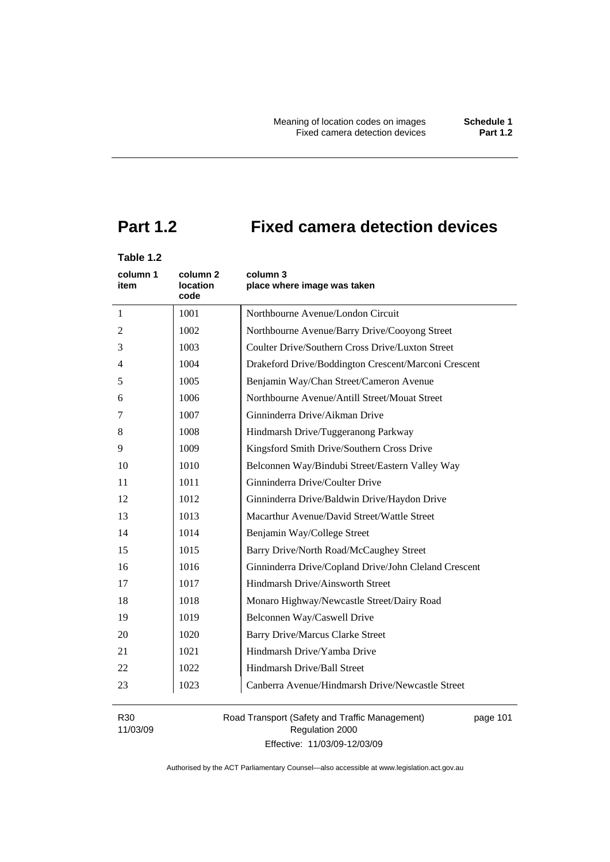# **Part 1.2 Fixed camera detection devices**

# **Table 1.2**

| column 1<br>item | column 2<br><b>location</b><br>code | column 3<br>place where image was taken               |
|------------------|-------------------------------------|-------------------------------------------------------|
| $\mathbf{1}$     | 1001                                | Northbourne Avenue/London Circuit                     |
| 2                | 1002                                | Northbourne Avenue/Barry Drive/Cooyong Street         |
| 3                | 1003                                | Coulter Drive/Southern Cross Drive/Luxton Street      |
| 4                | 1004                                | Drakeford Drive/Boddington Crescent/Marconi Crescent  |
| 5                | 1005                                | Benjamin Way/Chan Street/Cameron Avenue               |
| 6                | 1006                                | Northbourne Avenue/Antill Street/Mouat Street         |
| 7                | 1007                                | Ginninderra Drive/Aikman Drive                        |
| 8                | 1008                                | Hindmarsh Drive/Tuggeranong Parkway                   |
| 9                | 1009                                | Kingsford Smith Drive/Southern Cross Drive            |
| 10               | 1010                                | Belconnen Way/Bindubi Street/Eastern Valley Way       |
| 11               | 1011                                | Ginninderra Drive/Coulter Drive                       |
| 12               | 1012                                | Ginninderra Drive/Baldwin Drive/Haydon Drive          |
| 13               | 1013                                | Macarthur Avenue/David Street/Wattle Street           |
| 14               | 1014                                | Benjamin Way/College Street                           |
| 15               | 1015                                | Barry Drive/North Road/McCaughey Street               |
| 16               | 1016                                | Ginninderra Drive/Copland Drive/John Cleland Crescent |
| 17               | 1017                                | Hindmarsh Drive/Ainsworth Street                      |
| 18               | 1018                                | Monaro Highway/Newcastle Street/Dairy Road            |
| 19               | 1019                                | Belconnen Way/Caswell Drive                           |
| 20               | 1020                                | <b>Barry Drive/Marcus Clarke Street</b>               |
| 21               | 1021                                | Hindmarsh Drive/Yamba Drive                           |
| 22               | 1022                                | Hindmarsh Drive/Ball Street                           |
| 23               | 1023                                | Canberra Avenue/Hindmarsh Drive/Newcastle Street      |

R30 11/03/09 Road Transport (Safety and Traffic Management) Regulation 2000 Effective: 11/03/09-12/03/09

page 101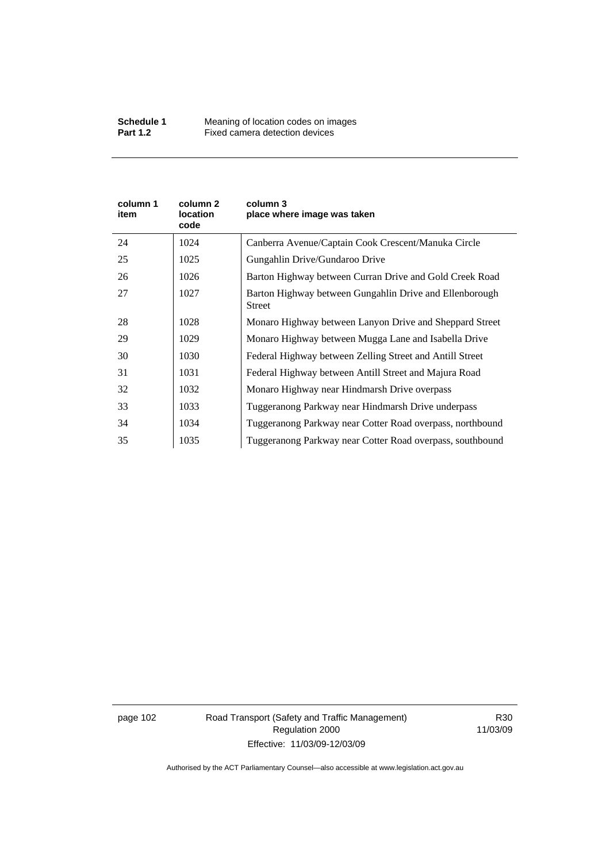| column 1<br>item | column 2<br><b>location</b><br>code | column 3<br>place where image was taken                                  |
|------------------|-------------------------------------|--------------------------------------------------------------------------|
| 24               | 1024                                | Canberra Avenue/Captain Cook Crescent/Manuka Circle                      |
| 25               | 1025                                | Gungahlin Drive/Gundaroo Drive                                           |
| 26               | 1026                                | Barton Highway between Curran Drive and Gold Creek Road                  |
| 27               | 1027                                | Barton Highway between Gungahlin Drive and Ellenborough<br><b>Street</b> |
| 28               | 1028                                | Monaro Highway between Lanyon Drive and Sheppard Street                  |
| 29               | 1029                                | Monaro Highway between Mugga Lane and Isabella Drive                     |
| 30               | 1030                                | Federal Highway between Zelling Street and Antill Street                 |
| 31               | 1031                                | Federal Highway between Antill Street and Majura Road                    |
| 32               | 1032                                | Monaro Highway near Hindmarsh Drive overpass                             |
| 33               | 1033                                | Tuggeranong Parkway near Hindmarsh Drive underpass                       |
| 34               | 1034                                | Tuggeranong Parkway near Cotter Road overpass, northbound                |
| 35               | 1035                                | Tuggeranong Parkway near Cotter Road overpass, southbound                |

page 102 Road Transport (Safety and Traffic Management) Regulation 2000 Effective: 11/03/09-12/03/09

R30 11/03/09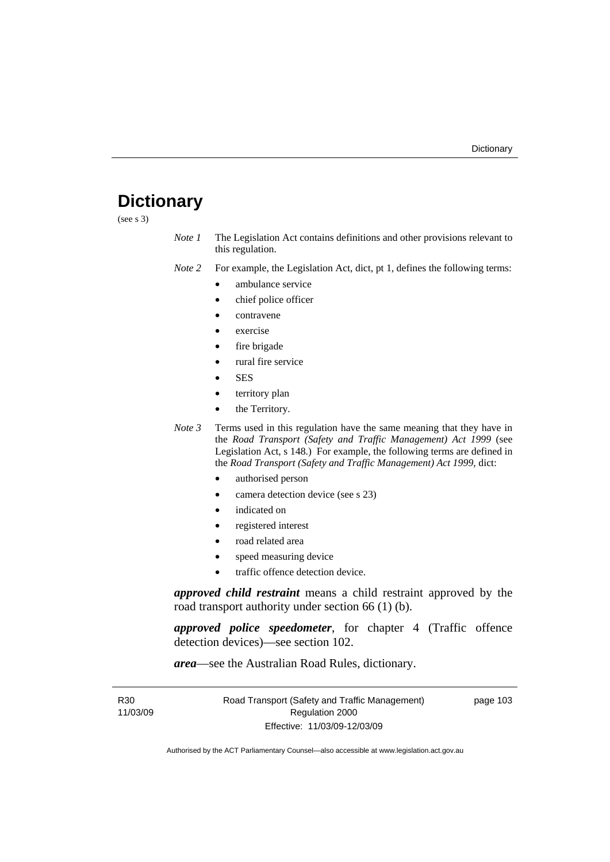# **Dictionary**

(see s 3)

*Note 1* The Legislation Act contains definitions and other provisions relevant to this regulation.

*Note 2* For example, the Legislation Act, dict, pt 1, defines the following terms:

- ambulance service
	- chief police officer
- contravene
- exercise
- fire brigade
- rural fire service
- SES
- territory plan
- the Territory.
- *Note 3* Terms used in this regulation have the same meaning that they have in the *Road Transport (Safety and Traffic Management) Act 1999* (see Legislation Act, s 148.) For example, the following terms are defined in the *Road Transport (Safety and Traffic Management) Act 1999*, dict:
	- authorised person
	- camera detection device (see s 23)
	- indicated on
	- registered interest
	- road related area
	- speed measuring device
	- traffic offence detection device.

*approved child restraint* means a child restraint approved by the road transport authority under section 66 (1) (b).

*approved police speedometer*, for chapter 4 (Traffic offence detection devices)—see section 102.

*area*—see the Australian Road Rules, dictionary.

| R30      | Road Transport (Safety and Traffic Management) | page 103 |
|----------|------------------------------------------------|----------|
| 11/03/09 | Regulation 2000                                |          |
|          | Effective: 11/03/09-12/03/09                   |          |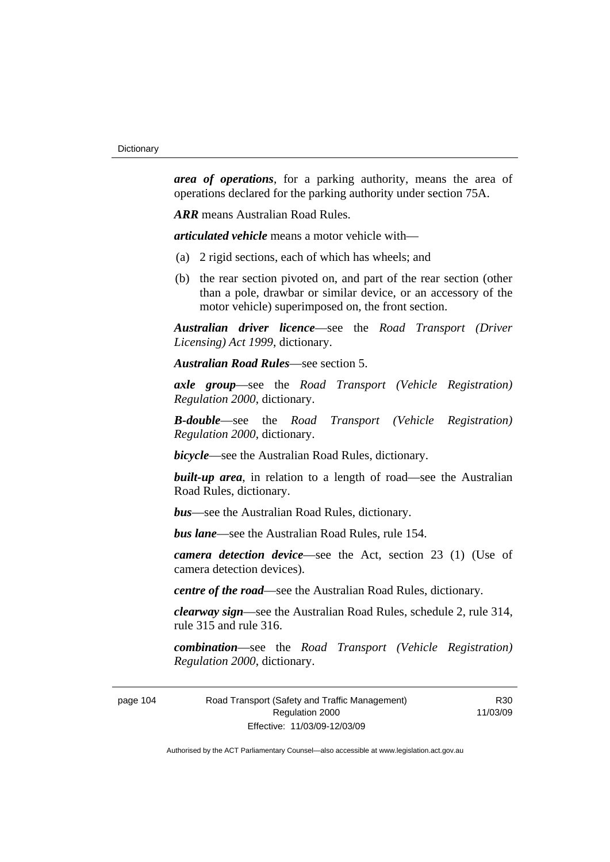*area of operations*, for a parking authority, means the area of operations declared for the parking authority under section 75A.

*ARR* means Australian Road Rules.

*articulated vehicle* means a motor vehicle with—

- (a) 2 rigid sections, each of which has wheels; and
- (b) the rear section pivoted on, and part of the rear section (other than a pole, drawbar or similar device, or an accessory of the motor vehicle) superimposed on, the front section.

*Australian driver licence*—see the *Road Transport (Driver Licensing) Act 1999*, dictionary.

*Australian Road Rules*—see section 5.

*axle group*—see the *Road Transport (Vehicle Registration) Regulation 2000*, dictionary.

*B-double*—see the *Road Transport (Vehicle Registration) Regulation 2000*, dictionary.

*bicycle*—see the Australian Road Rules, dictionary.

**built-up area**, in relation to a length of road—see the Australian Road Rules, dictionary.

*bus*—see the Australian Road Rules, dictionary.

*bus lane*—see the Australian Road Rules, rule 154.

*camera detection device*—see the Act, section 23 (1) (Use of camera detection devices).

*centre of the road*—see the Australian Road Rules, dictionary.

*clearway sign*—see the Australian Road Rules, schedule 2, rule 314, rule 315 and rule 316.

*combination*—see the *Road Transport (Vehicle Registration) Regulation 2000*, dictionary.

page 104 Road Transport (Safety and Traffic Management) Regulation 2000 Effective: 11/03/09-12/03/09

R30 11/03/09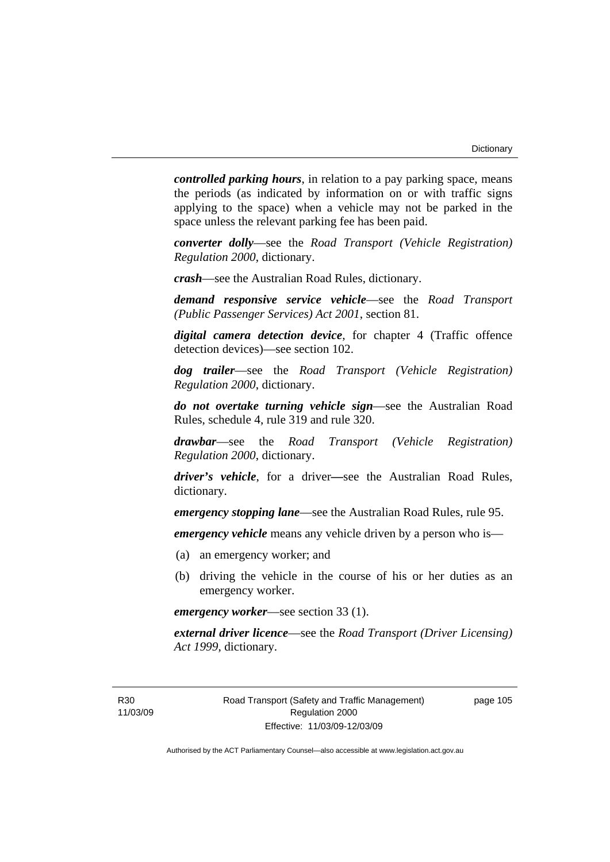*controlled parking hours*, in relation to a pay parking space, means the periods (as indicated by information on or with traffic signs applying to the space) when a vehicle may not be parked in the space unless the relevant parking fee has been paid.

*converter dolly*—see the *Road Transport (Vehicle Registration) Regulation 2000*, dictionary.

*crash*—see the Australian Road Rules, dictionary.

*demand responsive service vehicle*—see the *Road Transport (Public Passenger Services) Act 2001*, section 81.

*digital camera detection device*, for chapter 4 (Traffic offence detection devices)—see section 102.

*dog trailer*—see the *Road Transport (Vehicle Registration) Regulation 2000*, dictionary.

*do not overtake turning vehicle sign*—see the Australian Road Rules, schedule 4, rule 319 and rule 320.

*drawbar*—see the *Road Transport (Vehicle Registration) Regulation 2000*, dictionary.

*driver's vehicle*, for a driver*—*see the Australian Road Rules, dictionary.

*emergency stopping lane*—see the Australian Road Rules, rule 95.

*emergency vehicle* means any vehicle driven by a person who is—

- (a) an emergency worker; and
- (b) driving the vehicle in the course of his or her duties as an emergency worker.

*emergency worker*—see section 33 (1).

*external driver licence*—see the *Road Transport (Driver Licensing) Act 1999*, dictionary.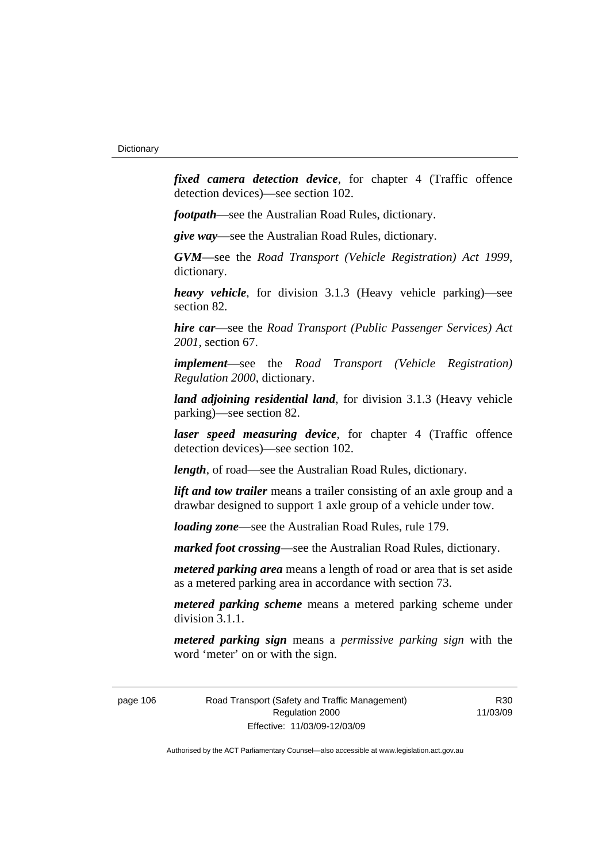*fixed camera detection device*, for chapter 4 (Traffic offence detection devices)—see section 102.

*footpath*—see the Australian Road Rules, dictionary.

*give way*—see the Australian Road Rules, dictionary.

*GVM*—see the *Road Transport (Vehicle Registration) Act 1999*, dictionary.

*heavy vehicle*, for division 3.1.3 (Heavy vehicle parking)—see section 82.

*hire car*—see the *Road Transport (Public Passenger Services) Act 2001*, section 67.

*implement*—see the *Road Transport (Vehicle Registration) Regulation 2000*, dictionary.

*land adjoining residential land*, for division 3.1.3 (Heavy vehicle parking)—see section 82.

*laser speed measuring device*, for chapter 4 (Traffic offence detection devices)—see section 102.

*length*, of road—see the Australian Road Rules, dictionary.

*lift and tow trailer* means a trailer consisting of an axle group and a drawbar designed to support 1 axle group of a vehicle under tow.

*loading zone*—see the Australian Road Rules, rule 179.

*marked foot crossing*—see the Australian Road Rules, dictionary.

*metered parking area* means a length of road or area that is set aside as a metered parking area in accordance with section 73.

*metered parking scheme* means a metered parking scheme under division 3.1.1.

*metered parking sign* means a *permissive parking sign* with the word 'meter' on or with the sign.

page 106 Road Transport (Safety and Traffic Management) Regulation 2000 Effective: 11/03/09-12/03/09

R30 11/03/09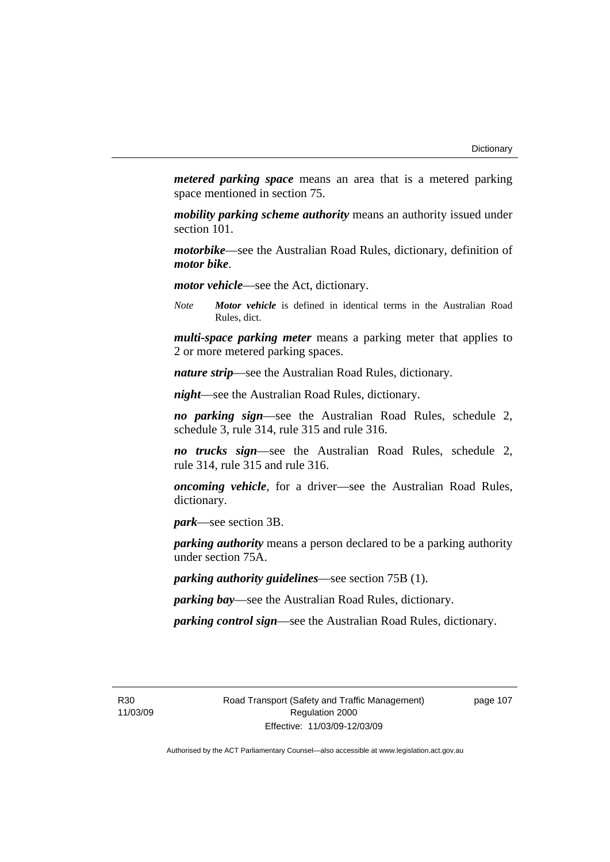*metered parking space* means an area that is a metered parking space mentioned in section 75.

*mobility parking scheme authority* means an authority issued under section 101.

*motorbike*—see the Australian Road Rules, dictionary, definition of *motor bike*.

*motor vehicle*—see the Act, dictionary.

*Note Motor vehicle* is defined in identical terms in the Australian Road Rules, dict.

*multi-space parking meter* means a parking meter that applies to 2 or more metered parking spaces.

*nature strip*—see the Australian Road Rules, dictionary.

*night*—see the Australian Road Rules, dictionary.

*no parking sign*—see the Australian Road Rules, schedule 2, schedule 3, rule 314, rule 315 and rule 316.

*no trucks sign*—see the Australian Road Rules, schedule 2, rule 314, rule 315 and rule 316.

*oncoming vehicle*, for a driver—see the Australian Road Rules, dictionary.

*park*—see section 3B.

*parking authority* means a person declared to be a parking authority under section 75A.

*parking authority guidelines*—see section 75B (1).

*parking bay*—see the Australian Road Rules, dictionary.

*parking control sign*—see the Australian Road Rules, dictionary.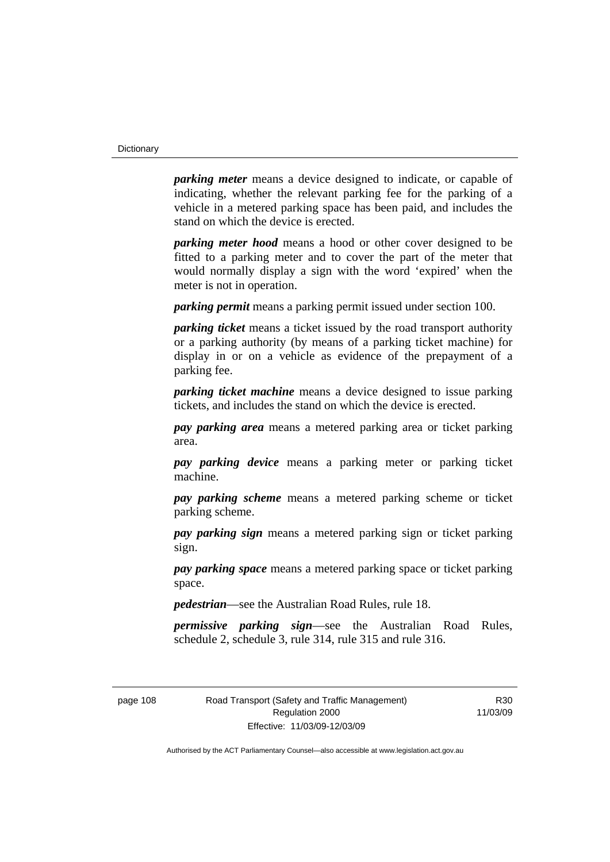*parking meter* means a device designed to indicate, or capable of indicating, whether the relevant parking fee for the parking of a vehicle in a metered parking space has been paid, and includes the stand on which the device is erected.

*parking meter hood* means a hood or other cover designed to be fitted to a parking meter and to cover the part of the meter that would normally display a sign with the word 'expired' when the meter is not in operation.

*parking permit* means a parking permit issued under section 100.

*parking ticket* means a ticket issued by the road transport authority or a parking authority (by means of a parking ticket machine) for display in or on a vehicle as evidence of the prepayment of a parking fee.

*parking ticket machine* means a device designed to issue parking tickets, and includes the stand on which the device is erected.

*pay parking area* means a metered parking area or ticket parking area.

*pay parking device* means a parking meter or parking ticket machine.

*pay parking scheme* means a metered parking scheme or ticket parking scheme.

*pay parking sign* means a metered parking sign or ticket parking sign.

*pay parking space* means a metered parking space or ticket parking space.

*pedestrian*—see the Australian Road Rules, rule 18.

*permissive parking sign*—see the Australian Road Rules, schedule 2, schedule 3, rule 314, rule 315 and rule 316.

page 108 Road Transport (Safety and Traffic Management) Regulation 2000 Effective: 11/03/09-12/03/09

R30 11/03/09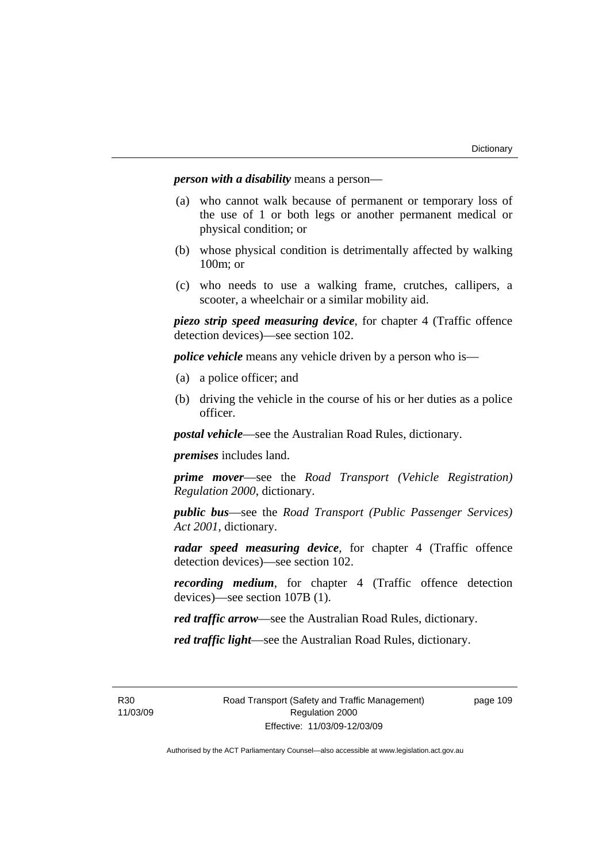*person with a disability* means a person—

- (a) who cannot walk because of permanent or temporary loss of the use of 1 or both legs or another permanent medical or physical condition; or
- (b) whose physical condition is detrimentally affected by walking 100m; or
- (c) who needs to use a walking frame, crutches, callipers, a scooter, a wheelchair or a similar mobility aid.

*piezo strip speed measuring device*, for chapter 4 (Traffic offence detection devices)—see section 102.

*police vehicle* means any vehicle driven by a person who is—

- (a) a police officer; and
- (b) driving the vehicle in the course of his or her duties as a police officer.

*postal vehicle*—see the Australian Road Rules, dictionary.

*premises* includes land.

*prime mover*—see the *Road Transport (Vehicle Registration) Regulation 2000*, dictionary.

*public bus*—see the *Road Transport (Public Passenger Services) Act 2001*, dictionary.

*radar speed measuring device*, for chapter 4 (Traffic offence detection devices)—see section 102.

*recording medium*, for chapter 4 (Traffic offence detection devices)—see section 107B (1).

*red traffic arrow*—see the Australian Road Rules, dictionary.

*red traffic light*—see the Australian Road Rules, dictionary.

R30 11/03/09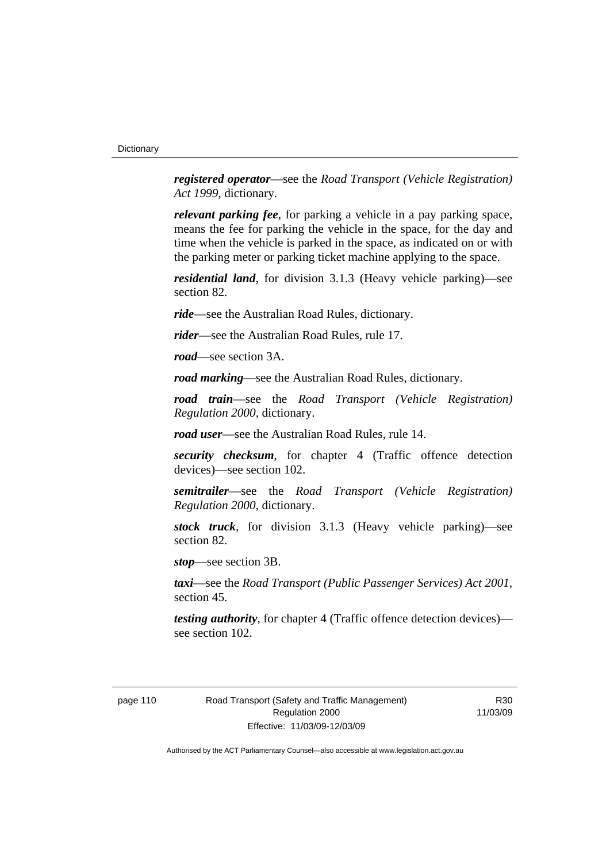*registered operator*—see the *Road Transport (Vehicle Registration) Act 1999*, dictionary.

*relevant parking fee*, for parking a vehicle in a pay parking space, means the fee for parking the vehicle in the space, for the day and time when the vehicle is parked in the space, as indicated on or with the parking meter or parking ticket machine applying to the space.

*residential land*, for division 3.1.3 (Heavy vehicle parking)—see section 82.

*ride*—see the Australian Road Rules, dictionary.

*rider*—see the Australian Road Rules, rule 17.

*road*—see section 3A.

*road marking*—see the Australian Road Rules, dictionary.

*road train*—see the *Road Transport (Vehicle Registration) Regulation 2000*, dictionary.

*road user*—see the Australian Road Rules, rule 14.

*security checksum*, for chapter 4 (Traffic offence detection devices)—see section 102.

*semitrailer*—see the *Road Transport (Vehicle Registration) Regulation 2000*, dictionary.

*stock truck*, for division 3.1.3 (Heavy vehicle parking)—see section 82.

*stop*—see section 3B.

*taxi*—see the *Road Transport (Public Passenger Services) Act 2001*, section 45.

*testing authority*, for chapter 4 (Traffic offence detection devices) see section 102.

R30 11/03/09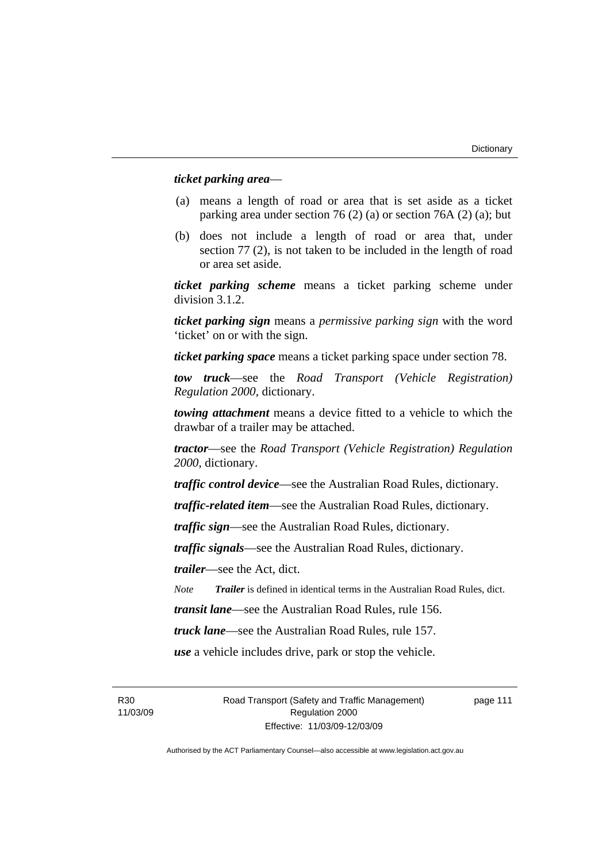#### *ticket parking area*—

- (a) means a length of road or area that is set aside as a ticket parking area under section 76 (2) (a) or section 76A (2) (a); but
- (b) does not include a length of road or area that, under section 77 (2), is not taken to be included in the length of road or area set aside.

*ticket parking scheme* means a ticket parking scheme under division 3.1.2.

*ticket parking sign* means a *permissive parking sign* with the word 'ticket' on or with the sign.

*ticket parking space* means a ticket parking space under section 78.

*tow truck*—see the *Road Transport (Vehicle Registration) Regulation 2000*, dictionary.

*towing attachment* means a device fitted to a vehicle to which the drawbar of a trailer may be attached.

*tractor*—see the *Road Transport (Vehicle Registration) Regulation 2000*, dictionary.

*traffic control device*—see the Australian Road Rules, dictionary.

*traffic-related item*—see the Australian Road Rules, dictionary.

*traffic sign*—see the Australian Road Rules, dictionary.

*traffic signals*—see the Australian Road Rules, dictionary.

*trailer*—see the Act, dict.

*Note Trailer* is defined in identical terms in the Australian Road Rules, dict.

*transit lane*—see the Australian Road Rules, rule 156.

*truck lane*—see the Australian Road Rules, rule 157.

*use* a vehicle includes drive, park or stop the vehicle.

R30 11/03/09 Road Transport (Safety and Traffic Management) Regulation 2000 Effective: 11/03/09-12/03/09

page 111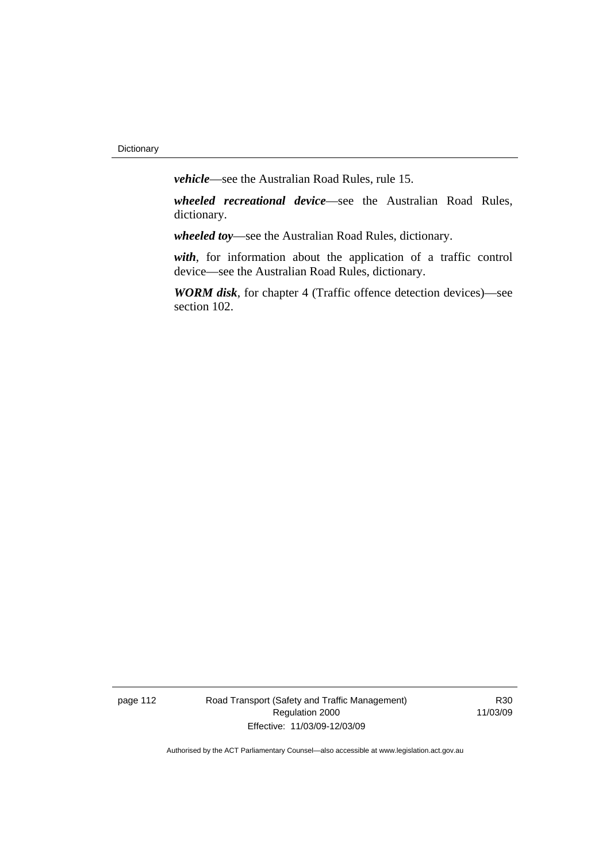*vehicle*—see the Australian Road Rules, rule 15.

*wheeled recreational device*—see the Australian Road Rules, dictionary.

*wheeled toy*—see the Australian Road Rules, dictionary.

*with*, for information about the application of a traffic control device—see the Australian Road Rules, dictionary.

*WORM disk*, for chapter 4 (Traffic offence detection devices)—see section 102.

page 112 Road Transport (Safety and Traffic Management) Regulation 2000 Effective: 11/03/09-12/03/09

R30 11/03/09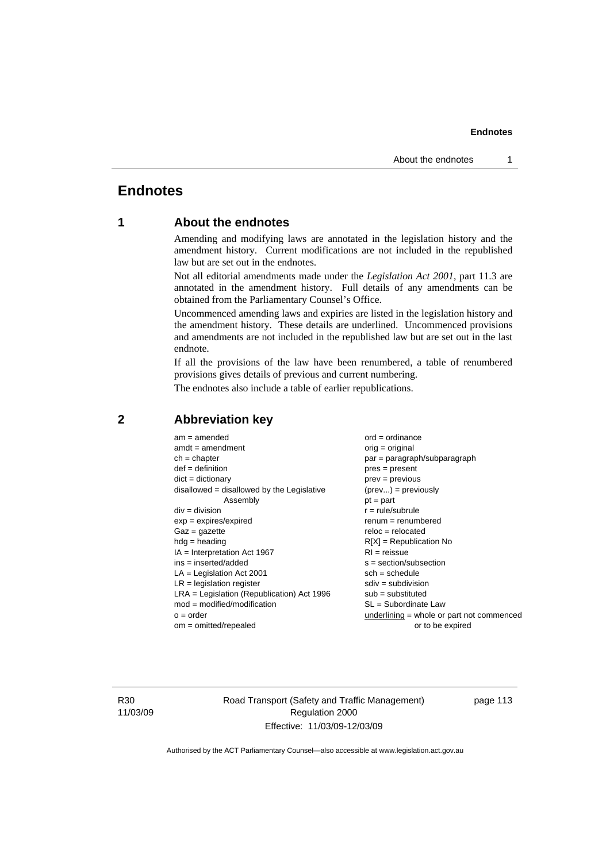# **Endnotes**

# **1 About the endnotes**

Amending and modifying laws are annotated in the legislation history and the amendment history. Current modifications are not included in the republished law but are set out in the endnotes.

Not all editorial amendments made under the *Legislation Act 2001*, part 11.3 are annotated in the amendment history. Full details of any amendments can be obtained from the Parliamentary Counsel's Office.

Uncommenced amending laws and expiries are listed in the legislation history and the amendment history. These details are underlined. Uncommenced provisions and amendments are not included in the republished law but are set out in the last endnote.

If all the provisions of the law have been renumbered, a table of renumbered provisions gives details of previous and current numbering.

The endnotes also include a table of earlier republications.

| $am = amended$                               | $ord = ordinance$                         |
|----------------------------------------------|-------------------------------------------|
| $amdt = amendment$                           | $orig = original$                         |
| $ch = chapter$                               | par = paragraph/subparagraph              |
| $def = definition$                           | $pres = present$                          |
| $dict = dictionary$                          | $prev = previous$                         |
| $disallowed = disallowed by the Legislative$ | $(\text{prev}) = \text{previously}$       |
| Assembly                                     | $pt = part$                               |
| $div = division$                             | $r = rule/subrule$                        |
| $exp = expires/expired$                      | $renum = renumbered$                      |
| $Gaz = gazette$                              | $reloc = relocated$                       |
| $hdg =$ heading                              | $R[X]$ = Republication No                 |
| $IA = Interpretation Act 1967$               | $RI = reissue$                            |
| $ins = inserted/added$                       | $s = section/subsection$                  |
| $LA =$ Legislation Act 2001                  | $sch = schedule$                          |
| $LR =$ legislation register                  | $sdiv = subdivision$                      |
| $LRA =$ Legislation (Republication) Act 1996 | $sub = substituted$                       |
| $mod = modified/modification$                | $SL = Subordinate$ Law                    |
| $o = order$                                  | underlining = whole or part not commenced |
| $om = omitted/repealed$                      | or to be expired                          |
|                                              |                                           |

### **2 Abbreviation key**

R30 11/03/09 Road Transport (Safety and Traffic Management) Regulation 2000 Effective: 11/03/09-12/03/09

page 113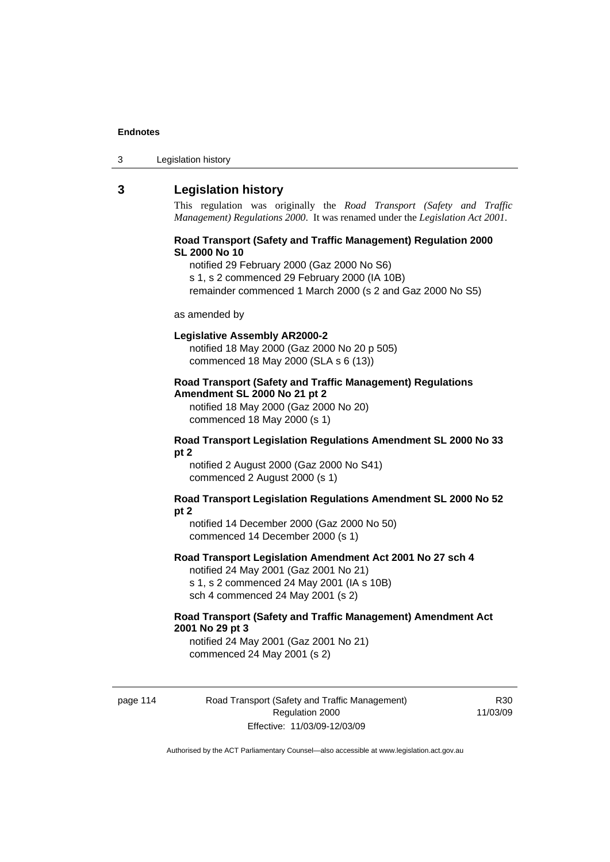| Legislation history<br>3 |
|--------------------------|
|--------------------------|

# **3 Legislation history**

This regulation was originally the *Road Transport (Safety and Traffic Management) Regulations 2000*. It was renamed under the *Legislation Act 2001*.

#### **Road Transport (Safety and Traffic Management) Regulation 2000 SL 2000 No 10**

notified 29 February 2000 (Gaz 2000 No S6)

s 1, s 2 commenced 29 February 2000 (IA 10B)

remainder commenced 1 March 2000 (s 2 and Gaz 2000 No S5)

#### as amended by

#### **Legislative Assembly AR2000-2**

notified 18 May 2000 (Gaz 2000 No 20 p 505) commenced 18 May 2000 (SLA s 6 (13))

#### **Road Transport (Safety and Traffic Management) Regulations Amendment SL 2000 No 21 pt 2**

notified 18 May 2000 (Gaz 2000 No 20) commenced 18 May 2000 (s 1)

#### **Road Transport Legislation Regulations Amendment SL 2000 No 33 pt 2**

notified 2 August 2000 (Gaz 2000 No S41) commenced 2 August 2000 (s 1)

#### **Road Transport Legislation Regulations Amendment SL 2000 No 52 pt 2**

notified 14 December 2000 (Gaz 2000 No 50) commenced 14 December 2000 (s 1)

#### **Road Transport Legislation Amendment Act 2001 No 27 sch 4**

notified 24 May 2001 (Gaz 2001 No 21) s 1, s 2 commenced 24 May 2001 (IA s 10B) sch 4 commenced 24 May 2001 (s 2)

#### **Road Transport (Safety and Traffic Management) Amendment Act 2001 No 29 pt 3**

notified 24 May 2001 (Gaz 2001 No 21) commenced 24 May 2001 (s 2)

page 114 Road Transport (Safety and Traffic Management) Regulation 2000 Effective: 11/03/09-12/03/09

R30 11/03/09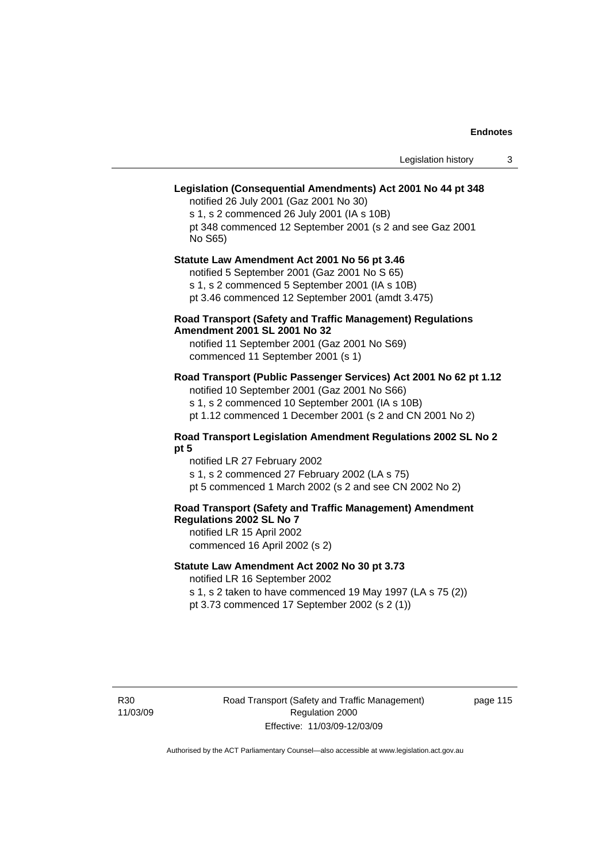# **Legislation (Consequential Amendments) Act 2001 No 44 pt 348**

notified 26 July 2001 (Gaz 2001 No 30) s 1, s 2 commenced 26 July 2001 (IA s 10B) pt 348 commenced 12 September 2001 (s 2 and see Gaz 2001 No S65)

# **Statute Law Amendment Act 2001 No 56 pt 3.46**

notified 5 September 2001 (Gaz 2001 No S 65) s 1, s 2 commenced 5 September 2001 (IA s 10B)

pt 3.46 commenced 12 September 2001 (amdt 3.475)

#### **Road Transport (Safety and Traffic Management) Regulations Amendment 2001 SL 2001 No 32**

notified 11 September 2001 (Gaz 2001 No S69) commenced 11 September 2001 (s 1)

#### **Road Transport (Public Passenger Services) Act 2001 No 62 pt 1.12**

notified 10 September 2001 (Gaz 2001 No S66) s 1, s 2 commenced 10 September 2001 (IA s 10B)

# pt 1.12 commenced 1 December 2001 (s 2 and CN 2001 No 2)

### **Road Transport Legislation Amendment Regulations 2002 SL No 2 pt 5**

notified LR 27 February 2002 s 1, s 2 commenced 27 February 2002 (LA s 75) pt 5 commenced 1 March 2002 (s 2 and see CN 2002 No 2)

# **Road Transport (Safety and Traffic Management) Amendment Regulations 2002 SL No 7**

notified LR 15 April 2002 commenced 16 April 2002 (s 2)

#### **Statute Law Amendment Act 2002 No 30 pt 3.73**

notified LR 16 September 2002

s 1, s 2 taken to have commenced 19 May 1997 (LA s 75 (2)) pt 3.73 commenced 17 September 2002 (s 2 (1))

R30 11/03/09 page 115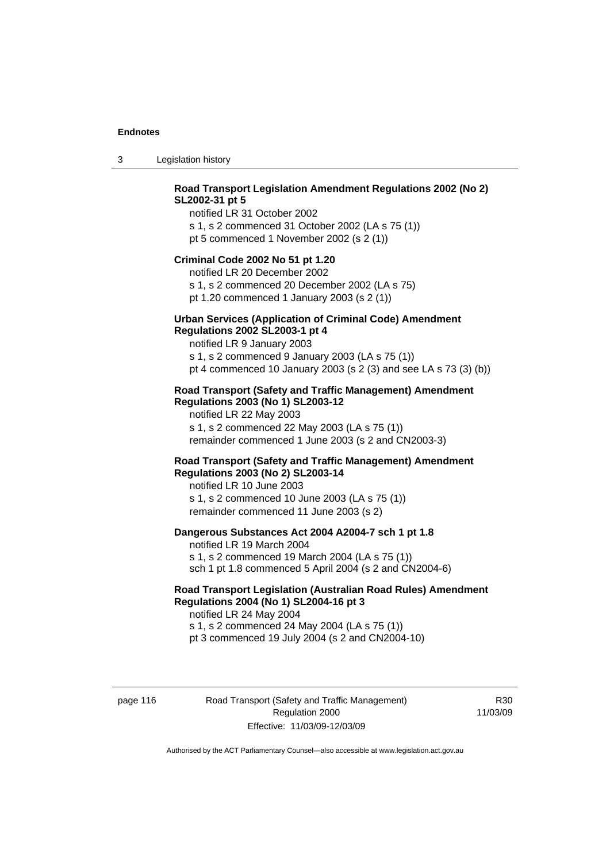3 Legislation history

# **Road Transport Legislation Amendment Regulations 2002 (No 2) SL2002-31 pt 5**

notified LR 31 October 2002 s 1, s 2 commenced 31 October 2002 (LA s 75 (1)) pt 5 commenced 1 November 2002 (s 2 (1))

#### **Criminal Code 2002 No 51 pt 1.20**

notified LR 20 December 2002 s 1, s 2 commenced 20 December 2002 (LA s 75) pt 1.20 commenced 1 January 2003 (s 2 (1))

# **Urban Services (Application of Criminal Code) Amendment**

#### **Regulations 2002 SL2003-1 pt 4**

notified LR 9 January 2003 s 1, s 2 commenced 9 January 2003 (LA s 75 (1)) pt 4 commenced 10 January 2003 (s 2 (3) and see LA s 73 (3) (b))

#### **Road Transport (Safety and Traffic Management) Amendment Regulations 2003 (No 1) SL2003-12**

notified LR 22 May 2003 s 1, s 2 commenced 22 May 2003 (LA s 75 (1)) remainder commenced 1 June 2003 (s 2 and CN2003-3)

#### **Road Transport (Safety and Traffic Management) Amendment Regulations 2003 (No 2) SL2003-14**

notified LR 10 June 2003 s 1, s 2 commenced 10 June 2003 (LA s 75 (1)) remainder commenced 11 June 2003 (s 2)

#### **Dangerous Substances Act 2004 A2004-7 sch 1 pt 1.8**

notified LR 19 March 2004 s 1, s 2 commenced 19 March 2004 (LA s 75 (1)) sch 1 pt 1.8 commenced 5 April 2004 (s 2 and CN2004-6)

### **Road Transport Legislation (Australian Road Rules) Amendment Regulations 2004 (No 1) SL2004-16 pt 3**

notified LR 24 May 2004 s 1, s 2 commenced 24 May 2004 (LA s 75 (1)) pt 3 commenced 19 July 2004 (s 2 and CN2004-10)

page 116 Road Transport (Safety and Traffic Management) Regulation 2000 Effective: 11/03/09-12/03/09

R30 11/03/09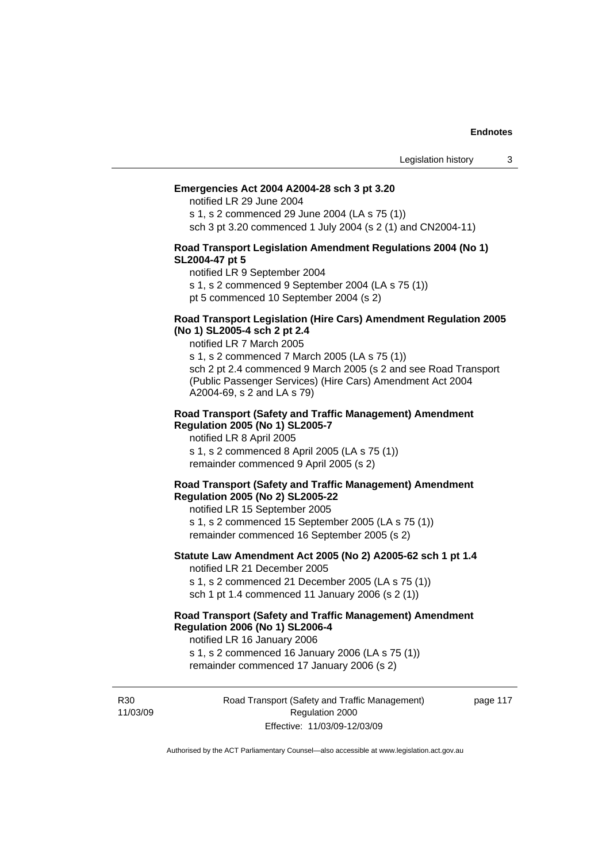#### **Emergencies Act 2004 A2004-28 sch 3 pt 3.20**

notified LR 29 June 2004

s 1, s 2 commenced 29 June 2004 (LA s 75 (1)) sch 3 pt 3.20 commenced 1 July 2004 (s 2 (1) and CN2004-11)

#### **Road Transport Legislation Amendment Regulations 2004 (No 1) SL2004-47 pt 5**

notified LR 9 September 2004

s 1, s 2 commenced 9 September 2004 (LA s 75 (1))

pt 5 commenced 10 September 2004 (s 2)

#### **Road Transport Legislation (Hire Cars) Amendment Regulation 2005 (No 1) SL2005-4 sch 2 pt 2.4**

notified LR 7 March 2005

s 1, s 2 commenced 7 March 2005 (LA s 75 (1)) sch 2 pt 2.4 commenced 9 March 2005 (s 2 and see Road Transport (Public Passenger Services) (Hire Cars) Amendment Act 2004 A2004-69, s 2 and LA s 79)

#### **Road Transport (Safety and Traffic Management) Amendment Regulation 2005 (No 1) SL2005-7**

notified LR 8 April 2005 s 1, s 2 commenced 8 April 2005 (LA s 75 (1)) remainder commenced 9 April 2005 (s 2)

#### **Road Transport (Safety and Traffic Management) Amendment Regulation 2005 (No 2) SL2005-22**

notified LR 15 September 2005 s 1, s 2 commenced 15 September 2005 (LA s 75 (1)) remainder commenced 16 September 2005 (s 2)

#### **Statute Law Amendment Act 2005 (No 2) A2005-62 sch 1 pt 1.4**  notified LR 21 December 2005

s 1, s 2 commenced 21 December 2005 (LA s 75 (1)) sch 1 pt 1.4 commenced 11 January 2006 (s 2 (1))

# **Road Transport (Safety and Traffic Management) Amendment Regulation 2006 (No 1) SL2006-4**

notified LR 16 January 2006 s 1, s 2 commenced 16 January 2006 (LA s 75 (1))

remainder commenced 17 January 2006 (s 2)

R30 11/03/09 Road Transport (Safety and Traffic Management) Regulation 2000 Effective: 11/03/09-12/03/09

page 117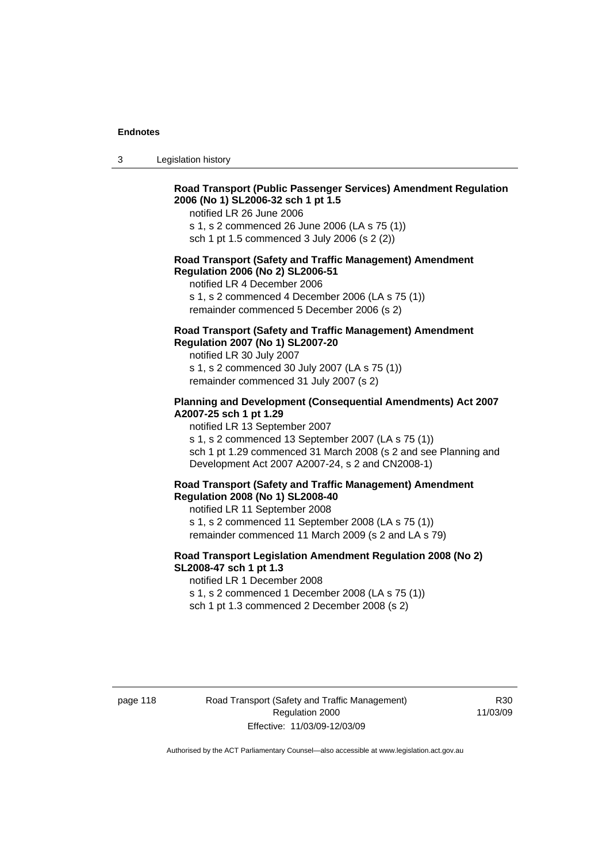3 Legislation history

#### **Road Transport (Public Passenger Services) Amendment Regulation 2006 (No 1) SL2006-32 sch 1 pt 1.5**

notified LR 26 June 2006

s 1, s 2 commenced 26 June 2006 (LA s 75 (1)) sch 1 pt 1.5 commenced 3 July 2006 (s 2 (2))

#### **Road Transport (Safety and Traffic Management) Amendment Regulation 2006 (No 2) SL2006-51**

notified LR 4 December 2006

s 1, s 2 commenced 4 December 2006 (LA s 75 (1)) remainder commenced 5 December 2006 (s 2)

#### **Road Transport (Safety and Traffic Management) Amendment Regulation 2007 (No 1) SL2007-20**

notified LR 30 July 2007 s 1, s 2 commenced 30 July 2007 (LA s 75 (1)) remainder commenced 31 July 2007 (s 2)

#### **Planning and Development (Consequential Amendments) Act 2007 A2007-25 sch 1 pt 1.29**

notified LR 13 September 2007

s 1, s 2 commenced 13 September 2007 (LA s 75 (1)) sch 1 pt 1.29 commenced 31 March 2008 (s 2 and see Planning and Development Act 2007 A2007-24, s 2 and CN2008-1)

#### **Road Transport (Safety and Traffic Management) Amendment Regulation 2008 (No 1) SL2008-40**

notified LR 11 September 2008 s 1, s 2 commenced 11 September 2008 (LA s 75 (1)) remainder commenced 11 March 2009 (s 2 and LA s 79)

#### **Road Transport Legislation Amendment Regulation 2008 (No 2) SL2008-47 sch 1 pt 1.3**

notified LR 1 December 2008 s 1, s 2 commenced 1 December 2008 (LA s 75 (1)) sch 1 pt 1.3 commenced 2 December 2008 (s 2)

page 118 Road Transport (Safety and Traffic Management) Regulation 2000 Effective: 11/03/09-12/03/09

R30 11/03/09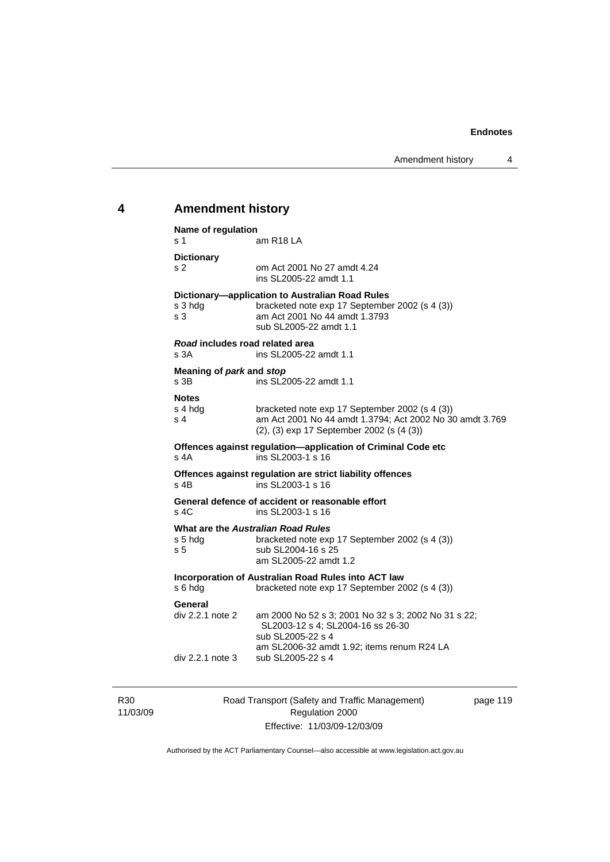# **4 Amendment history**

| Name of regulation                                  |                                                                                                                                                         |  |
|-----------------------------------------------------|---------------------------------------------------------------------------------------------------------------------------------------------------------|--|
| s 1                                                 | am R <sub>18</sub> LA                                                                                                                                   |  |
| <b>Dictionary</b>                                   |                                                                                                                                                         |  |
| s <sub>2</sub>                                      | om Act 2001 No 27 amdt 4.24<br>ins SL2005-22 amdt 1.1                                                                                                   |  |
|                                                     | Dictionary-application to Australian Road Rules                                                                                                         |  |
| s 3 hda<br>s <sub>3</sub>                           | bracketed note exp 17 September 2002 (s 4 (3))<br>am Act 2001 No 44 amdt 1.3793<br>sub SL2005-22 amdt 1.1                                               |  |
| Road includes road related area<br>s 3A             | ins SL2005-22 amdt 1.1                                                                                                                                  |  |
| Meaning of park and stop<br>s 3B                    | ins SL2005-22 amdt 1.1                                                                                                                                  |  |
| <b>Notes</b>                                        |                                                                                                                                                         |  |
| s 4 hdg<br>s 4                                      | bracketed note exp 17 September 2002 (s 4 (3))<br>am Act 2001 No 44 amdt 1.3794; Act 2002 No 30 amdt 3.769<br>(2), (3) exp 17 September 2002 (s (4 (3)) |  |
| s 4A                                                | Offences against regulation-application of Criminal Code etc<br>ins SL2003-1 s 16                                                                       |  |
| $s$ 4B                                              | Offences against regulation are strict liability offences<br>ins SL2003-1 s 16                                                                          |  |
| s 4C                                                | General defence of accident or reasonable effort<br>ins SL2003-1 s 16                                                                                   |  |
| What are the Australian Road Rules                  |                                                                                                                                                         |  |
| s 5 hdg<br>s <sub>5</sub>                           | bracketed note exp 17 September 2002 (s 4 (3))<br>sub SL2004-16 s 25<br>am SL2005-22 amdt 1.2                                                           |  |
| Incorporation of Australian Road Rules into ACT law |                                                                                                                                                         |  |
| s 6 hdg                                             | bracketed note exp 17 September 2002 (s 4 (3))                                                                                                          |  |
| General                                             |                                                                                                                                                         |  |
| div 2.2.1 note 2                                    | am 2000 No 52 s 3; 2001 No 32 s 3; 2002 No 31 s 22;<br>SL2003-12 s 4; SL2004-16 ss 26-30                                                                |  |
|                                                     | sub SL2005-22 s 4                                                                                                                                       |  |
| div 2.2.1 note 3                                    | am SL2006-32 amdt 1.92; items renum R24 LA<br>sub SL2005-22 s 4                                                                                         |  |
|                                                     |                                                                                                                                                         |  |

R30 11/03/09 Road Transport (Safety and Traffic Management) Regulation 2000 Effective: 11/03/09-12/03/09

page 119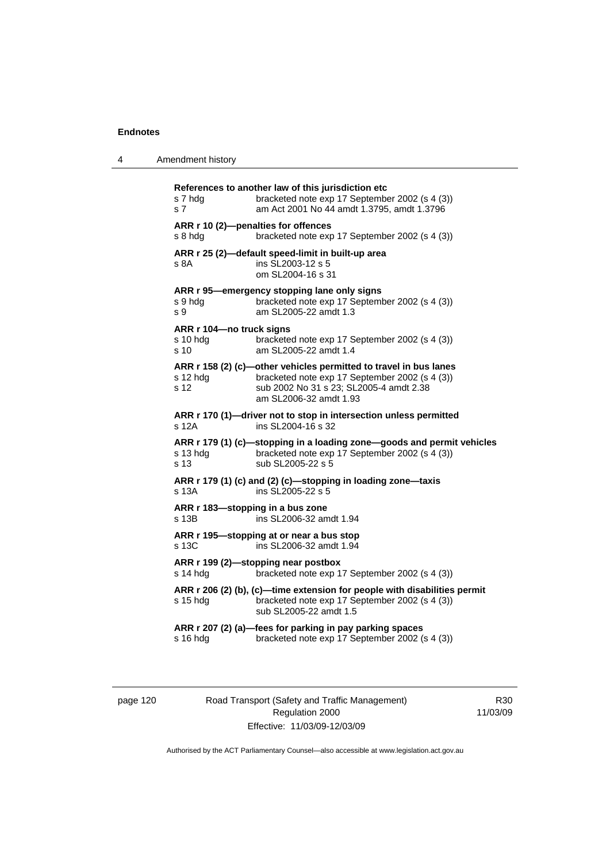| 4 | Amendment history |
|---|-------------------|
|---|-------------------|

| s 7 hda<br>s 7                                 | References to another law of this jurisdiction etc<br>bracketed note exp 17 September 2002 (s 4 (3))<br>am Act 2001 No 44 amdt 1.3795, amdt 1.3796                                       |
|------------------------------------------------|------------------------------------------------------------------------------------------------------------------------------------------------------------------------------------------|
| ARR r 10 (2)-penalties for offences<br>s 8 hdg | bracketed note exp 17 September 2002 (s 4 (3))                                                                                                                                           |
| s 8A                                           | ARR r 25 (2)-default speed-limit in built-up area<br>ins SL2003-12 s 5<br>om SL2004-16 s 31                                                                                              |
| s 9 hda<br>s 9                                 | ARR r 95—emergency stopping lane only signs<br>bracketed note exp 17 September 2002 (s 4 (3))<br>am SL2005-22 amdt 1.3                                                                   |
| ARR r 104-no truck signs<br>s 10 hdq<br>s 10   | bracketed note exp 17 September 2002 (s 4 (3))<br>am SL2005-22 amdt 1.4                                                                                                                  |
| $s$ 12 hdg<br>s 12                             | ARR r 158 (2) (c)-other vehicles permitted to travel in bus lanes<br>bracketed note exp 17 September 2002 (s 4 (3))<br>sub 2002 No 31 s 23; SL2005-4 amdt 2.38<br>am SL2006-32 amdt 1.93 |
| s 12A                                          | ARR r 170 (1)-driver not to stop in intersection unless permitted<br>ins SL2004-16 s 32                                                                                                  |
| s 13 hda<br>s 13                               | ARR r 179 (1) (c)-stopping in a loading zone-goods and permit vehicles<br>bracketed note exp 17 September 2002 (s 4 (3))<br>sub SL2005-22 s 5                                            |
| s 13A                                          | ARR r 179 (1) (c) and (2) (c)-stopping in loading zone-taxis<br>ins SL2005-22 s 5                                                                                                        |
| ARR r 183-stopping in a bus zone<br>s 13B      | ins SL2006-32 amdt 1.94                                                                                                                                                                  |
| s 13C                                          | ARR r 195-stopping at or near a bus stop<br>ins SL2006-32 amdt 1.94                                                                                                                      |
| s 14 hdg                                       | ARR r 199 (2)-stopping near postbox<br>bracketed note exp 17 September 2002 (s 4 (3))                                                                                                    |
| $s$ 15 hdg                                     | ARR r 206 (2) (b), (c)-time extension for people with disabilities permit<br>bracketed note exp 17 September 2002 (s 4 (3))<br>sub SL2005-22 amdt 1.5                                    |
| s 16 hdg                                       | ARR r 207 (2) (a)-fees for parking in pay parking spaces<br>bracketed note exp 17 September 2002 (s 4 (3))                                                                               |

page 120 Road Transport (Safety and Traffic Management) Regulation 2000 Effective: 11/03/09-12/03/09

R30 11/03/09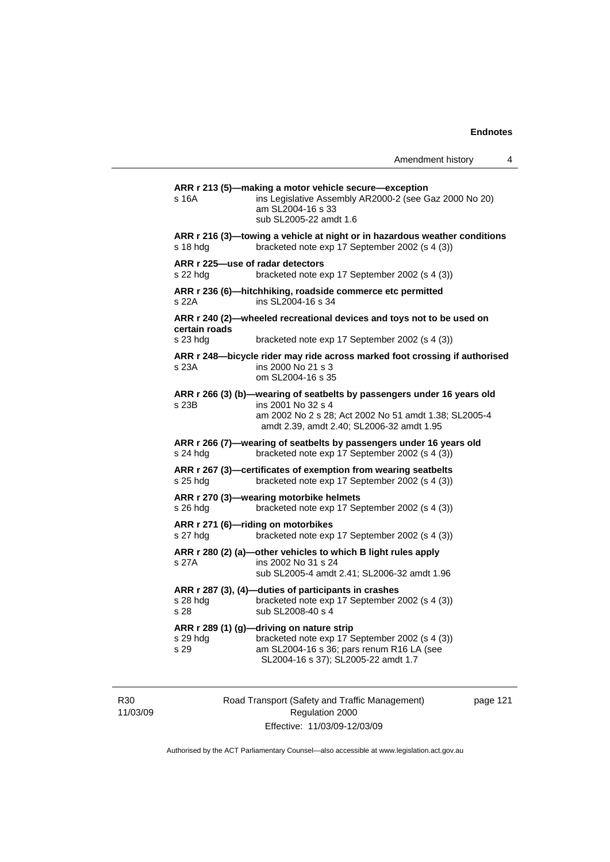| Amendment history |  |  |
|-------------------|--|--|
|-------------------|--|--|

**ARR r 213 (5)—making a motor vehicle secure—exception**  s 16A ins Legislative Assembly AR2000-2 (see Gaz 2000 No 20) am SL2004-16 s 33 sub SL2005-22 amdt 1.6 **ARR r 216 (3)—towing a vehicle at night or in hazardous weather conditions**  s 18 hdg bracketed note exp 17 September 2002 (s 4 (3)) **ARR r 225—use of radar detectors**  s 22 hdg bracketed note exp 17 September 2002 (s 4 (3)) **ARR r 236 (6)—hitchhiking, roadside commerce etc permitted**  s 22A ins SL2004-16 s 34 **ARR r 240 (2)—wheeled recreational devices and toys not to be used on certain roads**  s 23 hdg bracketed note exp 17 September 2002 (s 4 (3)) **ARR r 248—bicycle rider may ride across marked foot crossing if authorised**  s 23A ins 2000 No 21 s 3 om SL2004-16 s 35 **ARR r 266 (3) (b)—wearing of seatbelts by passengers under 16 years old**  s 23B ins 2001 No 32 s 4 am 2002 No 2 s 28; Act 2002 No 51 amdt 1.38; SL2005-4 amdt 2.39, amdt 2.40; SL2006-32 amdt 1.95 **ARR r 266 (7)—wearing of seatbelts by passengers under 16 years old**  s 24 hdg bracketed note exp 17 September 2002 (s 4 (3)) **ARR r 267 (3)—certificates of exemption from wearing seatbelts**  s 25 hdg bracketed note exp 17 September 2002 (s 4 (3)) **ARR r 270 (3)—wearing motorbike helmets**  s 26 hdg bracketed note exp 17 September 2002 (s 4 (3)) **ARR r 271 (6)—riding on motorbikes**  s 27 hdg bracketed note exp 17 September 2002 (s 4 (3)) **ARR r 280 (2) (a)—other vehicles to which B light rules apply**  s 27A ins 2002 No 31 s 24 sub SL2005-4 amdt 2.41; SL2006-32 amdt 1.96 **ARR r 287 (3), (4)—duties of participants in crashes**  s 28 hdg bracketed note exp 17 September 2002 (s 4 (3)) s 28 sub SL2008-40 s 4 **ARR r 289 (1) (g)—driving on nature strip**  bracketed note exp 17 September 2002 (s 4 (3)) s 29 am SL2004-16 s 36; pars renum R16 LA (see SL2004-16 s 37); SL2005-22 amdt 1.7

R30 11/03/09 Road Transport (Safety and Traffic Management) Regulation 2000 Effective: 11/03/09-12/03/09

page 121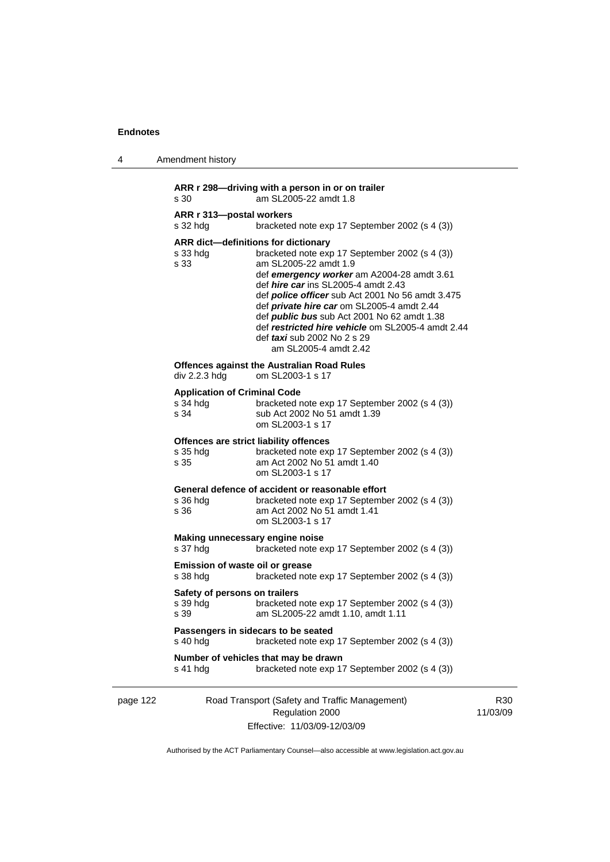| 4        | Amendment history                                                                                                                                                                                                                                                                                                                                                                                                                                                                                                        |
|----------|--------------------------------------------------------------------------------------------------------------------------------------------------------------------------------------------------------------------------------------------------------------------------------------------------------------------------------------------------------------------------------------------------------------------------------------------------------------------------------------------------------------------------|
|          | ARR r 298-driving with a person in or on trailer<br>am SL2005-22 amdt 1.8<br>s 30                                                                                                                                                                                                                                                                                                                                                                                                                                        |
|          | ARR r 313-postal workers<br>bracketed note exp 17 September 2002 (s 4 (3))<br>s 32 hdg                                                                                                                                                                                                                                                                                                                                                                                                                                   |
|          | ARR dict-definitions for dictionary<br>bracketed note exp 17 September 2002 (s 4 (3))<br>s 33 hdg<br>am SL2005-22 amdt 1.9<br>s 33<br>def emergency worker am A2004-28 amdt 3.61<br>def <i>hire car</i> ins SL2005-4 amdt 2.43<br>def <i>police officer</i> sub Act 2001 No 56 amdt 3.475<br>def <i>private hire car</i> om SL2005-4 amdt 2.44<br>def <i>public bus</i> sub Act 2001 No 62 amdt 1.38<br>def restricted hire vehicle om SL2005-4 amdt 2.44<br>def <i>taxi</i> sub 2002 No 2 s 29<br>am SL2005-4 amdt 2.42 |
|          | <b>Offences against the Australian Road Rules</b><br>div 2.2.3 hdg<br>om SL2003-1 s 17                                                                                                                                                                                                                                                                                                                                                                                                                                   |
|          | <b>Application of Criminal Code</b><br>s 34 hdg<br>bracketed note exp 17 September 2002 (s 4 (3))<br>s 34<br>sub Act 2002 No 51 amdt 1.39<br>om SL2003-1 s 17                                                                                                                                                                                                                                                                                                                                                            |
|          | Offences are strict liability offences<br>s 35 hdg<br>bracketed note exp 17 September 2002 (s 4 (3))<br>s 35<br>am Act 2002 No 51 amdt 1.40<br>om SL2003-1 s 17                                                                                                                                                                                                                                                                                                                                                          |
|          | General defence of accident or reasonable effort<br>s 36 hdg<br>bracketed note exp 17 September 2002 (s 4 (3))<br>s 36<br>am Act 2002 No 51 amdt 1.41<br>om SL2003-1 s 17                                                                                                                                                                                                                                                                                                                                                |
|          | Making unnecessary engine noise<br>s 37 hdg<br>bracketed note exp 17 September 2002 (s 4 (3))                                                                                                                                                                                                                                                                                                                                                                                                                            |
|          | Emission of waste oil or grease<br>bracketed note exp 17 September 2002 (s 4 (3))<br>s 38 hdg                                                                                                                                                                                                                                                                                                                                                                                                                            |
|          | Safety of persons on trailers<br>bracketed note exp 17 September 2002 (s 4 (3))<br>s 39 hdg<br>am SL2005-22 amdt 1.10, amdt 1.11<br>s 39                                                                                                                                                                                                                                                                                                                                                                                 |
|          | Passengers in sidecars to be seated<br>s 40 hdg<br>bracketed note exp 17 September 2002 (s 4 (3))                                                                                                                                                                                                                                                                                                                                                                                                                        |
|          | Number of vehicles that may be drawn<br>bracketed note exp 17 September 2002 (s 4 (3))<br>s 41 hdg                                                                                                                                                                                                                                                                                                                                                                                                                       |
| page 122 | Road Transport (Safety and Traffic Management)<br>Regulation 2000                                                                                                                                                                                                                                                                                                                                                                                                                                                        |

Effective: 11/03/09-12/03/09

11/03/09

R30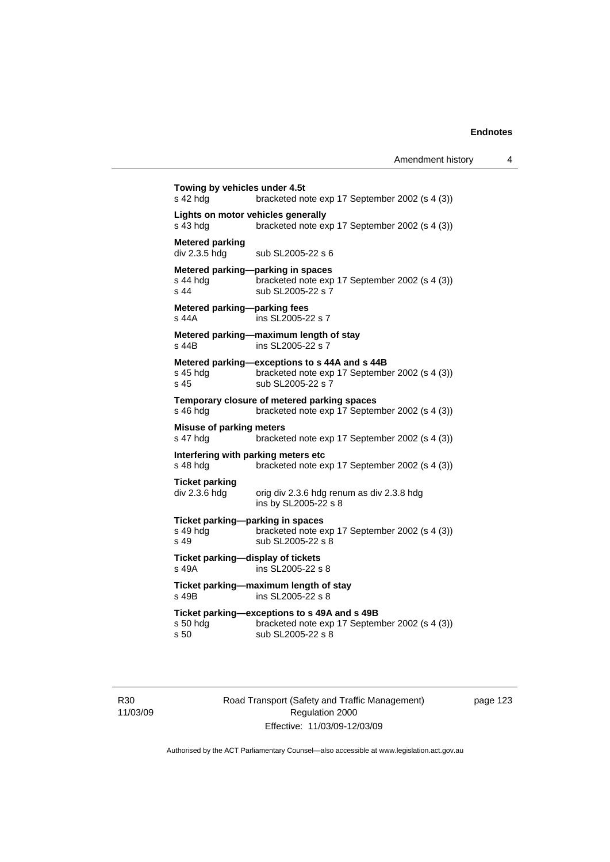**Towing by vehicles under 4.5t**  s 42 hdg bracketed note exp 17 September 2002 (s 4 (3)) **Lights on motor vehicles generally**  s 43 hdg bracketed note exp 17 September 2002 (s 4 (3)) **Metered parking**<br>div 2.3.5 hdg sub SL2005-22 s 6 **Metered parking—parking in spaces**  s 44 hdg<br>s 44 sub SI 2005-22 s 7<br>s 44 sub SI 2005-22 s 7 sub SL2005-22 s 7 **Metered parking—parking fees**  s 44A ins SL2005-22 s 7 **Metered parking—maximum length of stay**  s 44B ins SL2005-22 s 7 **Metered parking—exceptions to s 44A and s 44B**  s 45 hdg bracketed note exp 17 September 2002 (s 4 (3))<br>s 45 sub SL2005-22 s 7 sub SL2005-22 s 7 **Temporary closure of metered parking spaces**  s 46 hdg bracketed note exp 17 September 2002 (s 4 (3)) **Misuse of parking meters**  s 47 hdg bracketed note exp 17 September 2002 (s 4 (3)) **Interfering with parking meters etc**  bracketed note exp 17 September 2002 (s 4 (3)) **Ticket parking**  div 2.3.6 hdg orig div 2.3.6 hdg renum as div 2.3.8 hdg ins by SL2005-22 s 8 **Ticket parking—parking in spaces**  s 49 hdg bracketed note exp 17 September 2002 (s 4 (3)) s 49 sub SL2005-22 s 8 **Ticket parking—display of tickets**  s 49A ins SL2005-22 s 8 **Ticket parking—maximum length of stay**  s 49B ins SL2005-22 s 8 **Ticket parking—exceptions to s 49A and s 49B**  s 50 hdg bracketed note exp 17 September 2002 (s 4 (3)) s 50 sub SL2005-22 s 8

R30 11/03/09 Road Transport (Safety and Traffic Management) Regulation 2000 Effective: 11/03/09-12/03/09

page 123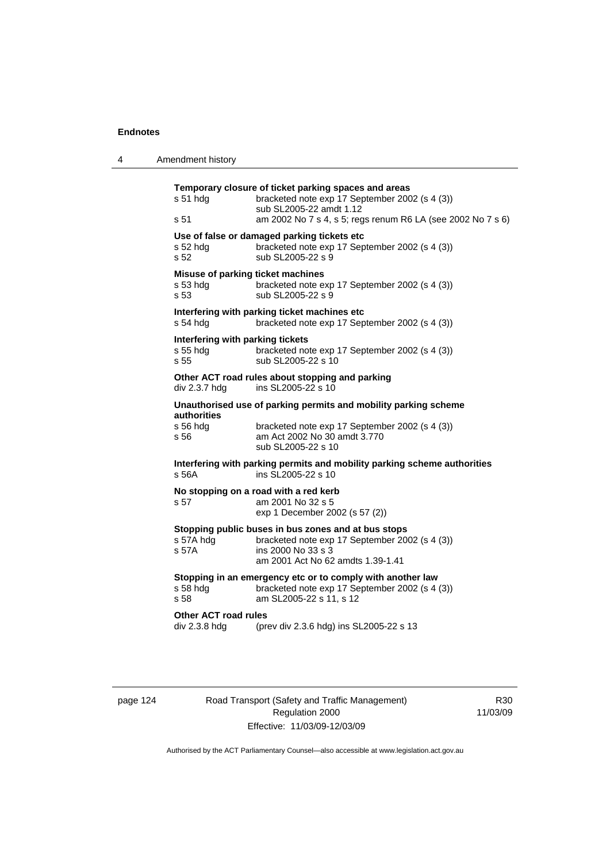| 4 | Amendment history                                                                                                                                                                                                    |
|---|----------------------------------------------------------------------------------------------------------------------------------------------------------------------------------------------------------------------|
|   | Temporary closure of ticket parking spaces and areas<br>s 51 hdg<br>bracketed note exp 17 September 2002 (s 4 (3))<br>sub SL2005-22 amdt 1.12<br>am 2002 No 7 s 4, s 5; regs renum R6 LA (see 2002 No 7 s 6)<br>s 51 |
|   | Use of false or damaged parking tickets etc<br>s 52 hdg<br>bracketed note exp 17 September 2002 (s 4 (3))<br>s 52<br>sub SL2005-22 s 9                                                                               |
|   | Misuse of parking ticket machines<br>$s53$ hdg<br>bracketed note exp 17 September 2002 (s 4 (3))<br>sub SL2005-22 s 9<br>s 53                                                                                        |
|   | Interfering with parking ticket machines etc<br>$s$ 54 hdg<br>bracketed note exp 17 September 2002 (s 4 (3))                                                                                                         |
|   | Interfering with parking tickets<br>s 55 hdg<br>bracketed note exp 17 September 2002 (s 4 (3))<br>s <sub>55</sub><br>sub SL2005-22 s 10                                                                              |
|   | Other ACT road rules about stopping and parking<br>ins SL2005-22 s 10<br>div 2.3.7 hdg                                                                                                                               |
|   | Unauthorised use of parking permits and mobility parking scheme<br><b>authorities</b><br>s 56 hdg<br>bracketed note exp 17 September 2002 (s 4 (3))<br>am Act 2002 No 30 amdt 3.770<br>s 56<br>sub SL2005-22 s 10    |
|   | Interfering with parking permits and mobility parking scheme authorities<br>s 56A<br>ins SL2005-22 s 10                                                                                                              |
|   | No stopping on a road with a red kerb<br>s 57<br>am 2001 No 32 s 5<br>exp 1 December 2002 (s 57 (2))                                                                                                                 |
|   | Stopping public buses in bus zones and at bus stops<br>s 57A hdg<br>bracketed note exp 17 September 2002 (s 4 (3))<br>ins 2000 No 33 s 3<br>s 57A<br>am 2001 Act No 62 amdts 1.39-1.41                               |
|   | Stopping in an emergency etc or to comply with another law<br>s 58 hdg<br>bracketed note exp 17 September 2002 (s 4 (3))<br>am SL2005-22 s 11, s 12<br>s 58                                                          |
|   | Other ACT road rules<br>div 2.3.8 hdg<br>(prev div 2.3.6 hdg) ins SL2005-22 s 13                                                                                                                                     |
|   |                                                                                                                                                                                                                      |

page 124 Road Transport (Safety and Traffic Management) Regulation 2000 Effective: 11/03/09-12/03/09

R30 11/03/09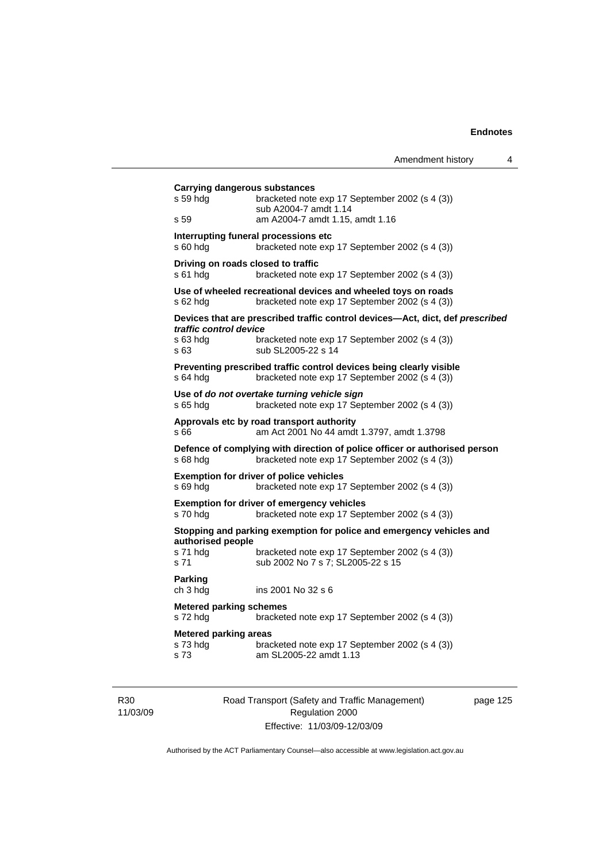|                                                   |                                                                                                                              | Amendment history | 4 |
|---------------------------------------------------|------------------------------------------------------------------------------------------------------------------------------|-------------------|---|
| Carrying dangerous substances<br>s 59 hdg<br>s 59 | bracketed note exp 17 September 2002 (s 4 (3))<br>sub A2004-7 amdt 1.14<br>am A2004-7 amdt 1.15, amdt 1.16                   |                   |   |
| s 60 hdg                                          | Interrupting funeral processions etc<br>bracketed note exp 17 September 2002 (s 4 (3))                                       |                   |   |
| Driving on roads closed to traffic<br>s 61 hda    | bracketed note exp 17 September 2002 (s 4 (3))                                                                               |                   |   |
| s 62 hda                                          | Use of wheeled recreational devices and wheeled toys on roads<br>bracketed note exp 17 September 2002 (s 4 (3))              |                   |   |
|                                                   | Devices that are prescribed traffic control devices-Act, dict, def prescribed                                                |                   |   |
| traffic control device<br>s 63 hdg<br>s 63        | bracketed note exp 17 September 2002 (s 4 (3))<br>sub SL2005-22 s 14                                                         |                   |   |
| $s$ 64 hdg                                        | Preventing prescribed traffic control devices being clearly visible<br>bracketed note exp 17 September 2002 (s 4 (3))        |                   |   |
| s 65 hdg                                          | Use of do not overtake turning vehicle sign<br>bracketed note exp 17 September 2002 (s 4 (3))                                |                   |   |
| s 66                                              | Approvals etc by road transport authority<br>am Act 2001 No 44 amdt 1.3797, amdt 1.3798                                      |                   |   |
| s 68 hdg                                          | Defence of complying with direction of police officer or authorised person<br>bracketed note exp 17 September 2002 (s 4 (3)) |                   |   |
| s 69 hdg                                          | <b>Exemption for driver of police vehicles</b><br>bracketed note exp 17 September 2002 (s 4 (3))                             |                   |   |
| s 70 hdg                                          | <b>Exemption for driver of emergency vehicles</b><br>bracketed note exp 17 September 2002 (s 4 (3))                          |                   |   |
|                                                   | Stopping and parking exemption for police and emergency vehicles and                                                         |                   |   |
| authorised people<br>s 71 hdg<br>s 71             | bracketed note exp 17 September 2002 (s 4 (3))<br>sub 2002 No 7 s 7; SL2005-22 s 15                                          |                   |   |
| Parking<br>ch 3 hdg                               | ins 2001 No 32 s 6                                                                                                           |                   |   |
| <b>Metered parking schemes</b><br>s 72 hdg        | bracketed note exp 17 September 2002 (s 4 (3))                                                                               |                   |   |
| <b>Metered parking areas</b><br>s 73 hdg<br>s 73  | bracketed note exp 17 September 2002 (s 4 (3))<br>am SL2005-22 amdt 1.13                                                     |                   |   |

R30 11/03/09 Road Transport (Safety and Traffic Management) Regulation 2000 Effective: 11/03/09-12/03/09

page 125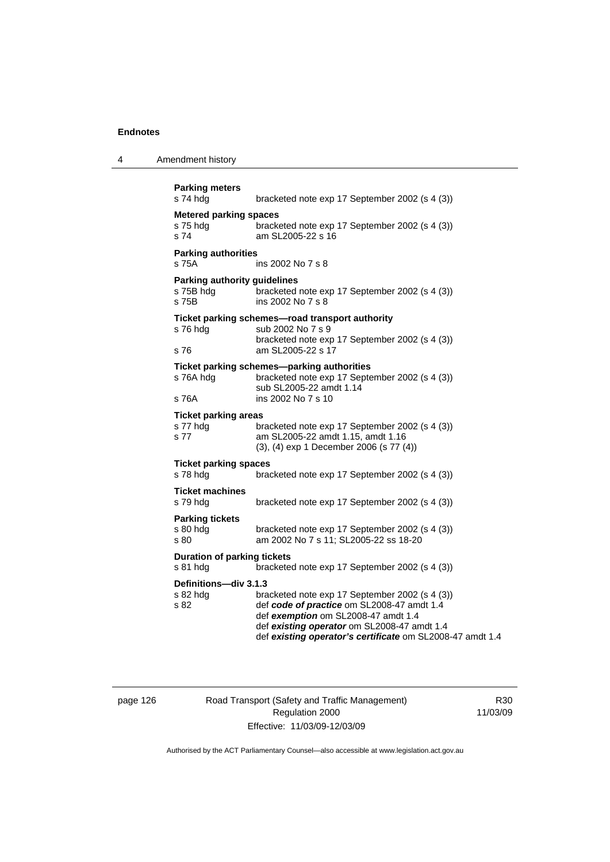4 Amendment history

| <b>Parking meters</b><br>s 74 hdg                         | bracketed note exp 17 September 2002 (s 4 (3))                                                                                                                                                                                                  |
|-----------------------------------------------------------|-------------------------------------------------------------------------------------------------------------------------------------------------------------------------------------------------------------------------------------------------|
| <b>Metered parking spaces</b><br>s 75 hdg<br>s 74         | bracketed note exp 17 September 2002 (s 4 (3))<br>am SL2005-22 s 16                                                                                                                                                                             |
| <b>Parking authorities</b><br>s 75A                       | ins 2002 No 7 s 8                                                                                                                                                                                                                               |
| <b>Parking authority guidelines</b><br>s 75B hdg<br>s 75B | bracketed note exp 17 September 2002 (s 4 (3))<br>ins 2002 No 7 s 8                                                                                                                                                                             |
| s 76 hdg<br>s 76                                          | Ticket parking schemes-road transport authority<br>sub 2002 No 7 s 9<br>bracketed note exp 17 September 2002 (s 4 (3))<br>am SL2005-22 s 17                                                                                                     |
| s 76A hdg<br>s 76A                                        | Ticket parking schemes-parking authorities<br>bracketed note exp 17 September 2002 (s 4 (3))<br>sub SL2005-22 amdt 1.14<br>ins 2002 No 7 s 10                                                                                                   |
| <b>Ticket parking areas</b><br>s 77 hdg<br>s 77           | bracketed note exp 17 September 2002 (s 4 (3))<br>am SL2005-22 amdt 1.15, amdt 1.16<br>(3), (4) exp 1 December 2006 (s 77 (4))                                                                                                                  |
| <b>Ticket parking spaces</b><br>s 78 hdg                  | bracketed note exp 17 September 2002 (s 4 (3))                                                                                                                                                                                                  |
| <b>Ticket machines</b><br>s 79 hdg                        | bracketed note exp 17 September 2002 (s 4 (3))                                                                                                                                                                                                  |
| <b>Parking tickets</b><br>s 80 hdg<br>s 80                | bracketed note exp 17 September 2002 (s 4 (3))<br>am 2002 No 7 s 11; SL2005-22 ss 18-20                                                                                                                                                         |
| <b>Duration of parking tickets</b><br>s 81 hdg            | bracketed note exp 17 September 2002 (s 4 (3))                                                                                                                                                                                                  |
| Definitions-div 3.1.3<br>s 82 hdg<br>s 82                 | bracketed note exp 17 September 2002 (s 4 (3))<br>def code of practice om SL2008-47 amdt 1.4<br>def exemption om SL2008-47 amdt 1.4<br>def existing operator om SL2008-47 amdt 1.4<br>def existing operator's certificate om SL2008-47 amdt 1.4 |

# page 126 Road Transport (Safety and Traffic Management) Regulation 2000 Effective: 11/03/09-12/03/09

R30 11/03/09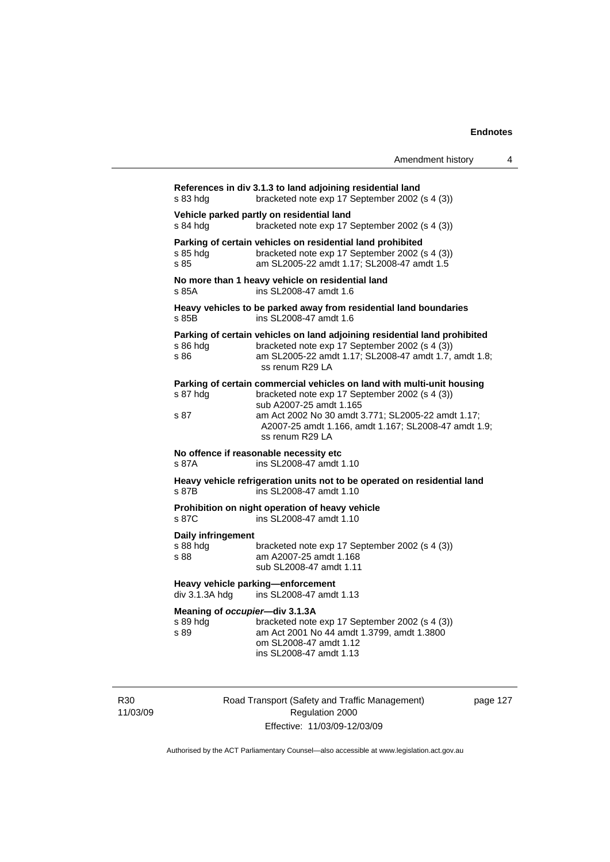$\overline{4}$ 

|                                                                                                                          | Amendment history                                                                                                                                                                                                                                                                    |  |  |
|--------------------------------------------------------------------------------------------------------------------------|--------------------------------------------------------------------------------------------------------------------------------------------------------------------------------------------------------------------------------------------------------------------------------------|--|--|
| References in div 3.1.3 to land adjoining residential land<br>s 83 hdg<br>bracketed note exp 17 September 2002 (s 4 (3)) |                                                                                                                                                                                                                                                                                      |  |  |
| s 84 hdg                                                                                                                 | Vehicle parked partly on residential land<br>bracketed note exp 17 September 2002 (s 4 (3))                                                                                                                                                                                          |  |  |
| s 85 hdg<br>s 85                                                                                                         | Parking of certain vehicles on residential land prohibited<br>bracketed note exp 17 September 2002 (s 4 (3))<br>am SL2005-22 amdt 1.17; SL2008-47 amdt 1.5                                                                                                                           |  |  |
| s 85A                                                                                                                    | No more than 1 heavy vehicle on residential land<br>ins SL2008-47 amdt 1.6                                                                                                                                                                                                           |  |  |
| s 85B                                                                                                                    | Heavy vehicles to be parked away from residential land boundaries<br>ins SL2008-47 amdt 1.6                                                                                                                                                                                          |  |  |
| s 86 hdg<br>s 86                                                                                                         | Parking of certain vehicles on land adjoining residential land prohibited<br>bracketed note exp 17 September 2002 (s 4 (3))<br>am SL2005-22 amdt 1.17; SL2008-47 amdt 1.7, amdt 1.8;<br>ss renum R29 LA                                                                              |  |  |
| s 87 hda<br>s 87                                                                                                         | Parking of certain commercial vehicles on land with multi-unit housing<br>bracketed note exp 17 September 2002 (s 4 (3))<br>sub A2007-25 amdt 1.165<br>am Act 2002 No 30 amdt 3.771; SL2005-22 amdt 1.17;<br>A2007-25 amdt 1.166, amdt 1.167; SL2008-47 amdt 1.9;<br>ss renum R29 LA |  |  |
| s 87A                                                                                                                    | No offence if reasonable necessity etc<br>ins SL2008-47 amdt 1.10                                                                                                                                                                                                                    |  |  |
| s 87B                                                                                                                    | Heavy vehicle refrigeration units not to be operated on residential land<br>ins SL2008-47 amdt 1.10                                                                                                                                                                                  |  |  |
| s 87C                                                                                                                    | Prohibition on night operation of heavy vehicle<br>ins SL2008-47 amdt 1.10                                                                                                                                                                                                           |  |  |
| Daily infringement<br>s 88 hdg<br>s 88                                                                                   | bracketed note exp 17 September 2002 (s 4 (3))<br>am A2007-25 amdt 1.168<br>sub SL2008-47 amdt 1.11                                                                                                                                                                                  |  |  |
| div 3.1.3A hdg                                                                                                           | Heavy vehicle parking-enforcement<br>ins SL2008-47 amdt 1.13                                                                                                                                                                                                                         |  |  |
| Meaning of occupier-div 3.1.3A<br>s 89 hdg<br>s 89                                                                       | bracketed note exp 17 September 2002 (s 4 (3))<br>am Act 2001 No 44 amdt 1.3799, amdt 1.3800<br>om SL2008-47 amdt 1.12<br>ins SL2008-47 amdt 1.13                                                                                                                                    |  |  |

R30 11/03/09 Road Transport (Safety and Traffic Management) Regulation 2000 Effective: 11/03/09-12/03/09

page 127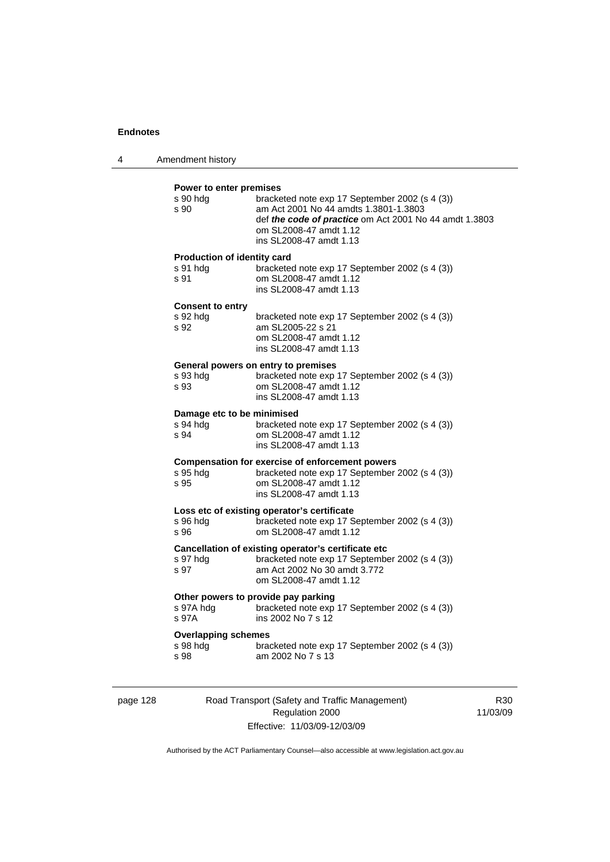| 4 | Amendment history |  |
|---|-------------------|--|
|---|-------------------|--|

#### **Power to enter premises**

| s 90 hdg<br>s 90            | bracketed note exp 17 September 2002 (s 4 (3))<br>am Act 2001 No 44 amdts 1.3801-1.3803<br>def the code of practice om Act 2001 No 44 amdt 1.3803<br>om SL2008-47 amdt 1.12<br>ins SL2008-47 amdt 1.13 |
|-----------------------------|--------------------------------------------------------------------------------------------------------------------------------------------------------------------------------------------------------|
| Production of identity card |                                                                                                                                                                                                        |
| s 91 hdg<br>s 91            | bracketed note exp 17 September 2002 (s 4 (3))<br>om SL2008-47 amdt 1.12<br>ins SL2008-47 amdt 1.13                                                                                                    |
| <b>Consent to entry</b>     |                                                                                                                                                                                                        |
| s 92 hdg<br>s 92            | bracketed note exp 17 September 2002 (s 4 (3))<br>am SL2005-22 s 21<br>om SL2008-47 amdt 1.12<br>ins SL2008-47 amdt 1.13                                                                               |
|                             | General powers on entry to premises                                                                                                                                                                    |
| s 93 hdg<br>s 93            | bracketed note exp 17 September 2002 (s 4 (3))<br>om SL2008-47 amdt 1.12<br>ins SL2008-47 amdt 1.13                                                                                                    |
| Damage etc to be minimised  |                                                                                                                                                                                                        |
| s 94 hdg<br>s 94            | bracketed note exp 17 September 2002 (s 4 (3))<br>om SL2008-47 amdt 1.12<br>ins SL2008-47 amdt 1.13                                                                                                    |
|                             | <b>Compensation for exercise of enforcement powers</b>                                                                                                                                                 |
| s 95 hdg<br>s 95            | bracketed note exp 17 September 2002 (s 4 (3))<br>om SL2008-47 amdt 1.12<br>ins SL2008-47 amdt 1.13                                                                                                    |
|                             | Loss etc of existing operator's certificate                                                                                                                                                            |
| s 96 hda<br>s 96            | bracketed note exp 17 September 2002 (s 4 (3))<br>om SL2008-47 amdt 1.12                                                                                                                               |
|                             | Cancellation of existing operator's certificate etc                                                                                                                                                    |
| s 97 hdg<br>s 97            | bracketed note exp 17 September 2002 (s 4 (3))<br>am Act 2002 No 30 amdt 3.772<br>om SL2008-47 amdt 1.12                                                                                               |
|                             | Other powers to provide pay parking                                                                                                                                                                    |
| s 97A hdg<br>s 97A          | bracketed note exp 17 September 2002 (s 4 (3))<br>ins 2002 No 7 s 12                                                                                                                                   |
| <b>Overlapping schemes</b>  |                                                                                                                                                                                                        |
| s 98 hdg<br>s 98            | bracketed note exp 17 September 2002 (s 4 (3))<br>am 2002 No 7 s 13                                                                                                                                    |
|                             |                                                                                                                                                                                                        |

page 128 Road Transport (Safety and Traffic Management) Regulation 2000 Effective: 11/03/09-12/03/09

R30 11/03/09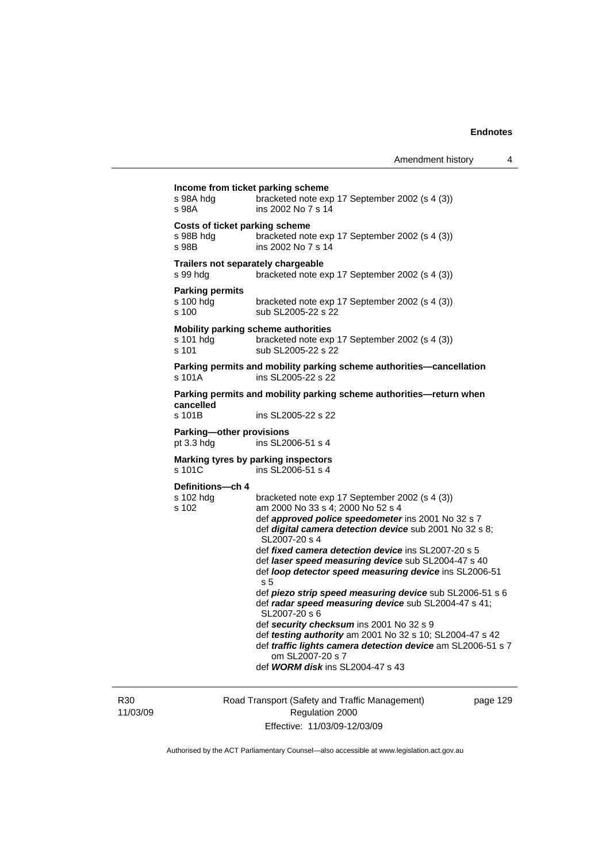| s 98A hda<br>s 98A                           | bracketed note exp 17 September 2002 (s 4 (3))<br>ins 2002 No 7 s 14                                                                                                        |
|----------------------------------------------|-----------------------------------------------------------------------------------------------------------------------------------------------------------------------------|
| s 98B hdg<br>s 98B                           | Costs of ticket parking scheme<br>bracketed note exp 17 September 2002 (s 4 (3))<br>ins 2002 No 7 s 14                                                                      |
| s 99 hdg                                     | Trailers not separately chargeable<br>bracketed note exp 17 September 2002 (s 4 (3))                                                                                        |
| <b>Parking permits</b><br>s 100 hdg<br>s 100 | bracketed note exp 17 September 2002 (s 4 (3))<br>sub SL2005-22 s 22                                                                                                        |
| s 101 hdg<br>s 101                           | Mobility parking scheme authorities<br>bracketed note exp 17 September 2002 (s 4 (3))<br>sub SL2005-22 s 22                                                                 |
| s 101A                                       | Parking permits and mobility parking scheme authorities-cancellation<br>ins SL2005-22 s 22                                                                                  |
|                                              | Parking permits and mobility parking scheme authorities-return when                                                                                                         |
| cancelled<br>s 101B                          | ins SL2005-22 s 22                                                                                                                                                          |
| Parking-other provisions<br>pt $3.3$ hdg     | ins SL2006-51 s 4                                                                                                                                                           |
| s 101C                                       | Marking tyres by parking inspectors<br>ins SL2006-51 s 4                                                                                                                    |
| Definitions-ch 4<br>s 102 hdg<br>s 102       | bracketed note exp 17 September 2002 (s 4 (3))<br>am 2000 No 33 s 4; 2000 No 52 s 4                                                                                         |
|                                              | def approved police speedometer ins 2001 No 32 s 7<br>def digital camera detection device sub 2001 No 32 s 8;<br>SL2007-20 s 4                                              |
|                                              | def fixed camera detection device ins SL2007-20 s 5<br>def laser speed measuring device sub SL2004-47 s 40<br>def loop detector speed measuring device ins SL2006-51<br>s 5 |
|                                              | def piezo strip speed measuring device sub SL2006-51 s 6<br>def radar speed measuring device sub SL2004-47 s 41;<br>SL2007-20 s 6                                           |
|                                              | def security checksum ins 2001 No 32 s 9<br>def testing authority am 2001 No 32 s 10; SL2004-47 s 42<br>def traffic lights camera detection device am SL2006-51 s 7         |

R30 11/03/09 Road Transport (Safety and Traffic Management) Regulation 2000 Effective: 11/03/09-12/03/09

page 129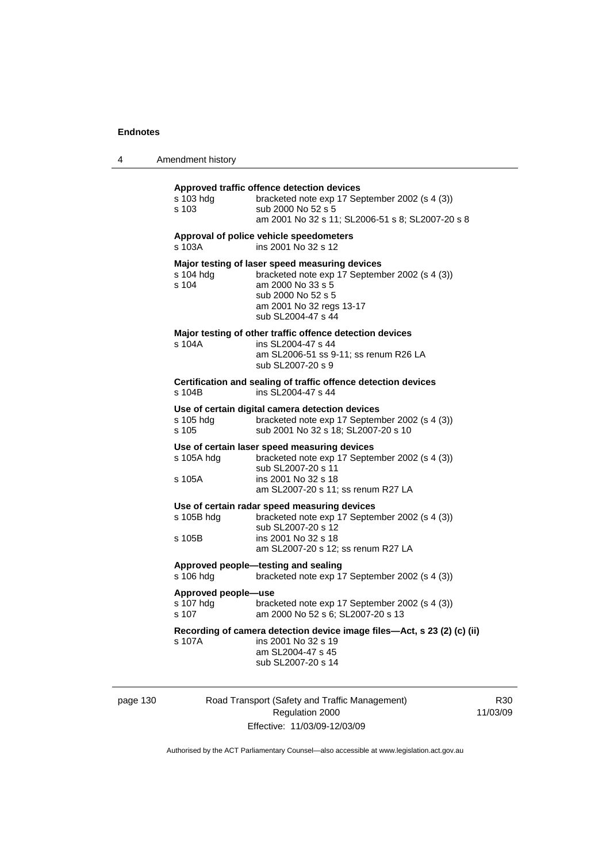|  | Amendment history |
|--|-------------------|
|--|-------------------|

| s 103 hda<br>s 103                               | Approved traffic offence detection devices<br>bracketed note exp 17 September 2002 (s 4 (3))<br>sub 2000 No 52 s 5<br>am 2001 No 32 s 11; SL2006-51 s 8; SL2007-20 s 8                        |
|--------------------------------------------------|-----------------------------------------------------------------------------------------------------------------------------------------------------------------------------------------------|
| s 103A                                           | Approval of police vehicle speedometers<br>ins 2001 No 32 s 12                                                                                                                                |
| s 104 hdg<br>s 104                               | Major testing of laser speed measuring devices<br>bracketed note exp 17 September 2002 (s 4 (3))<br>am 2000 No 33 s 5<br>sub 2000 No 52 s 5<br>am 2001 No 32 regs 13-17<br>sub SL2004-47 s 44 |
| s 104A                                           | Major testing of other traffic offence detection devices<br>ins SL2004-47 s 44<br>am SL2006-51 ss 9-11; ss renum R26 LA<br>sub SL2007-20 s 9                                                  |
| s 104B                                           | Certification and sealing of traffic offence detection devices<br>ins SL2004-47 s 44                                                                                                          |
| s 105 hdg<br>s 105                               | Use of certain digital camera detection devices<br>bracketed note exp 17 September 2002 (s 4 (3))<br>sub 2001 No 32 s 18; SL2007-20 s 10                                                      |
| s 105A hdg<br>s 105A                             | Use of certain laser speed measuring devices<br>bracketed note exp 17 September 2002 (s 4 (3))<br>sub SL2007-20 s 11<br>ins 2001 No 32 s 18<br>am SL2007-20 s 11; ss renum R27 LA             |
| s 105B hdg<br>s 105B                             | Use of certain radar speed measuring devices<br>bracketed note exp 17 September 2002 (s 4 (3))<br>sub SL2007-20 s 12<br>ins 2001 No 32 s 18<br>am SL2007-20 s 12; ss renum R27 LA             |
| Approved people-testing and sealing<br>s 106 hdg | bracketed note exp 17 September 2002 (s 4 (3))                                                                                                                                                |
| Approved people-use<br>s 107 hdg<br>$s$ 107      | bracketed note exp 17 September 2002 (s 4 (3))<br>am 2000 No 52 s 6; SL2007-20 s 13                                                                                                           |
| s 107A                                           | Recording of camera detection device image files-Act, s 23 (2) (c) (ii)<br>ins 2001 No 32 s 19<br>am SL2004-47 s 45<br>sub SL2007-20 s 14                                                     |

page 130 Road Transport (Safety and Traffic Management) Regulation 2000 Effective: 11/03/09-12/03/09

R30 11/03/09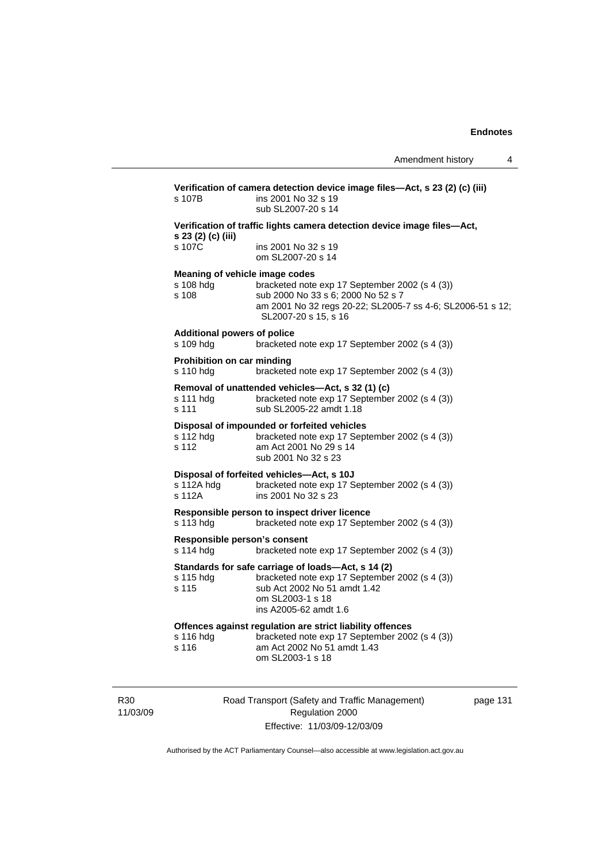| s 107B                                          | ins 2001 No 32 s 19<br>sub SL2007-20 s 14                                                                                                                                                                    |
|-------------------------------------------------|--------------------------------------------------------------------------------------------------------------------------------------------------------------------------------------------------------------|
| s 23 (2) (c) (iii)                              | Verification of traffic lights camera detection device image files-Act,                                                                                                                                      |
| s 107C                                          | ins 2001 No 32 s 19<br>om SL2007-20 s 14                                                                                                                                                                     |
| s 108 hdg<br>s 108                              | Meaning of vehicle image codes<br>bracketed note exp 17 September 2002 (s 4 (3))<br>sub 2000 No 33 s 6; 2000 No 52 s 7<br>am 2001 No 32 regs 20-22; SL2005-7 ss 4-6; SL2006-51 s 12;<br>SL2007-20 s 15, s 16 |
| <b>Additional powers of police</b><br>s 109 hdg | bracketed note exp 17 September 2002 (s 4 (3))                                                                                                                                                               |
| Prohibition on car minding<br>s 110 hdg         | bracketed note exp 17 September 2002 (s 4 (3))                                                                                                                                                               |
| s 111 hdg<br>s 111                              | Removal of unattended vehicles-Act, s 32 (1) (c)<br>bracketed note exp 17 September 2002 (s 4 (3))<br>sub SL2005-22 amdt 1.18                                                                                |
| s 112 hdg<br>s 112                              | Disposal of impounded or forfeited vehicles<br>bracketed note exp 17 September 2002 (s 4 (3))<br>am Act 2001 No 29 s 14<br>sub 2001 No 32 s 23                                                               |
| s 112A hdg<br>s 112A                            | Disposal of forfeited vehicles-Act, s 10J<br>bracketed note exp 17 September 2002 (s 4 (3))<br>ins 2001 No 32 s 23                                                                                           |
| s 113 hdg                                       | Responsible person to inspect driver licence<br>bracketed note exp 17 September 2002 (s 4 (3))                                                                                                               |
| s 114 hdg                                       | Responsible person's consent<br>bracketed note exp 17 September 2002 (s 4 (3))                                                                                                                               |
| s 115 hdg<br>s 115                              | Standards for safe carriage of loads-Act, s 14 (2)<br>bracketed note exp 17 September 2002 (s 4 (3))<br>sub Act 2002 No 51 amdt 1.42<br>om SL2003-1 s 18<br>ins A2005-62 amdt 1.6                            |
| s 116 hdg<br>s 116                              | Offences against regulation are strict liability offences<br>bracketed note exp 17 September 2002 (s 4 (3))<br>am Act 2002 No 51 amdt 1.43<br>om SL2003-1 s 18                                               |

R30 11/03/09 Road Transport (Safety and Traffic Management) Regulation 2000 Effective: 11/03/09-12/03/09

page 131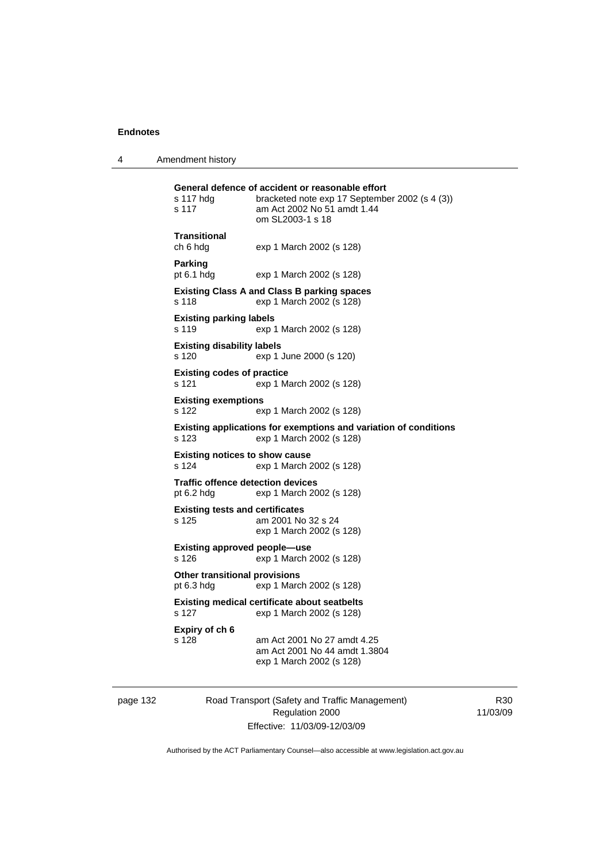4 Amendment history

| s 117 hda<br>s 117                                                                 | General defence of accident or reasonable effort<br>bracketed note exp 17 September 2002 (s 4 (3))<br>am Act 2002 No 51 amdt 1.44<br>om SL2003-1 s 18 |  |
|------------------------------------------------------------------------------------|-------------------------------------------------------------------------------------------------------------------------------------------------------|--|
| Transitional<br>ch 6 hdg                                                           | exp 1 March 2002 (s 128)                                                                                                                              |  |
| Parking<br>pt 6.1 hdg                                                              | exp 1 March 2002 (s 128)                                                                                                                              |  |
| s 118                                                                              | <b>Existing Class A and Class B parking spaces</b><br>exp 1 March 2002 (s 128)                                                                        |  |
| <b>Existing parking labels</b><br>s 119                                            | exp 1 March 2002 (s 128)                                                                                                                              |  |
| <b>Existing disability labels</b><br>s 120                                         | exp 1 June 2000 (s 120)                                                                                                                               |  |
| <b>Existing codes of practice</b><br>s 121                                         | exp 1 March 2002 (s 128)                                                                                                                              |  |
| <b>Existing exemptions</b><br>s 122                                                | exp 1 March 2002 (s 128)                                                                                                                              |  |
| s 123                                                                              | <b>Existing applications for exemptions and variation of conditions</b><br>exp 1 March 2002 (s 128)                                                   |  |
| <b>Existing notices to show cause</b><br>s 124                                     | exp 1 March 2002 (s 128)                                                                                                                              |  |
| <b>Traffic offence detection devices</b><br>pt 6.2 hdg<br>exp 1 March 2002 (s 128) |                                                                                                                                                       |  |
| <b>Existing tests and certificates</b><br>s 125                                    | am 2001 No 32 s 24<br>exp 1 March 2002 (s 128)                                                                                                        |  |
| Existing approved people—use<br>s 126<br>exp 1 March 2002 (s 128)                  |                                                                                                                                                       |  |
| <b>Other transitional provisions</b><br>pt 6.3 hdg                                 | exp 1 March 2002 (s 128)                                                                                                                              |  |
| s 127                                                                              | <b>Existing medical certificate about seatbelts</b><br>exp 1 March 2002 (s 128)                                                                       |  |
| Expiry of ch 6<br>s 128                                                            | am Act 2001 No 27 amdt 4.25<br>am Act 2001 No 44 amdt 1.3804<br>exp 1 March 2002 (s 128)                                                              |  |

page 132 Road Transport (Safety and Traffic Management) Regulation 2000 Effective: 11/03/09-12/03/09

R30 11/03/09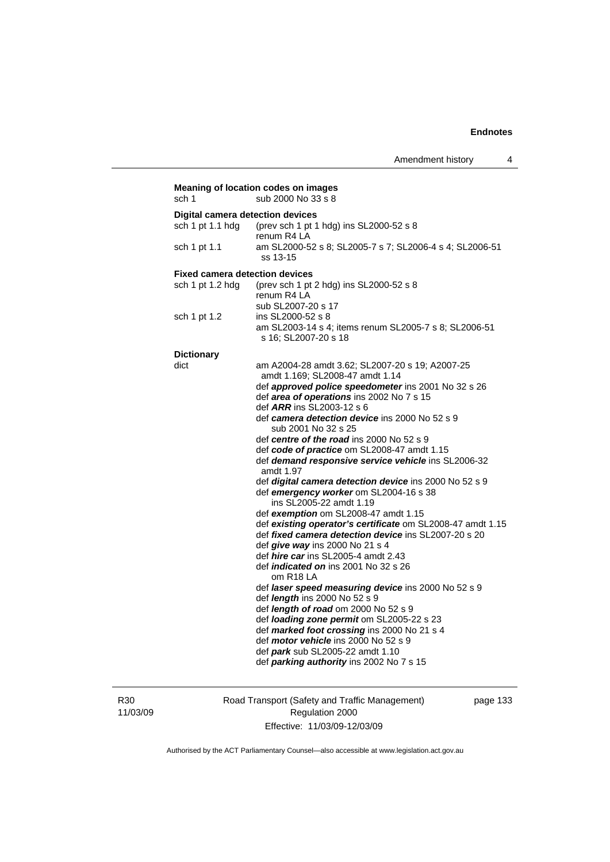| sch 1                                   | Meaning of location codes on images<br>sub 2000 No 33 s 8        |
|-----------------------------------------|------------------------------------------------------------------|
| <b>Digital camera detection devices</b> |                                                                  |
| sch 1 pt 1.1 hdg                        | (prev sch 1 pt 1 hdg) ins SL2000-52 s 8                          |
|                                         | renum R4 LA                                                      |
| sch 1 pt 1.1                            | am SL2000-52 s 8; SL2005-7 s 7; SL2006-4 s 4; SL2006-51          |
|                                         | ss 13-15                                                         |
|                                         |                                                                  |
| <b>Fixed camera detection devices</b>   |                                                                  |
| sch 1 pt 1.2 hdg                        | (prev sch 1 pt 2 hdg) ins SL2000-52 s 8<br>renum R4 LA           |
|                                         |                                                                  |
|                                         | sub SL2007-20 s 17                                               |
| sch 1 pt 1.2                            | ins SL2000-52 s 8                                                |
|                                         | am SL2003-14 s 4; items renum SL2005-7 s 8; SL2006-51            |
|                                         | s 16; SL2007-20 s 18                                             |
| <b>Dictionary</b>                       |                                                                  |
| dict                                    | am A2004-28 amdt 3.62; SL2007-20 s 19; A2007-25                  |
|                                         | amdt 1.169; SL2008-47 amdt 1.14                                  |
|                                         | def approved police speedometer ins 2001 No 32 s 26              |
|                                         | def area of operations ins 2002 No 7 s 15                        |
|                                         | def <i>ARR</i> ins SL2003-12 s 6                                 |
|                                         | def camera detection device ins 2000 No 52 s 9                   |
|                                         | sub 2001 No 32 s 25                                              |
|                                         | def centre of the road ins 2000 No 52 s 9                        |
|                                         | def code of practice om SL2008-47 amdt 1.15                      |
|                                         | def demand responsive service vehicle ins SL2006-32<br>amdt 1.97 |
|                                         | def digital camera detection device ins 2000 No 52 s 9           |
|                                         | def emergency worker om SL2004-16 s 38                           |
|                                         | ins SL2005-22 amdt 1.19                                          |
|                                         | def exemption om SL2008-47 amdt 1.15                             |
|                                         | def existing operator's certificate om SL2008-47 amdt 1.15       |
|                                         | def fixed camera detection device ins SL2007-20 s 20             |
|                                         | def give way ins 2000 No 21 s 4                                  |
|                                         | def <i>hire car</i> ins SL2005-4 amdt 2.43                       |
|                                         | def <i>indicated on</i> ins 2001 No 32 s 26<br>om R18 LA         |
|                                         | def laser speed measuring device ins 2000 No 52 s 9              |
|                                         | def <i>length</i> ins 2000 No 52 s 9                             |
|                                         | def <i>length of road</i> om $2000$ No $52 s 9$                  |
|                                         | def loading zone permit om SL2005-22 s 23                        |
|                                         | def marked foot crossing ins 2000 No 21 s 4                      |
|                                         | def motor vehicle ins 2000 No 52 s 9                             |
|                                         | def park sub SL2005-22 amdt 1.10                                 |
|                                         | def parking authority ins 2002 No 7 s 15                         |
|                                         |                                                                  |

R30 11/03/09 Road Transport (Safety and Traffic Management) Regulation 2000 Effective: 11/03/09-12/03/09

page 133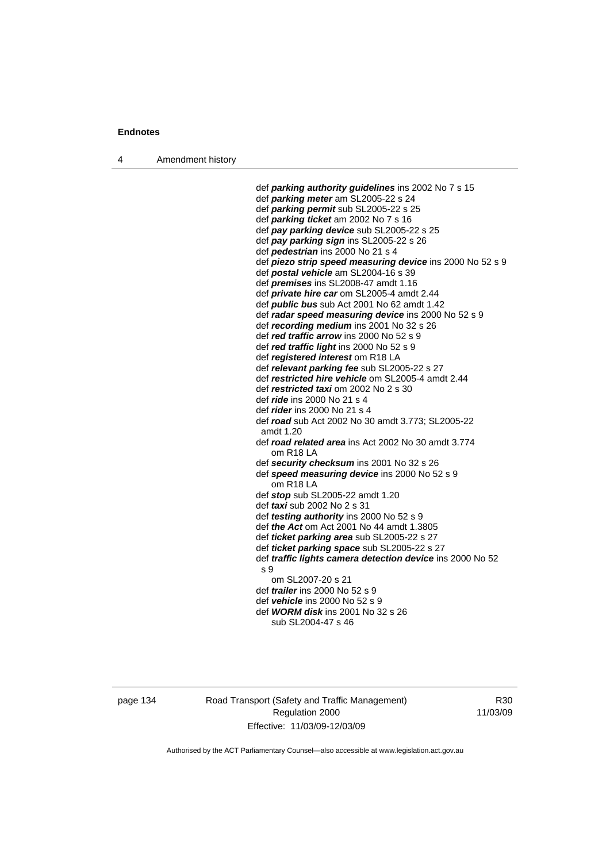4 Amendment history

 def *parking authority guidelines* ins 2002 No 7 s 15 def *parking meter* am SL2005-22 s 24 def *parking permit* sub SL2005-22 s 25 def *parking ticket* am 2002 No 7 s 16 def *pay parking device* sub SL2005-22 s 25 def *pay parking sign* ins SL2005-22 s 26 def *pedestrian* ins 2000 No 21 s 4 def *piezo strip speed measuring device* ins 2000 No 52 s 9 def *postal vehicle* am SL2004-16 s 39 def *premises* ins SL2008-47 amdt 1.16 def *private hire car* om SL2005-4 amdt 2.44 def *public bus* sub Act 2001 No 62 amdt 1.42 def *radar speed measuring device* ins 2000 No 52 s 9 def *recording medium* ins 2001 No 32 s 26 def *red traffic arrow* ins 2000 No 52 s 9 def *red traffic light* ins 2000 No 52 s 9 def *registered interest* om R18 LA def *relevant parking fee* sub SL2005-22 s 27 def *restricted hire vehicle* om SL2005-4 amdt 2.44 def *restricted taxi* om 2002 No 2 s 30 def *ride* ins 2000 No 21 s 4 def *rider* ins 2000 No 21 s 4 def *road* sub Act 2002 No 30 amdt 3.773; SL2005-22 amdt 1.20 def *road related area* ins Act 2002 No 30 amdt 3.774 om R18 LA def *security checksum* ins 2001 No 32 s 26 def *speed measuring device* ins 2000 No 52 s 9 om R18 LA def *stop* sub SL2005-22 amdt 1.20 def *taxi* sub 2002 No 2 s 31 def *testing authority* ins 2000 No 52 s 9 def *the Act* om Act 2001 No 44 amdt 1.3805 def *ticket parking area* sub SL2005-22 s 27 def *ticket parking space* sub SL2005-22 s 27 def *traffic lights camera detection device* ins 2000 No 52 s 9 om SL2007-20 s 21 def *trailer* ins 2000 No 52 s 9 def *vehicle* ins 2000 No 52 s 9 def *WORM disk* ins 2001 No 32 s 26 sub SL2004-47 s 46

page 134 Road Transport (Safety and Traffic Management) Regulation 2000 Effective: 11/03/09-12/03/09

R30 11/03/09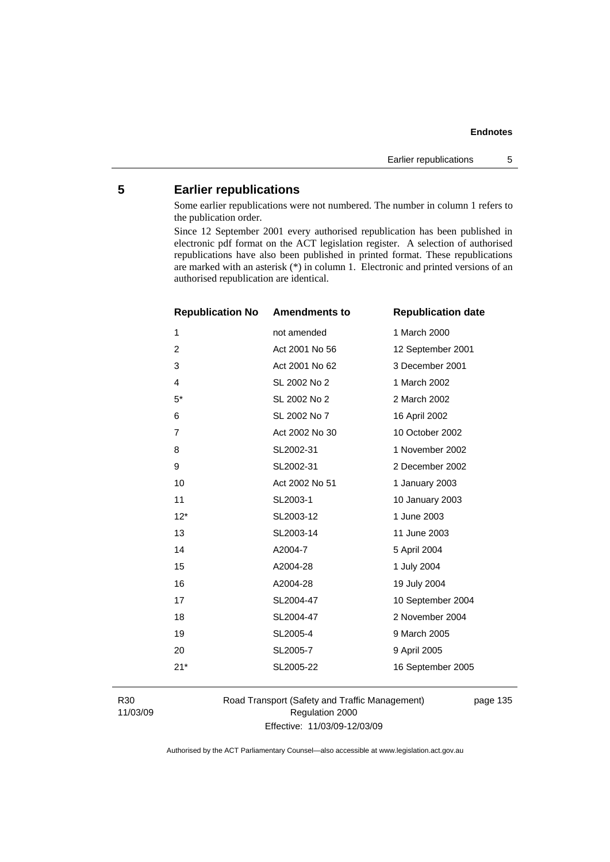## **Endnotes**

## **5 Earlier republications**

Some earlier republications were not numbered. The number in column 1 refers to the publication order.

Since 12 September 2001 every authorised republication has been published in electronic pdf format on the ACT legislation register. A selection of authorised republications have also been published in printed format. These republications are marked with an asterisk (\*) in column 1. Electronic and printed versions of an authorised republication are identical.

| <b>Republication No</b> | <b>Amendments to</b> | <b>Republication date</b> |
|-------------------------|----------------------|---------------------------|
| 1                       | not amended          | 1 March 2000              |
| $\overline{2}$          | Act 2001 No 56       | 12 September 2001         |
| 3                       | Act 2001 No 62       | 3 December 2001           |
| 4                       | SL 2002 No 2         | 1 March 2002              |
| $5^*$                   | SL 2002 No 2         | 2 March 2002              |
| 6                       | SL 2002 No 7         | 16 April 2002             |
| 7                       | Act 2002 No 30       | 10 October 2002           |
| 8                       | SL2002-31            | 1 November 2002           |
| 9                       | SL2002-31            | 2 December 2002           |
| 10                      | Act 2002 No 51       | 1 January 2003            |
| 11                      | SL2003-1             | 10 January 2003           |
| $12*$                   | SL2003-12            | 1 June 2003               |
| 13                      | SL2003-14            | 11 June 2003              |
| 14                      | A2004-7              | 5 April 2004              |
| 15                      | A2004-28             | 1 July 2004               |
| 16                      | A2004-28             | 19 July 2004              |
| 17                      | SL2004-47            | 10 September 2004         |
| 18                      | SL2004-47            | 2 November 2004           |
| 19                      | SL2005-4             | 9 March 2005              |
| 20                      | SL2005-7             | 9 April 2005              |
| $21*$                   | SL2005-22            | 16 September 2005         |
|                         |                      |                           |

R30 11/03/09 Road Transport (Safety and Traffic Management) Regulation 2000 Effective: 11/03/09-12/03/09

page 135

Authorised by the ACT Parliamentary Counsel—also accessible at www.legislation.act.gov.au